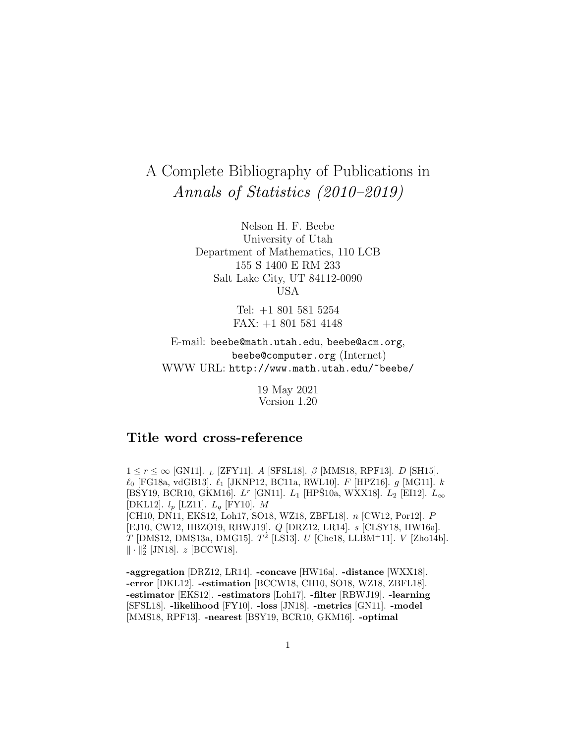# A Complete Bibliography of Publications in Annals of Statistics (2010–2019)

Nelson H. F. Beebe University of Utah Department of Mathematics, 110 LCB 155 S 1400 E RM 233 Salt Lake City, UT 84112-0090 USA

> Tel: +1 801 581 5254 FAX: +1 801 581 4148

E-mail: beebe@math.utah.edu, beebe@acm.org, beebe@computer.org (Internet) WWW URL: http://www.math.utah.edu/~beebe/

> 19 May 2021 Version 1.20

# **Title word cross-reference**

 $1 \leq r \leq \infty$  [GN11].  $_L$  [ZFY11]. A [SFSL18].  $\beta$  [MMS18, RPF13].  $D$  [SH15].  $\ell_0$  [FG18a, vdGB13].  $\ell_1$  [JKNP12, BC11a, RWL10]. F [HPZ16]. g [MG11]. k [BSY19, BCR10, GKM16].  $L^r$  [GN11].  $L_1$  [HPS10a, WXX18].  $L_2$  [EI12].  $L_{\infty}$ [DKL12].  $l_p$  [LZ11].  $L_q$  [FY10]. M [CH10, DN11, EKS12, Loh17, SO18, WZ18, ZBFL18]. n [CW12, Por12]. P [EJ10, CW12, HBZO19, RBWJ19]. Q [DRZ12, LR14]. s [CLSY18, HW16a].  $T$  [DMS12, DMS13a, DMG15].  $T^2$  [LS13].  $U$  [Che18, LLBM+11].  $V$  [Zho14b].  $\|\cdot\|_2^2$  [JN18].  $z$  [BCCW18].

**-aggregation** [DRZ12, LR14]. **-concave** [HW16a]. **-distance** [WXX18]. **-error** [DKL12]. **-estimation** [BCCW18, CH10, SO18, WZ18, ZBFL18]. **-estimator** [EKS12]. **-estimators** [Loh17]. **-filter** [RBWJ19]. **-learning** [SFSL18]. **-likelihood** [FY10]. **-loss** [JN18]. **-metrics** [GN11]. **-model** [MMS18, RPF13]. **-nearest** [BSY19, BCR10, GKM16]. **-optimal**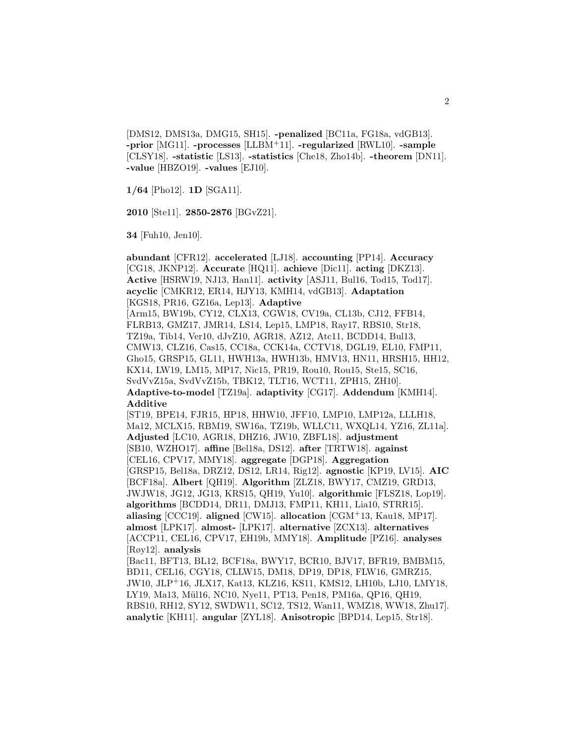[DMS12, DMS13a, DMG15, SH15]. **-penalized** [BC11a, FG18a, vdGB13]. **-prior** [MG11]. **-processes** [LLBM<sup>+</sup>11]. **-regularized** [RWL10]. **-sample** [CLSY18]. **-statistic** [LS13]. **-statistics** [Che18, Zho14b]. **-theorem** [DN11]. **-value** [HBZO19]. **-values** [EJ10].

**1/64** [Pho12]. **1D** [SGA11].

**2010** [Ste11]. **2850-2876** [BGvZ21].

**34** [Fuh10, Jen10].

**abundant** [CFR12]. **accelerated** [LJ18]. **accounting** [PP14]. **Accuracy** [CG18, JKNP12]. **Accurate** [HQ11]. **achieve** [Dic11]. **acting** [DKZ13]. **Active** [HSRW19, NJ13, Han11]. **activity** [ASJ11, Bul16, Tod15, Tod17]. **acyclic** [CMKR12, ER14, HJY13, KMH14, vdGB13]. **Adaptation** [KGS18, PR16, GZ16a, Lep13]. **Adaptive** [Arm15, BW19b, CY12, CLX13, CGW18, CV19a, CL13b, CJ12, FFB14, FLRB13, GMZ17, JMR14, LS14, Lep15, LMP18, Ray17, RBS10, Str18, TZ19a, Tib14, Ver10, dJvZ10, AGR18, AZ12, Atc11, BCDD14, Bul13, CMW13, CLZ16, Cas15, CC18a, CCK14a, CCTV18, DGL19, EL10, FMP11, Gho15, GRSP15, GL11, HWH13a, HWH13b, HMV13, HN11, HRSH15, HH12, KX14, LW19, LM15, MP17, Nic15, PR19, Rou10, Rou15, Ste15, SC16, SvdVvZ15a, SvdVvZ15b, TBK12, TLT16, WCT11, ZPH15, ZH10]. **Adaptive-to-model** [TZ19a]. **adaptivity** [CG17]. **Addendum** [KMH14]. **Additive** [ST19, BPE14, FJR15, HP18, HHW10, JFF10, LMP10, LMP12a, LLLH18, Ma12, MCLX15, RBM19, SW16a, TZ19b, WLLC11, WXQL14, YZ16, ZL11a]. **Adjusted** [LC10, AGR18, DHZ16, JW10, ZBFL18]. **adjustment** [SB10, WZHO17]. **affine** [Bel18a, DS12]. **after** [TRTW18]. **against** [CEL16, CPV17, MMY18]. **aggregate** [DGP18]. **Aggregation** [GRSP15, Bel18a, DRZ12, DS12, LR14, Rig12]. **agnostic** [KP19, LV15]. **AIC** [BCF18a]. **Albert** [QH19]. **Algorithm** [ZLZ18, BWY17, CMZ19, GRD13, JWJW18, JG12, JG13, KRS15, QH19, Yu10]. **algorithmic** [FLSZ18, Lop19]. **algorithms** [BCDD14, DR11, DMJ13, FMP11, KH11, Lia10, STRR15]. **aliasing** [CCC19]. **aligned** [CW15]. **allocation** [CGM<sup>+</sup>13, Kau18, MP17]. **almost** [LPK17]. **almost-** [LPK17]. **alternative** [ZCX13]. **alternatives** [ACCP11, CEL16, CPV17, EH19b, MMY18]. **Amplitude** [PZ16]. **analyses** [Røy12]. **analysis** [Bac11, BFT13, BL12, BCF18a, BWY17, BCR10, BJV17, BFR19, BMBM15, BD11, CEL16, CGY18, CLLW15, DM18, DP19, DP18, FLW16, GMRZ15, JW10, JLP<sup>+</sup>16, JLX17, Kat13, KLZ16, KS11, KMS12, LH10b, LJ10, LMY18, LY19, Ma13, Mül16, NC10, Nye11, PT13, Pen18, PM16a, QP16, QH19, RBS10, RH12, SY12, SWDW11, SC12, TS12, Wan11, WMZ18, WW18, Zhu17]. **analytic** [KH11]. **angular** [ZYL18]. **Anisotropic** [BPD14, Lep15, Str18].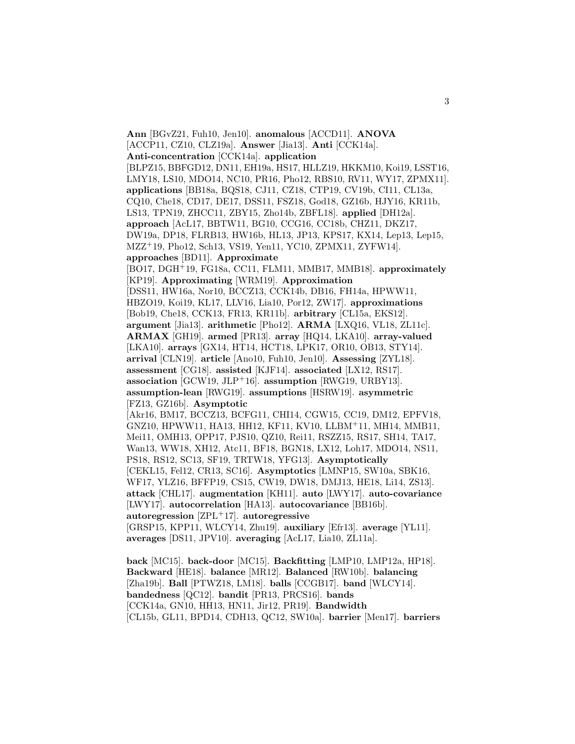**Ann** [BGvZ21, Fuh10, Jen10]. **anomalous** [ACCD11]. **ANOVA** [ACCP11, CZ10, CLZ19a]. **Answer** [Jia13]. **Anti** [CCK14a]. **Anti-concentration** [CCK14a]. **application** [BLPZ15, BBFGD12, DN11, EH19a, HS17, HLLZ19, HKKM10, Koi19, LSST16, LMY18, LS10, MDO14, NC10, PR16, Pho12, RBS10, RV11, WY17, ZPMX11]. **applications** [BB18a, BQS18, CJ11, CZ18, CTP19, CV19b, CI11, CL13a, CQ10, Che18, CD17, DE17, DSS11, FSZ18, God18, GZ16b, HJY16, KR11b, LS13, TPN19, ZHCC11, ZBY15, Zho14b, ZBFL18]. **applied** [DH12a]. **approach** [AcL17, BBTW11, BG10, CCG16, CC18b, CHZ11, DKZ17, DW19a, DP18, FLRB13, HW16b, HL13, JP13, KPS17, KX14, Lep13, Lep15, MZZ<sup>+</sup>19, Pho12, Sch13, VS19, Yen11, YC10, ZPMX11, ZYFW14]. **approaches** [BD11]. **Approximate** [BO17, DGH<sup>+</sup>19, FG18a, CC11, FLM11, MMB17, MMB18]. **approximately** [KP19]. **Approximating** [WRM19]. **Approximation** [DSS11, HW16a, Nor10, BCCZ13, CCK14b, DB16, FH14a, HPWW11, HBZO19, Koi19, KL17, LLV16, Lia10, Por12, ZW17]. **approximations** [Bob19, Che18, CCK13, FR13, KR11b]. **arbitrary** [CL15a, EKS12]. **argument** [Jia13]. **arithmetic** [Pho12]. **ARMA** [LXQ16, VL18, ZL11c]. **ARMAX** [GH19]. **armed** [PR13]. **array** [HQ14, LKA10]. **array-valued** [LKA10]. **arrays** [GX14, HT14, HCT18, LPK17, OR10, OB13, STY14]. **arrival** [CLN19]. **article** [Ano10, Fuh10, Jen10]. **Assessing** [ZYL18]. **assessment** [CG18]. **assisted** [KJF14]. **associated** [LX12, RS17]. **association** [GCW19, JLP<sup>+</sup>16]. **assumption** [RWG19, URBY13]. **assumption-lean** [RWG19]. **assumptions** [HSRW19]. **asymmetric** [FZ13, GZ16b]. **Asymptotic** [Akr16, BM17, BCCZ13, BCFG11, CHI14, CGW15, CC19, DM12, EPFV18, GNZ10, HPWW11, HA13, HH12, KF11, KV10, LLBM<sup>+</sup>11, MH14, MMB11, Mei11, OMH13, OPP17, PJS10, QZ10, Rei11, RSZZ15, RS17, SH14, TA17, Wan13, WW18, XH12, Atc11, BF18, BGN18, LX12, Loh17, MDO14, NS11, PS18, RS12, SC13, SF19, TRTW18, YFG13]. **Asymptotically** [CEKL15, Fel12, CR13, SC16]. **Asymptotics** [LMNP15, SW10a, SBK16, WF17, YLZ16, BFFP19, CS15, CW19, DW18, DMJ13, HE18, Li14, ZS13]. **attack** [CHL17]. **augmentation** [KH11]. **auto** [LWY17]. **auto-covariance** [LWY17]. **autocorrelation** [HA13]. **autocovariance** [BB16b]. **autoregression** [ZPL<sup>+</sup>17]. **autoregressive** [GRSP15, KPP11, WLCY14, Zhu19]. **auxiliary** [Efr13]. **average** [YL11]. **averages** [DS11, JPV10]. **averaging** [AcL17, Lia10, ZL11a]. **back** [MC15]. **back-door** [MC15]. **Backfitting** [LMP10, LMP12a, HP18]. **Backward** [HE18]. **balance** [MR12]. **Balanced** [RW10b]. **balancing**

[Zha19b]. **Ball** [PTWZ18, LM18]. **balls** [CCGB17]. **band** [WLCY14]. **bandedness** [QC12]. **bandit** [PR13, PRCS16]. **bands** [CCK14a, GN10, HH13, HN11, Jir12, PR19]. **Bandwidth** [CL15b, GL11, BPD14, CDH13, QC12, SW10a]. **barrier** [Men17]. **barriers**

3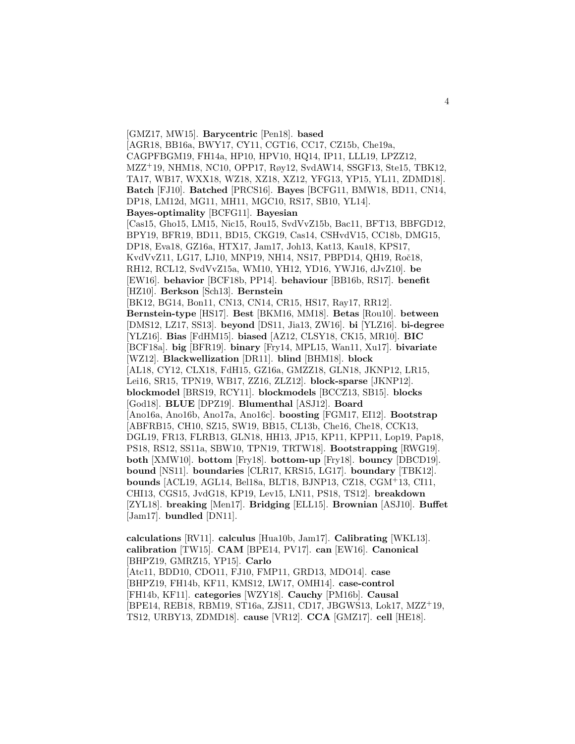[GMZ17, MW15]. **Barycentric** [Pen18]. **based** [AGR18, BB16a, BWY17, CY11, CGT16, CC17, CZ15b, Che19a, CAGPFBGM19, FH14a, HP10, HPV10, HQ14, IP11, LLL19, LPZZ12, MZZ<sup>+</sup>19, NHM18, NC10, OPP17, Røy12, SvdAW14, SSGF13, Ste15, TBK12, TA17, WB17, WXX18, WZ18, XZ18, XZ12, YFG13, YP15, YL11, ZDMD18]. **Batch** [FJ10]. **Batched** [PRCS16]. **Bayes** [BCFG11, BMW18, BD11, CN14, DP18, LM12d, MG11, MH11, MGC10, RS17, SB10, YL14]. **Bayes-optimality** [BCFG11]. **Bayesian** [Cas15, Gho15, LM15, Nic15, Rou15, SvdVvZ15b, Bac11, BFT13, BBFGD12, BPY19, BFR19, BD11, BD15, CKG19, Cas14, CSHvdV15, CC18b, DMG15, DP18, Eva18, GZ16a, HTX17, Jam17, Joh13, Kat13, Kau18, KPS17, KvdVvZ11, LG17, LJ10, MNP19, NH14, NS17, PBPD14, QH19, Roč18, RH12, RCL12, SvdVvZ15a, WM10, YH12, YD16, YWJ16, dJvZ10]. **be** [EW16]. **behavior** [BCF18b, PP14]. **behaviour** [BB16b, RS17]. **benefit** [HZ10]. **Berkson** [Sch13]. **Bernstein** [BK12, BG14, Bon11, CN13, CN14, CR15, HS17, Ray17, RR12]. **Bernstein-type** [HS17]. **Best** [BKM16, MM18]. **Betas** [Rou10]. **between** [DMS12, LZ17, SS13]. **beyond** [DS11, Jia13, ZW16]. **bi** [YLZ16]. **bi-degree** [YLZ16]. **Bias** [FdHM15]. **biased** [AZ12, CLSY18, CK15, MR10]. **BIC** [BCF18a]. **big** [BFR19]. **binary** [Fry14, MPL15, Wan11, Xu17]. **bivariate** [WZ12]. **Blackwellization** [DR11]. **blind** [BHM18]. **block** [AL18, CY12, CLX18, FdH15, GZ16a, GMZZ18, GLN18, JKNP12, LR15, Lei16, SR15, TPN19, WB17, ZZ16, ZLZ12]. **block-sparse** [JKNP12]. **blockmodel** [BRS19, RCY11]. **blockmodels** [BCCZ13, SB15]. **blocks** [God18]. **BLUE** [DPZ19]. **Blumenthal** [ASJ12]. **Board** [Ano16a, Ano16b, Ano17a, Ano16c]. **boosting** [FGM17, EI12]. **Bootstrap** [ABFRB15, CH10, SZ15, SW19, BB15, CL13b, Che16, Che18, CCK13, DGL19, FR13, FLRB13, GLN18, HH13, JP15, KP11, KPP11, Lop19, Pap18, PS18, RS12, SS11a, SBW10, TPN19, TRTW18]. **Bootstrapping** [RWG19]. **both** [XMW10]. **bottom** [Fry18]. **bottom-up** [Fry18]. **bouncy** [DBCD19]. **bound** [NS11]. **boundaries** [CLR17, KRS15, LG17]. **boundary** [TBK12]. **bounds** [ACL19, AGL14, Bel18a, BLT18, BJNP13, CZ18, CGM<sup>+</sup>13, CI11, CHI13, CGS15, JvdG18, KP19, Lev15, LN11, PS18, TS12]. **breakdown** [ZYL18]. **breaking** [Men17]. **Bridging** [ELL15]. **Brownian** [ASJ10]. **Buffet** [Jam17]. **bundled** [DN11].

**calculations** [RV11]. **calculus** [Hua10b, Jam17]. **Calibrating** [WKL13]. **calibration** [TW15]. **CAM** [BPE14, PV17]. **can** [EW16]. **Canonical** [BHPZ19, GMRZ15, YP15]. **Carlo** [Atc11, BDD10, CDO11, FJ10, FMP11, GRD13, MDO14]. **case** [BHPZ19, FH14b, KF11, KMS12, LW17, OMH14]. **case-control** [FH14b, KF11]. **categories** [WZY18]. **Cauchy** [PM16b]. **Causal** [BPE14, REB18, RBM19, ST16a, ZJS11, CD17, JBGWS13, Lok17, MZZ<sup>+</sup>19, TS12, URBY13, ZDMD18]. **cause** [VR12]. **CCA** [GMZ17]. **cell** [HE18].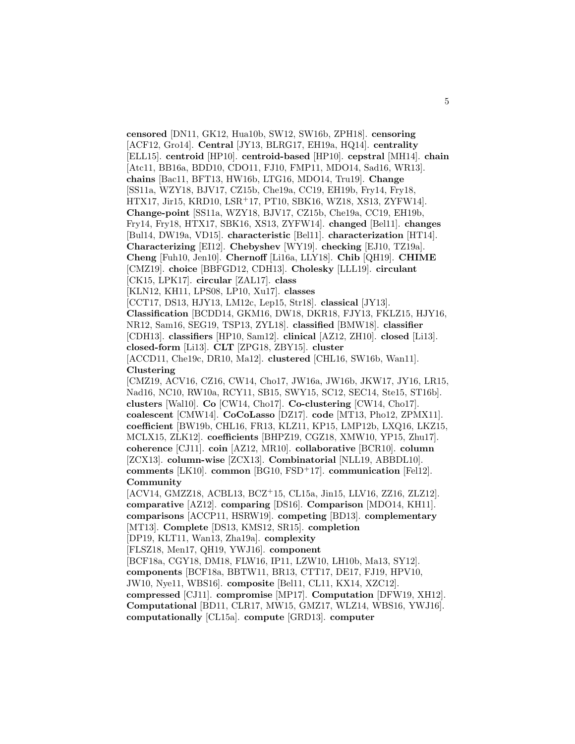**censored** [DN11, GK12, Hua10b, SW12, SW16b, ZPH18]. **censoring** [ACF12, Gro14]. **Central** [JY13, BLRG17, EH19a, HQ14]. **centrality** [ELL15]. **centroid** [HP10]. **centroid-based** [HP10]. **cepstral** [MH14]. **chain** [Atc11, BB16a, BDD10, CDO11, FJ10, FMP11, MDO14, Sad16, WR13]. **chains** [Bac11, BFT13, HW16b, LTG16, MDO14, Tru19]. **Change** [SS11a, WZY18, BJV17, CZ15b, Che19a, CC19, EH19b, Fry14, Fry18, HTX17, Jir15, KRD10, LSR<sup>+</sup>17, PT10, SBK16, WZ18, XS13, ZYFW14]. **Change-point** [SS11a, WZY18, BJV17, CZ15b, Che19a, CC19, EH19b, Fry14, Fry18, HTX17, SBK16, XS13, ZYFW14]. **changed** [Bel11]. **changes** [Bul14, DW19a, VD15]. **characteristic** [Bel11]. **characterization** [HT14]. **Characterizing** [EI12]. **Chebyshev** [WY19]. **checking** [EJ10, TZ19a]. **Cheng** [Fuh10, Jen10]. **Chernoff** [Li16a, LLY18]. **Chib** [QH19]. **CHIME** [CMZ19]. **choice** [BBFGD12, CDH13]. **Cholesky** [LLL19]. **circulant**

[CK15, LPK17]. **circular** [ZAL17]. **class**

[KLN12, KH11, LPS08, LP10, Xu17]. **classes**

[CCT17, DS13, HJY13, LM12c, Lep15, Str18]. **classical** [JY13].

**Classification** [BCDD14, GKM16, DW18, DKR18, FJY13, FKLZ15, HJY16, NR12, Sam16, SEG19, TSP13, ZYL18]. **classified** [BMW18]. **classifier**

[CDH13]. **classifiers** [HP10, Sam12]. **clinical** [AZ12, ZH10]. **closed** [Li13].

**closed-form** [Li13]. **CLT** [ZPG18, ZBY15]. **cluster**

[ACCD11, Che19c, DR10, Ma12]. **clustered** [CHL16, SW16b, Wan11]. **Clustering**

[CMZ19, ACV16, CZ16, CW14, Cho17, JW16a, JW16b, JKW17, JY16, LR15, Nad16, NC10, RW10a, RCY11, SB15, SWY15, SC12, SEC14, Ste15, ST16b]. **clusters** [Wal10]. **Co** [CW14, Cho17]. **Co-clustering** [CW14, Cho17]. **coalescent** [CMW14]. **CoCoLasso** [DZ17]. **code** [MT13, Pho12, ZPMX11]. **coefficient** [BW19b, CHL16, FR13, KLZ11, KP15, LMP12b, LXQ16, LKZ15, MCLX15, ZLK12]. **coefficients** [BHPZ19, CGZ18, XMW10, YP15, Zhu17]. **coherence** [CJ11]. **coin** [AZ12, MR10]. **collaborative** [BCR10]. **column** [ZCX13]. **column-wise** [ZCX13]. **Combinatorial** [NLL19, ABBDL10]. **comments** [LK10]. **common** [BG10, FSD<sup>+</sup>17]. **communication** [Fel12]. **Community**

[ACV14, GMZZ18, ACBL13, BCZ<sup>+</sup>15, CL15a, Jin15, LLV16, ZZ16, ZLZ12]. **comparative** [AZ12]. **comparing** [DS16]. **Comparison** [MDO14, KH11]. **comparisons** [ACCP11, HSRW19]. **competing** [BD13]. **complementary** [MT13]. **Complete** [DS13, KMS12, SR15]. **completion**

[DP19, KLT11, Wan13, Zha19a]. **complexity**

[FLSZ18, Men17, QH19, YWJ16]. **component**

[BCF18a, CGY18, DM18, FLW16, IP11, LZW10, LH10b, Ma13, SY12].

**components** [BCF18a, BBTW11, BR13, CTT17, DE17, FJ19, HPV10,

JW10, Nye11, WBS16]. **composite** [Bel11, CL11, KX14, XZC12].

**compressed** [CJ11]. **compromise** [MP17]. **Computation** [DFW19, XH12]. **Computational** [BD11, CLR17, MW15, GMZ17, WLZ14, WBS16, YWJ16]. **computationally** [CL15a]. **compute** [GRD13]. **computer**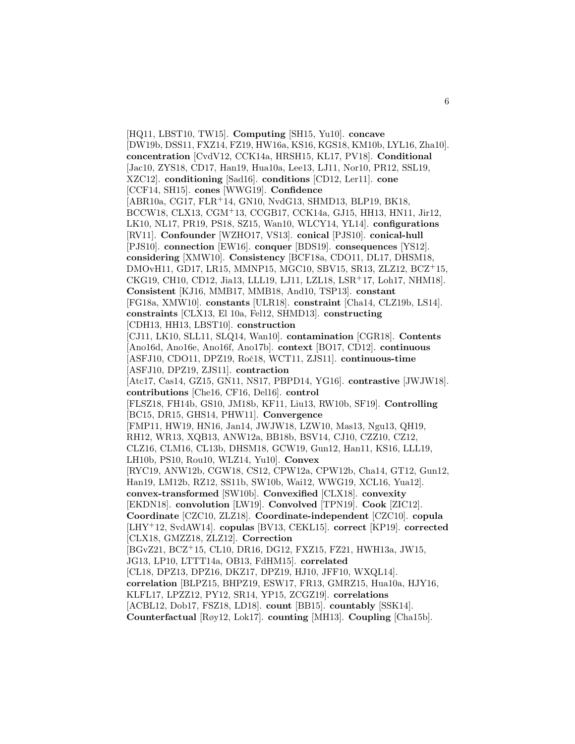[HQ11, LBST10, TW15]. **Computing** [SH15, Yu10]. **concave** [DW19b, DSS11, FXZ14, FZ19, HW16a, KS16, KGS18, KM10b, LYL16, Zha10]. **concentration** [CvdV12, CCK14a, HRSH15, KL17, PV18]. **Conditional** [Jac10, ZYS18, CD17, Han19, Hua10a, Lee13, LJ11, Nor10, PR12, SSL19, XZC12]. **conditioning** [Sad16]. **conditions** [CD12, Ler11]. **cone** [CCF14, SH15]. **cones** [WWG19]. **Confidence** [ABR10a, CG17, FLR<sup>+</sup>14, GN10, NvdG13, SHMD13, BLP19, BK18, BCCW18, CLX13, CGM<sup>+</sup>13, CCGB17, CCK14a, GJ15, HH13, HN11, Jir12, LK10, NL17, PR19, PS18, SZ15, Wan10, WLCY14, YL14]. **configurations** [RV11]. **Confounder** [WZHO17, VS13]. **conical** [PJS10]. **conical-hull** [PJS10]. **connection** [EW16]. **conquer** [BDS19]. **consequences** [YS12]. **considering** [XMW10]. **Consistency** [BCF18a, CDO11, DL17, DHSM18, DMOvH11, GD17, LR15, MMNP15, MGC10, SBV15, SR13, ZLZ12, BCZ<sup>+</sup>15, CKG19, CH10, CD12, Jia13, LLL19, LJ11, LZL18, LSR<sup>+</sup>17, Loh17, NHM18]. **Consistent** [KJ16, MMB17, MMB18, And10, TSP13]. **constant** [FG18a, XMW10]. **constants** [ULR18]. **constraint** [Cha14, CLZ19b, LS14]. **constraints** [CLX13, El 10a, Fel12, SHMD13]. **constructing** [CDH13, HH13, LBST10]. **construction** [CJ11, LK10, SLL11, SLQ14, Wan10]. **contamination** [CGR18]. **Contents** [Ano16d, Ano16e, Ano16f, Ano17b]. **context** [BO17, CD12]. **continuous** [ASFJ10, CDO11, DPZ19, Roˇc18, WCT11, ZJS11]. **continuous-time** [ASFJ10, DPZ19, ZJS11]. **contraction** [Atc17, Cas14, GZ15, GN11, NS17, PBPD14, YG16]. **contrastive** [JWJW18]. **contributions** [Che16, CF16, Del16]. **control** [FLSZ18, FH14b, GS10, JM18b, KF11, Liu13, RW10b, SF19]. **Controlling** [BC15, DR15, GHS14, PHW11]. **Convergence** [FMP11, HW19, HN16, Jan14, JWJW18, LZW10, Mas13, Ngu13, QH19, RH12, WR13, XQB13, ANW12a, BB18b, BSV14, CJ10, CZZ10, CZ12, CLZ16, CLM16, CL13b, DHSM18, GCW19, Gun12, Han11, KS16, LLL19, LH10b, PS10, Rou10, WLZ14, Yu10]. **Convex** [RYC19, ANW12b, CGW18, CS12, CPW12a, CPW12b, Cha14, GT12, Gun12, Han19, LM12b, RZ12, SS11b, SW10b, Wai12, WWG19, XCL16, Yua12]. **convex-transformed** [SW10b]. **Convexified** [CLX18]. **convexity** [EKDN18]. **convolution** [LW19]. **Convolved** [TPN19]. **Cook** [ZIC12]. **Coordinate** [CZC10, ZLZ18]. **Coordinate-independent** [CZC10]. **copula** [LHY<sup>+</sup>12, SvdAW14]. **copulas** [BV13, CEKL15]. **correct** [KP19]. **corrected** [CLX18, GMZZ18, ZLZ12]. **Correction** [BGvZ21, BCZ<sup>+</sup>15, CL10, DR16, DG12, FXZ15, FZ21, HWH13a, JW15, JG13, LP10, LTTT14a, OB13, FdHM15]. **correlated** [CL18, DPZ13, DPZ16, DKZ17, DPZ19, HJ10, JFF10, WXQL14]. **correlation** [BLPZ15, BHPZ19, ESW17, FR13, GMRZ15, Hua10a, HJY16, KLFL17, LPZZ12, PY12, SR14, YP15, ZCGZ19]. **correlations** [ACBL12, Dob17, FSZ18, LD18]. **count** [BB15]. **countably** [SSK14]. **Counterfactual** [Røy12, Lok17]. **counting** [MH13]. **Coupling** [Cha15b].

6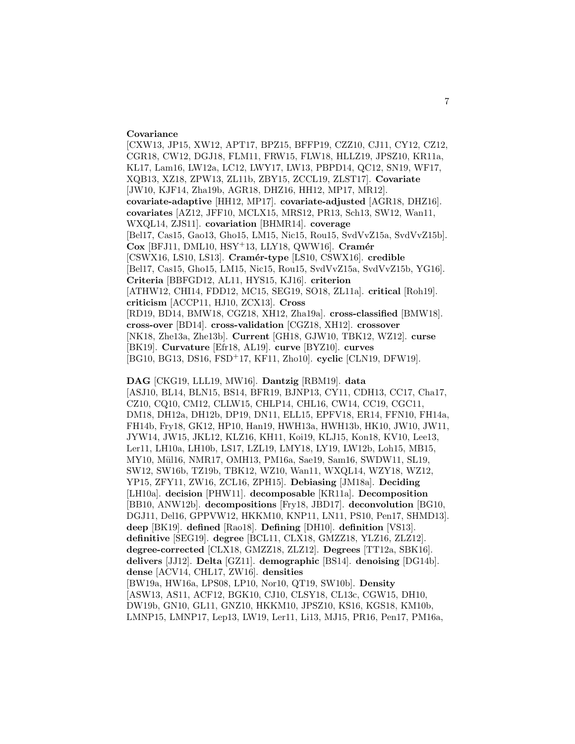#### **Covariance**

[CXW13, JP15, XW12, APT17, BPZ15, BFFP19, CZZ10, CJ11, CY12, CZ12, CGR18, CW12, DGJ18, FLM11, FRW15, FLW18, HLLZ19, JPSZ10, KR11a, KL17, Lam16, LW12a, LC12, LWY17, LW13, PBPD14, QC12, SN19, WF17, XQB13, XZ18, ZPW13, ZL11b, ZBY15, ZCCL19, ZLST17]. **Covariate** [JW10, KJF14, Zha19b, AGR18, DHZ16, HH12, MP17, MR12]. **covariate-adaptive** [HH12, MP17]. **covariate-adjusted** [AGR18, DHZ16]. **covariates** [AZ12, JFF10, MCLX15, MRS12, PR13, Sch13, SW12, Wan11, WXQL14, ZJS11]. **covariation** [BHMR14]. **coverage** [Bel17, Cas15, Gao13, Gho15, LM15, Nic15, Rou15, SvdVvZ15a, SvdVvZ15b]. **Cox** [BFJ11, DML10, HSY<sup>+</sup>13, LLY18, QWW16]. **Cram´er** [CSWX16, LS10, LS13]. **Cram´er-type** [LS10, CSWX16]. **credible** [Bel17, Cas15, Gho15, LM15, Nic15, Rou15, SvdVvZ15a, SvdVvZ15b, YG16]. **Criteria** [BBFGD12, AL11, HYS15, KJ16]. **criterion** [ATHW12, CHI14, FDD12, MC15, SEG19, SO18, ZL11a]. **critical** [Roh19]. **criticism** [ACCP11, HJ10, ZCX13]. **Cross** [RD19, BD14, BMW18, CGZ18, XH12, Zha19a]. **cross-classified** [BMW18]. **cross-over** [BD14]. **cross-validation** [CGZ18, XH12]. **crossover** [NK18, Zhe13a, Zhe13b]. **Current** [GH18, GJW10, TBK12, WZ12]. **curse** [BK19]. **Curvature** [Efr18, AL19]. **curve** [BYZ10]. **curves** [BG10, BG13, DS16, FSD<sup>+</sup>17, KF11, Zho10]. **cyclic** [CLN19, DFW19].

**DAG** [CKG19, LLL19, MW16]. **Dantzig** [RBM19]. **data** [ASJ10, BL14, BLN15, BS14, BFR19, BJNP13, CY11, CDH13, CC17, Cha17, CZ10, CQ10, CM12, CLLW15, CHLP14, CHL16, CW14, CC19, CGC11, DM18, DH12a, DH12b, DP19, DN11, ELL15, EPFV18, ER14, FFN10, FH14a, FH14b, Fry18, GK12, HP10, Han19, HWH13a, HWH13b, HK10, JW10, JW11, JYW14, JW15, JKL12, KLZ16, KH11, Koi19, KLJ15, Kon18, KV10, Lee13, Ler11, LH10a, LH10b, LS17, LZL19, LMY18, LY19, LW12b, Loh15, MB15, MY10, Mül16, NMR17, OMH13, PM16a, Sae19, Sam16, SWDW11, SL19, SW12, SW16b, TZ19b, TBK12, WZ10, Wan11, WXQL14, WZY18, WZ12, YP15, ZFY11, ZW16, ZCL16, ZPH15]. **Debiasing** [JM18a]. **Deciding** [LH10a]. **decision** [PHW11]. **decomposable** [KR11a]. **Decomposition** [BB10, ANW12b]. **decompositions** [Fry18, JBD17]. **deconvolution** [BG10, DGJ11, Del16, GPPVW12, HKKM10, KNP11, LN11, PS10, Pen17, SHMD13]. **deep** [BK19]. **defined** [Rao18]. **Defining** [DH10]. **definition** [VS13]. **definitive** [SEG19]. **degree** [BCL11, CLX18, GMZZ18, YLZ16, ZLZ12]. **degree-corrected** [CLX18, GMZZ18, ZLZ12]. **Degrees** [TT12a, SBK16]. **delivers** [JJ12]. **Delta** [GZ11]. **demographic** [BS14]. **denoising** [DG14b]. **dense** [ACV14, CHL17, ZW16]. **densities** [BW19a, HW16a, LPS08, LP10, Nor10, QT19, SW10b]. **Density** [ASW13, AS11, ACF12, BGK10, CJ10, CLSY18, CL13c, CGW15, DH10, DW19b, GN10, GL11, GNZ10, HKKM10, JPSZ10, KS16, KGS18, KM10b, LMNP15, LMNP17, Lep13, LW19, Ler11, Li13, MJ15, PR16, Pen17, PM16a,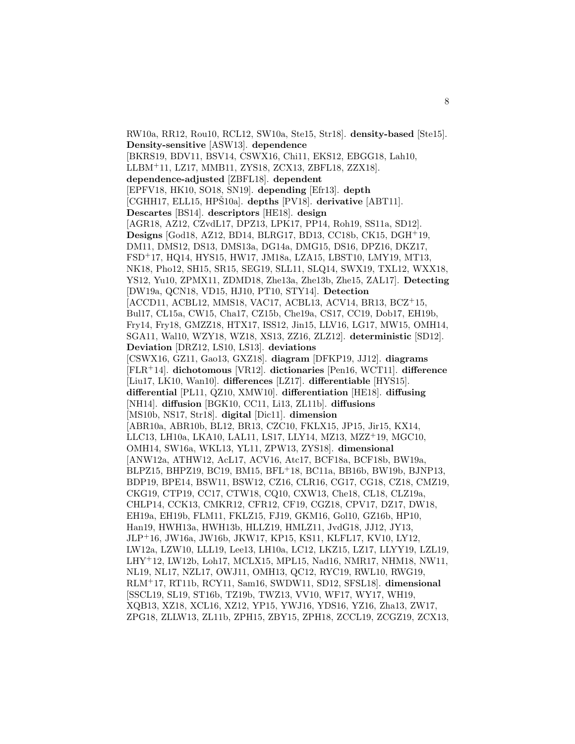RW10a, RR12, Rou10, RCL12, SW10a, Ste15, Str18]. **density-based** [Ste15]. **Density-sensitive** [ASW13]. **dependence** [BKRS19, BDV11, BSV14, CSWX16, Chi11, EKS12, EBGG18, Lah10, LLBM<sup>+</sup>11, LZ17, MMB11, ZYS18, ZCX13, ZBFL18, ZZX18]. **dependence-adjusted** [ZBFL18]. **dependent** [EPFV18, HK10, SO18, SN19]. **depending** [Efr13]. **depth** [CGHH17, ELL15, HPŠ10a]. depths [PV18]. derivative [ABT11]. **Descartes** [BS14]. **descriptors** [HE18]. **design** [AGR18, AZ12, CZvdL17, DPZ13, LPK17, PP14, Roh19, SS11a, SD12]. **Designs** [God18, AZ12, BD14, BLRG17, BD13, CC18b, CK15, DGH<sup>+</sup>19, DM11, DMS12, DS13, DMS13a, DG14a, DMG15, DS16, DPZ16, DKZ17, FSD<sup>+</sup>17, HQ14, HYS15, HW17, JM18a, LZA15, LBST10, LMY19, MT13, NK18, Pho12, SH15, SR15, SEG19, SLL11, SLQ14, SWX19, TXL12, WXX18, YS12, Yu10, ZPMX11, ZDMD18, Zhe13a, Zhe13b, Zhe15, ZAL17]. **Detecting** [DW19a, QCN18, VD15, HJ10, PT10, STY14]. **Detection** [ACCD11, ACBL12, MMS18, VAC17, ACBL13, ACV14, BR13, BCZ<sup>+</sup>15, Bul17, CL15a, CW15, Cha17, CZ15b, Che19a, CS17, CC19, Dob17, EH19b, Fry14, Fry18, GMZZ18, HTX17, ISS12, Jin15, LLV16, LG17, MW15, OMH14, SGA11, Wal10, WZY18, WZ18, XS13, ZZ16, ZLZ12]. **deterministic** [SD12]. **Deviation** [DRZ12, LS10, LS13]. **deviations** [CSWX16, GZ11, Gao13, GXZ18]. **diagram** [DFKP19, JJ12]. **diagrams** [FLR<sup>+</sup>14]. **dichotomous** [VR12]. **dictionaries** [Pen16, WCT11]. **difference** [Liu17, LK10, Wan10]. **differences** [LZ17]. **differentiable** [HYS15]. **differential** [PL11, QZ10, XMW10]. **differentiation** [HE18]. **diffusing** [NH14]. **diffusion** [BGK10, CC11, Li13, ZL11b]. **diffusions** [MS10b, NS17, Str18]. **digital** [Dic11]. **dimension** [ABR10a, ABR10b, BL12, BR13, CZC10, FKLX15, JP15, Jir15, KX14, LLC13, LH10a, LKA10, LAL11, LS17, LLY14, MZ13, MZZ<sup>+</sup>19, MGC10, OMH14, SW16a, WKL13, YL11, ZPW13, ZYS18]. **dimensional** [ANW12a, ATHW12, AcL17, ACV16, Atc17, BCF18a, BCF18b, BW19a, BLPZ15, BHPZ19, BC19, BM15, BFL<sup>+</sup>18, BC11a, BB16b, BW19b, BJNP13, BDP19, BPE14, BSW11, BSW12, CZ16, CLR16, CG17, CG18, CZ18, CMZ19, CKG19, CTP19, CC17, CTW18, CQ10, CXW13, Che18, CL18, CLZ19a, CHLP14, CCK13, CMKR12, CFR12, CF19, CGZ18, CPV17, DZ17, DW18, EH19a, EH19b, FLM11, FKLZ15, FJ19, GKM16, Gol10, GZ16b, HP10, Han19, HWH13a, HWH13b, HLLZ19, HMLZ11, JvdG18, JJ12, JY13, JLP<sup>+</sup>16, JW16a, JW16b, JKW17, KP15, KS11, KLFL17, KV10, LY12, LW12a, LZW10, LLL19, Lee13, LH10a, LC12, LKZ15, LZ17, LLYY19, LZL19, LHY<sup>+</sup>12, LW12b, Loh17, MCLX15, MPL15, Nad16, NMR17, NHM18, NW11, NL19, NL17, NZL17, OWJ11, OMH13, QC12, RYC19, RWL10, RWG19, RLM<sup>+</sup>17, RT11b, RCY11, Sam16, SWDW11, SD12, SFSL18]. **dimensional** [SSCL19, SL19, ST16b, TZ19b, TWZ13, VV10, WF17, WY17, WH19, XQB13, XZ18, XCL16, XZ12, YP15, YWJ16, YDS16, YZ16, Zha13, ZW17, ZPG18, ZLLW13, ZL11b, ZPH15, ZBY15, ZPH18, ZCCL19, ZCGZ19, ZCX13,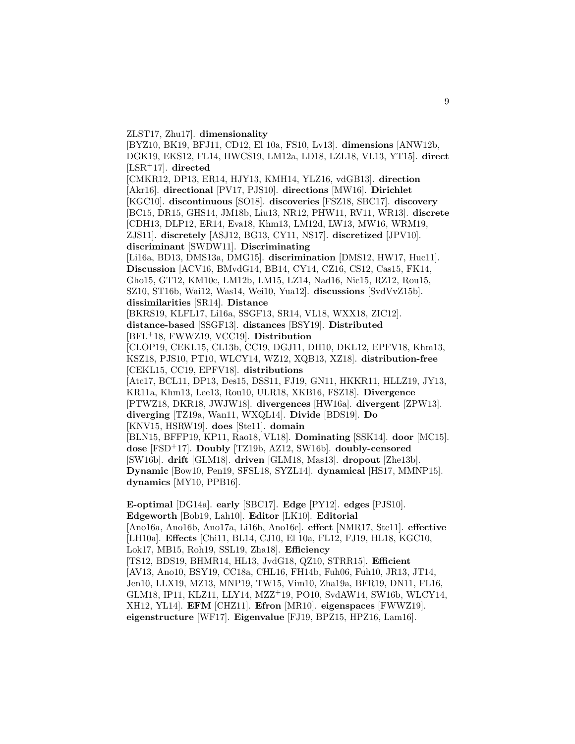ZLST17, Zhu17]. **dimensionality**

[BYZ10, BK19, BFJ11, CD12, El 10a, FS10, Lv13]. **dimensions** [ANW12b, DGK19, EKS12, FL14, HWCS19, LM12a, LD18, LZL18, VL13, YT15]. **direct** [LSR<sup>+</sup>17]. **directed** [CMKR12, DP13, ER14, HJY13, KMH14, YLZ16, vdGB13]. **direction** [Akr16]. **directional** [PV17, PJS10]. **directions** [MW16]. **Dirichlet** [KGC10]. **discontinuous** [SO18]. **discoveries** [FSZ18, SBC17]. **discovery** [BC15, DR15, GHS14, JM18b, Liu13, NR12, PHW11, RV11, WR13]. **discrete** [CDH13, DLP12, ER14, Eva18, Khm13, LM12d, LW13, MW16, WRM19, ZJS11]. **discretely** [ASJ12, BG13, CY11, NS17]. **discretized** [JPV10]. **discriminant** [SWDW11]. **Discriminating** [Li16a, BD13, DMS13a, DMG15]. **discrimination** [DMS12, HW17, Huc11]. **Discussion** [ACV16, BMvdG14, BB14, CY14, CZ16, CS12, Cas15, FK14, Gho15, GT12, KM10c, LM12b, LM15, LZ14, Nad16, Nic15, RZ12, Rou15, SZ10, ST16b, Wai12, Was14, Wei10, Yua12]. **discussions** [SvdVvZ15b]. **dissimilarities** [SR14]. **Distance** [BKRS19, KLFL17, Li16a, SSGF13, SR14, VL18, WXX18, ZIC12]. **distance-based** [SSGF13]. **distances** [BSY19]. **Distributed** [BFL<sup>+</sup>18, FWWZ19, VCC19]. **Distribution** [CLOP19, CEKL15, CL13b, CC19, DGJ11, DH10, DKL12, EPFV18, Khm13, KSZ18, PJS10, PT10, WLCY14, WZ12, XQB13, XZ18]. **distribution-free** [CEKL15, CC19, EPFV18]. **distributions** [Atc17, BCL11, DP13, Des15, DSS11, FJ19, GN11, HKKR11, HLLZ19, JY13, KR11a, Khm13, Lee13, Rou10, ULR18, XKB16, FSZ18]. **Divergence** [PTWZ18, DKR18, JWJW18]. **divergences** [HW16a]. **divergent** [ZPW13]. **diverging** [TZ19a, Wan11, WXQL14]. **Divide** [BDS19]. **Do** [KNV15, HSRW19]. **does** [Ste11]. **domain** [BLN15, BFFP19, KP11, Rao18, VL18]. **Dominating** [SSK14]. **door** [MC15]. **dose** [FSD<sup>+</sup>17]. **Doubly** [TZ19b, AZ12, SW16b]. **doubly-censored** [SW16b]. **drift** [GLM18]. **driven** [GLM18, Mas13]. **dropout** [Zhe13b]. **Dynamic** [Bow10, Pen19, SFSL18, SYZL14]. **dynamical** [HS17, MMNP15]. **dynamics** [MY10, PPB16].

**E-optimal** [DG14a]. **early** [SBC17]. **Edge** [PY12]. **edges** [PJS10]. **Edgeworth** [Bob19, Lah10]. **Editor** [LK10]. **Editorial** [Ano16a, Ano16b, Ano17a, Li16b, Ano16c]. **effect** [NMR17, Ste11]. **effective** [LH10a]. **Effects** [Chi11, BL14, CJ10, El 10a, FL12, FJ19, HL18, KGC10, Lok17, MB15, Roh19, SSL19, Zha18]. **Efficiency** [TS12, BDS19, BHMR14, HL13, JvdG18, QZ10, STRR15]. **Efficient** [AV13, Ano10, BSY19, CC18a, CHL16, FH14b, Fuh06, Fuh10, JR13, JT14, Jen10, LLX19, MZ13, MNP19, TW15, Vim10, Zha19a, BFR19, DN11, FL16, GLM18, IP11, KLZ11, LLY14, MZZ<sup>+</sup>19, PO10, SvdAW14, SW16b, WLCY14, XH12, YL14]. **EFM** [CHZ11]. **Efron** [MR10]. **eigenspaces** [FWWZ19]. **eigenstructure** [WF17]. **Eigenvalue** [FJ19, BPZ15, HPZ16, Lam16].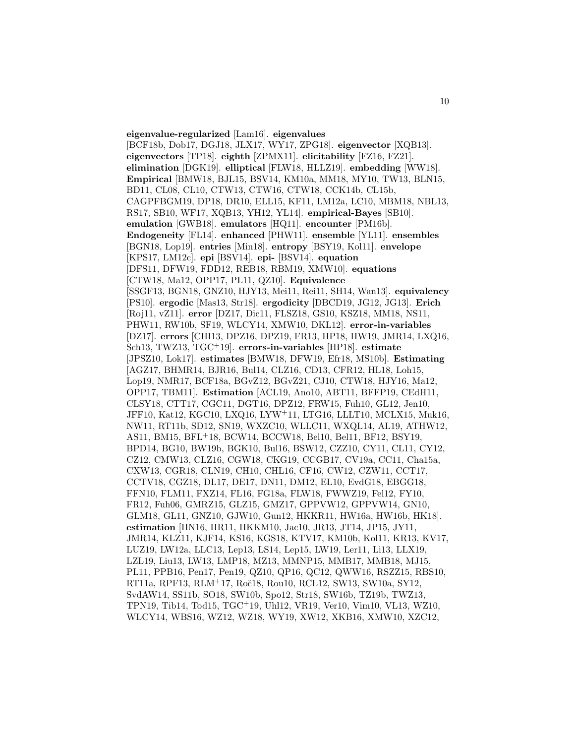**eigenvalue-regularized** [Lam16]. **eigenvalues** [BCF18b, Dob17, DGJ18, JLX17, WY17, ZPG18]. **eigenvector** [XQB13]. **eigenvectors** [TP18]. **eighth** [ZPMX11]. **elicitability** [FZ16, FZ21]. **elimination** [DGK19]. **elliptical** [FLW18, HLLZ19]. **embedding** [WW18]. **Empirical** [BMW18, BJL15, BSV14, KM10a, MM18, MY10, TW13, BLN15, BD11, CL08, CL10, CTW13, CTW16, CTW18, CCK14b, CL15b, CAGPFBGM19, DP18, DR10, ELL15, KF11, LM12a, LC10, MBM18, NBL13, RS17, SB10, WF17, XQB13, YH12, YL14]. **empirical-Bayes** [SB10]. **emulation** [GWB18]. **emulators** [HQ11]. **encounter** [PM16b]. **Endogeneity** [FL14]. **enhanced** [PHW11]. **ensemble** [YL11]. **ensembles** [BGN18, Lop19]. **entries** [Min18]. **entropy** [BSY19, Kol11]. **envelope** [KPS17, LM12c]. **epi** [BSV14]. **epi-** [BSV14]. **equation** [DFS11, DFW19, FDD12, REB18, RBM19, XMW10]. **equations** [CTW18, Ma12, OPP17, PL11, QZ10]. **Equivalence** [SSGF13, BGN18, GNZ10, HJY13, Mei11, Rei11, SH14, Wan13]. **equivalency** [PS10]. **ergodic** [Mas13, Str18]. **ergodicity** [DBCD19, JG12, JG13]. **Erich** [Roj11, vZ11]. **error** [DZ17, Dic11, FLSZ18, GS10, KSZ18, MM18, NS11, PHW11, RW10b, SF19, WLCY14, XMW10, DKL12]. **error-in-variables** [DZ17]. **errors** [CHI13, DPZ16, DPZ19, FR13, HP18, HW19, JMR14, LXQ16, Sch13, TWZ13, TGC<sup>+</sup>19]. **errors-in-variables** [HP18]. **estimate** [JPSZ10, Lok17]. **estimates** [BMW18, DFW19, Efr18, MS10b]. **Estimating** [AGZ17, BHMR14, BJR16, Bul14, CLZ16, CD13, CFR12, HL18, Loh15, Lop19, NMR17, BCF18a, BGvZ12, BGvZ21, CJ10, CTW18, HJY16, Ma12, OPP17, TBM11]. **Estimation** [ACL19, Ano10, ABT11, BFFP19, CEdH11, CLSY18, CTT17, CGC11, DGT16, DPZ12, FRW15, Fuh10, GL12, Jen10, JFF10, Kat12, KGC10, LXQ16, LYW<sup>+</sup>11, LTG16, LLLT10, MCLX15, Muk16, NW11, RT11b, SD12, SN19, WXZC10, WLLC11, WXQL14, AL19, ATHW12, AS11, BM15, BFL<sup>+</sup>18, BCW14, BCCW18, Bel10, Bel11, BF12, BSY19, BPD14, BG10, BW19b, BGK10, Bul16, BSW12, CZZ10, CY11, CL11, CY12, CZ12, CMW13, CLZ16, CGW18, CKG19, CCGB17, CV19a, CC11, Cha15a, CXW13, CGR18, CLN19, CH10, CHL16, CF16, CW12, CZW11, CCT17, CCTV18, CGZ18, DL17, DE17, DN11, DM12, EL10, EvdG18, EBGG18, FFN10, FLM11, FXZ14, FL16, FG18a, FLW18, FWWZ19, Fel12, FY10, FR12, Fuh06, GMRZ15, GLZ15, GMZ17, GPPVW12, GPPVW14, GN10, GLM18, GL11, GNZ10, GJW10, Gun12, HKKR11, HW16a, HW16b, HK18]. **estimation** [HN16, HR11, HKKM10, Jac10, JR13, JT14, JP15, JY11, JMR14, KLZ11, KJF14, KS16, KGS18, KTV17, KM10b, Kol11, KR13, KV17, LUZ19, LW12a, LLC13, Lep13, LS14, Lep15, LW19, Ler11, Li13, LLX19, LZL19, Liu13, LW13, LMP18, MZ13, MMNP15, MMB17, MMB18, MJ15, PL11, PPB16, Pen17, Pen19, QZ10, QP16, QC12, QWW16, RSZZ15, RBS10, RT11a, RPF13, RLM<sup>+</sup>17, Roˇc18, Rou10, RCL12, SW13, SW10a, SY12, SvdAW14, SS11b, SO18, SW10b, Spo12, Str18, SW16b, TZ19b, TWZ13, TPN19, Tib14, Tod15, TGC<sup>+</sup>19, Uhl12, VR19, Ver10, Vim10, VL13, WZ10, WLCY14, WBS16, WZ12, WZ18, WY19, XW12, XKB16, XMW10, XZC12,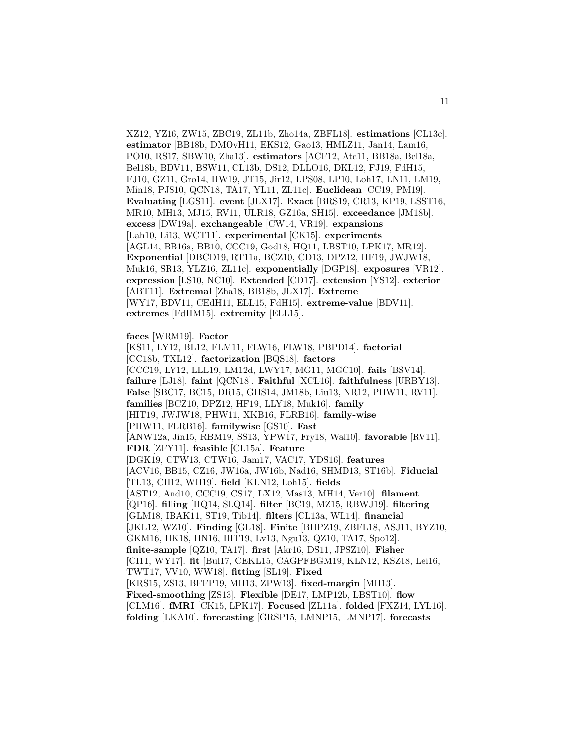XZ12, YZ16, ZW15, ZBC19, ZL11b, Zho14a, ZBFL18]. **estimations** [CL13c]. **estimator** [BB18b, DMOvH11, EKS12, Gao13, HMLZ11, Jan14, Lam16, PO10, RS17, SBW10, Zha13]. **estimators** [ACF12, Atc11, BB18a, Bel18a, Bel18b, BDV11, BSW11, CL13b, DS12, DLLO16, DKL12, FJ19, FdH15, FJ10, GZ11, Gro14, HW19, JT15, Jir12, LPS08, LP10, Loh17, LN11, LM19, Min18, PJS10, QCN18, TA17, YL11, ZL11c]. **Euclidean** [CC19, PM19]. **Evaluating** [LGS11]. **event** [JLX17]. **Exact** [BRS19, CR13, KP19, LSST16, MR10, MH13, MJ15, RV11, ULR18, GZ16a, SH15]. **exceedance** [JM18b]. **excess** [DW19a]. **exchangeable** [CW14, VR19]. **expansions** [Lah10, Li13, WCT11]. **experimental** [CK15]. **experiments** [AGL14, BB16a, BB10, CCC19, God18, HQ11, LBST10, LPK17, MR12]. **Exponential** [DBCD19, RT11a, BCZ10, CD13, DPZ12, HF19, JWJW18, Muk16, SR13, YLZ16, ZL11c]. **exponentially** [DGP18]. **exposures** [VR12]. **expression** [LS10, NC10]. **Extended** [CD17]. **extension** [YS12]. **exterior** [ABT11]. **Extremal** [Zha18, BB18b, JLX17]. **Extreme** [WY17, BDV11, CEdH11, ELL15, FdH15]. **extreme-value** [BDV11]. **extremes** [FdHM15]. **extremity** [ELL15].

**faces** [WRM19]. **Factor**

[KS11, LY12, BL12, FLM11, FLW16, FLW18, PBPD14]. **factorial** [CC18b, TXL12]. **factorization** [BQS18]. **factors** [CCC19, LY12, LLL19, LM12d, LWY17, MG11, MGC10]. **fails** [BSV14]. **failure** [LJ18]. **faint** [QCN18]. **Faithful** [XCL16]. **faithfulness** [URBY13]. **False** [SBC17, BC15, DR15, GHS14, JM18b, Liu13, NR12, PHW11, RV11]. **families** [BCZ10, DPZ12, HF19, LLY18, Muk16]. **family** [HIT19, JWJW18, PHW11, XKB16, FLRB16]. **family-wise** [PHW11, FLRB16]. **familywise** [GS10]. **Fast** [ANW12a, Jin15, RBM19, SS13, YPW17, Fry18, Wal10]. **favorable** [RV11]. **FDR** [ZFY11]. **feasible** [CL15a]. **Feature** [DGK19, CTW13, CTW16, Jam17, VAC17, YDS16]. **features** [ACV16, BB15, CZ16, JW16a, JW16b, Nad16, SHMD13, ST16b]. **Fiducial** [TL13, CH12, WH19]. **field** [KLN12, Loh15]. **fields** [AST12, And10, CCC19, CS17, LX12, Mas13, MH14, Ver10]. **filament** [QP16]. **filling** [HQ14, SLQ14]. **filter** [BC19, MZ15, RBWJ19]. **filtering** [GLM18, IBAK11, ST19, Tib14]. **filters** [CL13a, WL14]. **financial** [JKL12, WZ10]. **Finding** [GL18]. **Finite** [BHPZ19, ZBFL18, ASJ11, BYZ10, GKM16, HK18, HN16, HIT19, Lv13, Ngu13, QZ10, TA17, Spo12]. **finite-sample** [QZ10, TA17]. **first** [Akr16, DS11, JPSZ10]. **Fisher** [CI11, WY17]. **fit** [Bul17, CEKL15, CAGPFBGM19, KLN12, KSZ18, Lei16, TWT17, VV10, WW18]. **fitting** [SL19]. **Fixed** [KRS15, ZS13, BFFP19, MH13, ZPW13]. **fixed-margin** [MH13]. **Fixed-smoothing** [ZS13]. **Flexible** [DE17, LMP12b, LBST10]. **flow** [CLM16]. **fMRI** [CK15, LPK17]. **Focused** [ZL11a]. **folded** [FXZ14, LYL16]. **folding** [LKA10]. **forecasting** [GRSP15, LMNP15, LMNP17]. **forecasts**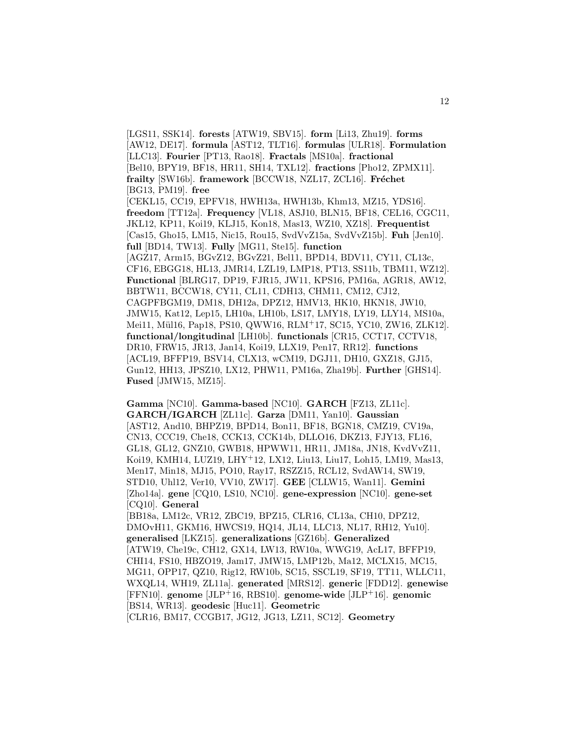[LGS11, SSK14]. **forests** [ATW19, SBV15]. **form** [Li13, Zhu19]. **forms** [AW12, DE17]. **formula** [AST12, TLT16]. **formulas** [ULR18]. **Formulation** [LLC13]. **Fourier** [PT13, Rao18]. **Fractals** [MS10a]. **fractional** [Bel10, BPY19, BF18, HR11, SH14, TXL12]. **fractions** [Pho12, ZPMX11]. **frailty** [SW16b]. **framework** [BCCW18, NZL17, ZCL16]. **Fréchet** [BG13, PM19]. **free** [CEKL15, CC19, EPFV18, HWH13a, HWH13b, Khm13, MZ15, YDS16]. **freedom** [TT12a]. **Frequency** [VL18, ASJ10, BLN15, BF18, CEL16, CGC11, JKL12, KP11, Koi19, KLJ15, Kon18, Mas13, WZ10, XZ18]. **Frequentist** [Cas15, Gho15, LM15, Nic15, Rou15, SvdVvZ15a, SvdVvZ15b]. **Fuh** [Jen10]. **full** [BD14, TW13]. **Fully** [MG11, Ste15]. **function** [AGZ17, Arm15, BGvZ12, BGvZ21, Bel11, BPD14, BDV11, CY11, CL13c, CF16, EBGG18, HL13, JMR14, LZL19, LMP18, PT13, SS11b, TBM11, WZ12]. **Functional** [BLRG17, DP19, FJR15, JW11, KPS16, PM16a, AGR18, AW12, BBTW11, BCCW18, CY11, CL11, CDH13, CHM11, CM12, CJ12, CAGPFBGM19, DM18, DH12a, DPZ12, HMV13, HK10, HKN18, JW10, JMW15, Kat12, Lep15, LH10a, LH10b, LS17, LMY18, LY19, LLY14, MS10a, Mei11, Mül16, Pap18, PS10, QWW16, RLM+17, SC15, YC10, ZW16, ZLK12]. **functional/longitudinal** [LH10b]. **functionals** [CR15, CCT17, CCTV18, DR10, FRW15, JR13, Jan14, Koi19, LLX19, Pen17, RR12]. **functions** [ACL19, BFFP19, BSV14, CLX13, wCM19, DGJ11, DH10, GXZ18, GJ15, Gun12, HH13, JPSZ10, LX12, PHW11, PM16a, Zha19b]. **Further** [GHS14]. **Fused** [JMW15, MZ15].

12

**Gamma** [NC10]. **Gamma-based** [NC10]. **GARCH** [FZ13, ZL11c]. **GARCH/IGARCH** [ZL11c]. **Garza** [DM11, Yan10]. **Gaussian** [AST12, And10, BHPZ19, BPD14, Bon11, BF18, BGN18, CMZ19, CV19a, CN13, CCC19, Che18, CCK13, CCK14b, DLLO16, DKZ13, FJY13, FL16, GL18, GL12, GNZ10, GWB18, HPWW11, HR11, JM18a, JN18, KvdVvZ11, Koi19, KMH14, LUZ19, LHY<sup>+</sup>12, LX12, Liu13, Liu17, Loh15, LM19, Mas13, Men17, Min18, MJ15, PO10, Ray17, RSZZ15, RCL12, SvdAW14, SW19, STD10, Uhl12, Ver10, VV10, ZW17]. **GEE** [CLLW15, Wan11]. **Gemini** [Zho14a]. **gene** [CQ10, LS10, NC10]. **gene-expression** [NC10]. **gene-set** [CQ10]. **General** [BB18a, LM12c, VR12, ZBC19, BPZ15, CLR16, CL13a, CH10, DPZ12, DMOvH11, GKM16, HWCS19, HQ14, JL14, LLC13, NL17, RH12, Yu10]. **generalised** [LKZ15]. **generalizations** [GZ16b]. **Generalized** [ATW19, Che19c, CH12, GX14, LW13, RW10a, WWG19, AcL17, BFFP19, CHI14, FS10, HBZO19, Jam17, JMW15, LMP12b, Ma12, MCLX15, MC15, MG11, OPP17, QZ10, Rig12, RW10b, SC15, SSCL19, SF19, TT11, WLLC11, WXQL14, WH19, ZL11a]. **generated** [MRS12]. **generic** [FDD12]. **genewise** [FFN10]. **genome** [JLP<sup>+</sup>16, RBS10]. **genome-wide** [JLP<sup>+</sup>16]. **genomic** [BS14, WR13]. **geodesic** [Huc11]. **Geometric** [CLR16, BM17, CCGB17, JG12, JG13, LZ11, SC12]. **Geometry**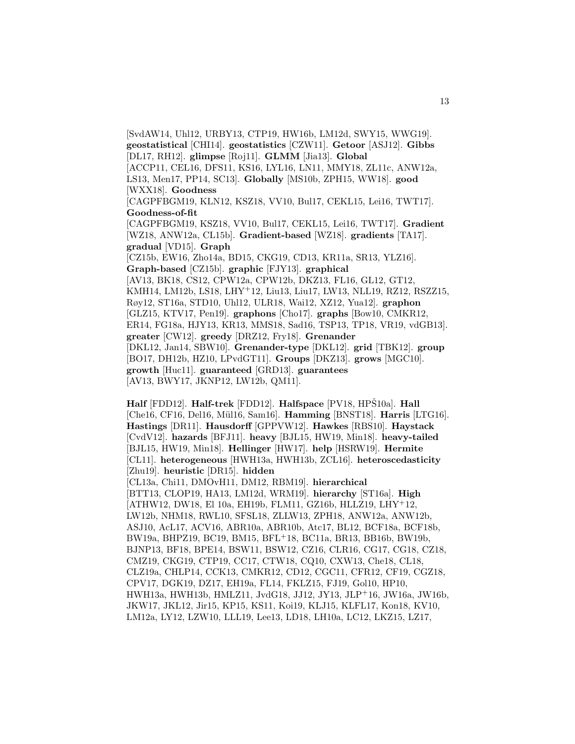[SvdAW14, Uhl12, URBY13, CTP19, HW16b, LM12d, SWY15, WWG19]. **geostatistical** [CHI14]. **geostatistics** [CZW11]. **Getoor** [ASJ12]. **Gibbs** [DL17, RH12]. **glimpse** [Roj11]. **GLMM** [Jia13]. **Global** [ACCP11, CEL16, DFS11, KS16, LYL16, LN11, MMY18, ZL11c, ANW12a, LS13, Men17, PP14, SC13]. **Globally** [MS10b, ZPH15, WW18]. **good** [WXX18]. **Goodness** [CAGPFBGM19, KLN12, KSZ18, VV10, Bul17, CEKL15, Lei16, TWT17]. **Goodness-of-fit** [CAGPFBGM19, KSZ18, VV10, Bul17, CEKL15, Lei16, TWT17]. **Gradient** [WZ18, ANW12a, CL15b]. **Gradient-based** [WZ18]. **gradients** [TA17]. **gradual** [VD15]. **Graph** [CZ15b, EW16, Zho14a, BD15, CKG19, CD13, KR11a, SR13, YLZ16]. **Graph-based** [CZ15b]. **graphic** [FJY13]. **graphical** [AV13, BK18, CS12, CPW12a, CPW12b, DKZ13, FL16, GL12, GT12, KMH14, LM12b, LS18, LHY<sup>+</sup>12, Liu13, Liu17, LW13, NLL19, RZ12, RSZZ15, Røy12, ST16a, STD10, Uhl12, ULR18, Wai12, XZ12, Yua12]. **graphon** [GLZ15, KTV17, Pen19]. **graphons** [Cho17]. **graphs** [Bow10, CMKR12, ER14, FG18a, HJY13, KR13, MMS18, Sad16, TSP13, TP18, VR19, vdGB13]. **greater** [CW12]. **greedy** [DRZ12, Fry18]. **Grenander** [DKL12, Jan14, SBW10]. **Grenander-type** [DKL12]. **grid** [TBK12]. **group** [BO17, DH12b, HZ10, LPvdGT11]. **Groups** [DKZ13]. **grows** [MGC10]. **growth** [Huc11]. **guaranteed** [GRD13]. **guarantees** [AV13, BWY17, JKNP12, LW12b, QM11].

**Half** [FDD12]. **Half-trek** [FDD12]. **Halfspace** [PV18, HPS10a]. **Hall** [Che16, CF16, Del16, M¨ul16, Sam16]. **Hamming** [BNST18]. **Harris** [LTG16]. **Hastings** [DR11]. **Hausdorff** [GPPVW12]. **Hawkes** [RBS10]. **Haystack** [CvdV12]. **hazards** [BFJ11]. **heavy** [BJL15, HW19, Min18]. **heavy-tailed** [BJL15, HW19, Min18]. **Hellinger** [HW17]. **help** [HSRW19]. **Hermite** [CL11]. **heterogeneous** [HWH13a, HWH13b, ZCL16]. **heteroscedasticity** [Zhu19]. **heuristic** [DR15]. **hidden** [CL13a, Chi11, DMOvH11, DM12, RBM19]. **hierarchical** [BTT13, CLOP19, HA13, LM12d, WRM19]. **hierarchy** [ST16a]. **High** [ATHW12, DW18, El 10a, EH19b, FLM11, GZ16b, HLLZ19, LHY<sup>+</sup>12, LW12b, NHM18, RWL10, SFSL18, ZLLW13, ZPH18, ANW12a, ANW12b, ASJ10, AcL17, ACV16, ABR10a, ABR10b, Atc17, BL12, BCF18a, BCF18b, BW19a, BHPZ19, BC19, BM15, BFL<sup>+</sup>18, BC11a, BR13, BB16b, BW19b, BJNP13, BF18, BPE14, BSW11, BSW12, CZ16, CLR16, CG17, CG18, CZ18, CMZ19, CKG19, CTP19, CC17, CTW18, CQ10, CXW13, Che18, CL18, CLZ19a, CHLP14, CCK13, CMKR12, CD12, CGC11, CFR12, CF19, CGZ18, CPV17, DGK19, DZ17, EH19a, FL14, FKLZ15, FJ19, Gol10, HP10, HWH13a, HWH13b, HMLZ11, JvdG18, JJ12, JY13, JLP<sup>+</sup>16, JW16a, JW16b, JKW17, JKL12, Jir15, KP15, KS11, Koi19, KLJ15, KLFL17, Kon18, KV10, LM12a, LY12, LZW10, LLL19, Lee13, LD18, LH10a, LC12, LKZ15, LZ17,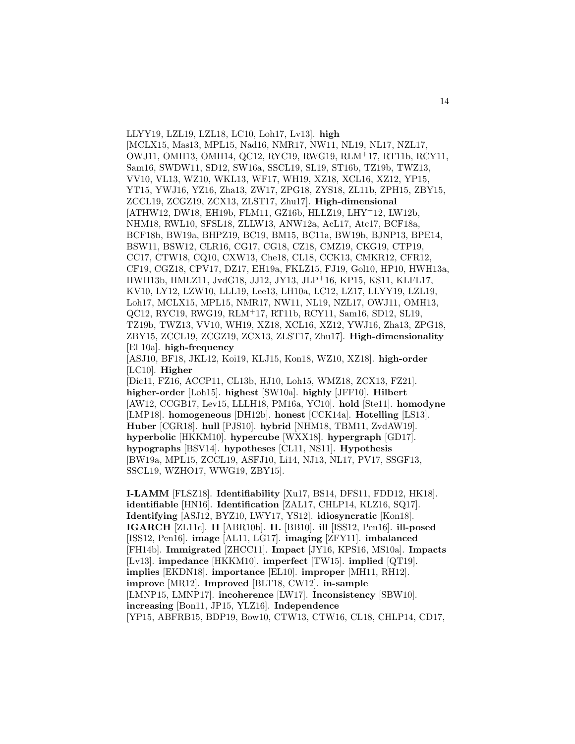LLYY19, LZL19, LZL18, LC10, Loh17, Lv13]. **high** [MCLX15, Mas13, MPL15, Nad16, NMR17, NW11, NL19, NL17, NZL17, OWJ11, OMH13, OMH14, QC12, RYC19, RWG19, RLM<sup>+</sup>17, RT11b, RCY11, Sam16, SWDW11, SD12, SW16a, SSCL19, SL19, ST16b, TZ19b, TWZ13, VV10, VL13, WZ10, WKL13, WF17, WH19, XZ18, XCL16, XZ12, YP15, YT15, YWJ16, YZ16, Zha13, ZW17, ZPG18, ZYS18, ZL11b, ZPH15, ZBY15, ZCCL19, ZCGZ19, ZCX13, ZLST17, Zhu17]. **High-dimensional** [ATHW12, DW18, EH19b, FLM11, GZ16b, HLLZ19, LHY<sup>+</sup>12, LW12b, NHM18, RWL10, SFSL18, ZLLW13, ANW12a, AcL17, Atc17, BCF18a, BCF18b, BW19a, BHPZ19, BC19, BM15, BC11a, BW19b, BJNP13, BPE14, BSW11, BSW12, CLR16, CG17, CG18, CZ18, CMZ19, CKG19, CTP19, CC17, CTW18, CQ10, CXW13, Che18, CL18, CCK13, CMKR12, CFR12, CF19, CGZ18, CPV17, DZ17, EH19a, FKLZ15, FJ19, Gol10, HP10, HWH13a, HWH13b, HMLZ11, JvdG18, JJ12, JY13, JLP<sup>+</sup>16, KP15, KS11, KLFL17, KV10, LY12, LZW10, LLL19, Lee13, LH10a, LC12, LZ17, LLYY19, LZL19, Loh17, MCLX15, MPL15, NMR17, NW11, NL19, NZL17, OWJ11, OMH13, QC12, RYC19, RWG19, RLM<sup>+</sup>17, RT11b, RCY11, Sam16, SD12, SL19, TZ19b, TWZ13, VV10, WH19, XZ18, XCL16, XZ12, YWJ16, Zha13, ZPG18, ZBY15, ZCCL19, ZCGZ19, ZCX13, ZLST17, Zhu17]. **High-dimensionality** [El 10a]. **high-frequency** [ASJ10, BF18, JKL12, Koi19, KLJ15, Kon18, WZ10, XZ18]. **high-order**

[Dic11, FZ16, ACCP11, CL13b, HJ10, Loh15, WMZ18, ZCX13, FZ21]. **higher-order** [Loh15]. **highest** [SW10a]. **highly** [JFF10]. **Hilbert** [AW12, CCGB17, Lev15, LLLH18, PM16a, YC10]. **hold** [Ste11]. **homodyne** [LMP18]. **homogeneous** [DH12b]. **honest** [CCK14a]. **Hotelling** [LS13]. **Huber** [CGR18]. **hull** [PJS10]. **hybrid** [NHM18, TBM11, ZvdAW19]. **hyperbolic** [HKKM10]. **hypercube** [WXX18]. **hypergraph** [GD17]. **hypographs** [BSV14]. **hypotheses** [CL11, NS11]. **Hypothesis** [BW19a, MPL15, ZCCL19, ASFJ10, Li14, NJ13, NL17, PV17, SSGF13, SSCL19, WZHO17, WWG19, ZBY15].

[LC10]. **Higher**

**I-LAMM** [FLSZ18]. **Identifiability** [Xu17, BS14, DFS11, FDD12, HK18]. **identifiable** [HN16]. **Identification** [ZAL17, CHLP14, KLZ16, SQ17]. **Identifying** [ASJ12, BYZ10, LWY17, YS12]. **idiosyncratic** [Kon18]. **IGARCH** [ZL11c]. **II** [ABR10b]. **II.** [BB10]. **ill** [ISS12, Pen16]. **ill-posed** [ISS12, Pen16]. **image** [AL11, LG17]. **imaging** [ZFY11]. **imbalanced** [FH14b]. **Immigrated** [ZHCC11]. **Impact** [JY16, KPS16, MS10a]. **Impacts** [Lv13]. **impedance** [HKKM10]. **imperfect** [TW15]. **implied** [QT19]. **implies** [EKDN18]. **importance** [EL10]. **improper** [MH11, RH12]. **improve** [MR12]. **Improved** [BLT18, CW12]. **in-sample** [LMNP15, LMNP17]. **incoherence** [LW17]. **Inconsistency** [SBW10]. **increasing** [Bon11, JP15, YLZ16]. **Independence** [YP15, ABFRB15, BDP19, Bow10, CTW13, CTW16, CL18, CHLP14, CD17,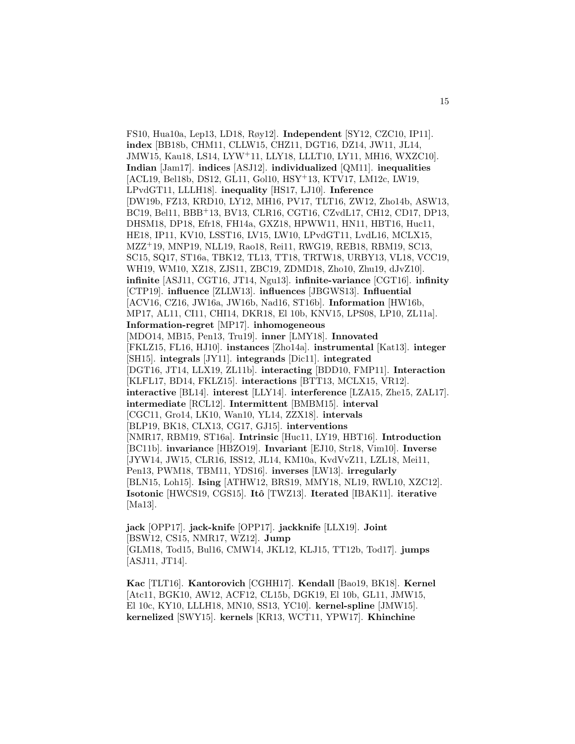FS10, Hua10a, Lep13, LD18, Røy12]. **Independent** [SY12, CZC10, IP11]. **index** [BB18b, CHM11, CLLW15, CHZ11, DGT16, DZ14, JW11, JL14, JMW15, Kau18, LS14, LYW<sup>+</sup>11, LLY18, LLLT10, LY11, MH16, WXZC10]. **Indian** [Jam17]. **indices** [ASJ12]. **individualized** [QM11]. **inequalities** [ACL19, Bel18b, DS12, GL11, Gol10, HSY<sup>+</sup>13, KTV17, LM12c, LW19, LPvdGT11, LLLH18]. **inequality** [HS17, LJ10]. **Inference** [DW19b, FZ13, KRD10, LY12, MH16, PV17, TLT16, ZW12, Zho14b, ASW13, BC19, Bel11, BBB<sup>+</sup>13, BV13, CLR16, CGT16, CZvdL17, CH12, CD17, DP13, DHSM18, DP18, Efr18, FH14a, GXZ18, HPWW11, HN11, HBT16, Huc11, HE18, IP11, KV10, LSST16, LV15, LW10, LPvdGT11, LvdL16, MCLX15, MZZ<sup>+</sup>19, MNP19, NLL19, Rao18, Rei11, RWG19, REB18, RBM19, SC13, SC15, SQ17, ST16a, TBK12, TL13, TT18, TRTW18, URBY13, VL18, VCC19, WH19, WM10, XZ18, ZJS11, ZBC19, ZDMD18, Zho10, Zhu19, dJvZ10]. **infinite** [ASJ11, CGT16, JT14, Ngu13]. **infinite-variance** [CGT16]. **infinity** [CTP19]. **influence** [ZLLW13]. **influences** [JBGWS13]. **Influential** [ACV16, CZ16, JW16a, JW16b, Nad16, ST16b]. **Information** [HW16b, MP17, AL11, CI11, CHI14, DKR18, El 10b, KNV15, LPS08, LP10, ZL11a]. **Information-regret** [MP17]. **inhomogeneous** [MDO14, MB15, Pen13, Tru19]. **inner** [LMY18]. **Innovated** [FKLZ15, FL16, HJ10]. **instances** [Zho14a]. **instrumental** [Kat13]. **integer** [SH15]. **integrals** [JY11]. **integrands** [Dic11]. **integrated** [DGT16, JT14, LLX19, ZL11b]. **interacting** [BDD10, FMP11]. **Interaction** [KLFL17, BD14, FKLZ15]. **interactions** [BTT13, MCLX15, VR12]. **interactive** [BL14]. **interest** [LLY14]. **interference** [LZA15, Zhe15, ZAL17]. **intermediate** [RCL12]. **Intermittent** [BMBM15]. **interval** [CGC11, Gro14, LK10, Wan10, YL14, ZZX18]. **intervals** [BLP19, BK18, CLX13, CG17, GJ15]. **interventions** [NMR17, RBM19, ST16a]. **Intrinsic** [Huc11, LY19, HBT16]. **Introduction** [BC11b]. **invariance** [HBZO19]. **Invariant** [EJ10, Str18, Vim10]. **Inverse** [JYW14, JW15, CLR16, ISS12, JL14, KM10a, KvdVvZ11, LZL18, Mei11, Pen13, PWM18, TBM11, YDS16]. **inverses** [LW13]. **irregularly** [BLN15, Loh15]. **Ising** [ATHW12, BRS19, MMY18, NL19, RWL10, XZC12]. **Isotonic** [HWCS19, CGS15]. **Itˆo** [TWZ13]. **Iterated** [IBAK11]. **iterative** [Ma13].

**jack** [OPP17]. **jack-knife** [OPP17]. **jackknife** [LLX19]. **Joint** [BSW12, CS15, NMR17, WZ12]. **Jump** [GLM18, Tod15, Bul16, CMW14, JKL12, KLJ15, TT12b, Tod17]. **jumps** [ASJ11, JT14].

**Kac** [TLT16]. **Kantorovich** [CGHH17]. **Kendall** [Bao19, BK18]. **Kernel** [Atc11, BGK10, AW12, ACF12, CL15b, DGK19, El 10b, GL11, JMW15, El 10c, KY10, LLLH18, MN10, SS13, YC10]. **kernel-spline** [JMW15]. **kernelized** [SWY15]. **kernels** [KR13, WCT11, YPW17]. **Khinchine**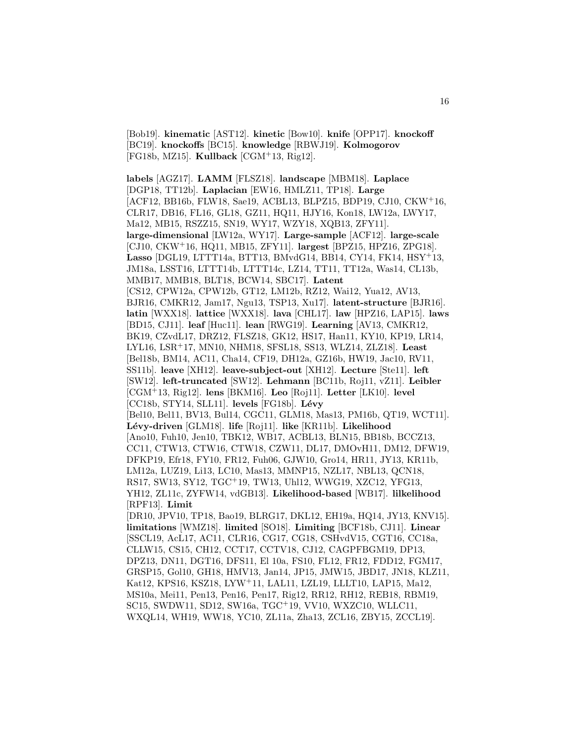[Bob19]. **kinematic** [AST12]. **kinetic** [Bow10]. **knife** [OPP17]. **knockoff** [BC19]. **knockoffs** [BC15]. **knowledge** [RBWJ19]. **Kolmogorov** [FG18b, MZ15]. **Kullback** [CGM<sup>+</sup>13, Rig12].

**labels** [AGZ17]. **LAMM** [FLSZ18]. **landscape** [MBM18]. **Laplace** [DGP18, TT12b]. **Laplacian** [EW16, HMLZ11, TP18]. **Large** [ACF12, BB16b, FLW18, Sae19, ACBL13, BLPZ15, BDP19, CJ10, CKW<sup>+</sup>16, CLR17, DB16, FL16, GL18, GZ11, HQ11, HJY16, Kon18, LW12a, LWY17, Ma12, MB15, RSZZ15, SN19, WY17, WZY18, XQB13, ZFY11]. **large-dimensional** [LW12a, WY17]. **Large-sample** [ACF12]. **large-scale** [CJ10, CKW<sup>+</sup>16, HQ11, MB15, ZFY11]. **largest** [BPZ15, HPZ16, ZPG18]. **Lasso** [DGL19, LTTT14a, BTT13, BMvdG14, BB14, CY14, FK14, HSY<sup>+</sup>13, JM18a, LSST16, LTTT14b, LTTT14c, LZ14, TT11, TT12a, Was14, CL13b, MMB17, MMB18, BLT18, BCW14, SBC17]. **Latent** [CS12, CPW12a, CPW12b, GT12, LM12b, RZ12, Wai12, Yua12, AV13, BJR16, CMKR12, Jam17, Ngu13, TSP13, Xu17]. **latent-structure** [BJR16]. **latin** [WXX18]. **lattice** [WXX18]. **lava** [CHL17]. **law** [HPZ16, LAP15]. **laws** [BD15, CJ11]. **leaf** [Huc11]. **lean** [RWG19]. **Learning** [AV13, CMKR12, BK19, CZvdL17, DRZ12, FLSZ18, GK12, HS17, Han11, KY10, KP19, LR14, LYL16, LSR<sup>+</sup>17, MN10, NHM18, SFSL18, SS13, WLZ14, ZLZ18]. **Least** [Bel18b, BM14, AC11, Cha14, CF19, DH12a, GZ16b, HW19, Jac10, RV11, SS11b]. **leave** [XH12]. **leave-subject-out** [XH12]. **Lecture** [Ste11]. **left** [SW12]. **left-truncated** [SW12]. **Lehmann** [BC11b, Roj11, vZ11]. **Leibler** [CGM<sup>+</sup>13, Rig12]. **lens** [BKM16]. **Leo** [Roj11]. **Letter** [LK10]. **level** [CC18b, STY14, SLL11]. **levels** [FG18b]. **L´evy** [Bel10, Bel11, BV13, Bul14, CGC11, GLM18, Mas13, PM16b, QT19, WCT11]. **L´evy-driven** [GLM18]. **life** [Roj11]. **like** [KR11b]. **Likelihood** [Ano10, Fuh10, Jen10, TBK12, WB17, ACBL13, BLN15, BB18b, BCCZ13, CC11, CTW13, CTW16, CTW18, CZW11, DL17, DMOvH11, DM12, DFW19, DFKP19, Efr18, FY10, FR12, Fuh06, GJW10, Gro14, HR11, JY13, KR11b, LM12a, LUZ19, Li13, LC10, Mas13, MMNP15, NZL17, NBL13, QCN18, RS17, SW13, SY12, TGC<sup>+</sup>19, TW13, Uhl12, WWG19, XZC12, YFG13, YH12, ZL11c, ZYFW14, vdGB13]. **Likelihood-based** [WB17]. **lilkelihood** [RPF13]. **Limit** [DR10, JPV10, TP18, Bao19, BLRG17, DKL12, EH19a, HQ14, JY13, KNV15]. **limitations** [WMZ18]. **limited** [SO18]. **Limiting** [BCF18b, CJ11]. **Linear** [SSCL19, AcL17, AC11, CLR16, CG17, CG18, CSHvdV15, CGT16, CC18a, CLLW15, CS15, CH12, CCT17, CCTV18, CJ12, CAGPFBGM19, DP13, DPZ13, DN11, DGT16, DFS11, El 10a, FS10, FL12, FR12, FDD12, FGM17, GRSP15, Gol10, GH18, HMV13, Jan14, JP15, JMW15, JBD17, JN18, KLZ11, Kat12, KPS16, KSZ18, LYW<sup>+</sup>11, LAL11, LZL19, LLLT10, LAP15, Ma12, MS10a, Mei11, Pen13, Pen16, Pen17, Rig12, RR12, RH12, REB18, RBM19, SC15, SWDW11, SD12, SW16a, TGC<sup>+</sup>19, VV10, WXZC10, WLLC11,

WXQL14, WH19, WW18, YC10, ZL11a, Zha13, ZCL16, ZBY15, ZCCL19].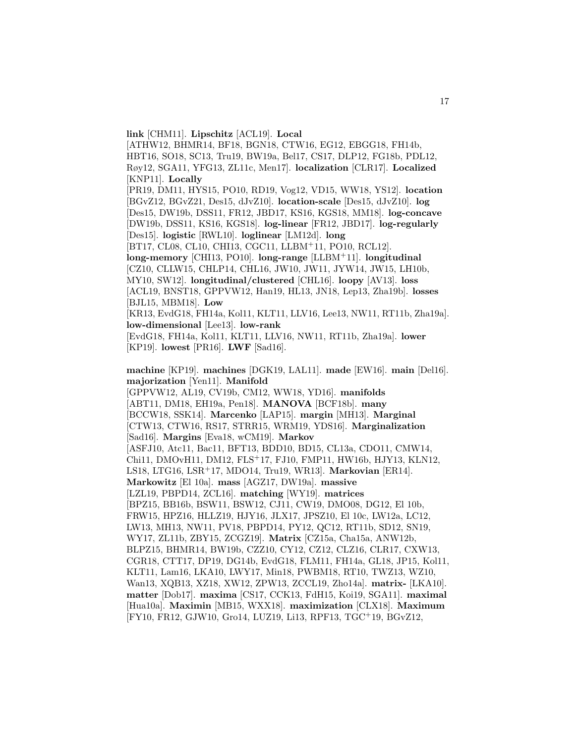**link** [CHM11]. **Lipschitz** [ACL19]. **Local** [ATHW12, BHMR14, BF18, BGN18, CTW16, EG12, EBGG18, FH14b, HBT16, SO18, SC13, Tru19, BW19a, Bel17, CS17, DLP12, FG18b, PDL12, Røy12, SGA11, YFG13, ZL11c, Men17]. **localization** [CLR17]. **Localized** [KNP11]. **Locally** [PR19, DM11, HYS15, PO10, RD19, Vog12, VD15, WW18, YS12]. **location** [BGvZ12, BGvZ21, Des15, dJvZ10]. **location-scale** [Des15, dJvZ10]. **log** [Des15, DW19b, DSS11, FR12, JBD17, KS16, KGS18, MM18]. **log-concave** [DW19b, DSS11, KS16, KGS18]. **log-linear** [FR12, JBD17]. **log-regularly** [Des15]. **logistic** [RWL10]. **loglinear** [LM12d]. **long** [BT17, CL08, CL10, CHI13, CGC11, LLBM<sup>+</sup>11, PO10, RCL12]. **long-memory** [CHI13, PO10]. **long-range** [LLBM<sup>+</sup>11]. **longitudinal** [CZ10, CLLW15, CHLP14, CHL16, JW10, JW11, JYW14, JW15, LH10b, MY10, SW12]. **longitudinal/clustered** [CHL16]. **loopy** [AV13]. **loss** [ACL19, BNST18, GPPVW12, Han19, HL13, JN18, Lep13, Zha19b]. **losses** [BJL15, MBM18]. **Low** [KR13, EvdG18, FH14a, Kol11, KLT11, LLV16, Lee13, NW11, RT11b, Zha19a]. **low-dimensional** [Lee13]. **low-rank** [EvdG18, FH14a, Kol11, KLT11, LLV16, NW11, RT11b, Zha19a]. **lower** [KP19]. **lowest** [PR16]. **LWF** [Sad16]. **machine** [KP19]. **machines** [DGK19, LAL11]. **made** [EW16]. **main** [Del16]. **majorization** [Yen11]. **Manifold** [GPPVW12, AL19, CV19b, CM12, WW18, YD16]. **manifolds** [ABT11, DM18, EH19a, Pen18]. **MANOVA** [BCF18b]. **many** [BCCW18, SSK14]. **Marcenko** [LAP15]. **margin** [MH13]. **Marginal** [CTW13, CTW16, RS17, STRR15, WRM19, YDS16]. **Marginalization** [Sad16]. **Margins** [Eva18, wCM19]. **Markov** [ASFJ10, Atc11, Bac11, BFT13, BDD10, BD15, CL13a, CDO11, CMW14, Chi11, DMOvH11, DM12, FLS<sup>+</sup>17, FJ10, FMP11, HW16b, HJY13, KLN12, LS18, LTG16, LSR<sup>+</sup>17, MDO14, Tru19, WR13]. **Markovian** [ER14]. **Markowitz** [El 10a]. **mass** [AGZ17, DW19a]. **massive** [LZL19, PBPD14, ZCL16]. **matching** [WY19]. **matrices** [BPZ15, BB16b, BSW11, BSW12, CJ11, CW19, DMO08, DG12, El 10b, FRW15, HPZ16, HLLZ19, HJY16, JLX17, JPSZ10, El 10c, LW12a, LC12, LW13, MH13, NW11, PV18, PBPD14, PY12, QC12, RT11b, SD12, SN19, WY17, ZL11b, ZBY15, ZCGZ19]. **Matrix** [CZ15a, Cha15a, ANW12b, BLPZ15, BHMR14, BW19b, CZZ10, CY12, CZ12, CLZ16, CLR17, CXW13, CGR18, CTT17, DP19, DG14b, EvdG18, FLM11, FH14a, GL18, JP15, Kol11, KLT11, Lam16, LKA10, LWY17, Min18, PWBM18, RT10, TWZ13, WZ10, Wan13, XQB13, XZ18, XW12, ZPW13, ZCCL19, Zho14a]. **matrix-** [LKA10]. **matter** [Dob17]. **maxima** [CS17, CCK13, FdH15, Koi19, SGA11]. **maximal** [Hua10a]. **Maximin** [MB15, WXX18]. **maximization** [CLX18]. **Maximum** [FY10, FR12, GJW10, Gro14, LUZ19, Li13, RPF13, TGC<sup>+</sup>19, BGvZ12,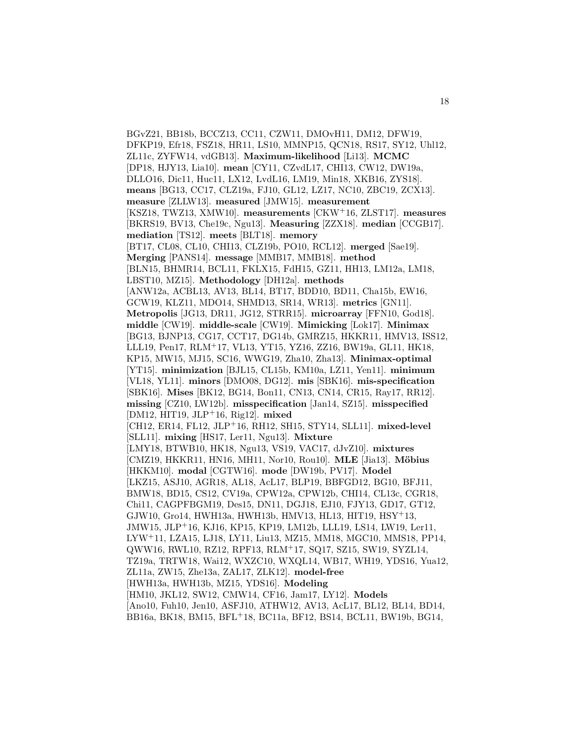BGvZ21, BB18b, BCCZ13, CC11, CZW11, DMOvH11, DM12, DFW19, DFKP19, Efr18, FSZ18, HR11, LS10, MMNP15, QCN18, RS17, SY12, Uhl12, ZL11c, ZYFW14, vdGB13]. **Maximum-likelihood** [Li13]. **MCMC** [DP18, HJY13, Lia10]. **mean** [CY11, CZvdL17, CHI13, CW12, DW19a, DLLO16, Dic11, Huc11, LX12, LvdL16, LM19, Min18, XKB16, ZYS18]. **means** [BG13, CC17, CLZ19a, FJ10, GL12, LZ17, NC10, ZBC19, ZCX13]. **measure** [ZLLW13]. **measured** [JMW15]. **measurement** [KSZ18, TWZ13, XMW10]. **measurements** [CKW<sup>+</sup>16, ZLST17]. **measures** [BKRS19, BV13, Che19c, Ngu13]. **Measuring** [ZZX18]. **median** [CCGB17]. **mediation** [TS12]. **meets** [BLT18]. **memory** [BT17, CL08, CL10, CHI13, CLZ19b, PO10, RCL12]. **merged** [Sae19]. **Merging** [PANS14]. **message** [MMB17, MMB18]. **method** [BLN15, BHMR14, BCL11, FKLX15, FdH15, GZ11, HH13, LM12a, LM18, LBST10, MZ15]. **Methodology** [DH12a]. **methods** [ANW12a, ACBL13, AV13, BL14, BT17, BDD10, BD11, Cha15b, EW16, GCW19, KLZ11, MDO14, SHMD13, SR14, WR13]. **metrics** [GN11]. **Metropolis** [JG13, DR11, JG12, STRR15]. **microarray** [FFN10, God18]. **middle** [CW19]. **middle-scale** [CW19]. **Mimicking** [Lok17]. **Minimax** [BG13, BJNP13, CG17, CCT17, DG14b, GMRZ15, HKKR11, HMV13, ISS12, LLL19, Pen17, RLM<sup>+</sup>17, VL13, YT15, YZ16, ZZ16, BW19a, GL11, HK18, KP15, MW15, MJ15, SC16, WWG19, Zha10, Zha13]. **Minimax-optimal** [YT15]. **minimization** [BJL15, CL15b, KM10a, LZ11, Yen11]. **minimum** [VL18, YL11]. **minors** [DMO08, DG12]. **mis** [SBK16]. **mis-specification** [SBK16]. **Mises** [BK12, BG14, Bon11, CN13, CN14, CR15, Ray17, RR12]. **missing** [CZ10, LW12b]. **misspecification** [Jan14, SZ15]. **misspecified** [DM12, HIT19, JLP<sup>+</sup>16, Rig12]. **mixed** [CH12, ER14, FL12, JLP<sup>+</sup>16, RH12, SH15, STY14, SLL11]. **mixed-level** [SLL11]. **mixing** [HS17, Ler11, Ngu13]. **Mixture** [LMY18, BTWB10, HK18, Ngu13, VS19, VAC17, dJvZ10]. **mixtures** [CMZ19, HKKR11, HN16, MH11, Nor10, Rou10]. MLE [Jia13]. Möbius [HKKM10]. **modal** [CGTW16]. **mode** [DW19b, PV17]. **Model** [LKZ15, ASJ10, AGR18, AL18, AcL17, BLP19, BBFGD12, BG10, BFJ11, BMW18, BD15, CS12, CV19a, CPW12a, CPW12b, CHI14, CL13c, CGR18, Chi11, CAGPFBGM19, Des15, DN11, DGJ18, EJ10, FJY13, GD17, GT12, GJW10, Gro14, HWH13a, HWH13b, HMV13, HL13, HIT19, HSY<sup>+</sup>13, JMW15, JLP<sup>+</sup>16, KJ16, KP15, KP19, LM12b, LLL19, LS14, LW19, Ler11, LYW<sup>+</sup>11, LZA15, LJ18, LY11, Liu13, MZ15, MM18, MGC10, MMS18, PP14, QWW16, RWL10, RZ12, RPF13, RLM<sup>+</sup>17, SQ17, SZ15, SW19, SYZL14, TZ19a, TRTW18, Wai12, WXZC10, WXQL14, WB17, WH19, YDS16, Yua12, ZL11a, ZW15, Zhe13a, ZAL17, ZLK12]. **model-free** [HWH13a, HWH13b, MZ15, YDS16]. **Modeling** [HM10, JKL12, SW12, CMW14, CF16, Jam17, LY12]. **Models** [Ano10, Fuh10, Jen10, ASFJ10, ATHW12, AV13, AcL17, BL12, BL14, BD14, BB16a, BK18, BM15, BFL<sup>+</sup>18, BC11a, BF12, BS14, BCL11, BW19b, BG14,

18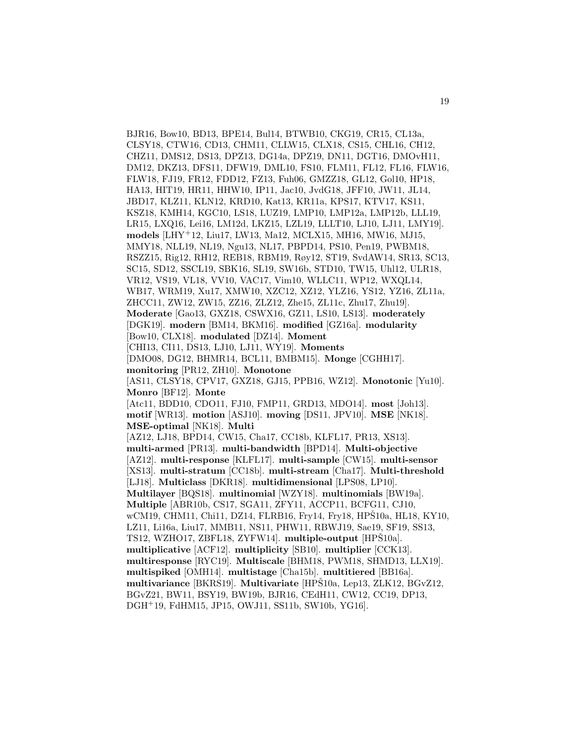BJR16, Bow10, BD13, BPE14, Bul14, BTWB10, CKG19, CR15, CL13a, CLSY18, CTW16, CD13, CHM11, CLLW15, CLX18, CS15, CHL16, CH12, CHZ11, DMS12, DS13, DPZ13, DG14a, DPZ19, DN11, DGT16, DMOvH11, DM12, DKZ13, DFS11, DFW19, DML10, FS10, FLM11, FL12, FL16, FLW16, FLW18, FJ19, FR12, FDD12, FZ13, Fuh06, GMZZ18, GL12, Gol10, HP18, HA13, HIT19, HR11, HHW10, IP11, Jac10, JvdG18, JFF10, JW11, JL14, JBD17, KLZ11, KLN12, KRD10, Kat13, KR11a, KPS17, KTV17, KS11, KSZ18, KMH14, KGC10, LS18, LUZ19, LMP10, LMP12a, LMP12b, LLL19, LR15, LXQ16, Lei16, LM12d, LKZ15, LZL19, LLLT10, LJ10, LJ11, LMY19]. **models** [LHY<sup>+</sup>12, Liu17, LW13, Ma12, MCLX15, MH16, MW16, MJ15, MMY18, NLL19, NL19, Ngu13, NL17, PBPD14, PS10, Pen19, PWBM18, RSZZ15, Rig12, RH12, REB18, RBM19, Røy12, ST19, SvdAW14, SR13, SC13, SC15, SD12, SSCL19, SBK16, SL19, SW16b, STD10, TW15, Uhl12, ULR18, VR12, VS19, VL18, VV10, VAC17, Vim10, WLLC11, WP12, WXQL14, WB17, WRM19, Xu17, XMW10, XZC12, XZ12, YLZ16, YS12, YZ16, ZL11a, ZHCC11, ZW12, ZW15, ZZ16, ZLZ12, Zhe15, ZL11c, Zhu17, Zhu19]. **Moderate** [Gao13, GXZ18, CSWX16, GZ11, LS10, LS13]. **moderately** [DGK19]. **modern** [BM14, BKM16]. **modified** [GZ16a]. **modularity** [Bow10, CLX18]. **modulated** [DZ14]. **Moment** [CHI13, CI11, DS13, LJ10, LJ11, WY19]. **Moments** [DMO08, DG12, BHMR14, BCL11, BMBM15]. **Monge** [CGHH17]. **monitoring** [PR12, ZH10]. **Monotone** [AS11, CLSY18, CPV17, GXZ18, GJ15, PPB16, WZ12]. **Monotonic** [Yu10]. **Monro** [BF12]. **Monte** [Atc11, BDD10, CDO11, FJ10, FMP11, GRD13, MDO14]. **most** [Joh13]. **motif** [WR13]. **motion** [ASJ10]. **moving** [DS11, JPV10]. **MSE** [NK18]. **MSE-optimal** [NK18]. **Multi** [AZ12, LJ18, BPD14, CW15, Cha17, CC18b, KLFL17, PR13, XS13]. **multi-armed** [PR13]. **multi-bandwidth** [BPD14]. **Multi-objective** [AZ12]. **multi-response** [KLFL17]. **multi-sample** [CW15]. **multi-sensor** [XS13]. **multi-stratum** [CC18b]. **multi-stream** [Cha17]. **Multi-threshold** [LJ18]. **Multiclass** [DKR18]. **multidimensional** [LPS08, LP10]. **Multilayer** [BQS18]. **multinomial** [WZY18]. **multinomials** [BW19a]. **Multiple** [ABR10b, CS17, SGA11, ZFY11, ACCP11, BCFG11, CJ10, wCM19, CHM11, Chi11, DZ14, FLRB16, Fry14, Fry18, HPS10a, HL18, KY10, LZ11, Li16a, Liu17, MMB11, NS11, PHW11, RBWJ19, Sae19, SF19, SS13, TS12, WZHO17, ZBFL18, ZYFW14. multiple-output [HPS10a]. **multiplicative** [ACF12]. **multiplicity** [SB10]. **multiplier** [CCK13]. **multiresponse** [RYC19]. **Multiscale** [BHM18, PWM18, SHMD13, LLX19]. **multispiked** [OMH14]. **multistage** [Cha15b]. **multitiered** [BB16a]. **multivariance** [BKRS19]. **Multivariate** [HPS10a, Lep13, ZLK12, BGvZ12, BGvZ21, BW11, BSY19, BW19b, BJR16, CEdH11, CW12, CC19, DP13, DGH<sup>+</sup>19, FdHM15, JP15, OWJ11, SS11b, SW10b, YG16].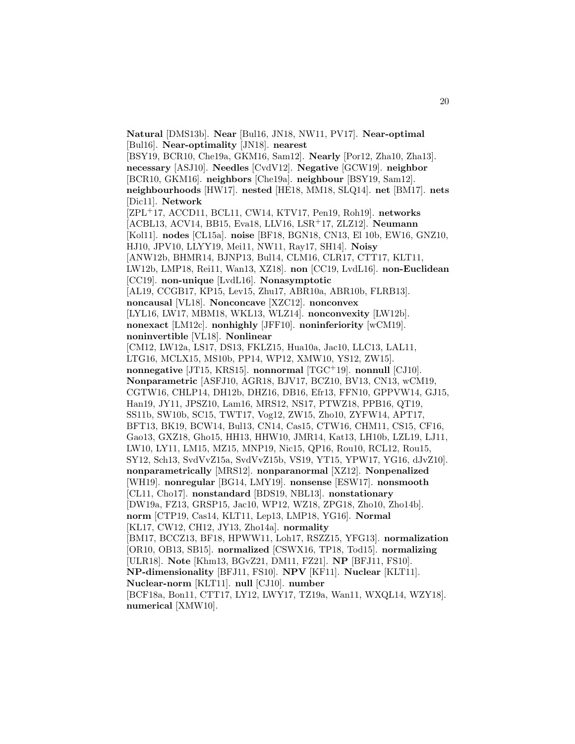**Natural** [DMS13b]. **Near** [Bul16, JN18, NW11, PV17]. **Near-optimal** [Bul16]. **Near-optimality** [JN18]. **nearest** [BSY19, BCR10, Che19a, GKM16, Sam12]. **Nearly** [Por12, Zha10, Zha13]. **necessary** [ASJ10]. **Needles** [CvdV12]. **Negative** [GCW19]. **neighbor** [BCR10, GKM16]. **neighbors** [Che19a]. **neighbour** [BSY19, Sam12]. **neighbourhoods** [HW17]. **nested** [HE18, MM18, SLQ14]. **net** [BM17]. **nets** [Dic11]. **Network** [ZPL<sup>+</sup>17, ACCD11, BCL11, CW14, KTV17, Pen19, Roh19]. **networks** [ACBL13, ACV14, BB15, Eva18, LLV16, LSR<sup>+</sup>17, ZLZ12]. **Neumann** [Kol11]. **nodes** [CL15a]. **noise** [BF18, BGN18, CN13, El 10b, EW16, GNZ10, HJ10, JPV10, LLYY19, Mei11, NW11, Ray17, SH14]. **Noisy** [ANW12b, BHMR14, BJNP13, Bul14, CLM16, CLR17, CTT17, KLT11, LW12b, LMP18, Rei11, Wan13, XZ18]. **non** [CC19, LvdL16]. **non-Euclidean** [CC19]. **non-unique** [LvdL16]. **Nonasymptotic** [AL19, CCGB17, KP15, Lev15, Zhu17, ABR10a, ABR10b, FLRB13]. **noncausal** [VL18]. **Nonconcave** [XZC12]. **nonconvex** [LYL16, LW17, MBM18, WKL13, WLZ14]. **nonconvexity** [LW12b]. **nonexact** [LM12c]. **nonhighly** [JFF10]. **noninferiority** [wCM19]. **noninvertible** [VL18]. **Nonlinear** [CM12, LW12a, LS17, DS13, FKLZ15, Hua10a, Jac10, LLC13, LAL11, LTG16, MCLX15, MS10b, PP14, WP12, XMW10, YS12, ZW15]. **nonnegative** [JT15, KRS15]. **nonnormal** [TGC<sup>+</sup>19]. **nonnull** [CJ10]. **Nonparametric** [ASFJ10, AGR18, BJV17, BCZ10, BV13, CN13, wCM19, CGTW16, CHLP14, DH12b, DHZ16, DB16, Efr13, FFN10, GPPVW14, GJ15, Han19, JY11, JPSZ10, Lam16, MRS12, NS17, PTWZ18, PPB16, QT19, SS11b, SW10b, SC15, TWT17, Vog12, ZW15, Zho10, ZYFW14, APT17, BFT13, BK19, BCW14, Bul13, CN14, Cas15, CTW16, CHM11, CS15, CF16, Gao13, GXZ18, Gho15, HH13, HHW10, JMR14, Kat13, LH10b, LZL19, LJ11, LW10, LY11, LM15, MZ15, MNP19, Nic15, QP16, Rou10, RCL12, Rou15, SY12, Sch13, SvdVvZ15a, SvdVvZ15b, VS19, YT15, YPW17, YG16, dJvZ10]. **nonparametrically** [MRS12]. **nonparanormal** [XZ12]. **Nonpenalized** [WH19]. **nonregular** [BG14, LMY19]. **nonsense** [ESW17]. **nonsmooth** [CL11, Cho17]. **nonstandard** [BDS19, NBL13]. **nonstationary** [DW19a, FZ13, GRSP15, Jac10, WP12, WZ18, ZPG18, Zho10, Zho14b]. **norm** [CTP19, Cas14, KLT11, Lep13, LMP18, YG16]. **Normal** [KL17, CW12, CH12, JY13, Zho14a]. **normality** [BM17, BCCZ13, BF18, HPWW11, Loh17, RSZZ15, YFG13]. **normalization** [OR10, OB13, SB15]. **normalized** [CSWX16, TP18, Tod15]. **normalizing** [ULR18]. **Note** [Khm13, BGvZ21, DM11, FZ21]. **NP** [BFJ11, FS10]. **NP-dimensionality** [BFJ11, FS10]. **NPV** [KF11]. **Nuclear** [KLT11]. **Nuclear-norm** [KLT11]. **null** [CJ10]. **number** [BCF18a, Bon11, CTT17, LY12, LWY17, TZ19a, Wan11, WXQL14, WZY18]. **numerical** [XMW10].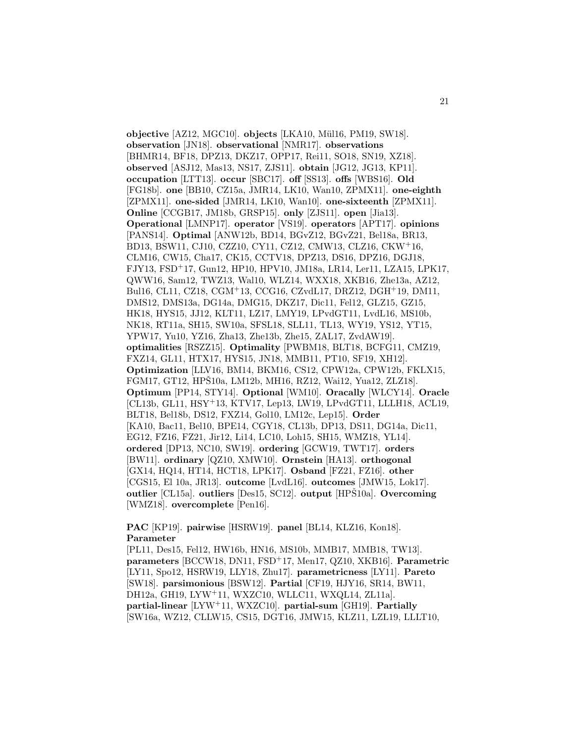**objective** [AZ12, MGC10]. **objects** [LKA10, M¨ul16, PM19, SW18]. **observation** [JN18]. **observational** [NMR17]. **observations** [BHMR14, BF18, DPZ13, DKZ17, OPP17, Rei11, SO18, SN19, XZ18]. **observed** [ASJ12, Mas13, NS17, ZJS11]. **obtain** [JG12, JG13, KP11]. **occupation** [LTT13]. **occur** [SBC17]. **off** [SS13]. **offs** [WBS16]. **Old** [FG18b]. **one** [BB10, CZ15a, JMR14, LK10, Wan10, ZPMX11]. **one-eighth** [ZPMX11]. **one-sided** [JMR14, LK10, Wan10]. **one-sixteenth** [ZPMX11]. **Online** [CCGB17, JM18b, GRSP15]. **only** [ZJS11]. **open** [Jia13]. **Operational** [LMNP17]. **operator** [VS19]. **operators** [APT17]. **opinions** [PANS14]. **Optimal** [ANW12b, BD14, BGvZ12, BGvZ21, Bel18a, BR13, BD13, BSW11, CJ10, CZZ10, CY11, CZ12, CMW13, CLZ16, CKW<sup>+</sup>16, CLM16, CW15, Cha17, CK15, CCTV18, DPZ13, DS16, DPZ16, DGJ18, FJY13, FSD<sup>+</sup>17, Gun12, HP10, HPV10, JM18a, LR14, Ler11, LZA15, LPK17, QWW16, Sam12, TWZ13, Wal10, WLZ14, WXX18, XKB16, Zhe13a, AZ12, Bul16, CL11, CZ18, CGM<sup>+</sup>13, CCG16, CZvdL17, DRZ12, DGH<sup>+</sup>19, DM11, DMS12, DMS13a, DG14a, DMG15, DKZ17, Dic11, Fel12, GLZ15, GZ15, HK18, HYS15, JJ12, KLT11, LZ17, LMY19, LPvdGT11, LvdL16, MS10b, NK18, RT11a, SH15, SW10a, SFSL18, SLL11, TL13, WY19, YS12, YT15, YPW17, Yu10, YZ16, Zha13, Zhe13b, Zhe15, ZAL17, ZvdAW19]. **optimalities** [RSZZ15]. **Optimality** [PWBM18, BLT18, BCFG11, CMZ19, FXZ14, GL11, HTX17, HYS15, JN18, MMB11, PT10, SF19, XH12]. **Optimization** [LLV16, BM14, BKM16, CS12, CPW12a, CPW12b, FKLX15, FGM17, GT12, HPS10a, LM12b, MH16, RZ12, Wai12, Yua12, ZLZ18. **Optimum** [PP14, STY14]. **Optional** [WM10]. **Oracally** [WLCY14]. **Oracle** [CL13b, GL11, HSY<sup>+</sup>13, KTV17, Lep13, LW19, LPvdGT11, LLLH18, ACL19, BLT18, Bel18b, DS12, FXZ14, Gol10, LM12c, Lep15]. **Order** [KA10, Bac11, Bel10, BPE14, CGY18, CL13b, DP13, DS11, DG14a, Dic11, EG12, FZ16, FZ21, Jir12, Li14, LC10, Loh15, SH15, WMZ18, YL14]. **ordered** [DP13, NC10, SW19]. **ordering** [GCW19, TWT17]. **orders** [BW11]. **ordinary** [QZ10, XMW10]. **Ornstein** [HA13]. **orthogonal** [GX14, HQ14, HT14, HCT18, LPK17]. **Osband** [FZ21, FZ16]. **other** [CGS15, El 10a, JR13]. **outcome** [LvdL16]. **outcomes** [JMW15, Lok17]. **outlier** [CL15a]. **outliers** [Des15, SC12]. **output** [HPS10a]. **Overcoming** [WMZ18]. **overcomplete** [Pen16].

**PAC** [KP19]. **pairwise** [HSRW19]. **panel** [BL14, KLZ16, Kon18]. **Parameter**

[PL11, Des15, Fel12, HW16b, HN16, MS10b, MMB17, MMB18, TW13]. **parameters** [BCCW18, DN11, FSD<sup>+</sup>17, Men17, QZ10, XKB16]. **Parametric** [LY11, Spo12, HSRW19, LLY18, Zhu17]. **parametricness** [LY11]. **Pareto** [SW18]. **parsimonious** [BSW12]. **Partial** [CF19, HJY16, SR14, BW11, DH12a, GH19, LYW<sup>+</sup>11, WXZC10, WLLC11, WXQL14, ZL11a]. **partial-linear** [LYW<sup>+</sup>11, WXZC10]. **partial-sum** [GH19]. **Partially** [SW16a, WZ12, CLLW15, CS15, DGT16, JMW15, KLZ11, LZL19, LLLT10,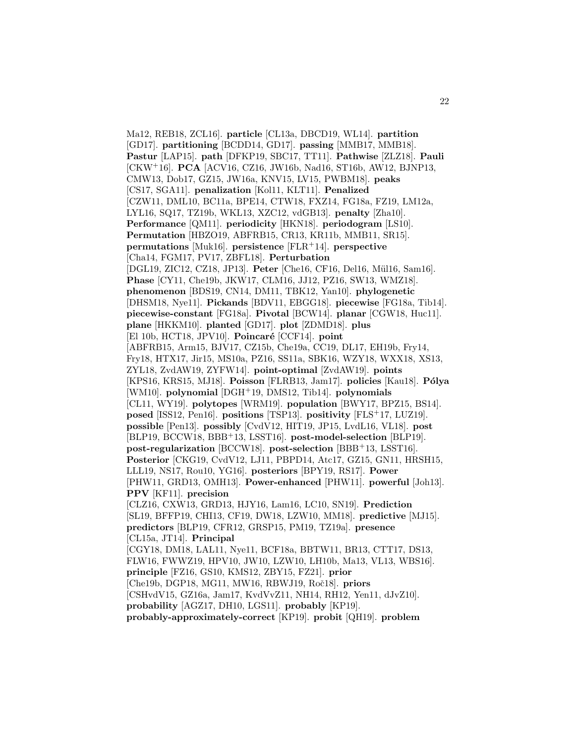Ma12, REB18, ZCL16]. **particle** [CL13a, DBCD19, WL14]. **partition** [GD17]. **partitioning** [BCDD14, GD17]. **passing** [MMB17, MMB18]. **Pastur** [LAP15]. **path** [DFKP19, SBC17, TT11]. **Pathwise** [ZLZ18]. **Pauli** [CKW<sup>+</sup>16]. **PCA** [ACV16, CZ16, JW16b, Nad16, ST16b, AW12, BJNP13, CMW13, Dob17, GZ15, JW16a, KNV15, LV15, PWBM18]. **peaks** [CS17, SGA11]. **penalization** [Kol11, KLT11]. **Penalized** [CZW11, DML10, BC11a, BPE14, CTW18, FXZ14, FG18a, FZ19, LM12a, LYL16, SQ17, TZ19b, WKL13, XZC12, vdGB13]. **penalty** [Zha10]. **Performance** [QM11]. **periodicity** [HKN18]. **periodogram** [LS10]. **Permutation** [HBZO19, ABFRB15, CR13, KR11b, MMB11, SR15]. **permutations** [Muk16]. **persistence** [FLR<sup>+</sup>14]. **perspective** [Cha14, FGM17, PV17, ZBFL18]. **Perturbation** [DGL19, ZIC12, CZ18, JP13]. Peter [Che16, CF16, Del16, Mül16, Sam16]. **Phase** [CY11, Che19b, JKW17, CLM16, JJ12, PZ16, SW13, WMZ18]. **phenomenon** [BDS19, CN14, DM11, TBK12, Yan10]. **phylogenetic** [DHSM18, Nye11]. **Pickands** [BDV11, EBGG18]. **piecewise** [FG18a, Tib14]. **piecewise-constant** [FG18a]. **Pivotal** [BCW14]. **planar** [CGW18, Huc11]. **plane** [HKKM10]. **planted** [GD17]. **plot** [ZDMD18]. **plus** [El 10b, HCT18, JPV10]. **Poincaré** [CCF14]. **point** [ABFRB15, Arm15, BJV17, CZ15b, Che19a, CC19, DL17, EH19b, Fry14, Fry18, HTX17, Jir15, MS10a, PZ16, SS11a, SBK16, WZY18, WXX18, XS13, ZYL18, ZvdAW19, ZYFW14]. **point-optimal** [ZvdAW19]. **points** [KPS16, KRS15, MJ18]. **Poisson** [FLRB13, Jam17]. **policies** [Kau18]. **Pólya** [WM10]. **polynomial** [DGH<sup>+</sup>19, DMS12, Tib14]. **polynomials** [CL11, WY19]. **polytopes** [WRM19]. **population** [BWY17, BPZ15, BS14]. **posed** [ISS12, Pen16]. **positions** [TSP13]. **positivity** [FLS<sup>+</sup>17, LUZ19]. **possible** [Pen13]. **possibly** [CvdV12, HIT19, JP15, LvdL16, VL18]. **post** [BLP19, BCCW18, BBB<sup>+</sup>13, LSST16]. **post-model-selection** [BLP19]. **post-regularization** [BCCW18]. **post-selection** [BBB<sup>+</sup>13, LSST16]. **Posterior** [CKG19, CvdV12, LJ11, PBPD14, Atc17, GZ15, GN11, HRSH15, LLL19, NS17, Rou10, YG16]. **posteriors** [BPY19, RS17]. **Power** [PHW11, GRD13, OMH13]. **Power-enhanced** [PHW11]. **powerful** [Joh13]. **PPV** [KF11]. **precision** [CLZ16, CXW13, GRD13, HJY16, Lam16, LC10, SN19]. **Prediction** [SL19, BFFP19, CHI13, CF19, DW18, LZW10, MM18]. **predictive** [MJ15]. **predictors** [BLP19, CFR12, GRSP15, PM19, TZ19a]. **presence** [CL15a, JT14]. **Principal** [CGY18, DM18, LAL11, Nye11, BCF18a, BBTW11, BR13, CTT17, DS13, FLW16, FWWZ19, HPV10, JW10, LZW10, LH10b, Ma13, VL13, WBS16]. **principle** [FZ16, GS10, KMS12, ZBY15, FZ21]. **prior** [Che19b, DGP18, MG11, MW16, RBWJ19, Roč18]. **priors** [CSHvdV15, GZ16a, Jam17, KvdVvZ11, NH14, RH12, Yen11, dJvZ10]. **probability** [AGZ17, DH10, LGS11]. **probably** [KP19]. **probably-approximately-correct** [KP19]. **probit** [QH19]. **problem**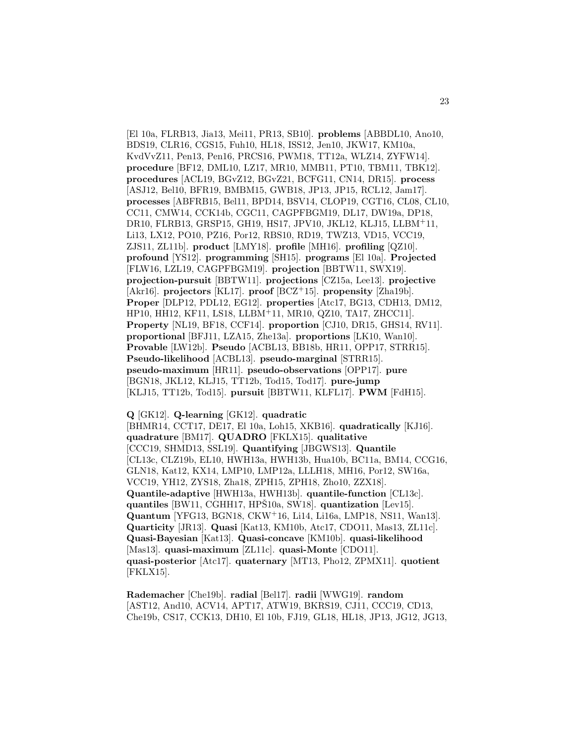[El 10a, FLRB13, Jia13, Mei11, PR13, SB10]. **problems** [ABBDL10, Ano10, BDS19, CLR16, CGS15, Fuh10, HL18, ISS12, Jen10, JKW17, KM10a, KvdVvZ11, Pen13, Pen16, PRCS16, PWM18, TT12a, WLZ14, ZYFW14]. **procedure** [BF12, DML10, LZ17, MR10, MMB11, PT10, TBM11, TBK12]. **procedures** [ACL19, BGvZ12, BGvZ21, BCFG11, CN14, DR15]. **process** [ASJ12, Bel10, BFR19, BMBM15, GWB18, JP13, JP15, RCL12, Jam17]. **processes** [ABFRB15, Bel11, BPD14, BSV14, CLOP19, CGT16, CL08, CL10, CC11, CMW14, CCK14b, CGC11, CAGPFBGM19, DL17, DW19a, DP18, DR10, FLRB13, GRSP15, GH19, HS17, JPV10, JKL12, KLJ15, LLBM<sup>+</sup>11, Li13, LX12, PO10, PZ16, Por12, RBS10, RD19, TWZ13, VD15, VCC19, ZJS11, ZL11b]. **product** [LMY18]. **profile** [MH16]. **profiling** [QZ10]. **profound** [YS12]. **programming** [SH15]. **programs** [El 10a]. **Projected** [FLW16, LZL19, CAGPFBGM19]. **projection** [BBTW11, SWX19]. **projection-pursuit** [BBTW11]. **projections** [CZ15a, Lee13]. **projective** [Akr16]. **projectors** [KL17]. **proof** [BCZ<sup>+</sup>15]. **propensity** [Zha19b]. **Proper** [DLP12, PDL12, EG12]. **properties** [Atc17, BG13, CDH13, DM12, HP10, HH12, KF11, LS18, LLBM<sup>+</sup>11, MR10, QZ10, TA17, ZHCC11]. **Property** [NL19, BF18, CCF14]. **proportion** [CJ10, DR15, GHS14, RV11]. **proportional** [BFJ11, LZA15, Zhe13a]. **proportions** [LK10, Wan10]. **Provable** [LW12b]. **Pseudo** [ACBL13, BB18b, HR11, OPP17, STRR15]. **Pseudo-likelihood** [ACBL13]. **pseudo-marginal** [STRR15]. **pseudo-maximum** [HR11]. **pseudo-observations** [OPP17]. **pure** [BGN18, JKL12, KLJ15, TT12b, Tod15, Tod17]. **pure-jump** [KLJ15, TT12b, Tod15]. **pursuit** [BBTW11, KLFL17]. **PWM** [FdH15].

**Q** [GK12]. **Q-learning** [GK12]. **quadratic** [BHMR14, CCT17, DE17, El 10a, Loh15, XKB16]. **quadratically** [KJ16]. **quadrature** [BM17]. **QUADRO** [FKLX15]. **qualitative** [CCC19, SHMD13, SSL19]. **Quantifying** [JBGWS13]. **Quantile** [CL13c, CLZ19b, EL10, HWH13a, HWH13b, Hua10b, BC11a, BM14, CCG16, GLN18, Kat12, KX14, LMP10, LMP12a, LLLH18, MH16, Por12, SW16a, VCC19, YH12, ZYS18, Zha18, ZPH15, ZPH18, Zho10, ZZX18]. **Quantile-adaptive** [HWH13a, HWH13b]. **quantile-function** [CL13c]. **quantiles** [BW11, CGHH17, HPS10a, SW18]. **quantization** [Lev15]. **Quantum** [YFG13, BGN18, CKW<sup>+</sup>16, Li14, Li16a, LMP18, NS11, Wan13]. **Quarticity** [JR13]. **Quasi** [Kat13, KM10b, Atc17, CDO11, Mas13, ZL11c]. **Quasi-Bayesian** [Kat13]. **Quasi-concave** [KM10b]. **quasi-likelihood** [Mas13]. **quasi-maximum** [ZL11c]. **quasi-Monte** [CDO11]. **quasi-posterior** [Atc17]. **quaternary** [MT13, Pho12, ZPMX11]. **quotient** [FKLX15].

**Rademacher** [Che19b]. **radial** [Bel17]. **radii** [WWG19]. **random** [AST12, And10, ACV14, APT17, ATW19, BKRS19, CJ11, CCC19, CD13, Che19b, CS17, CCK13, DH10, El 10b, FJ19, GL18, HL18, JP13, JG12, JG13,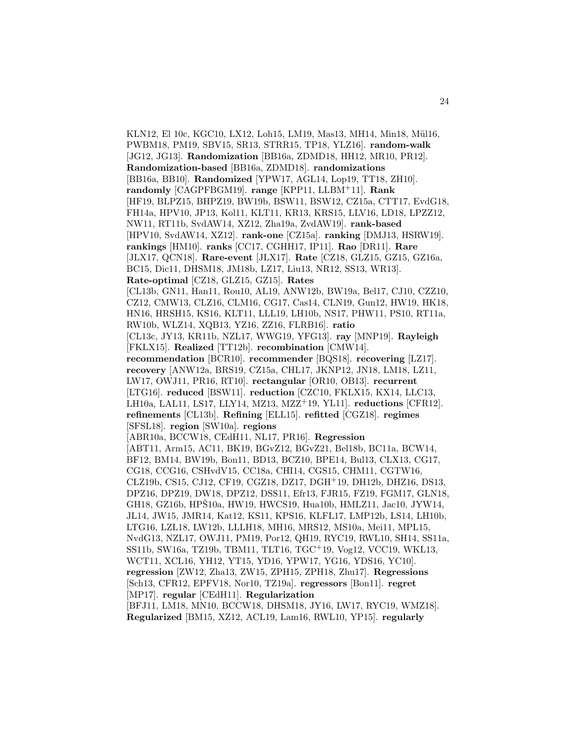KLN12, El 10c, KGC10, LX12, Loh15, LM19, Mas13, MH14, Min18, Mül16, PWBM18, PM19, SBV15, SR13, STRR15, TP18, YLZ16]. **random-walk** [JG12, JG13]. **Randomization** [BB16a, ZDMD18, HH12, MR10, PR12]. **Randomization-based** [BB16a, ZDMD18]. **randomizations** [BB16a, BB10]. **Randomized** [YPW17, AGL14, Lop19, TT18, ZH10]. **randomly** [CAGPFBGM19]. **range** [KPP11, LLBM<sup>+</sup>11]. **Rank** [HF19, BLPZ15, BHPZ19, BW19b, BSW11, BSW12, CZ15a, CTT17, EvdG18, FH14a, HPV10, JP13, Kol11, KLT11, KR13, KRS15, LLV16, LD18, LPZZ12, NW11, RT11b, SvdAW14, XZ12, Zha19a, ZvdAW19]. **rank-based** [HPV10, SvdAW14, XZ12]. **rank-one** [CZ15a]. **ranking** [DMJ13, HSRW19]. **rankings** [HM10]. **ranks** [CC17, CGHH17, IP11]. **Rao** [DR11]. **Rare** [JLX17, QCN18]. **Rare-event** [JLX17]. **Rate** [CZ18, GLZ15, GZ15, GZ16a, BC15, Dic11, DHSM18, JM18b, LZ17, Liu13, NR12, SS13, WR13]. **Rate-optimal** [CZ18, GLZ15, GZ15]. **Rates** [CL13b, GN11, Han11, Rou10, AL19, ANW12b, BW19a, Bel17, CJ10, CZZ10, CZ12, CMW13, CLZ16, CLM16, CG17, Cas14, CLN19, Gun12, HW19, HK18, HN16, HRSH15, KS16, KLT11, LLL19, LH10b, NS17, PHW11, PS10, RT11a, RW10b, WLZ14, XQB13, YZ16, ZZ16, FLRB16]. **ratio** [CL13c, JY13, KR11b, NZL17, WWG19, YFG13]. **ray** [MNP19]. **Rayleigh** [FKLX15]. **Realized** [TT12b]. **recombination** [CMW14]. **recommendation** [BCR10]. **recommender** [BQS18]. **recovering** [LZ17]. **recovery** [ANW12a, BRS19, CZ15a, CHL17, JKNP12, JN18, LM18, LZ11, LW17, OWJ11, PR16, RT10]. **rectangular** [OR10, OB13]. **recurrent** [LTG16]. **reduced** [BSW11]. **reduction** [CZC10, FKLX15, KX14, LLC13, LH10a, LAL11, LS17, LLY14, MZ13, MZZ<sup>+</sup>19, YL11]. **reductions** [CFR12]. **refinements** [CL13b]. **Refining** [ELL15]. **refitted** [CGZ18]. **regimes** [SFSL18]. **region** [SW10a]. **regions** [ABR10a, BCCW18, CEdH11, NL17, PR16]. **Regression** [ABT11, Arm15, AC11, BK19, BGvZ12, BGvZ21, Bel18b, BC11a, BCW14, BF12, BM14, BW19b, Bon11, BD13, BCZ10, BPE14, Bul13, CLX13, CG17, CG18, CCG16, CSHvdV15, CC18a, CHI14, CGS15, CHM11, CGTW16, CLZ19b, CS15, CJ12, CF19, CGZ18, DZ17, DGH<sup>+</sup>19, DH12b, DHZ16, DS13, DPZ16, DPZ19, DW18, DPZ12, DSS11, Efr13, FJR15, FZ19, FGM17, GLN18, GH18, GZ16b, HPS10a, HW19, HWCS19, Hua10b, HMLZ11, Jac10, JYW14, JL14, JW15, JMR14, Kat12, KS11, KPS16, KLFL17, LMP12b, LS14, LH10b, LTG16, LZL18, LW12b, LLLH18, MH16, MRS12, MS10a, Mei11, MPL15, NvdG13, NZL17, OWJ11, PM19, Por12, QH19, RYC19, RWL10, SH14, SS11a, SS11b, SW16a, TZ19b, TBM11, TLT16, TGC<sup>+</sup>19, Vog12, VCC19, WKL13, WCT11, XCL16, YH12, YT15, YD16, YPW17, YG16, YDS16, YC10]. **regression** [ZW12, Zha13, ZW15, ZPH15, ZPH18, Zhu17]. **Regressions** [Sch13, CFR12, EPFV18, Nor10, TZ19a]. **regressors** [Bon11]. **regret** [MP17]. **regular** [CEdH11]. **Regularization** [BFJ11, LM18, MN10, BCCW18, DHSM18, JY16, LW17, RYC19, WMZ18].

**Regularized** [BM15, XZ12, ACL19, Lam16, RWL10, YP15]. **regularly**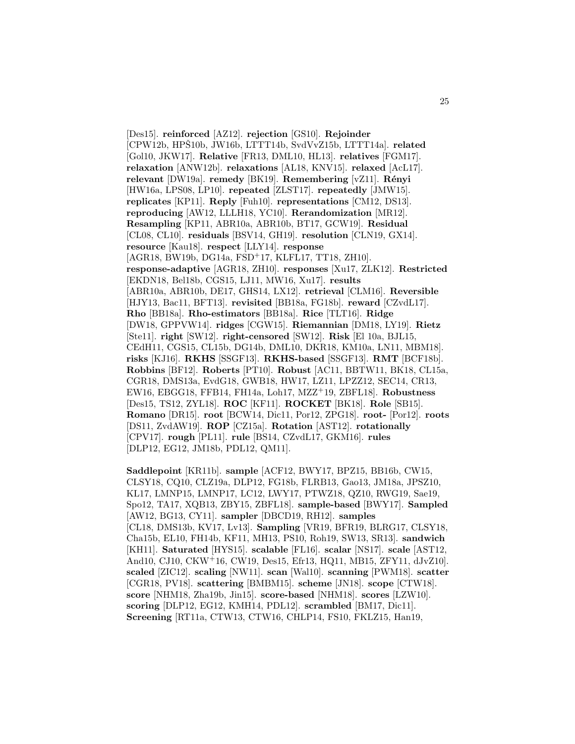[Des15]. **reinforced** [AZ12]. **rejection** [GS10]. **Rejoinder** [CPW12b, HPŠ10b, JW16b, LTTT14b, SvdVvZ15b, LTTT14a]. **related** [Gol10, JKW17]. **Relative** [FR13, DML10, HL13]. **relatives** [FGM17]. **relaxation** [ANW12b]. **relaxations** [AL18, KNV15]. **relaxed** [AcL17]. **relevant** [DW19a]. **remedy** [BK19]. **Remembering** [vZ11]. **R´enyi** [HW16a, LPS08, LP10]. **repeated** [ZLST17]. **repeatedly** [JMW15]. **replicates** [KP11]. **Reply** [Fuh10]. **representations** [CM12, DS13]. **reproducing** [AW12, LLLH18, YC10]. **Rerandomization** [MR12]. **Resampling** [KP11, ABR10a, ABR10b, BT17, GCW19]. **Residual** [CL08, CL10]. **residuals** [BSV14, GH19]. **resolution** [CLN19, GX14]. **resource** [Kau18]. **respect** [LLY14]. **response** [AGR18, BW19b, DG14a, FSD<sup>+</sup>17, KLFL17, TT18, ZH10]. **response-adaptive** [AGR18, ZH10]. **responses** [Xu17, ZLK12]. **Restricted** [EKDN18, Bel18b, CGS15, LJ11, MW16, Xu17]. **results** [ABR10a, ABR10b, DE17, GHS14, LX12]. **retrieval** [CLM16]. **Reversible** [HJY13, Bac11, BFT13]. **revisited** [BB18a, FG18b]. **reward** [CZvdL17]. **Rho** [BB18a]. **Rho-estimators** [BB18a]. **Rice** [TLT16]. **Ridge** [DW18, GPPVW14]. **ridges** [CGW15]. **Riemannian** [DM18, LY19]. **Rietz** [Ste11]. **right** [SW12]. **right-censored** [SW12]. **Risk** [El 10a, BJL15, CEdH11, CGS15, CL15b, DG14b, DML10, DKR18, KM10a, LN11, MBM18]. **risks** [KJ16]. **RKHS** [SSGF13]. **RKHS-based** [SSGF13]. **RMT** [BCF18b]. **Robbins** [BF12]. **Roberts** [PT10]. **Robust** [AC11, BBTW11, BK18, CL15a, CGR18, DMS13a, EvdG18, GWB18, HW17, LZ11, LPZZ12, SEC14, CR13, EW16, EBGG18, FFB14, FH14a, Loh17, MZZ<sup>+</sup>19, ZBFL18]. **Robustness** [Des15, TS12, ZYL18]. **ROC** [KF11]. **ROCKET** [BK18]. **Role** [SB15]. **Romano** [DR15]. **root** [BCW14, Dic11, Por12, ZPG18]. **root-** [Por12]. **roots** [DS11, ZvdAW19]. **ROP** [CZ15a]. **Rotation** [AST12]. **rotationally** [CPV17]. **rough** [PL11]. **rule** [BS14, CZvdL17, GKM16]. **rules** [DLP12, EG12, JM18b, PDL12, QM11].

**Saddlepoint** [KR11b]. **sample** [ACF12, BWY17, BPZ15, BB16b, CW15, CLSY18, CQ10, CLZ19a, DLP12, FG18b, FLRB13, Gao13, JM18a, JPSZ10, KL17, LMNP15, LMNP17, LC12, LWY17, PTWZ18, QZ10, RWG19, Sae19, Spo12, TA17, XQB13, ZBY15, ZBFL18]. **sample-based** [BWY17]. **Sampled** [AW12, BG13, CY11]. **sampler** [DBCD19, RH12]. **samples** [CL18, DMS13b, KV17, Lv13]. **Sampling** [VR19, BFR19, BLRG17, CLSY18, Cha15b, EL10, FH14b, KF11, MH13, PS10, Roh19, SW13, SR13]. **sandwich** [KH11]. **Saturated** [HYS15]. **scalable** [FL16]. **scalar** [NS17]. **scale** [AST12, And10, CJ10, CKW<sup>+</sup>16, CW19, Des15, Efr13, HQ11, MB15, ZFY11, dJvZ10]. **scaled** [ZIC12]. **scaling** [NW11]. **scan** [Wal10]. **scanning** [PWM18]. **scatter** [CGR18, PV18]. **scattering** [BMBM15]. **scheme** [JN18]. **scope** [CTW18]. **score** [NHM18, Zha19b, Jin15]. **score-based** [NHM18]. **scores** [LZW10]. **scoring** [DLP12, EG12, KMH14, PDL12]. **scrambled** [BM17, Dic11]. **Screening** [RT11a, CTW13, CTW16, CHLP14, FS10, FKLZ15, Han19,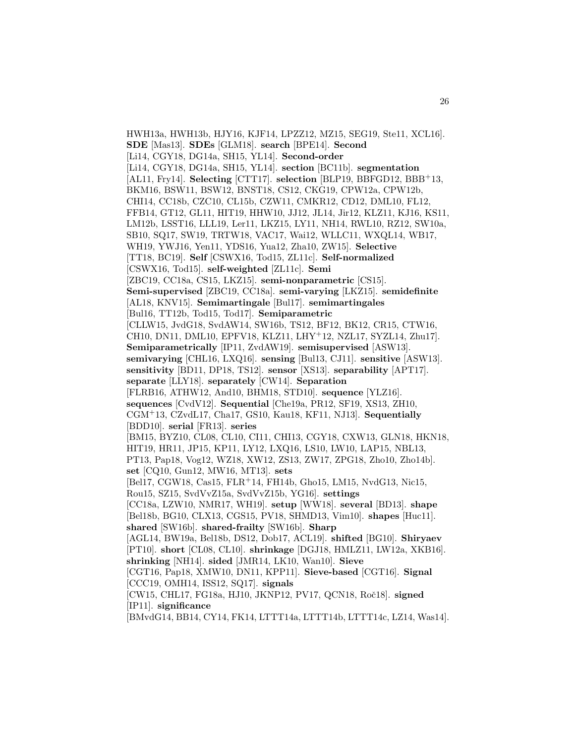HWH13a, HWH13b, HJY16, KJF14, LPZZ12, MZ15, SEG19, Ste11, XCL16]. **SDE** [Mas13]. **SDEs** [GLM18]. **search** [BPE14]. **Second** [Li14, CGY18, DG14a, SH15, YL14]. **Second-order** [Li14, CGY18, DG14a, SH15, YL14]. **section** [BC11b]. **segmentation** [AL11, Fry14]. **Selecting** [CTT17]. **selection** [BLP19, BBFGD12, BBB<sup>+</sup>13, BKM16, BSW11, BSW12, BNST18, CS12, CKG19, CPW12a, CPW12b, CHI14, CC18b, CZC10, CL15b, CZW11, CMKR12, CD12, DML10, FL12, FFB14, GT12, GL11, HIT19, HHW10, JJ12, JL14, Jir12, KLZ11, KJ16, KS11, LM12b, LSST16, LLL19, Ler11, LKZ15, LY11, NH14, RWL10, RZ12, SW10a, SB10, SQ17, SW19, TRTW18, VAC17, Wai12, WLLC11, WXQL14, WB17, WH19, YWJ16, Yen11, YDS16, Yua12, Zha10, ZW15]. **Selective** [TT18, BC19]. **Self** [CSWX16, Tod15, ZL11c]. **Self-normalized** [CSWX16, Tod15]. **self-weighted** [ZL11c]. **Semi** [ZBC19, CC18a, CS15, LKZ15]. **semi-nonparametric** [CS15]. **Semi-supervised** [ZBC19, CC18a]. **semi-varying** [LKZ15]. **semidefinite** [AL18, KNV15]. **Semimartingale** [Bul17]. **semimartingales** [Bul16, TT12b, Tod15, Tod17]. **Semiparametric** [CLLW15, JvdG18, SvdAW14, SW16b, TS12, BF12, BK12, CR15, CTW16, CH10, DN11, DML10, EPFV18, KLZ11, LHY<sup>+</sup>12, NZL17, SYZL14, Zhu17]. **Semiparametrically** [IP11, ZvdAW19]. **semisupervised** [ASW13]. **semivarying** [CHL16, LXQ16]. **sensing** [Bul13, CJ11]. **sensitive** [ASW13]. **sensitivity** [BD11, DP18, TS12]. **sensor** [XS13]. **separability** [APT17]. **separate** [LLY18]. **separately** [CW14]. **Separation** [FLRB16, ATHW12, And10, BHM18, STD10]. **sequence** [YLZ16]. **sequences** [CvdV12]. **Sequential** [Che19a, PR12, SF19, XS13, ZH10, CGM<sup>+</sup>13, CZvdL17, Cha17, GS10, Kau18, KF11, NJ13]. **Sequentially** [BDD10]. **serial** [FR13]. **series** [BM15, BYZ10, CL08, CL10, CI11, CHI13, CGY18, CXW13, GLN18, HKN18, HIT19, HR11, JP15, KP11, LY12, LXQ16, LS10, LW10, LAP15, NBL13, PT13, Pap18, Vog12, WZ18, XW12, ZS13, ZW17, ZPG18, Zho10, Zho14b]. **set** [CQ10, Gun12, MW16, MT13]. **sets** [Bel17, CGW18, Cas15, FLR<sup>+</sup>14, FH14b, Gho15, LM15, NvdG13, Nic15, Rou15, SZ15, SvdVvZ15a, SvdVvZ15b, YG16]. **settings** [CC18a, LZW10, NMR17, WH19]. **setup** [WW18]. **several** [BD13]. **shape** [Bel18b, BG10, CLX13, CGS15, PV18, SHMD13, Vim10]. **shapes** [Huc11]. **shared** [SW16b]. **shared-frailty** [SW16b]. **Sharp** [AGL14, BW19a, Bel18b, DS12, Dob17, ACL19]. **shifted** [BG10]. **Shiryaev** [PT10]. **short** [CL08, CL10]. **shrinkage** [DGJ18, HMLZ11, LW12a, XKB16]. **shrinking** [NH14]. **sided** [JMR14, LK10, Wan10]. **Sieve** [CGT16, Pap18, XMW10, DN11, KPP11]. **Sieve-based** [CGT16]. **Signal** [CCC19, OMH14, ISS12, SQ17]. **signals** [CW15, CHL17, FG18a, HJ10, JKNP12, PV17, QCN18, Roˇc18]. **signed** [IP11]. **significance** [BMvdG14, BB14, CY14, FK14, LTTT14a, LTTT14b, LTTT14c, LZ14, Was14].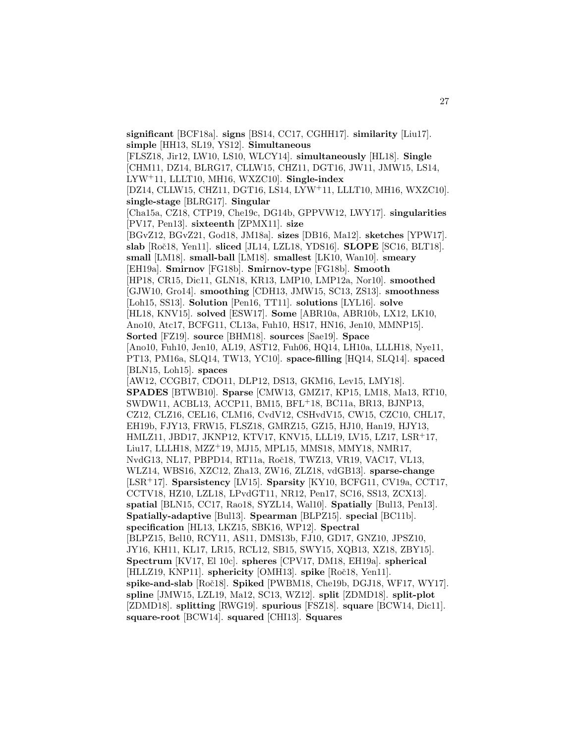[FLSZ18, Jir12, LW10, LS10, WLCY14]. **simultaneously** [HL18]. **Single** [CHM11, DZ14, BLRG17, CLLW15, CHZ11, DGT16, JW11, JMW15, LS14, LYW<sup>+</sup>11, LLLT10, MH16, WXZC10]. **Single-index** [DZ14, CLLW15, CHZ11, DGT16, LS14, LYW<sup>+</sup>11, LLLT10, MH16, WXZC10]. **single-stage** [BLRG17]. **Singular** [Cha15a, CZ18, CTP19, Che19c, DG14b, GPPVW12, LWY17]. **singularities** [PV17, Pen13]. **sixteenth** [ZPMX11]. **size** [BGvZ12, BGvZ21, God18, JM18a]. **sizes** [DB16, Ma12]. **sketches** [YPW17]. **slab** [Roˇc18, Yen11]. **sliced** [JL14, LZL18, YDS16]. **SLOPE** [SC16, BLT18]. **small** [LM18]. **small-ball** [LM18]. **smallest** [LK10, Wan10]. **smeary** [EH19a]. **Smirnov** [FG18b]. **Smirnov-type** [FG18b]. **Smooth** [HP18, CR15, Dic11, GLN18, KR13, LMP10, LMP12a, Nor10]. **smoothed** [GJW10, Gro14]. **smoothing** [CDH13, JMW15, SC13, ZS13]. **smoothness** [Loh15, SS13]. **Solution** [Pen16, TT11]. **solutions** [LYL16]. **solve** [HL18, KNV15]. **solved** [ESW17]. **Some** [ABR10a, ABR10b, LX12, LK10, Ano10, Atc17, BCFG11, CL13a, Fuh10, HS17, HN16, Jen10, MMNP15]. **Sorted** [FZ19]. **source** [BHM18]. **sources** [Sae19]. **Space**

**significant** [BCF18a]. **signs** [BS14, CC17, CGHH17]. **similarity** [Liu17].

**simple** [HH13, SL19, YS12]. **Simultaneous**

[Ano10, Fuh10, Jen10, AL19, AST12, Fuh06, HQ14, LH10a, LLLH18, Nye11, PT13, PM16a, SLQ14, TW13, YC10]. **space-filling** [HQ14, SLQ14]. **spaced** [BLN15, Loh15]. **spaces**

[AW12, CCGB17, CDO11, DLP12, DS13, GKM16, Lev15, LMY18]. **SPADES** [BTWB10]. **Sparse** [CMW13, GMZ17, KP15, LM18, Ma13, RT10, SWDW11, ACBL13, ACCP11, BM15, BFL<sup>+</sup>18, BC11a, BR13, BJNP13, CZ12, CLZ16, CEL16, CLM16, CvdV12, CSHvdV15, CW15, CZC10, CHL17, EH19b, FJY13, FRW15, FLSZ18, GMRZ15, GZ15, HJ10, Han19, HJY13, HMLZ11, JBD17, JKNP12, KTV17, KNV15, LLL19, LV15, LZ17, LSR<sup>+</sup>17, Liu17, LLLH18, MZZ<sup>+</sup>19, MJ15, MPL15, MMS18, MMY18, NMR17, NvdG13, NL17, PBPD14, RT11a, Roč18, TWZ13, VR19, VAC17, VL13, WLZ14, WBS16, XZC12, Zha13, ZW16, ZLZ18, vdGB13]. **sparse-change** [LSR<sup>+</sup>17]. **Sparsistency** [LV15]. **Sparsity** [KY10, BCFG11, CV19a, CCT17, CCTV18, HZ10, LZL18, LPvdGT11, NR12, Pen17, SC16, SS13, ZCX13]. **spatial** [BLN15, CC17, Rao18, SYZL14, Wal10]. **Spatially** [Bul13, Pen13]. **Spatially-adaptive** [Bul13]. **Spearman** [BLPZ15]. **special** [BC11b]. **specification** [HL13, LKZ15, SBK16, WP12]. **Spectral** [BLPZ15, Bel10, RCY11, AS11, DMS13b, FJ10, GD17, GNZ10, JPSZ10, JY16, KH11, KL17, LR15, RCL12, SB15, SWY15, XQB13, XZ18, ZBY15]. **Spectrum** [KV17, El 10c]. **spheres** [CPV17, DM18, EH19a]. **spherical** [HLLZ19, KNP11]. **sphericity** [OMH13]. **spike** [Roˇc18, Yen11]. **spike-and-slab** [Roˇc18]. **Spiked** [PWBM18, Che19b, DGJ18, WF17, WY17]. **spline** [JMW15, LZL19, Ma12, SC13, WZ12]. **split** [ZDMD18]. **split-plot** [ZDMD18]. **splitting** [RWG19]. **spurious** [FSZ18]. **square** [BCW14, Dic11]. **square-root** [BCW14]. **squared** [CHI13]. **Squares**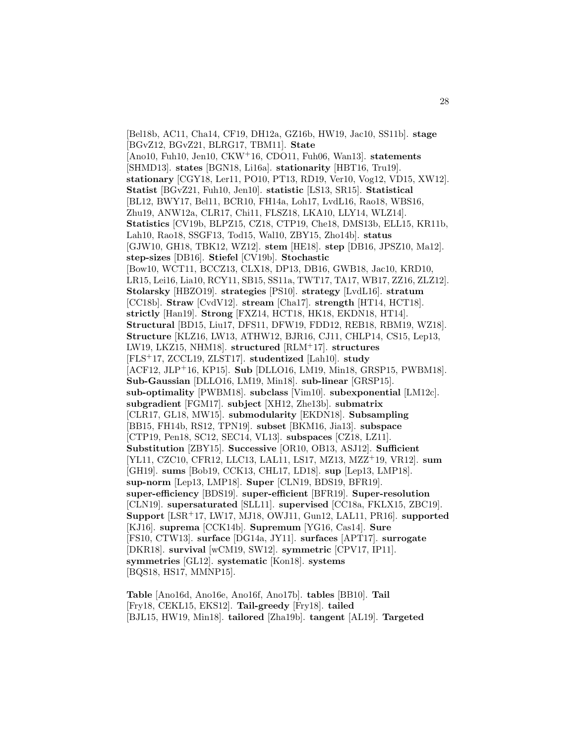[Bel18b, AC11, Cha14, CF19, DH12a, GZ16b, HW19, Jac10, SS11b]. **stage** [BGvZ12, BGvZ21, BLRG17, TBM11]. **State** [Ano10, Fuh10, Jen10, CKW<sup>+</sup>16, CDO11, Fuh06, Wan13]. **statements** [SHMD13]. **states** [BGN18, Li16a]. **stationarity** [HBT16, Tru19]. **stationary** [CGY18, Ler11, PO10, PT13, RD19, Ver10, Vog12, VD15, XW12]. **Statist** [BGvZ21, Fuh10, Jen10]. **statistic** [LS13, SR15]. **Statistical** [BL12, BWY17, Bel11, BCR10, FH14a, Loh17, LvdL16, Rao18, WBS16, Zhu19, ANW12a, CLR17, Chi11, FLSZ18, LKA10, LLY14, WLZ14]. **Statistics** [CV19b, BLPZ15, CZ18, CTP19, Che18, DMS13b, ELL15, KR11b, Lah10, Rao18, SSGF13, Tod15, Wal10, ZBY15, Zho14b]. **status** [GJW10, GH18, TBK12, WZ12]. **stem** [HE18]. **step** [DB16, JPSZ10, Ma12]. **step-sizes** [DB16]. **Stiefel** [CV19b]. **Stochastic** [Bow10, WCT11, BCCZ13, CLX18, DP13, DB16, GWB18, Jac10, KRD10, LR15, Lei16, Lia10, RCY11, SB15, SS11a, TWT17, TA17, WB17, ZZ16, ZLZ12]. **Stolarsky** [HBZO19]. **strategies** [PS10]. **strategy** [LvdL16]. **stratum** [CC18b]. **Straw** [CvdV12]. **stream** [Cha17]. **strength** [HT14, HCT18]. **strictly** [Han19]. **Strong** [FXZ14, HCT18, HK18, EKDN18, HT14]. **Structural** [BD15, Liu17, DFS11, DFW19, FDD12, REB18, RBM19, WZ18]. **Structure** [KLZ16, LW13, ATHW12, BJR16, CJ11, CHLP14, CS15, Lep13, LW19, LKZ15, NHM18]. **structured** [RLM<sup>+</sup>17]. **structures** [FLS<sup>+</sup>17, ZCCL19, ZLST17]. **studentized** [Lah10]. **study** [ACF12, JLP<sup>+</sup>16, KP15]. **Sub** [DLLO16, LM19, Min18, GRSP15, PWBM18]. **Sub-Gaussian** [DLLO16, LM19, Min18]. **sub-linear** [GRSP15]. **sub-optimality** [PWBM18]. **subclass** [Vim10]. **subexponential** [LM12c]. **subgradient** [FGM17]. **subject** [XH12, Zhe13b]. **submatrix** [CLR17, GL18, MW15]. **submodularity** [EKDN18]. **Subsampling** [BB15, FH14b, RS12, TPN19]. **subset** [BKM16, Jia13]. **subspace** [CTP19, Pen18, SC12, SEC14, VL13]. **subspaces** [CZ18, LZ11]. **Substitution** [ZBY15]. **Successive** [OR10, OB13, ASJ12]. **Sufficient** [YL11, CZC10, CFR12, LLC13, LAL11, LS17, MZ13, MZZ<sup>+</sup>19, VR12]. **sum** [GH19]. **sums** [Bob19, CCK13, CHL17, LD18]. **sup** [Lep13, LMP18]. **sup-norm** [Lep13, LMP18]. **Super** [CLN19, BDS19, BFR19]. **super-efficiency** [BDS19]. **super-efficient** [BFR19]. **Super-resolution** [CLN19]. **supersaturated** [SLL11]. **supervised** [CC18a, FKLX15, ZBC19]. **Support** [LSR<sup>+</sup>17, LW17, MJ18, OWJ11, Gun12, LAL11, PR16]. **supported** [KJ16]. **suprema** [CCK14b]. **Supremum** [YG16, Cas14]. **Sure** [FS10, CTW13]. **surface** [DG14a, JY11]. **surfaces** [APT17]. **surrogate** [DKR18]. **survival** [wCM19, SW12]. **symmetric** [CPV17, IP11]. **symmetries** [GL12]. **systematic** [Kon18]. **systems** [BQS18, HS17, MMNP15].

**Table** [Ano16d, Ano16e, Ano16f, Ano17b]. **tables** [BB10]. **Tail** [Fry18, CEKL15, EKS12]. **Tail-greedy** [Fry18]. **tailed** [BJL15, HW19, Min18]. **tailored** [Zha19b]. **tangent** [AL19]. **Targeted**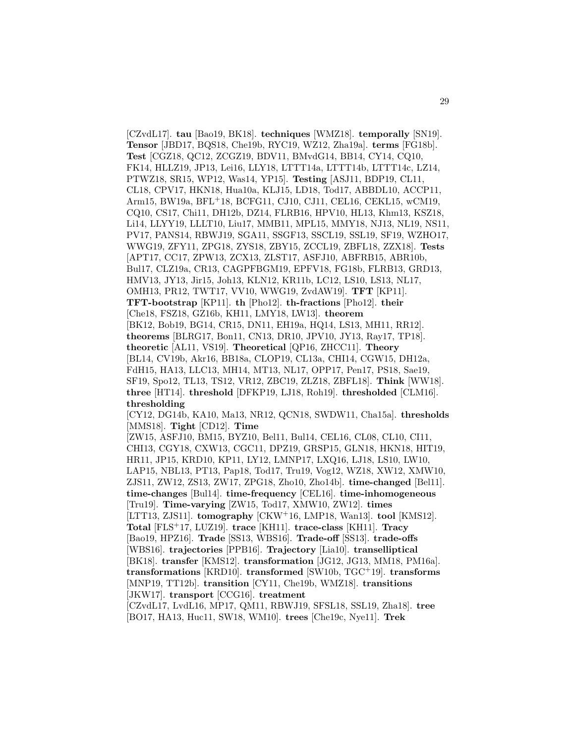[CZvdL17]. **tau** [Bao19, BK18]. **techniques** [WMZ18]. **temporally** [SN19]. **Tensor** [JBD17, BQS18, Che19b, RYC19, WZ12, Zha19a]. **terms** [FG18b]. **Test** [CGZ18, QC12, ZCGZ19, BDV11, BMvdG14, BB14, CY14, CQ10, FK14, HLLZ19, JP13, Lei16, LLY18, LTTT14a, LTTT14b, LTTT14c, LZ14, PTWZ18, SR15, WP12, Was14, YP15]. **Testing** [ASJ11, BDP19, CL11, CL18, CPV17, HKN18, Hua10a, KLJ15, LD18, Tod17, ABBDL10, ACCP11, Arm15, BW19a, BFL<sup>+</sup>18, BCFG11, CJ10, CJ11, CEL16, CEKL15, wCM19, CQ10, CS17, Chi11, DH12b, DZ14, FLRB16, HPV10, HL13, Khm13, KSZ18, Li14, LLYY19, LLLT10, Liu17, MMB11, MPL15, MMY18, NJ13, NL19, NS11, PV17, PANS14, RBWJ19, SGA11, SSGF13, SSCL19, SSL19, SF19, WZHO17, WWG19, ZFY11, ZPG18, ZYS18, ZBY15, ZCCL19, ZBFL18, ZZX18]. **Tests** [APT17, CC17, ZPW13, ZCX13, ZLST17, ASFJ10, ABFRB15, ABR10b, Bul17, CLZ19a, CR13, CAGPFBGM19, EPFV18, FG18b, FLRB13, GRD13, HMV13, JY13, Jir15, Joh13, KLN12, KR11b, LC12, LS10, LS13, NL17, OMH13, PR12, TWT17, VV10, WWG19, ZvdAW19]. **TFT** [KP11]. **TFT-bootstrap** [KP11]. **th** [Pho12]. **th-fractions** [Pho12]. **their** [Che18, FSZ18, GZ16b, KH11, LMY18, LW13]. **theorem** [BK12, Bob19, BG14, CR15, DN11, EH19a, HQ14, LS13, MH11, RR12]. **theorems** [BLRG17, Bon11, CN13, DR10, JPV10, JY13, Ray17, TP18]. **theoretic** [AL11, VS19]. **Theoretical** [QP16, ZHCC11]. **Theory** [BL14, CV19b, Akr16, BB18a, CLOP19, CL13a, CHI14, CGW15, DH12a, FdH15, HA13, LLC13, MH14, MT13, NL17, OPP17, Pen17, PS18, Sae19, SF19, Spo12, TL13, TS12, VR12, ZBC19, ZLZ18, ZBFL18]. **Think** [WW18]. **three** [HT14]. **threshold** [DFKP19, LJ18, Roh19]. **thresholded** [CLM16]. **thresholding** [CY12, DG14b, KA10, Ma13, NR12, QCN18, SWDW11, Cha15a]. **thresholds**

[MMS18]. **Tight** [CD12]. **Time**

[ZW15, ASFJ10, BM15, BYZ10, Bel11, Bul14, CEL16, CL08, CL10, CI11, CHI13, CGY18, CXW13, CGC11, DPZ19, GRSP15, GLN18, HKN18, HIT19, HR11, JP15, KRD10, KP11, LY12, LMNP17, LXQ16, LJ18, LS10, LW10, LAP15, NBL13, PT13, Pap18, Tod17, Tru19, Vog12, WZ18, XW12, XMW10, ZJS11, ZW12, ZS13, ZW17, ZPG18, Zho10, Zho14b]. **time-changed** [Bel11]. **time-changes** [Bul14]. **time-frequency** [CEL16]. **time-inhomogeneous** [Tru19]. **Time-varying** [ZW15, Tod17, XMW10, ZW12]. **times** [LTT13, ZJS11]. **tomography** [CKW<sup>+</sup>16, LMP18, Wan13]. **tool** [KMS12]. **Total** [FLS<sup>+</sup>17, LUZ19]. **trace** [KH11]. **trace-class** [KH11]. **Tracy** [Bao19, HPZ16]. **Trade** [SS13, WBS16]. **Trade-off** [SS13]. **trade-offs** [WBS16]. **trajectories** [PPB16]. **Trajectory** [Lia10]. **transelliptical** [BK18]. **transfer** [KMS12]. **transformation** [JG12, JG13, MM18, PM16a]. **transformations** [KRD10]. **transformed** [SW10b, TGC<sup>+</sup>19]. **transforms** [MNP19, TT12b]. **transition** [CY11, Che19b, WMZ18]. **transitions** [JKW17]. **transport** [CCG16]. **treatment** [CZvdL17, LvdL16, MP17, QM11, RBWJ19, SFSL18, SSL19, Zha18]. **tree**

[BO17, HA13, Huc11, SW18, WM10]. **trees** [Che19c, Nye11]. **Trek**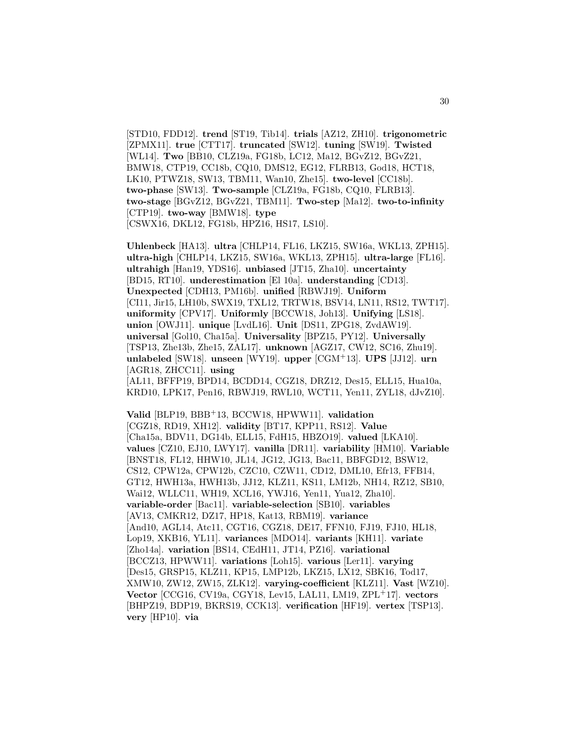[STD10, FDD12]. **trend** [ST19, Tib14]. **trials** [AZ12, ZH10]. **trigonometric** [ZPMX11]. **true** [CTT17]. **truncated** [SW12]. **tuning** [SW19]. **Twisted** [WL14]. **Two** [BB10, CLZ19a, FG18b, LC12, Ma12, BGvZ12, BGvZ21, BMW18, CTP19, CC18b, CQ10, DMS12, EG12, FLRB13, God18, HCT18, LK10, PTWZ18, SW13, TBM11, Wan10, Zhe15]. **two-level** [CC18b]. **two-phase** [SW13]. **Two-sample** [CLZ19a, FG18b, CQ10, FLRB13]. **two-stage** [BGvZ12, BGvZ21, TBM11]. **Two-step** [Ma12]. **two-to-infinity** [CTP19]. **two-way** [BMW18]. **type** [CSWX16, DKL12, FG18b, HPZ16, HS17, LS10].

**Uhlenbeck** [HA13]. **ultra** [CHLP14, FL16, LKZ15, SW16a, WKL13, ZPH15]. **ultra-high** [CHLP14, LKZ15, SW16a, WKL13, ZPH15]. **ultra-large** [FL16]. **ultrahigh** [Han19, YDS16]. **unbiased** [JT15, Zha10]. **uncertainty** [BD15, RT10]. **underestimation** [El 10a]. **understanding** [CD13]. **Unexpected** [CDH13, PM16b]. **unified** [RBWJ19]. **Uniform** [CI11, Jir15, LH10b, SWX19, TXL12, TRTW18, BSV14, LN11, RS12, TWT17]. **uniformity** [CPV17]. **Uniformly** [BCCW18, Joh13]. **Unifying** [LS18]. **union** [OWJ11]. **unique** [LvdL16]. **Unit** [DS11, ZPG18, ZvdAW19]. **universal** [Gol10, Cha15a]. **Universality** [BPZ15, PY12]. **Universally** [TSP13, Zhe13b, Zhe15, ZAL17]. **unknown** [AGZ17, CW12, SC16, Zhu19]. **unlabeled** [SW18]. **unseen** [WY19]. **upper** [CGM<sup>+</sup>13]. **UPS** [JJ12]. **urn** [AGR18, ZHCC11]. **using** [AL11, BFFP19, BPD14, BCDD14, CGZ18, DRZ12, Des15, ELL15, Hua10a,

KRD10, LPK17, Pen16, RBWJ19, RWL10, WCT11, Yen11, ZYL18, dJvZ10].

**Valid** [BLP19, BBB<sup>+</sup>13, BCCW18, HPWW11]. **validation** [CGZ18, RD19, XH12]. **validity** [BT17, KPP11, RS12]. **Value** [Cha15a, BDV11, DG14b, ELL15, FdH15, HBZO19]. **valued** [LKA10]. **values** [CZ10, EJ10, LWY17]. **vanilla** [DR11]. **variability** [HM10]. **Variable** [BNST18, FL12, HHW10, JL14, JG12, JG13, Bac11, BBFGD12, BSW12, CS12, CPW12a, CPW12b, CZC10, CZW11, CD12, DML10, Efr13, FFB14, GT12, HWH13a, HWH13b, JJ12, KLZ11, KS11, LM12b, NH14, RZ12, SB10, Wai12, WLLC11, WH19, XCL16, YWJ16, Yen11, Yua12, Zha10]. **variable-order** [Bac11]. **variable-selection** [SB10]. **variables** [AV13, CMKR12, DZ17, HP18, Kat13, RBM19]. **variance** [And10, AGL14, Atc11, CGT16, CGZ18, DE17, FFN10, FJ19, FJ10, HL18, Lop19, XKB16, YL11]. **variances** [MDO14]. **variants** [KH11]. **variate** [Zho14a]. **variation** [BS14, CEdH11, JT14, PZ16]. **variational** [BCCZ13, HPWW11]. **variations** [Loh15]. **various** [Ler11]. **varying** [Des15, GRSP15, KLZ11, KP15, LMP12b, LKZ15, LX12, SBK16, Tod17, XMW10, ZW12, ZW15, ZLK12]. **varying-coefficient** [KLZ11]. **Vast** [WZ10]. **Vector** [CCG16, CV19a, CGY18, Lev15, LAL11, LM19, ZPL<sup>+</sup>17]. **vectors** [BHPZ19, BDP19, BKRS19, CCK13]. **verification** [HF19]. **vertex** [TSP13]. **very** [HP10]. **via**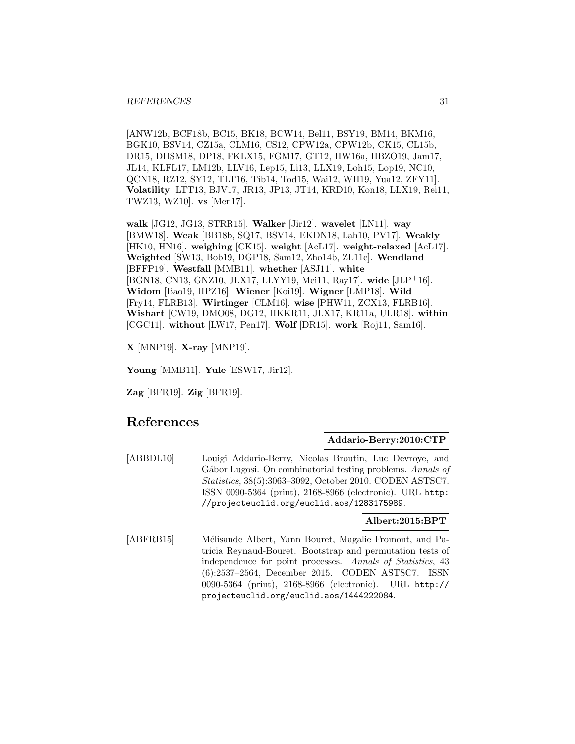[ANW12b, BCF18b, BC15, BK18, BCW14, Bel11, BSY19, BM14, BKM16, BGK10, BSV14, CZ15a, CLM16, CS12, CPW12a, CPW12b, CK15, CL15b, DR15, DHSM18, DP18, FKLX15, FGM17, GT12, HW16a, HBZO19, Jam17, JL14, KLFL17, LM12b, LLV16, Lep15, Li13, LLX19, Loh15, Lop19, NC10, QCN18, RZ12, SY12, TLT16, Tib14, Tod15, Wai12, WH19, Yua12, ZFY11]. **Volatility** [LTT13, BJV17, JR13, JP13, JT14, KRD10, Kon18, LLX19, Rei11, TWZ13, WZ10]. **vs** [Men17].

**walk** [JG12, JG13, STRR15]. **Walker** [Jir12]. **wavelet** [LN11]. **way** [BMW18]. **Weak** [BB18b, SQ17, BSV14, EKDN18, Lah10, PV17]. **Weakly** [HK10, HN16]. **weighing** [CK15]. **weight** [AcL17]. **weight-relaxed** [AcL17]. **Weighted** [SW13, Bob19, DGP18, Sam12, Zho14b, ZL11c]. **Wendland** [BFFP19]. **Westfall** [MMB11]. **whether** [ASJ11]. **white** [BGN18, CN13, GNZ10, JLX17, LLYY19, Mei11, Ray17]. **wide** [JLP<sup>+</sup>16]. **Widom** [Bao19, HPZ16]. **Wiener** [Koi19]. **Wigner** [LMP18]. **Wild** [Fry14, FLRB13]. **Wirtinger** [CLM16]. **wise** [PHW11, ZCX13, FLRB16]. **Wishart** [CW19, DMO08, DG12, HKKR11, JLX17, KR11a, ULR18]. **within** [CGC11]. **without** [LW17, Pen17]. **Wolf** [DR15]. **work** [Roj11, Sam16].

**X** [MNP19]. **X-ray** [MNP19].

**Young** [MMB11]. **Yule** [ESW17, Jir12].

**Zag** [BFR19]. **Zig** [BFR19].

# **References**

# **Addario-Berry:2010:CTP**

[ABBDL10] Louigi Addario-Berry, Nicolas Broutin, Luc Devroye, and Gábor Lugosi. On combinatorial testing problems. Annals of Statistics, 38(5):3063–3092, October 2010. CODEN ASTSC7. ISSN 0090-5364 (print), 2168-8966 (electronic). URL http: //projecteuclid.org/euclid.aos/1283175989.

# **Albert:2015:BPT**

[ABFRB15] Mélisande Albert, Yann Bouret, Magalie Fromont, and Patricia Reynaud-Bouret. Bootstrap and permutation tests of independence for point processes. Annals of Statistics, 43 (6):2537–2564, December 2015. CODEN ASTSC7. ISSN 0090-5364 (print), 2168-8966 (electronic). URL http:// projecteuclid.org/euclid.aos/1444222084.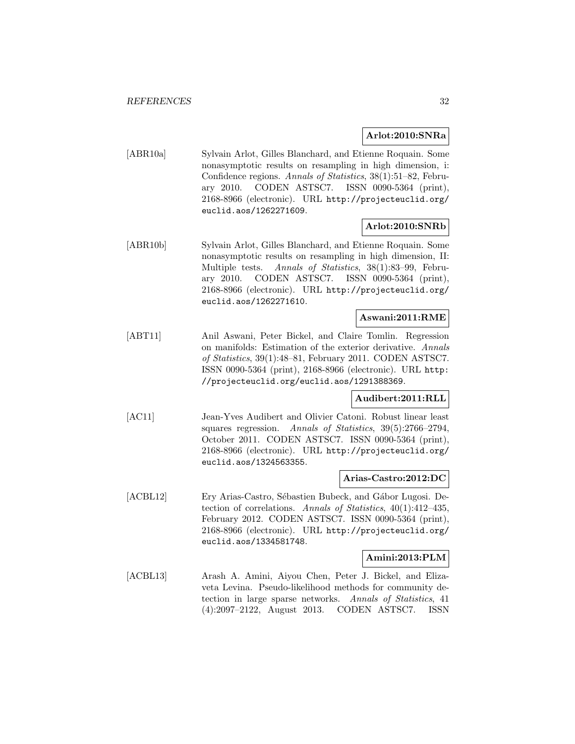# **Arlot:2010:SNRa**

[ABR10a] Sylvain Arlot, Gilles Blanchard, and Etienne Roquain. Some nonasymptotic results on resampling in high dimension, i: Confidence regions. Annals of Statistics, 38(1):51–82, February 2010. CODEN ASTSC7. ISSN 0090-5364 (print), 2168-8966 (electronic). URL http://projecteuclid.org/ euclid.aos/1262271609.

# **Arlot:2010:SNRb**

[ABR10b] Sylvain Arlot, Gilles Blanchard, and Etienne Roquain. Some nonasymptotic results on resampling in high dimension, II: Multiple tests. Annals of Statistics, 38(1):83–99, February 2010. CODEN ASTSC7. ISSN 0090-5364 (print), 2168-8966 (electronic). URL http://projecteuclid.org/ euclid.aos/1262271610.

# **Aswani:2011:RME**

[ABT11] Anil Aswani, Peter Bickel, and Claire Tomlin. Regression on manifolds: Estimation of the exterior derivative. Annals of Statistics, 39(1):48–81, February 2011. CODEN ASTSC7. ISSN 0090-5364 (print), 2168-8966 (electronic). URL http: //projecteuclid.org/euclid.aos/1291388369.

# **Audibert:2011:RLL**

[AC11] Jean-Yves Audibert and Olivier Catoni. Robust linear least squares regression. Annals of Statistics, 39(5):2766–2794, October 2011. CODEN ASTSC7. ISSN 0090-5364 (print), 2168-8966 (electronic). URL http://projecteuclid.org/ euclid.aos/1324563355.

# **Arias-Castro:2012:DC**

[ACBL12] Ery Arias-Castro, Sébastien Bubeck, and Gábor Lugosi. Detection of correlations. Annals of Statistics, 40(1):412–435, February 2012. CODEN ASTSC7. ISSN 0090-5364 (print), 2168-8966 (electronic). URL http://projecteuclid.org/ euclid.aos/1334581748.

# **Amini:2013:PLM**

[ACBL13] Arash A. Amini, Aiyou Chen, Peter J. Bickel, and Elizaveta Levina. Pseudo-likelihood methods for community detection in large sparse networks. Annals of Statistics, 41 (4):2097–2122, August 2013. CODEN ASTSC7. ISSN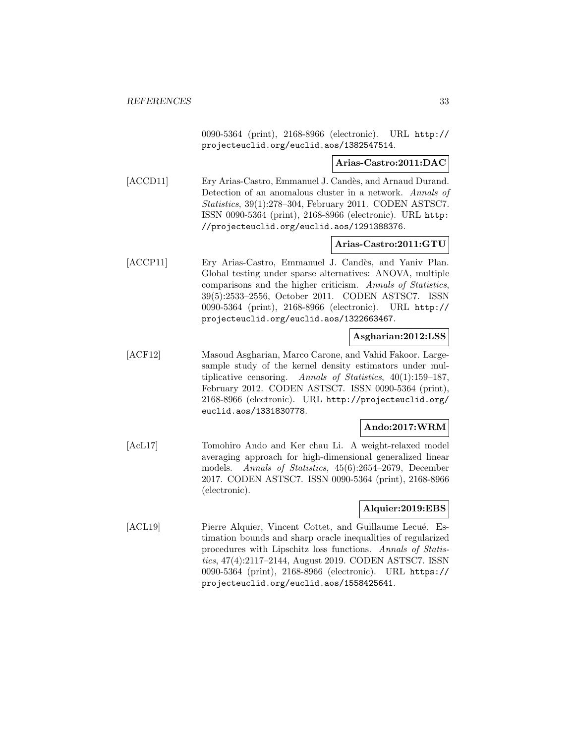0090-5364 (print), 2168-8966 (electronic). URL http:// projecteuclid.org/euclid.aos/1382547514.

**Arias-Castro:2011:DAC**

[ACCD11] Ery Arias-Castro, Emmanuel J. Candès, and Arnaud Durand. Detection of an anomalous cluster in a network. Annals of Statistics, 39(1):278–304, February 2011. CODEN ASTSC7. ISSN 0090-5364 (print), 2168-8966 (electronic). URL http: //projecteuclid.org/euclid.aos/1291388376.

# **Arias-Castro:2011:GTU**

[ACCP11] Ery Arias-Castro, Emmanuel J. Candès, and Yaniv Plan. Global testing under sparse alternatives: ANOVA, multiple comparisons and the higher criticism. Annals of Statistics, 39(5):2533–2556, October 2011. CODEN ASTSC7. ISSN 0090-5364 (print), 2168-8966 (electronic). URL http:// projecteuclid.org/euclid.aos/1322663467.

# **Asgharian:2012:LSS**

[ACF12] Masoud Asgharian, Marco Carone, and Vahid Fakoor. Largesample study of the kernel density estimators under multiplicative censoring. Annals of Statistics, 40(1):159–187, February 2012. CODEN ASTSC7. ISSN 0090-5364 (print), 2168-8966 (electronic). URL http://projecteuclid.org/ euclid.aos/1331830778.

# **Ando:2017:WRM**

[AcL17] Tomohiro Ando and Ker chau Li. A weight-relaxed model averaging approach for high-dimensional generalized linear models. Annals of Statistics, 45(6):2654–2679, December 2017. CODEN ASTSC7. ISSN 0090-5364 (print), 2168-8966 (electronic).

# **Alquier:2019:EBS**

[ACL19] Pierre Alquier, Vincent Cottet, and Guillaume Lecué. Estimation bounds and sharp oracle inequalities of regularized procedures with Lipschitz loss functions. Annals of Statistics, 47(4):2117–2144, August 2019. CODEN ASTSC7. ISSN 0090-5364 (print), 2168-8966 (electronic). URL https:// projecteuclid.org/euclid.aos/1558425641.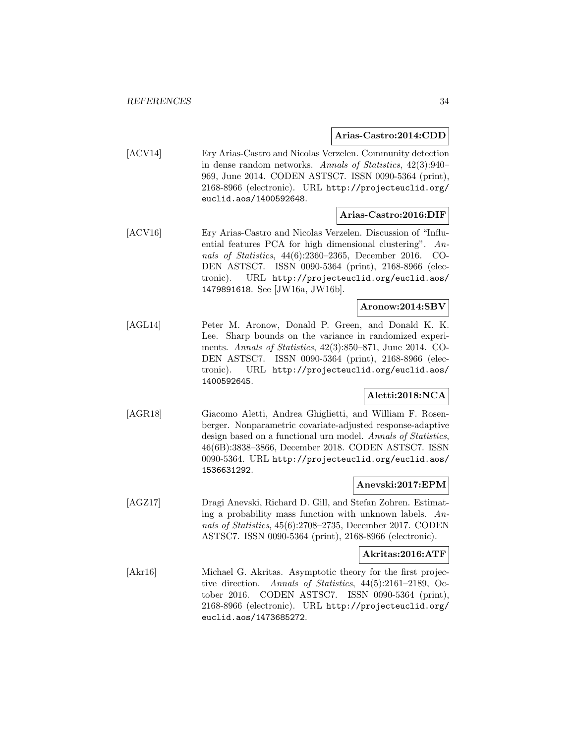## **Arias-Castro:2014:CDD**

[ACV14] Ery Arias-Castro and Nicolas Verzelen. Community detection in dense random networks. Annals of Statistics, 42(3):940– 969, June 2014. CODEN ASTSC7. ISSN 0090-5364 (print), 2168-8966 (electronic). URL http://projecteuclid.org/ euclid.aos/1400592648.

## **Arias-Castro:2016:DIF**

[ACV16] Ery Arias-Castro and Nicolas Verzelen. Discussion of "Influential features PCA for high dimensional clustering". Annals of Statistics, 44(6):2360–2365, December 2016. CO-DEN ASTSC7. ISSN 0090-5364 (print), 2168-8966 (electronic). URL http://projecteuclid.org/euclid.aos/ 1479891618. See [JW16a, JW16b].

## **Aronow:2014:SBV**

[AGL14] Peter M. Aronow, Donald P. Green, and Donald K. K. Lee. Sharp bounds on the variance in randomized experiments. Annals of Statistics, 42(3):850–871, June 2014. CO-DEN ASTSC7. ISSN 0090-5364 (print), 2168-8966 (electronic). URL http://projecteuclid.org/euclid.aos/ 1400592645.

# **Aletti:2018:NCA**

[AGR18] Giacomo Aletti, Andrea Ghiglietti, and William F. Rosenberger. Nonparametric covariate-adjusted response-adaptive design based on a functional urn model. Annals of Statistics, 46(6B):3838–3866, December 2018. CODEN ASTSC7. ISSN 0090-5364. URL http://projecteuclid.org/euclid.aos/ 1536631292.

# **Anevski:2017:EPM**

[AGZ17] Dragi Anevski, Richard D. Gill, and Stefan Zohren. Estimating a probability mass function with unknown labels.  $An$ nals of Statistics, 45(6):2708–2735, December 2017. CODEN ASTSC7. ISSN 0090-5364 (print), 2168-8966 (electronic).

#### **Akritas:2016:ATF**

[Akr16] Michael G. Akritas. Asymptotic theory for the first projective direction. Annals of Statistics, 44(5):2161–2189, October 2016. CODEN ASTSC7. ISSN 0090-5364 (print), 2168-8966 (electronic). URL http://projecteuclid.org/ euclid.aos/1473685272.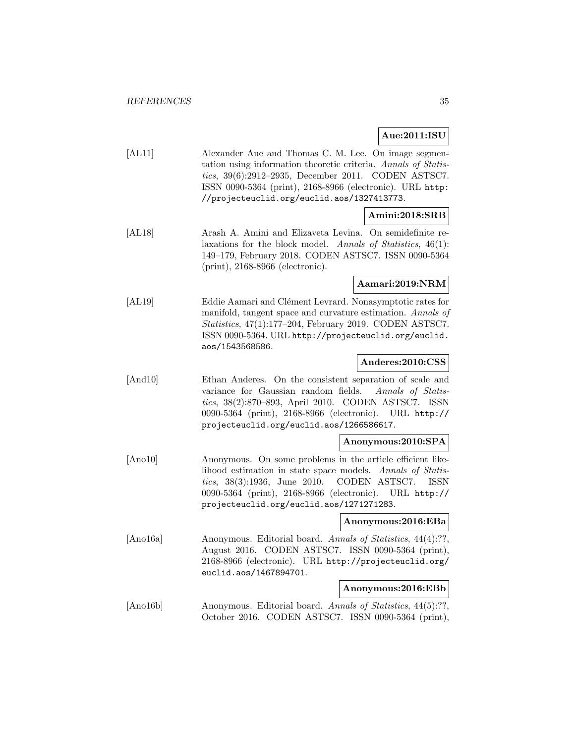# **Aue:2011:ISU**

| Alexander Aue and Thomas C. M. Lee. On image segmen-           |
|----------------------------------------------------------------|
| tation using information theoretic criteria. Annals of Statis- |
| <i>tics</i> , $39(6):2912-2935$ , December 2011. CODEN ASTSC7. |
| ISSN 0090-5364 (print), 2168-8966 (electronic). URL http:      |
| //projecteuclid.org/euclid.aos/1327413773.                     |
|                                                                |

# **Amini:2018:SRB**

[AL18] Arash A. Amini and Elizaveta Levina. On semidefinite relaxations for the block model. Annals of Statistics, 46(1): 149–179, February 2018. CODEN ASTSC7. ISSN 0090-5364 (print), 2168-8966 (electronic).

# **Aamari:2019:NRM**

[AL19] Eddie Aamari and Clément Levrard. Nonasymptotic rates for manifold, tangent space and curvature estimation. Annals of Statistics, 47(1):177–204, February 2019. CODEN ASTSC7. ISSN 0090-5364. URL http://projecteuclid.org/euclid. aos/1543568586.

# **Anderes:2010:CSS**

[And10] Ethan Anderes. On the consistent separation of scale and variance for Gaussian random fields. Annals of Statistics, 38(2):870–893, April 2010. CODEN ASTSC7. ISSN 0090-5364 (print), 2168-8966 (electronic). URL http:// projecteuclid.org/euclid.aos/1266586617.

# **Anonymous:2010:SPA**

[Ano10] Anonymous. On some problems in the article efficient likelihood estimation in state space models. Annals of Statistics, 38(3):1936, June 2010. CODEN ASTSC7. ISSN 0090-5364 (print), 2168-8966 (electronic). URL http:// projecteuclid.org/euclid.aos/1271271283.

# **Anonymous:2016:EBa**

[Ano16a] Anonymous. Editorial board. Annals of Statistics, 44(4):??, August 2016. CODEN ASTSC7. ISSN 0090-5364 (print), 2168-8966 (electronic). URL http://projecteuclid.org/ euclid.aos/1467894701.

# **Anonymous:2016:EBb**

[Ano16b] Anonymous. Editorial board. Annals of Statistics, 44(5):??, October 2016. CODEN ASTSC7. ISSN 0090-5364 (print),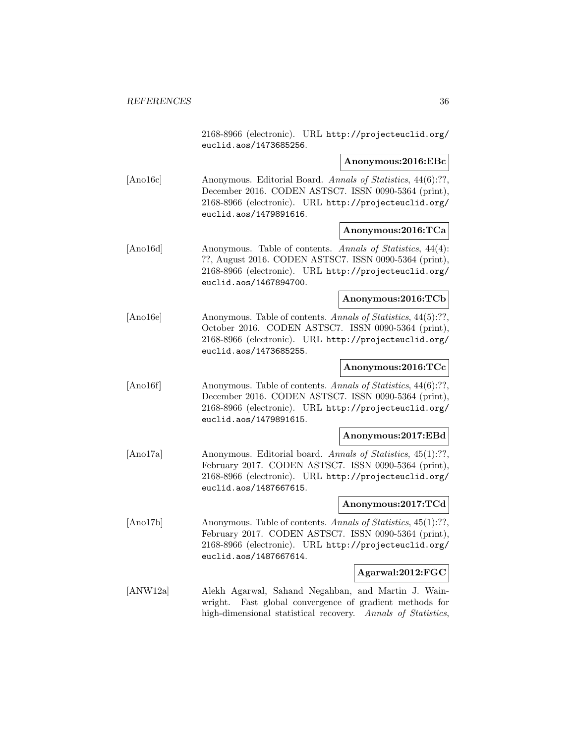2168-8966 (electronic). URL http://projecteuclid.org/ euclid.aos/1473685256.

## **Anonymous:2016:EBc**

[Ano16c] Anonymous. Editorial Board. Annals of Statistics, 44(6):??, December 2016. CODEN ASTSC7. ISSN 0090-5364 (print), 2168-8966 (electronic). URL http://projecteuclid.org/ euclid.aos/1479891616.

#### **Anonymous:2016:TCa**

[Ano16d] Anonymous. Table of contents. Annals of Statistics, 44(4): ??, August 2016. CODEN ASTSC7. ISSN 0090-5364 (print), 2168-8966 (electronic). URL http://projecteuclid.org/ euclid.aos/1467894700.

# **Anonymous:2016:TCb**

[Ano16e] Anonymous. Table of contents. Annals of Statistics, 44(5):??, October 2016. CODEN ASTSC7. ISSN 0090-5364 (print), 2168-8966 (electronic). URL http://projecteuclid.org/ euclid.aos/1473685255.

## **Anonymous:2016:TCc**

[Ano16f] Anonymous. Table of contents. Annals of Statistics, 44(6):??, December 2016. CODEN ASTSC7. ISSN 0090-5364 (print), 2168-8966 (electronic). URL http://projecteuclid.org/ euclid.aos/1479891615.

#### **Anonymous:2017:EBd**

[Ano17a] Anonymous. Editorial board. Annals of Statistics, 45(1):??, February 2017. CODEN ASTSC7. ISSN 0090-5364 (print), 2168-8966 (electronic). URL http://projecteuclid.org/ euclid.aos/1487667615.

#### **Anonymous:2017:TCd**

[Ano17b] Anonymous. Table of contents. Annals of Statistics, 45(1):??, February 2017. CODEN ASTSC7. ISSN 0090-5364 (print), 2168-8966 (electronic). URL http://projecteuclid.org/ euclid.aos/1487667614.

# **Agarwal:2012:FGC**

[ANW12a] Alekh Agarwal, Sahand Negahban, and Martin J. Wainwright. Fast global convergence of gradient methods for high-dimensional statistical recovery. Annals of Statistics,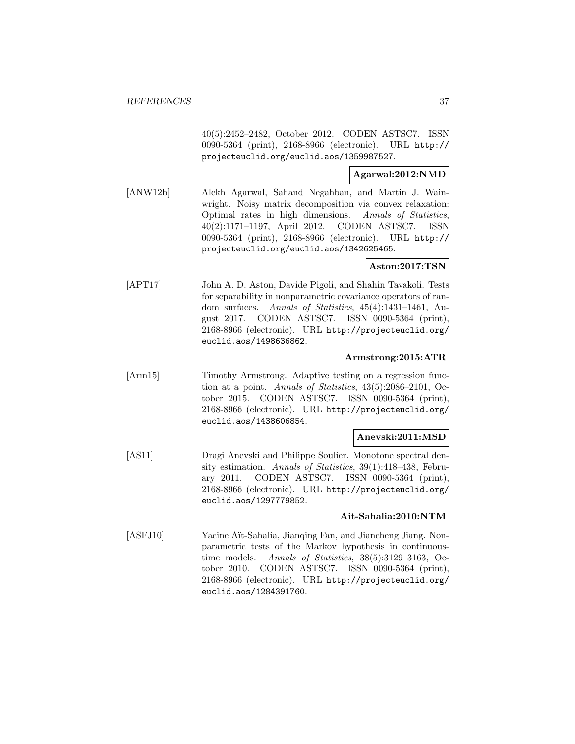40(5):2452–2482, October 2012. CODEN ASTSC7. ISSN 0090-5364 (print), 2168-8966 (electronic). URL http:// projecteuclid.org/euclid.aos/1359987527.

### **Agarwal:2012:NMD**

[ANW12b] Alekh Agarwal, Sahand Negahban, and Martin J. Wainwright. Noisy matrix decomposition via convex relaxation: Optimal rates in high dimensions. Annals of Statistics, 40(2):1171–1197, April 2012. CODEN ASTSC7. ISSN 0090-5364 (print), 2168-8966 (electronic). URL http:// projecteuclid.org/euclid.aos/1342625465.

### **Aston:2017:TSN**

[APT17] John A. D. Aston, Davide Pigoli, and Shahin Tavakoli. Tests for separability in nonparametric covariance operators of random surfaces. Annals of Statistics, 45(4):1431–1461, August 2017. CODEN ASTSC7. ISSN 0090-5364 (print), 2168-8966 (electronic). URL http://projecteuclid.org/ euclid.aos/1498636862.

### **Armstrong:2015:ATR**

[Arm15] Timothy Armstrong. Adaptive testing on a regression function at a point. Annals of Statistics, 43(5):2086–2101, October 2015. CODEN ASTSC7. ISSN 0090-5364 (print), 2168-8966 (electronic). URL http://projecteuclid.org/ euclid.aos/1438606854.

### **Anevski:2011:MSD**

[AS11] Dragi Anevski and Philippe Soulier. Monotone spectral density estimation. Annals of Statistics, 39(1):418–438, February 2011. CODEN ASTSC7. ISSN 0090-5364 (print), 2168-8966 (electronic). URL http://projecteuclid.org/ euclid.aos/1297779852.

### **Ait-Sahalia:2010:NTM**

[ASFJ10] Yacine Aït-Sahalia, Jianqing Fan, and Jiancheng Jiang. Nonparametric tests of the Markov hypothesis in continuoustime models. Annals of Statistics, 38(5):3129–3163, October 2010. CODEN ASTSC7. ISSN 0090-5364 (print), 2168-8966 (electronic). URL http://projecteuclid.org/ euclid.aos/1284391760.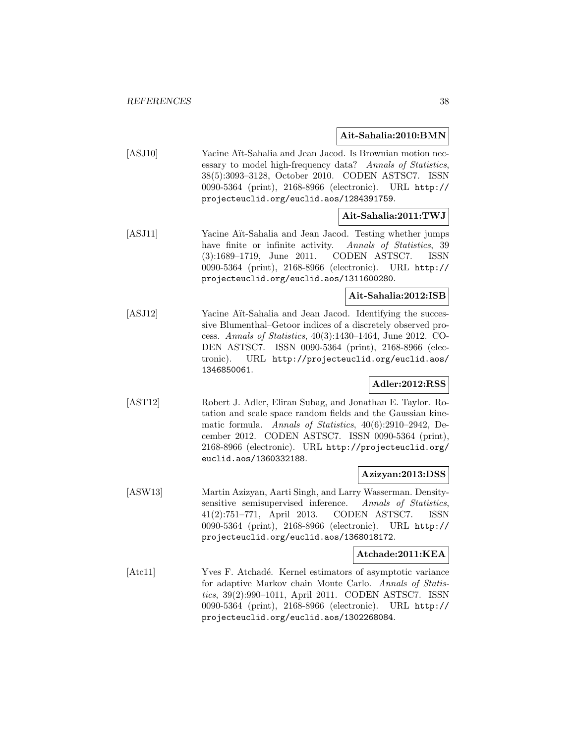### **Ait-Sahalia:2010:BMN**

[ASJ10] Yacine Aït-Sahalia and Jean Jacod. Is Brownian motion necessary to model high-frequency data? Annals of Statistics, 38(5):3093–3128, October 2010. CODEN ASTSC7. ISSN 0090-5364 (print), 2168-8966 (electronic). URL http:// projecteuclid.org/euclid.aos/1284391759.

### **Ait-Sahalia:2011:TWJ**

[ASJ11] Yacine Aït-Sahalia and Jean Jacod. Testing whether jumps have finite or infinite activity. Annals of Statistics, 39 (3):1689–1719, June 2011. CODEN ASTSC7. ISSN 0090-5364 (print), 2168-8966 (electronic). URL http:// projecteuclid.org/euclid.aos/1311600280.

## **Ait-Sahalia:2012:ISB**

[ASJ12] Yacine Aït-Sahalia and Jean Jacod. Identifying the successive Blumenthal–Getoor indices of a discretely observed process. Annals of Statistics, 40(3):1430–1464, June 2012. CO-DEN ASTSC7. ISSN 0090-5364 (print), 2168-8966 (electronic). URL http://projecteuclid.org/euclid.aos/ 1346850061.

### **Adler:2012:RSS**

[AST12] Robert J. Adler, Eliran Subag, and Jonathan E. Taylor. Rotation and scale space random fields and the Gaussian kinematic formula. Annals of Statistics, 40(6):2910–2942, December 2012. CODEN ASTSC7. ISSN 0090-5364 (print), 2168-8966 (electronic). URL http://projecteuclid.org/ euclid.aos/1360332188.

#### **Azizyan:2013:DSS**

[ASW13] Martin Azizyan, Aarti Singh, and Larry Wasserman. Densitysensitive semisupervised inference. Annals of Statistics, 41(2):751–771, April 2013. CODEN ASTSC7. ISSN 0090-5364 (print), 2168-8966 (electronic). URL http:// projecteuclid.org/euclid.aos/1368018172.

#### **Atchade:2011:KEA**

[Atc11] Yves F. Atchadé. Kernel estimators of asymptotic variance for adaptive Markov chain Monte Carlo. Annals of Statistics, 39(2):990–1011, April 2011. CODEN ASTSC7. ISSN 0090-5364 (print), 2168-8966 (electronic). URL http:// projecteuclid.org/euclid.aos/1302268084.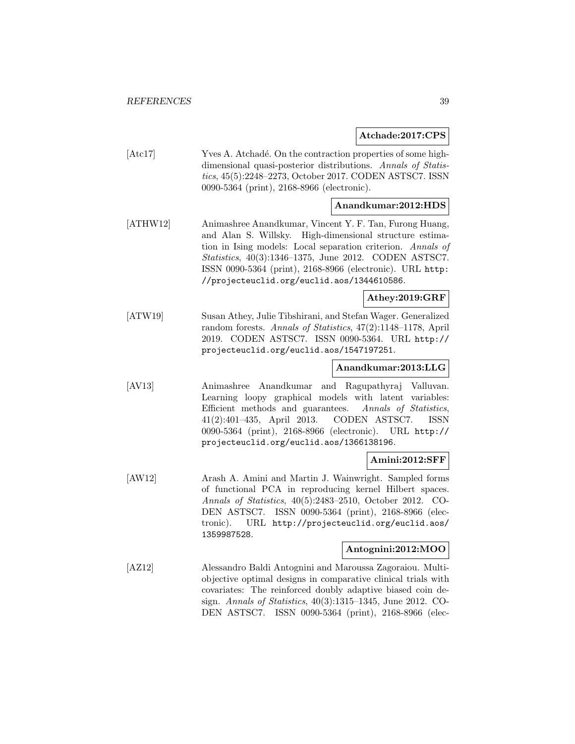**Atchade:2017:CPS**

[Atc17] Yves A. Atchadé. On the contraction properties of some highdimensional quasi-posterior distributions. Annals of Statistics, 45(5):2248–2273, October 2017. CODEN ASTSC7. ISSN 0090-5364 (print), 2168-8966 (electronic).

### **Anandkumar:2012:HDS**

[ATHW12] Animashree Anandkumar, Vincent Y. F. Tan, Furong Huang, and Alan S. Willsky. High-dimensional structure estimation in Ising models: Local separation criterion. Annals of Statistics, 40(3):1346–1375, June 2012. CODEN ASTSC7. ISSN 0090-5364 (print), 2168-8966 (electronic). URL http: //projecteuclid.org/euclid.aos/1344610586.

### **Athey:2019:GRF**

[ATW19] Susan Athey, Julie Tibshirani, and Stefan Wager. Generalized random forests. Annals of Statistics, 47(2):1148–1178, April 2019. CODEN ASTSC7. ISSN 0090-5364. URL http:// projecteuclid.org/euclid.aos/1547197251.

### **Anandkumar:2013:LLG**

[AV13] Animashree Anandkumar and Ragupathyraj Valluvan. Learning loopy graphical models with latent variables: Efficient methods and guarantees. Annals of Statistics, 41(2):401–435, April 2013. CODEN ASTSC7. ISSN 0090-5364 (print), 2168-8966 (electronic). URL http:// projecteuclid.org/euclid.aos/1366138196.

### **Amini:2012:SFF**

[AW12] Arash A. Amini and Martin J. Wainwright. Sampled forms of functional PCA in reproducing kernel Hilbert spaces. Annals of Statistics, 40(5):2483–2510, October 2012. CO-DEN ASTSC7. ISSN 0090-5364 (print), 2168-8966 (electronic). URL http://projecteuclid.org/euclid.aos/ 1359987528.

### **Antognini:2012:MOO**

[AZ12] Alessandro Baldi Antognini and Maroussa Zagoraiou. Multiobjective optimal designs in comparative clinical trials with covariates: The reinforced doubly adaptive biased coin design. Annals of Statistics, 40(3):1315–1345, June 2012. CO-DEN ASTSC7. ISSN 0090-5364 (print), 2168-8966 (elec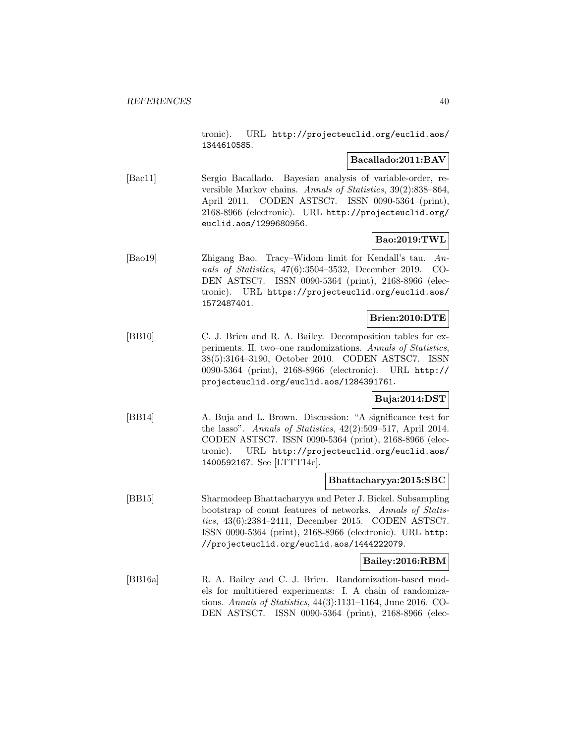tronic). URL http://projecteuclid.org/euclid.aos/ 1344610585.

### **Bacallado:2011:BAV**

[Bac11] Sergio Bacallado. Bayesian analysis of variable-order, reversible Markov chains. Annals of Statistics, 39(2):838–864, April 2011. CODEN ASTSC7. ISSN 0090-5364 (print), 2168-8966 (electronic). URL http://projecteuclid.org/ euclid.aos/1299680956.

# **Bao:2019:TWL**

[Bao19] Zhigang Bao. Tracy–Widom limit for Kendall's tau. Annals of Statistics, 47(6):3504–3532, December 2019. CO-DEN ASTSC7. ISSN 0090-5364 (print), 2168-8966 (electronic). URL https://projecteuclid.org/euclid.aos/ 1572487401.

# **Brien:2010:DTE**

[BB10] C. J. Brien and R. A. Bailey. Decomposition tables for experiments. II. two–one randomizations. Annals of Statistics, 38(5):3164–3190, October 2010. CODEN ASTSC7. ISSN 0090-5364 (print), 2168-8966 (electronic). URL http:// projecteuclid.org/euclid.aos/1284391761.

### **Buja:2014:DST**

[BB14] A. Buja and L. Brown. Discussion: "A significance test for the lasso". Annals of Statistics, 42(2):509–517, April 2014. CODEN ASTSC7. ISSN 0090-5364 (print), 2168-8966 (electronic). URL http://projecteuclid.org/euclid.aos/ 1400592167. See [LTTT14c].

### **Bhattacharyya:2015:SBC**

[BB15] Sharmodeep Bhattacharyya and Peter J. Bickel. Subsampling bootstrap of count features of networks. Annals of Statistics, 43(6):2384–2411, December 2015. CODEN ASTSC7. ISSN 0090-5364 (print), 2168-8966 (electronic). URL http: //projecteuclid.org/euclid.aos/1444222079.

### **Bailey:2016:RBM**

[BB16a] R. A. Bailey and C. J. Brien. Randomization-based models for multitiered experiments: I. A chain of randomizations. Annals of Statistics, 44(3):1131–1164, June 2016. CO-DEN ASTSC7. ISSN 0090-5364 (print), 2168-8966 (elec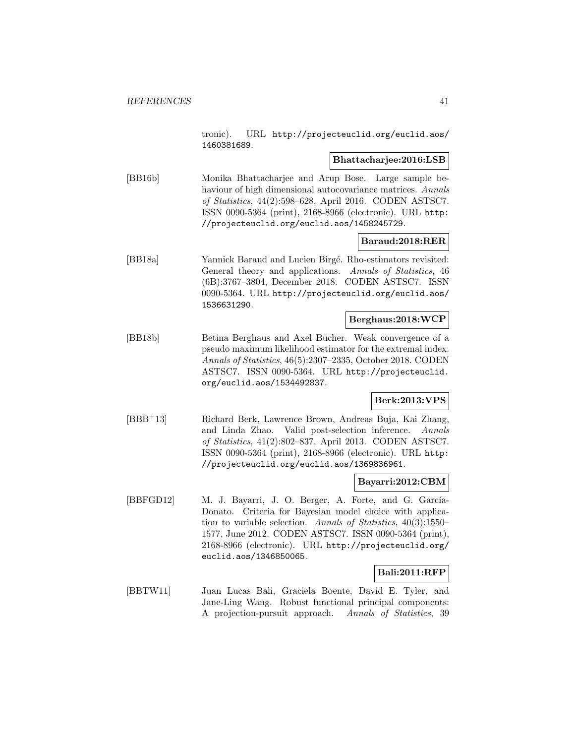tronic). URL http://projecteuclid.org/euclid.aos/ 1460381689.

### **Bhattacharjee:2016:LSB**

[BB16b] Monika Bhattacharjee and Arup Bose. Large sample behaviour of high dimensional autocovariance matrices. Annals of Statistics, 44(2):598–628, April 2016. CODEN ASTSC7. ISSN 0090-5364 (print), 2168-8966 (electronic). URL http: //projecteuclid.org/euclid.aos/1458245729.

### **Baraud:2018:RER**

[BB18a] Yannick Baraud and Lucien Birgé. Rho-estimators revisited: General theory and applications. Annals of Statistics, 46 (6B):3767–3804, December 2018. CODEN ASTSC7. ISSN 0090-5364. URL http://projecteuclid.org/euclid.aos/ 1536631290.

#### **Berghaus:2018:WCP**

[BB18b] Betina Berghaus and Axel Bücher. Weak convergence of a pseudo maximum likelihood estimator for the extremal index. Annals of Statistics, 46(5):2307–2335, October 2018. CODEN ASTSC7. ISSN 0090-5364. URL http://projecteuclid. org/euclid.aos/1534492837.

### **Berk:2013:VPS**

[BBB<sup>+</sup>13] Richard Berk, Lawrence Brown, Andreas Buja, Kai Zhang, and Linda Zhao. Valid post-selection inference. Annals of Statistics, 41(2):802–837, April 2013. CODEN ASTSC7. ISSN 0090-5364 (print), 2168-8966 (electronic). URL http: //projecteuclid.org/euclid.aos/1369836961.

#### **Bayarri:2012:CBM**

[BBFGD12] M. J. Bayarri, J. O. Berger, A. Forte, and G. García-Donato. Criteria for Bayesian model choice with application to variable selection. Annals of Statistics, 40(3):1550– 1577, June 2012. CODEN ASTSC7. ISSN 0090-5364 (print), 2168-8966 (electronic). URL http://projecteuclid.org/ euclid.aos/1346850065.

### **Bali:2011:RFP**

[BBTW11] Juan Lucas Bali, Graciela Boente, David E. Tyler, and Jane-Ling Wang. Robust functional principal components: A projection-pursuit approach. Annals of Statistics, 39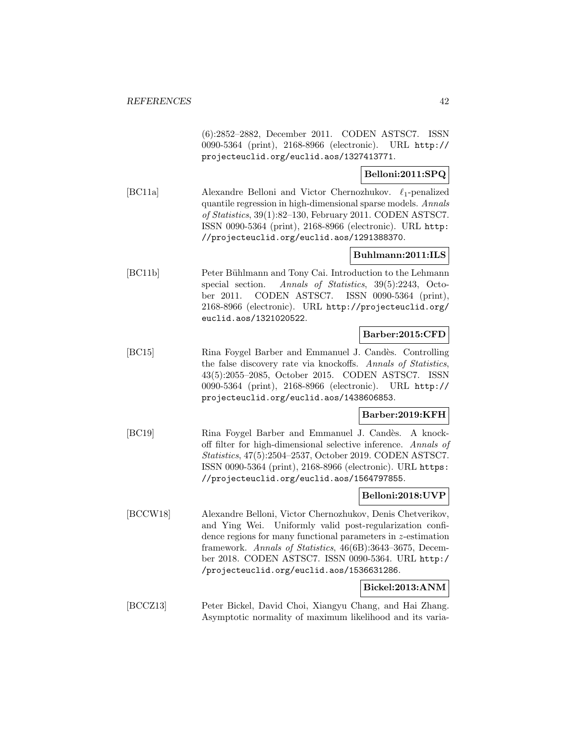(6):2852–2882, December 2011. CODEN ASTSC7. ISSN 0090-5364 (print), 2168-8966 (electronic). URL http:// projecteuclid.org/euclid.aos/1327413771.

## **Belloni:2011:SPQ**

[BC11a] Alexandre Belloni and Victor Chernozhukov.  $\ell_1$ -penalized quantile regression in high-dimensional sparse models. Annals of Statistics, 39(1):82–130, February 2011. CODEN ASTSC7. ISSN 0090-5364 (print), 2168-8966 (electronic). URL http: //projecteuclid.org/euclid.aos/1291388370.

### **Buhlmann:2011:ILS**

[BC11b] Peter Bühlmann and Tony Cai. Introduction to the Lehmann special section. Annals of Statistics, 39(5):2243, October 2011. CODEN ASTSC7. ISSN 0090-5364 (print), 2168-8966 (electronic). URL http://projecteuclid.org/ euclid.aos/1321020522.

### **Barber:2015:CFD**

[BC15] Rina Foygel Barber and Emmanuel J. Candès. Controlling the false discovery rate via knockoffs. Annals of Statistics, 43(5):2055–2085, October 2015. CODEN ASTSC7. ISSN 0090-5364 (print), 2168-8966 (electronic). URL http:// projecteuclid.org/euclid.aos/1438606853.

### **Barber:2019:KFH**

[BC19] Rina Foygel Barber and Emmanuel J. Candès. A knockoff filter for high-dimensional selective inference. Annals of Statistics, 47(5):2504–2537, October 2019. CODEN ASTSC7. ISSN 0090-5364 (print), 2168-8966 (electronic). URL https: //projecteuclid.org/euclid.aos/1564797855.

### **Belloni:2018:UVP**

[BCCW18] Alexandre Belloni, Victor Chernozhukov, Denis Chetverikov, and Ying Wei. Uniformly valid post-regularization confidence regions for many functional parameters in z-estimation framework. Annals of Statistics, 46(6B):3643–3675, December 2018. CODEN ASTSC7. ISSN 0090-5364. URL http:/ /projecteuclid.org/euclid.aos/1536631286.

### **Bickel:2013:ANM**

[BCCZ13] Peter Bickel, David Choi, Xiangyu Chang, and Hai Zhang. Asymptotic normality of maximum likelihood and its varia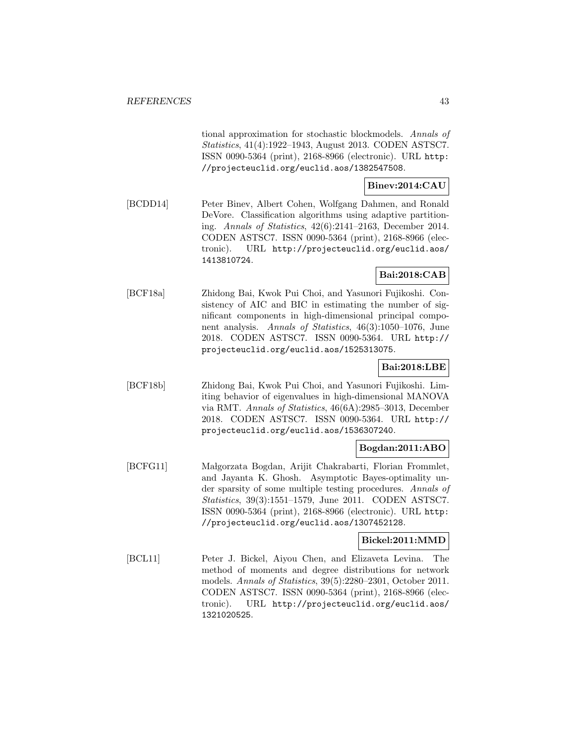tional approximation for stochastic blockmodels. Annals of Statistics, 41(4):1922–1943, August 2013. CODEN ASTSC7. ISSN 0090-5364 (print), 2168-8966 (electronic). URL http: //projecteuclid.org/euclid.aos/1382547508.

# **Binev:2014:CAU**

[BCDD14] Peter Binev, Albert Cohen, Wolfgang Dahmen, and Ronald DeVore. Classification algorithms using adaptive partitioning. Annals of Statistics, 42(6):2141–2163, December 2014. CODEN ASTSC7. ISSN 0090-5364 (print), 2168-8966 (electronic). URL http://projecteuclid.org/euclid.aos/ 1413810724.

### **Bai:2018:CAB**

[BCF18a] Zhidong Bai, Kwok Pui Choi, and Yasunori Fujikoshi. Consistency of AIC and BIC in estimating the number of significant components in high-dimensional principal component analysis. Annals of Statistics, 46(3):1050–1076, June 2018. CODEN ASTSC7. ISSN 0090-5364. URL http:// projecteuclid.org/euclid.aos/1525313075.

# **Bai:2018:LBE**

[BCF18b] Zhidong Bai, Kwok Pui Choi, and Yasunori Fujikoshi. Limiting behavior of eigenvalues in high-dimensional MANOVA via RMT. Annals of Statistics, 46(6A):2985–3013, December 2018. CODEN ASTSC7. ISSN 0090-5364. URL http:// projecteuclid.org/euclid.aos/1536307240.

### **Bogdan:2011:ABO**

[BCFG11] Małgorzata Bogdan, Arijit Chakrabarti, Florian Frommlet, and Jayanta K. Ghosh. Asymptotic Bayes-optimality under sparsity of some multiple testing procedures. Annals of Statistics, 39(3):1551–1579, June 2011. CODEN ASTSC7. ISSN 0090-5364 (print), 2168-8966 (electronic). URL http: //projecteuclid.org/euclid.aos/1307452128.

### **Bickel:2011:MMD**

[BCL11] Peter J. Bickel, Aiyou Chen, and Elizaveta Levina. The method of moments and degree distributions for network models. Annals of Statistics, 39(5):2280–2301, October 2011. CODEN ASTSC7. ISSN 0090-5364 (print), 2168-8966 (electronic). URL http://projecteuclid.org/euclid.aos/ 1321020525.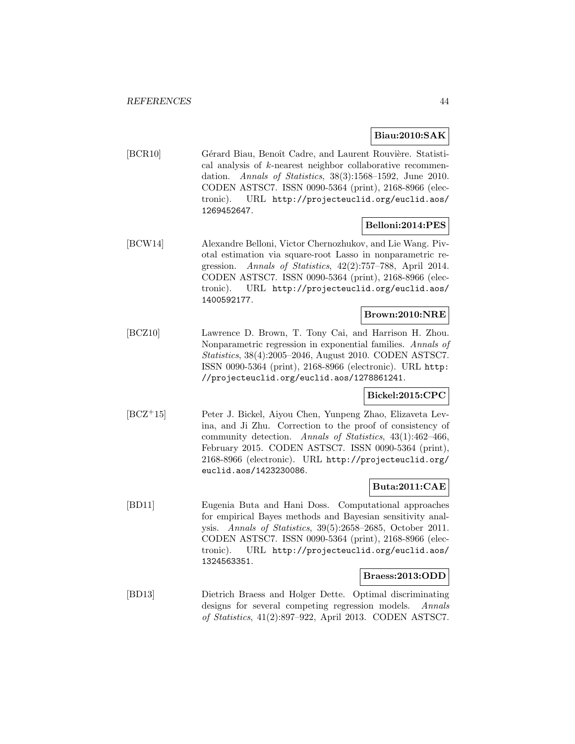### **Biau:2010:SAK**

[BCR10] Gérard Biau, Benoît Cadre, and Laurent Rouvière. Statistical analysis of k-nearest neighbor collaborative recommendation. Annals of Statistics, 38(3):1568–1592, June 2010. CODEN ASTSC7. ISSN 0090-5364 (print), 2168-8966 (electronic). URL http://projecteuclid.org/euclid.aos/ 1269452647.

### **Belloni:2014:PES**

[BCW14] Alexandre Belloni, Victor Chernozhukov, and Lie Wang. Pivotal estimation via square-root Lasso in nonparametric regression. Annals of Statistics, 42(2):757–788, April 2014. CODEN ASTSC7. ISSN 0090-5364 (print), 2168-8966 (electronic). URL http://projecteuclid.org/euclid.aos/ 1400592177.

### **Brown:2010:NRE**

[BCZ10] Lawrence D. Brown, T. Tony Cai, and Harrison H. Zhou. Nonparametric regression in exponential families. Annals of Statistics, 38(4):2005–2046, August 2010. CODEN ASTSC7. ISSN 0090-5364 (print), 2168-8966 (electronic). URL http: //projecteuclid.org/euclid.aos/1278861241.

### **Bickel:2015:CPC**

[BCZ<sup>+</sup>15] Peter J. Bickel, Aiyou Chen, Yunpeng Zhao, Elizaveta Levina, and Ji Zhu. Correction to the proof of consistency of community detection. Annals of Statistics, 43(1):462–466, February 2015. CODEN ASTSC7. ISSN 0090-5364 (print), 2168-8966 (electronic). URL http://projecteuclid.org/ euclid.aos/1423230086.

## **Buta:2011:CAE**

[BD11] Eugenia Buta and Hani Doss. Computational approaches for empirical Bayes methods and Bayesian sensitivity analysis. Annals of Statistics, 39(5):2658–2685, October 2011. CODEN ASTSC7. ISSN 0090-5364 (print), 2168-8966 (electronic). URL http://projecteuclid.org/euclid.aos/ 1324563351.

### **Braess:2013:ODD**

[BD13] Dietrich Braess and Holger Dette. Optimal discriminating designs for several competing regression models. Annals of Statistics, 41(2):897–922, April 2013. CODEN ASTSC7.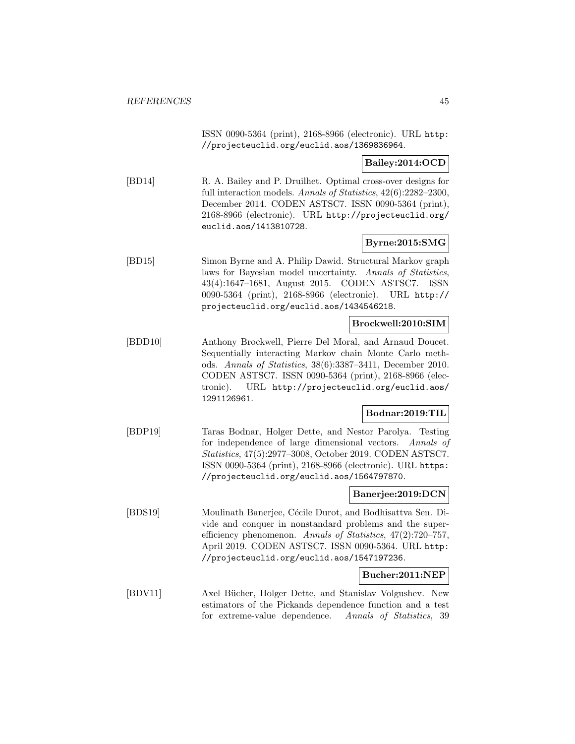ISSN 0090-5364 (print), 2168-8966 (electronic). URL http: //projecteuclid.org/euclid.aos/1369836964.

**Bailey:2014:OCD**

[BD14] R. A. Bailey and P. Druilhet. Optimal cross-over designs for full interaction models. Annals of Statistics, 42(6):2282-2300, December 2014. CODEN ASTSC7. ISSN 0090-5364 (print), 2168-8966 (electronic). URL http://projecteuclid.org/ euclid.aos/1413810728.

### **Byrne:2015:SMG**

[BD15] Simon Byrne and A. Philip Dawid. Structural Markov graph laws for Bayesian model uncertainty. Annals of Statistics, 43(4):1647–1681, August 2015. CODEN ASTSC7. ISSN 0090-5364 (print), 2168-8966 (electronic). URL http:// projecteuclid.org/euclid.aos/1434546218.

### **Brockwell:2010:SIM**

[BDD10] Anthony Brockwell, Pierre Del Moral, and Arnaud Doucet. Sequentially interacting Markov chain Monte Carlo methods. Annals of Statistics, 38(6):3387–3411, December 2010. CODEN ASTSC7. ISSN 0090-5364 (print), 2168-8966 (electronic). URL http://projecteuclid.org/euclid.aos/ 1291126961.

### **Bodnar:2019:TIL**

[BDP19] Taras Bodnar, Holger Dette, and Nestor Parolya. Testing for independence of large dimensional vectors. Annals of Statistics, 47(5):2977–3008, October 2019. CODEN ASTSC7. ISSN 0090-5364 (print), 2168-8966 (electronic). URL https: //projecteuclid.org/euclid.aos/1564797870.

### **Banerjee:2019:DCN**

[BDS19] Moulinath Banerjee, C´ecile Durot, and Bodhisattva Sen. Divide and conquer in nonstandard problems and the superefficiency phenomenon. Annals of Statistics, 47(2):720–757, April 2019. CODEN ASTSC7. ISSN 0090-5364. URL http: //projecteuclid.org/euclid.aos/1547197236.

#### **Bucher:2011:NEP**

[BDV11] Axel Bücher, Holger Dette, and Stanislav Volgushev. New estimators of the Pickands dependence function and a test for extreme-value dependence. Annals of Statistics, 39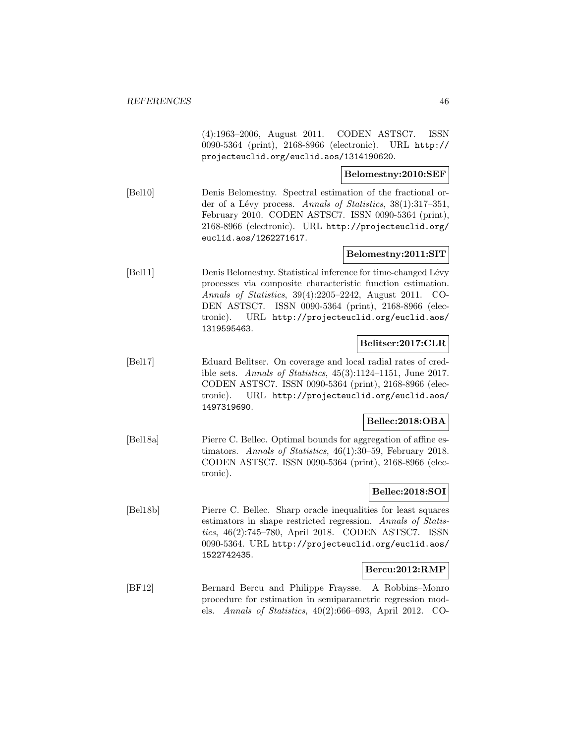(4):1963–2006, August 2011. CODEN ASTSC7. ISSN 0090-5364 (print), 2168-8966 (electronic). URL http:// projecteuclid.org/euclid.aos/1314190620.

**Belomestny:2010:SEF**

[Bel10] Denis Belomestny. Spectral estimation of the fractional order of a Lévy process. Annals of Statistics, 38(1):317–351, February 2010. CODEN ASTSC7. ISSN 0090-5364 (print), 2168-8966 (electronic). URL http://projecteuclid.org/ euclid.aos/1262271617.

### **Belomestny:2011:SIT**

[Bel11] Denis Belomestny. Statistical inference for time-changed Lévy processes via composite characteristic function estimation. Annals of Statistics, 39(4):2205–2242, August 2011. CO-DEN ASTSC7. ISSN 0090-5364 (print), 2168-8966 (electronic). URL http://projecteuclid.org/euclid.aos/ 1319595463.

### **Belitser:2017:CLR**

[Bel17] Eduard Belitser. On coverage and local radial rates of credible sets. Annals of Statistics, 45(3):1124–1151, June 2017. CODEN ASTSC7. ISSN 0090-5364 (print), 2168-8966 (electronic). URL http://projecteuclid.org/euclid.aos/ 1497319690.

### **Bellec:2018:OBA**

[Bel18a] Pierre C. Bellec. Optimal bounds for aggregation of affine estimators. Annals of Statistics, 46(1):30–59, February 2018. CODEN ASTSC7. ISSN 0090-5364 (print), 2168-8966 (electronic).

### **Bellec:2018:SOI**

[Bel18b] Pierre C. Bellec. Sharp oracle inequalities for least squares estimators in shape restricted regression. Annals of Statistics, 46(2):745–780, April 2018. CODEN ASTSC7. ISSN 0090-5364. URL http://projecteuclid.org/euclid.aos/ 1522742435.

#### **Bercu:2012:RMP**

[BF12] Bernard Bercu and Philippe Fraysse. A Robbins–Monro procedure for estimation in semiparametric regression models. Annals of Statistics, 40(2):666–693, April 2012. CO-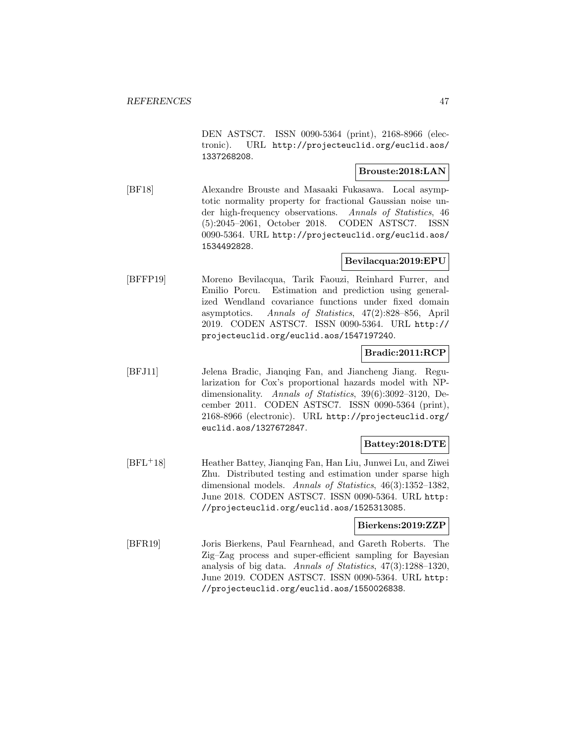DEN ASTSC7. ISSN 0090-5364 (print), 2168-8966 (electronic). URL http://projecteuclid.org/euclid.aos/ 1337268208.

### **Brouste:2018:LAN**

[BF18] Alexandre Brouste and Masaaki Fukasawa. Local asymptotic normality property for fractional Gaussian noise under high-frequency observations. Annals of Statistics, 46 (5):2045–2061, October 2018. CODEN ASTSC7. ISSN 0090-5364. URL http://projecteuclid.org/euclid.aos/ 1534492828.

## **Bevilacqua:2019:EPU**

[BFFP19] Moreno Bevilacqua, Tarik Faouzi, Reinhard Furrer, and Emilio Porcu. Estimation and prediction using generalized Wendland covariance functions under fixed domain asymptotics. Annals of Statistics, 47(2):828–856, April 2019. CODEN ASTSC7. ISSN 0090-5364. URL http:// projecteuclid.org/euclid.aos/1547197240.

### **Bradic:2011:RCP**

[BFJ11] Jelena Bradic, Jianqing Fan, and Jiancheng Jiang. Regularization for Cox's proportional hazards model with NPdimensionality. Annals of Statistics, 39(6):3092–3120, December 2011. CODEN ASTSC7. ISSN 0090-5364 (print), 2168-8966 (electronic). URL http://projecteuclid.org/ euclid.aos/1327672847.

### **Battey:2018:DTE**

[BFL<sup>+</sup>18] Heather Battey, Jianqing Fan, Han Liu, Junwei Lu, and Ziwei Zhu. Distributed testing and estimation under sparse high dimensional models. Annals of Statistics, 46(3):1352-1382, June 2018. CODEN ASTSC7. ISSN 0090-5364. URL http: //projecteuclid.org/euclid.aos/1525313085.

### **Bierkens:2019:ZZP**

[BFR19] Joris Bierkens, Paul Fearnhead, and Gareth Roberts. The Zig–Zag process and super-efficient sampling for Bayesian analysis of big data. Annals of Statistics, 47(3):1288–1320, June 2019. CODEN ASTSC7. ISSN 0090-5364. URL http: //projecteuclid.org/euclid.aos/1550026838.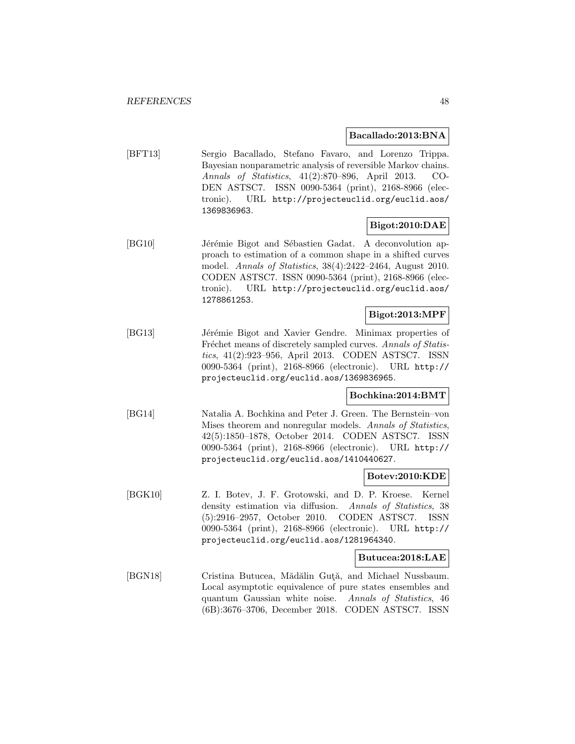#### **Bacallado:2013:BNA**

[BFT13] Sergio Bacallado, Stefano Favaro, and Lorenzo Trippa. Bayesian nonparametric analysis of reversible Markov chains. Annals of Statistics, 41(2):870–896, April 2013. CO-DEN ASTSC7. ISSN 0090-5364 (print), 2168-8966 (electronic). URL http://projecteuclid.org/euclid.aos/ 1369836963.

### **Bigot:2010:DAE**

[BG10] Jérémie Bigot and Sébastien Gadat. A deconvolution approach to estimation of a common shape in a shifted curves model. Annals of Statistics, 38(4):2422–2464, August 2010. CODEN ASTSC7. ISSN 0090-5364 (print), 2168-8966 (electronic). URL http://projecteuclid.org/euclid.aos/ 1278861253.

### **Bigot:2013:MPF**

[BG13] Jérémie Bigot and Xavier Gendre. Minimax properties of Fréchet means of discretely sampled curves. Annals of Statistics, 41(2):923–956, April 2013. CODEN ASTSC7. ISSN 0090-5364 (print), 2168-8966 (electronic). URL http:// projecteuclid.org/euclid.aos/1369836965.

### **Bochkina:2014:BMT**

[BG14] Natalia A. Bochkina and Peter J. Green. The Bernstein–von Mises theorem and nonregular models. Annals of Statistics, 42(5):1850–1878, October 2014. CODEN ASTSC7. ISSN 0090-5364 (print), 2168-8966 (electronic). URL http:// projecteuclid.org/euclid.aos/1410440627.

### **Botev:2010:KDE**

[BGK10] Z. I. Botev, J. F. Grotowski, and D. P. Kroese. Kernel density estimation via diffusion. Annals of Statistics, 38 (5):2916–2957, October 2010. CODEN ASTSC7. ISSN 0090-5364 (print), 2168-8966 (electronic). URL http:// projecteuclid.org/euclid.aos/1281964340.

### **Butucea:2018:LAE**

[BGN18] Cristina Butucea, Mădălin Guță, and Michael Nussbaum. Local asymptotic equivalence of pure states ensembles and quantum Gaussian white noise. Annals of Statistics, 46 (6B):3676–3706, December 2018. CODEN ASTSC7. ISSN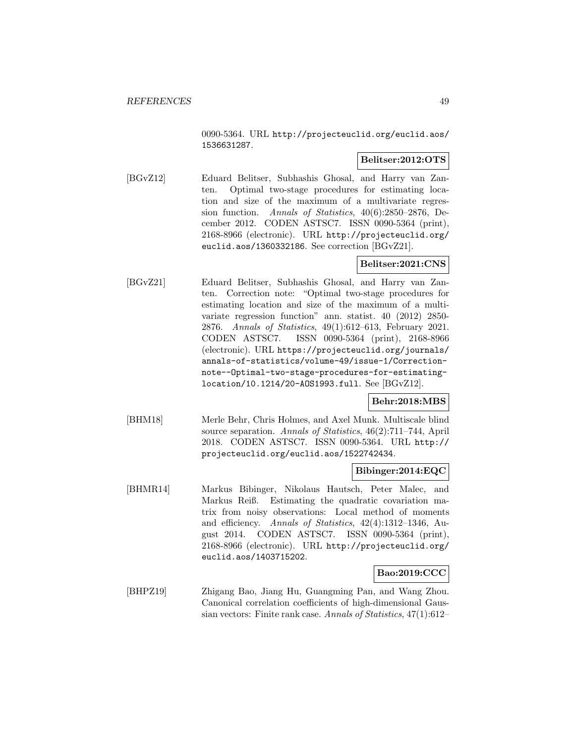0090-5364. URL http://projecteuclid.org/euclid.aos/ 1536631287.

### **Belitser:2012:OTS**

[BGvZ12] Eduard Belitser, Subhashis Ghosal, and Harry van Zanten. Optimal two-stage procedures for estimating location and size of the maximum of a multivariate regression function. Annals of Statistics, 40(6):2850–2876, December 2012. CODEN ASTSC7. ISSN 0090-5364 (print), 2168-8966 (electronic). URL http://projecteuclid.org/ euclid.aos/1360332186. See correction [BGvZ21].

### **Belitser:2021:CNS**

[BGvZ21] Eduard Belitser, Subhashis Ghosal, and Harry van Zanten. Correction note: "Optimal two-stage procedures for estimating location and size of the maximum of a multivariate regression function" ann. statist. 40 (2012) 2850- 2876. Annals of Statistics, 49(1):612–613, February 2021. CODEN ASTSC7. ISSN 0090-5364 (print), 2168-8966 (electronic). URL https://projecteuclid.org/journals/ annals-of-statistics/volume-49/issue-1/Correctionnote--Optimal-two-stage-procedures-for-estimatinglocation/10.1214/20-AOS1993.full. See [BGvZ12].

### **Behr:2018:MBS**

[BHM18] Merle Behr, Chris Holmes, and Axel Munk. Multiscale blind source separation. Annals of Statistics, 46(2):711–744, April 2018. CODEN ASTSC7. ISSN 0090-5364. URL http:// projecteuclid.org/euclid.aos/1522742434.

### **Bibinger:2014:EQC**

[BHMR14] Markus Bibinger, Nikolaus Hautsch, Peter Malec, and Markus Reiß. Estimating the quadratic covariation matrix from noisy observations: Local method of moments and efficiency. Annals of Statistics, 42(4):1312–1346, August 2014. CODEN ASTSC7. ISSN 0090-5364 (print), 2168-8966 (electronic). URL http://projecteuclid.org/ euclid.aos/1403715202.

### **Bao:2019:CCC**

[BHPZ19] Zhigang Bao, Jiang Hu, Guangming Pan, and Wang Zhou. Canonical correlation coefficients of high-dimensional Gaussian vectors: Finite rank case. Annals of Statistics, 47(1):612–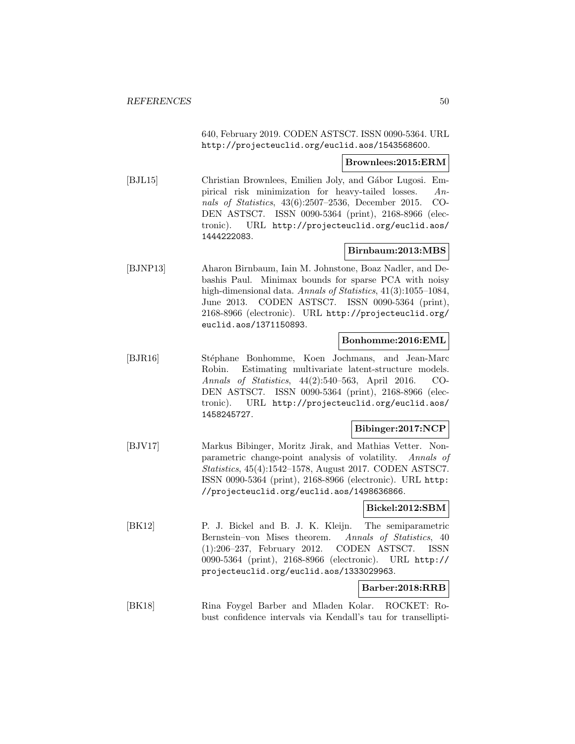640, February 2019. CODEN ASTSC7. ISSN 0090-5364. URL http://projecteuclid.org/euclid.aos/1543568600.

#### **Brownlees:2015:ERM**

[BJL15] Christian Brownlees, Emilien Joly, and Gábor Lugosi. Empirical risk minimization for heavy-tailed losses. Annals of Statistics, 43(6):2507–2536, December 2015. CO-DEN ASTSC7. ISSN 0090-5364 (print), 2168-8966 (electronic). URL http://projecteuclid.org/euclid.aos/ 1444222083.

### **Birnbaum:2013:MBS**

[BJNP13] Aharon Birnbaum, Iain M. Johnstone, Boaz Nadler, and Debashis Paul. Minimax bounds for sparse PCA with noisy high-dimensional data. Annals of Statistics, 41(3):1055–1084, June 2013. CODEN ASTSC7. ISSN 0090-5364 (print), 2168-8966 (electronic). URL http://projecteuclid.org/ euclid.aos/1371150893.

### **Bonhomme:2016:EML**

[BJR16] Stéphane Bonhomme, Koen Jochmans, and Jean-Marc Robin. Estimating multivariate latent-structure models. Annals of Statistics, 44(2):540–563, April 2016. CO-DEN ASTSC7. ISSN 0090-5364 (print), 2168-8966 (electronic). URL http://projecteuclid.org/euclid.aos/ 1458245727.

### **Bibinger:2017:NCP**

[BJV17] Markus Bibinger, Moritz Jirak, and Mathias Vetter. Nonparametric change-point analysis of volatility. Annals of Statistics, 45(4):1542–1578, August 2017. CODEN ASTSC7. ISSN 0090-5364 (print), 2168-8966 (electronic). URL http: //projecteuclid.org/euclid.aos/1498636866.

### **Bickel:2012:SBM**

[BK12] P. J. Bickel and B. J. K. Kleijn. The semiparametric Bernstein–von Mises theorem. Annals of Statistics, 40 (1):206–237, February 2012. CODEN ASTSC7. ISSN 0090-5364 (print), 2168-8966 (electronic). URL http:// projecteuclid.org/euclid.aos/1333029963.

### **Barber:2018:RRB**

[BK18] Rina Foygel Barber and Mladen Kolar. ROCKET: Robust confidence intervals via Kendall's tau for transellipti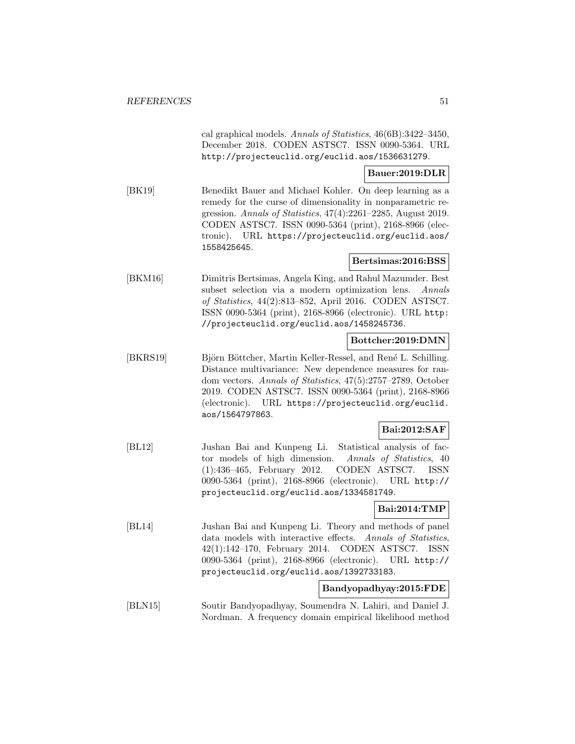cal graphical models. Annals of Statistics, 46(6B):3422–3450, December 2018. CODEN ASTSC7. ISSN 0090-5364. URL http://projecteuclid.org/euclid.aos/1536631279.

#### **Bauer:2019:DLR**

[BK19] Benedikt Bauer and Michael Kohler. On deep learning as a remedy for the curse of dimensionality in nonparametric regression. Annals of Statistics, 47(4):2261–2285, August 2019. CODEN ASTSC7. ISSN 0090-5364 (print), 2168-8966 (electronic). URL https://projecteuclid.org/euclid.aos/ 1558425645.

### **Bertsimas:2016:BSS**

[BKM16] Dimitris Bertsimas, Angela King, and Rahul Mazumder. Best subset selection via a modern optimization lens. Annals of Statistics, 44(2):813–852, April 2016. CODEN ASTSC7. ISSN 0090-5364 (print), 2168-8966 (electronic). URL http: //projecteuclid.org/euclid.aos/1458245736.

### **Bottcher:2019:DMN**

[BKRS19] Björn Böttcher, Martin Keller-Ressel, and René L. Schilling. Distance multivariance: New dependence measures for random vectors. Annals of Statistics, 47(5):2757–2789, October 2019. CODEN ASTSC7. ISSN 0090-5364 (print), 2168-8966 (electronic). URL https://projecteuclid.org/euclid. aos/1564797863.

### **Bai:2012:SAF**

[BL12] Jushan Bai and Kunpeng Li. Statistical analysis of factor models of high dimension. Annals of Statistics, 40 (1):436–465, February 2012. CODEN ASTSC7. ISSN 0090-5364 (print), 2168-8966 (electronic). URL http:// projecteuclid.org/euclid.aos/1334581749.

### **Bai:2014:TMP**

[BL14] Jushan Bai and Kunpeng Li. Theory and methods of panel data models with interactive effects. Annals of Statistics, 42(1):142–170, February 2014. CODEN ASTSC7. ISSN 0090-5364 (print), 2168-8966 (electronic). URL http:// projecteuclid.org/euclid.aos/1392733183.

### **Bandyopadhyay:2015:FDE**

[BLN15] Soutir Bandyopadhyay, Soumendra N. Lahiri, and Daniel J. Nordman. A frequency domain empirical likelihood method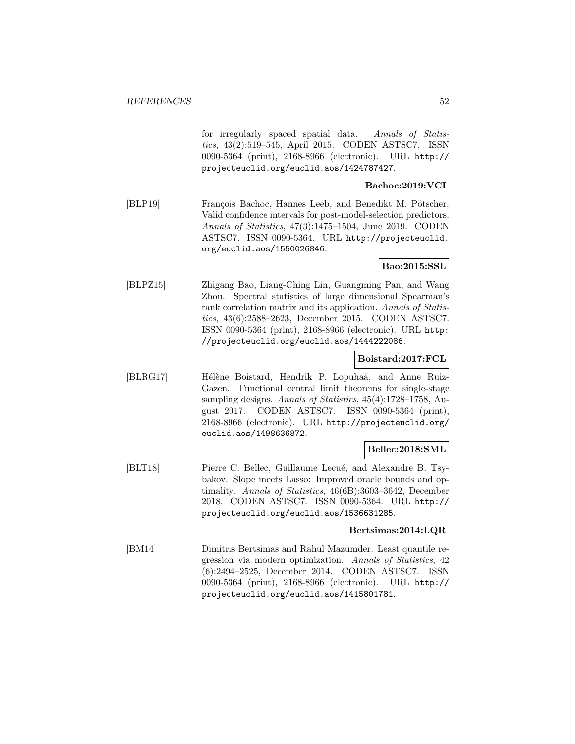for irregularly spaced spatial data. Annals of Statistics, 43(2):519–545, April 2015. CODEN ASTSC7. ISSN 0090-5364 (print), 2168-8966 (electronic). URL http:// projecteuclid.org/euclid.aos/1424787427.

# **Bachoc:2019:VCI**

[BLP19] François Bachoc, Hannes Leeb, and Benedikt M. Pötscher. Valid confidence intervals for post-model-selection predictors. Annals of Statistics, 47(3):1475–1504, June 2019. CODEN ASTSC7. ISSN 0090-5364. URL http://projecteuclid. org/euclid.aos/1550026846.

### **Bao:2015:SSL**

[BLPZ15] Zhigang Bao, Liang-Ching Lin, Guangming Pan, and Wang Zhou. Spectral statistics of large dimensional Spearman's rank correlation matrix and its application. Annals of Statistics, 43(6):2588–2623, December 2015. CODEN ASTSC7. ISSN 0090-5364 (print), 2168-8966 (electronic). URL http: //projecteuclid.org/euclid.aos/1444222086.

### **Boistard:2017:FCL**

[BLRG17] Hélène Boistard, Hendrik P. Lopuhaä, and Anne Ruiz-Gazen. Functional central limit theorems for single-stage sampling designs. Annals of Statistics, 45(4):1728–1758, August 2017. CODEN ASTSC7. ISSN 0090-5364 (print), 2168-8966 (electronic). URL http://projecteuclid.org/ euclid.aos/1498636872.

# **Bellec:2018:SML**

[BLT18] Pierre C. Bellec, Guillaume Lecué, and Alexandre B. Tsybakov. Slope meets Lasso: Improved oracle bounds and optimality. Annals of Statistics, 46(6B):3603–3642, December 2018. CODEN ASTSC7. ISSN 0090-5364. URL http:// projecteuclid.org/euclid.aos/1536631285.

### **Bertsimas:2014:LQR**

[BM14] Dimitris Bertsimas and Rahul Mazumder. Least quantile regression via modern optimization. Annals of Statistics, 42 (6):2494–2525, December 2014. CODEN ASTSC7. ISSN 0090-5364 (print), 2168-8966 (electronic). URL http:// projecteuclid.org/euclid.aos/1415801781.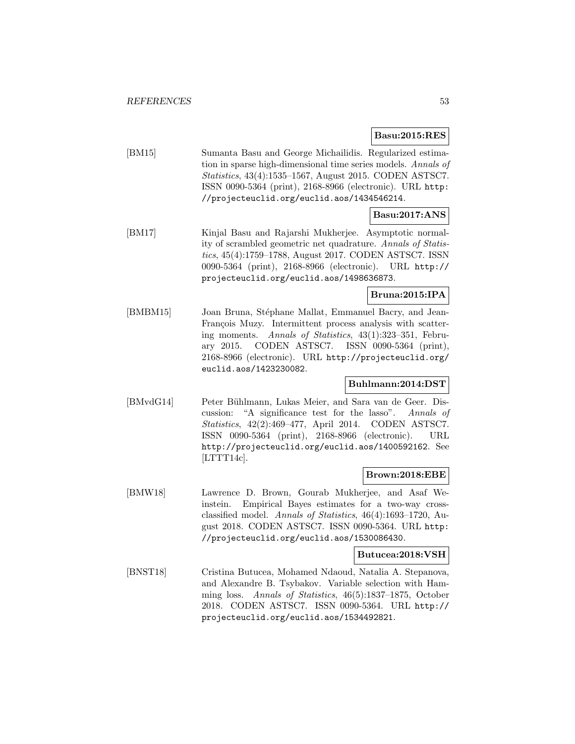**Basu:2015:RES**

[BM15] Sumanta Basu and George Michailidis. Regularized estimation in sparse high-dimensional time series models. Annals of Statistics, 43(4):1535–1567, August 2015. CODEN ASTSC7. ISSN 0090-5364 (print), 2168-8966 (electronic). URL http: //projecteuclid.org/euclid.aos/1434546214.

### **Basu:2017:ANS**

[BM17] Kinjal Basu and Rajarshi Mukherjee. Asymptotic normality of scrambled geometric net quadrature. Annals of Statistics, 45(4):1759–1788, August 2017. CODEN ASTSC7. ISSN 0090-5364 (print), 2168-8966 (electronic). URL http:// projecteuclid.org/euclid.aos/1498636873.

# **Bruna:2015:IPA**

[BMBM15] Joan Bruna, Stéphane Mallat, Emmanuel Bacry, and Jean-François Muzy. Intermittent process analysis with scattering moments. Annals of Statistics, 43(1):323–351, February 2015. CODEN ASTSC7. ISSN 0090-5364 (print), 2168-8966 (electronic). URL http://projecteuclid.org/ euclid.aos/1423230082.

### **Buhlmann:2014:DST**

[BMvdG14] Peter Bühlmann, Lukas Meier, and Sara van de Geer. Discussion: "A significance test for the lasso". Annals of Statistics, 42(2):469–477, April 2014. CODEN ASTSC7. ISSN 0090-5364 (print), 2168-8966 (electronic). URL http://projecteuclid.org/euclid.aos/1400592162. See [LTTT14c].

### **Brown:2018:EBE**

[BMW18] Lawrence D. Brown, Gourab Mukherjee, and Asaf Weinstein. Empirical Bayes estimates for a two-way crossclassified model. Annals of Statistics, 46(4):1693–1720, August 2018. CODEN ASTSC7. ISSN 0090-5364. URL http: //projecteuclid.org/euclid.aos/1530086430.

### **Butucea:2018:VSH**

[BNST18] Cristina Butucea, Mohamed Ndaoud, Natalia A. Stepanova, and Alexandre B. Tsybakov. Variable selection with Hamming loss. Annals of Statistics, 46(5):1837–1875, October 2018. CODEN ASTSC7. ISSN 0090-5364. URL http:// projecteuclid.org/euclid.aos/1534492821.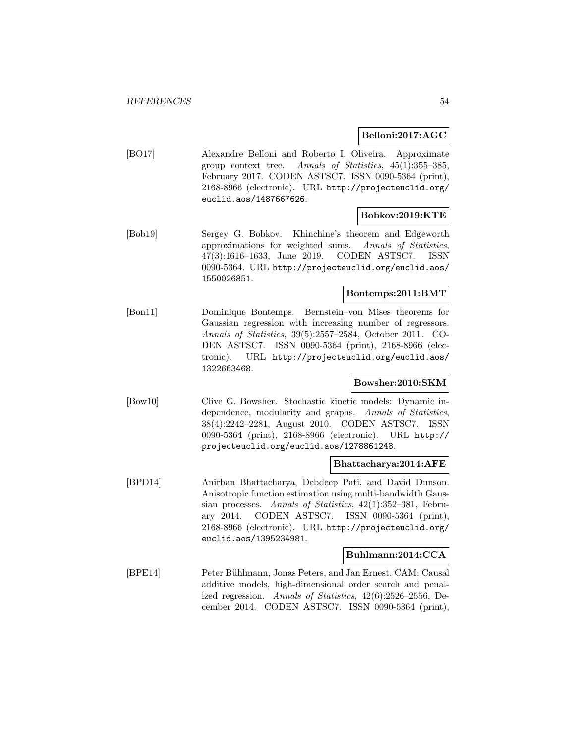#### **Belloni:2017:AGC**

[BO17] Alexandre Belloni and Roberto I. Oliveira. Approximate group context tree. Annals of Statistics, 45(1):355–385, February 2017. CODEN ASTSC7. ISSN 0090-5364 (print), 2168-8966 (electronic). URL http://projecteuclid.org/ euclid.aos/1487667626.

#### **Bobkov:2019:KTE**

[Bob19] Sergey G. Bobkov. Khinchine's theorem and Edgeworth approximations for weighted sums. Annals of Statistics, 47(3):1616–1633, June 2019. CODEN ASTSC7. ISSN 0090-5364. URL http://projecteuclid.org/euclid.aos/ 1550026851.

### **Bontemps:2011:BMT**

[Bon11] Dominique Bontemps. Bernstein–von Mises theorems for Gaussian regression with increasing number of regressors. Annals of Statistics, 39(5):2557–2584, October 2011. CO-DEN ASTSC7. ISSN 0090-5364 (print), 2168-8966 (electronic). URL http://projecteuclid.org/euclid.aos/ 1322663468.

### **Bowsher:2010:SKM**

[Bow10] Clive G. Bowsher. Stochastic kinetic models: Dynamic independence, modularity and graphs. Annals of Statistics, 38(4):2242–2281, August 2010. CODEN ASTSC7. ISSN 0090-5364 (print), 2168-8966 (electronic). URL http:// projecteuclid.org/euclid.aos/1278861248.

### **Bhattacharya:2014:AFE**

[BPD14] Anirban Bhattacharya, Debdeep Pati, and David Dunson. Anisotropic function estimation using multi-bandwidth Gaussian processes. Annals of Statistics, 42(1):352–381, February 2014. CODEN ASTSC7. ISSN 0090-5364 (print), 2168-8966 (electronic). URL http://projecteuclid.org/ euclid.aos/1395234981.

#### **Buhlmann:2014:CCA**

[BPE14] Peter Bühlmann, Jonas Peters, and Jan Ernest. CAM: Causal additive models, high-dimensional order search and penalized regression. Annals of Statistics, 42(6):2526–2556, December 2014. CODEN ASTSC7. ISSN 0090-5364 (print),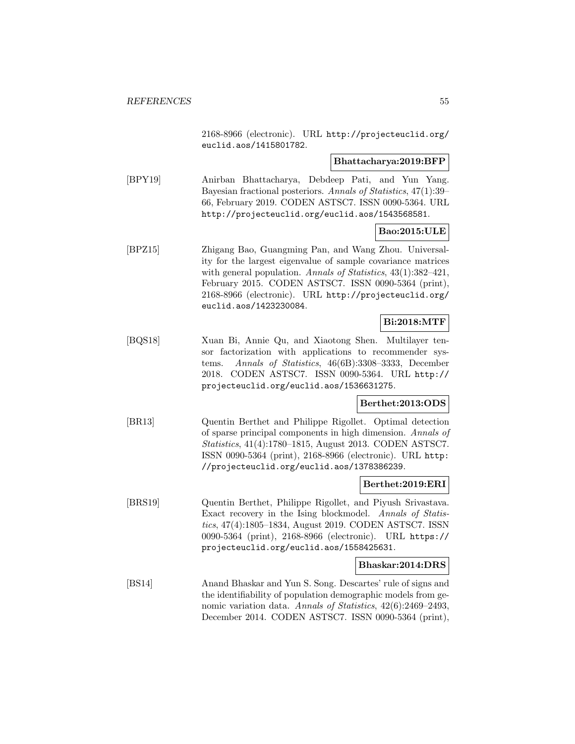2168-8966 (electronic). URL http://projecteuclid.org/ euclid.aos/1415801782.

#### **Bhattacharya:2019:BFP**

[BPY19] Anirban Bhattacharya, Debdeep Pati, and Yun Yang. Bayesian fractional posteriors. Annals of Statistics, 47(1):39– 66, February 2019. CODEN ASTSC7. ISSN 0090-5364. URL http://projecteuclid.org/euclid.aos/1543568581.

# **Bao:2015:ULE**

[BPZ15] Zhigang Bao, Guangming Pan, and Wang Zhou. Universality for the largest eigenvalue of sample covariance matrices with general population. Annals of Statistics, 43(1):382-421, February 2015. CODEN ASTSC7. ISSN 0090-5364 (print), 2168-8966 (electronic). URL http://projecteuclid.org/ euclid.aos/1423230084.

### **Bi:2018:MTF**

[BQS18] Xuan Bi, Annie Qu, and Xiaotong Shen. Multilayer tensor factorization with applications to recommender systems. Annals of Statistics, 46(6B):3308–3333, December 2018. CODEN ASTSC7. ISSN 0090-5364. URL http:// projecteuclid.org/euclid.aos/1536631275.

### **Berthet:2013:ODS**

[BR13] Quentin Berthet and Philippe Rigollet. Optimal detection of sparse principal components in high dimension. Annals of Statistics, 41(4):1780–1815, August 2013. CODEN ASTSC7. ISSN 0090-5364 (print), 2168-8966 (electronic). URL http: //projecteuclid.org/euclid.aos/1378386239.

#### **Berthet:2019:ERI**

[BRS19] Quentin Berthet, Philippe Rigollet, and Piyush Srivastava. Exact recovery in the Ising blockmodel. Annals of Statistics, 47(4):1805–1834, August 2019. CODEN ASTSC7. ISSN 0090-5364 (print), 2168-8966 (electronic). URL https:// projecteuclid.org/euclid.aos/1558425631.

#### **Bhaskar:2014:DRS**

[BS14] Anand Bhaskar and Yun S. Song. Descartes' rule of signs and the identifiability of population demographic models from genomic variation data. Annals of Statistics, 42(6):2469–2493, December 2014. CODEN ASTSC7. ISSN 0090-5364 (print),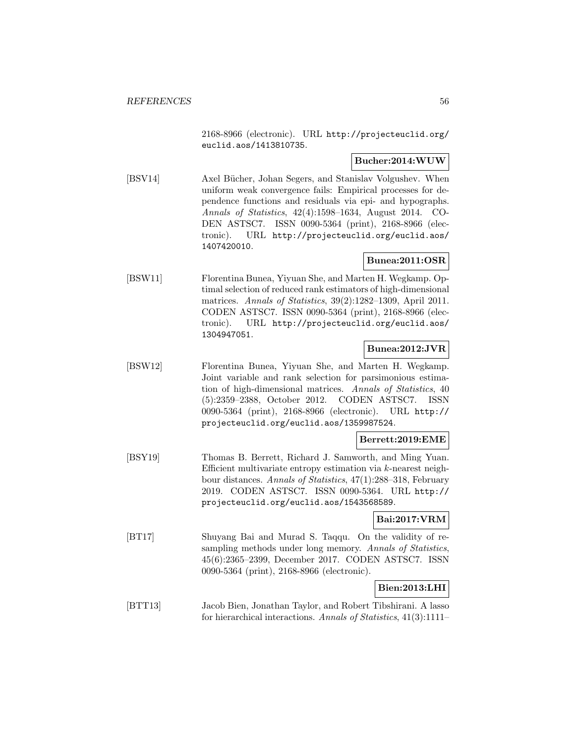2168-8966 (electronic). URL http://projecteuclid.org/ euclid.aos/1413810735.

### **Bucher:2014:WUW**

[BSV14] Axel Bücher, Johan Segers, and Stanislav Volgushev. When uniform weak convergence fails: Empirical processes for dependence functions and residuals via epi- and hypographs. Annals of Statistics, 42(4):1598–1634, August 2014. CO-DEN ASTSC7. ISSN 0090-5364 (print), 2168-8966 (electronic). URL http://projecteuclid.org/euclid.aos/ 1407420010.

## **Bunea:2011:OSR**

[BSW11] Florentina Bunea, Yiyuan She, and Marten H. Wegkamp. Optimal selection of reduced rank estimators of high-dimensional matrices. Annals of Statistics, 39(2):1282–1309, April 2011. CODEN ASTSC7. ISSN 0090-5364 (print), 2168-8966 (electronic). URL http://projecteuclid.org/euclid.aos/ 1304947051.

### **Bunea:2012:JVR**

[BSW12] Florentina Bunea, Yiyuan She, and Marten H. Wegkamp. Joint variable and rank selection for parsimonious estimation of high-dimensional matrices. Annals of Statistics, 40 (5):2359–2388, October 2012. CODEN ASTSC7. ISSN 0090-5364 (print), 2168-8966 (electronic). URL http:// projecteuclid.org/euclid.aos/1359987524.

### **Berrett:2019:EME**

[BSY19] Thomas B. Berrett, Richard J. Samworth, and Ming Yuan. Efficient multivariate entropy estimation via k-nearest neighbour distances. Annals of Statistics, 47(1):288–318, February 2019. CODEN ASTSC7. ISSN 0090-5364. URL http:// projecteuclid.org/euclid.aos/1543568589.

### **Bai:2017:VRM**

[BT17] Shuyang Bai and Murad S. Taqqu. On the validity of resampling methods under long memory. Annals of Statistics, 45(6):2365–2399, December 2017. CODEN ASTSC7. ISSN 0090-5364 (print), 2168-8966 (electronic).

### **Bien:2013:LHI**

[BTT13] Jacob Bien, Jonathan Taylor, and Robert Tibshirani. A lasso for hierarchical interactions. Annals of Statistics, 41(3):1111–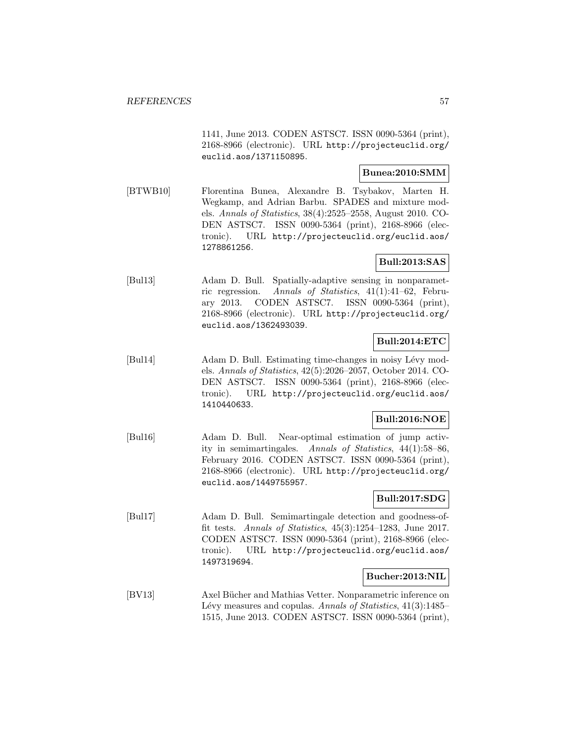1141, June 2013. CODEN ASTSC7. ISSN 0090-5364 (print), 2168-8966 (electronic). URL http://projecteuclid.org/ euclid.aos/1371150895.

#### **Bunea:2010:SMM**

[BTWB10] Florentina Bunea, Alexandre B. Tsybakov, Marten H. Wegkamp, and Adrian Barbu. SPADES and mixture models. Annals of Statistics, 38(4):2525–2558, August 2010. CO-DEN ASTSC7. ISSN 0090-5364 (print), 2168-8966 (electronic). URL http://projecteuclid.org/euclid.aos/ 1278861256.

## **Bull:2013:SAS**

[Bul13] Adam D. Bull. Spatially-adaptive sensing in nonparametric regression. Annals of Statistics, 41(1):41–62, February 2013. CODEN ASTSC7. ISSN 0090-5364 (print), 2168-8966 (electronic). URL http://projecteuclid.org/ euclid.aos/1362493039.

### **Bull:2014:ETC**

[Bul14] Adam D. Bull. Estimating time-changes in noisy Lévy models. Annals of Statistics, 42(5):2026–2057, October 2014. CO-DEN ASTSC7. ISSN 0090-5364 (print), 2168-8966 (electronic). URL http://projecteuclid.org/euclid.aos/ 1410440633.

### **Bull:2016:NOE**

[Bul16] Adam D. Bull. Near-optimal estimation of jump activity in semimartingales. Annals of Statistics, 44(1):58–86, February 2016. CODEN ASTSC7. ISSN 0090-5364 (print), 2168-8966 (electronic). URL http://projecteuclid.org/ euclid.aos/1449755957.

### **Bull:2017:SDG**

[Bul17] Adam D. Bull. Semimartingale detection and goodness-offit tests. Annals of Statistics, 45(3):1254–1283, June 2017. CODEN ASTSC7. ISSN 0090-5364 (print), 2168-8966 (electronic). URL http://projecteuclid.org/euclid.aos/ 1497319694.

### **Bucher:2013:NIL**

[BV13] Axel Bücher and Mathias Vetter. Nonparametric inference on Lévy measures and copulas. Annals of Statistics,  $41(3):1485-$ 1515, June 2013. CODEN ASTSC7. ISSN 0090-5364 (print),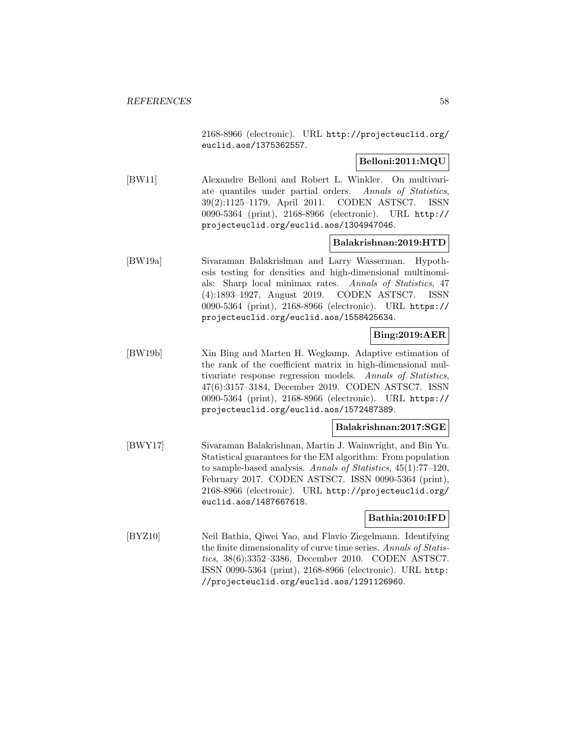2168-8966 (electronic). URL http://projecteuclid.org/ euclid.aos/1375362557.

# **Belloni:2011:MQU**

[BW11] Alexandre Belloni and Robert L. Winkler. On multivariate quantiles under partial orders. Annals of Statistics, 39(2):1125–1179, April 2011. CODEN ASTSC7. ISSN 0090-5364 (print), 2168-8966 (electronic). URL http:// projecteuclid.org/euclid.aos/1304947046.

### **Balakrishnan:2019:HTD**

[BW19a] Sivaraman Balakrishnan and Larry Wasserman. Hypothesis testing for densities and high-dimensional multinomials: Sharp local minimax rates. Annals of Statistics, 47 (4):1893–1927, August 2019. CODEN ASTSC7. ISSN 0090-5364 (print), 2168-8966 (electronic). URL https:// projecteuclid.org/euclid.aos/1558425634.

### **Bing:2019:AER**

[BW19b] Xin Bing and Marten H. Wegkamp. Adaptive estimation of the rank of the coefficient matrix in high-dimensional multivariate response regression models. Annals of Statistics, 47(6):3157–3184, December 2019. CODEN ASTSC7. ISSN 0090-5364 (print), 2168-8966 (electronic). URL https:// projecteuclid.org/euclid.aos/1572487389.

### **Balakrishnan:2017:SGE**

[BWY17] Sivaraman Balakrishnan, Martin J. Wainwright, and Bin Yu. Statistical guarantees for the EM algorithm: From population to sample-based analysis. Annals of Statistics, 45(1):77–120, February 2017. CODEN ASTSC7. ISSN 0090-5364 (print), 2168-8966 (electronic). URL http://projecteuclid.org/ euclid.aos/1487667618.

### **Bathia:2010:IFD**

[BYZ10] Neil Bathia, Qiwei Yao, and Flavio Ziegelmann. Identifying the finite dimensionality of curve time series. Annals of Statistics, 38(6):3352–3386, December 2010. CODEN ASTSC7. ISSN 0090-5364 (print), 2168-8966 (electronic). URL http: //projecteuclid.org/euclid.aos/1291126960.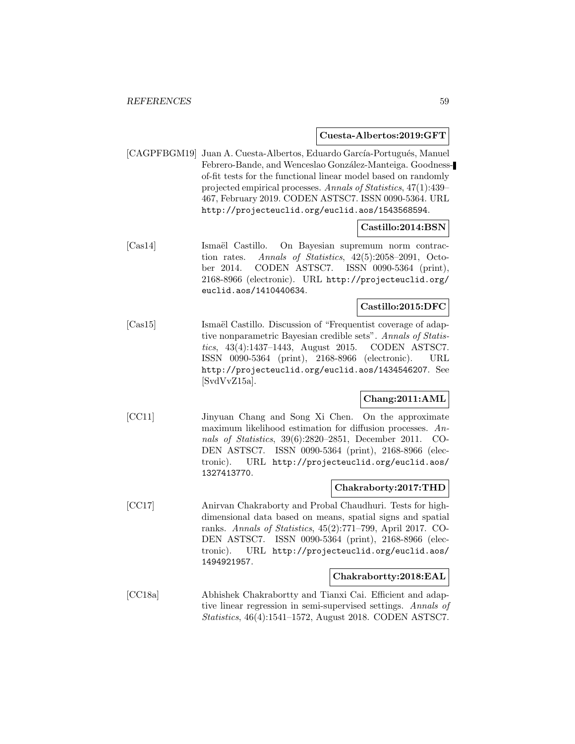#### **Cuesta-Albertos:2019:GFT**

[CAGPFBGM19] Juan A. Cuesta-Albertos, Eduardo García-Portugués, Manuel Febrero-Bande, and Wenceslao González-Manteiga. Goodnessof-fit tests for the functional linear model based on randomly projected empirical processes. Annals of Statistics, 47(1):439– 467, February 2019. CODEN ASTSC7. ISSN 0090-5364. URL http://projecteuclid.org/euclid.aos/1543568594.

### **Castillo:2014:BSN**

[Cas14] Ismaël Castillo. On Bayesian supremum norm contraction rates. Annals of Statistics, 42(5):2058–2091, October 2014. CODEN ASTSC7. ISSN 0090-5364 (print), 2168-8966 (electronic). URL http://projecteuclid.org/ euclid.aos/1410440634.

#### **Castillo:2015:DFC**

[Cas15] Ismaël Castillo. Discussion of "Frequentist coverage of adaptive nonparametric Bayesian credible sets". Annals of Statistics, 43(4):1437–1443, August 2015. CODEN ASTSC7. ISSN 0090-5364 (print), 2168-8966 (electronic). URL http://projecteuclid.org/euclid.aos/1434546207. See [SvdVvZ15a].

### **Chang:2011:AML**

[CC11] Jinyuan Chang and Song Xi Chen. On the approximate maximum likelihood estimation for diffusion processes. Annals of Statistics, 39(6):2820–2851, December 2011. CO-DEN ASTSC7. ISSN 0090-5364 (print), 2168-8966 (electronic). URL http://projecteuclid.org/euclid.aos/ 1327413770.

#### **Chakraborty:2017:THD**

[CC17] Anirvan Chakraborty and Probal Chaudhuri. Tests for highdimensional data based on means, spatial signs and spatial ranks. Annals of Statistics, 45(2):771–799, April 2017. CO-DEN ASTSC7. ISSN 0090-5364 (print), 2168-8966 (electronic). URL http://projecteuclid.org/euclid.aos/ 1494921957.

### **Chakrabortty:2018:EAL**

[CC18a] Abhishek Chakrabortty and Tianxi Cai. Efficient and adaptive linear regression in semi-supervised settings. Annals of Statistics, 46(4):1541–1572, August 2018. CODEN ASTSC7.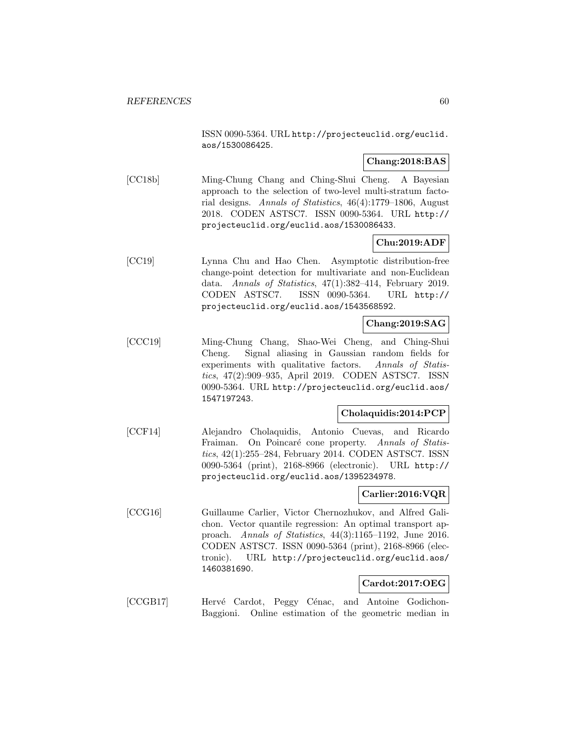ISSN 0090-5364. URL http://projecteuclid.org/euclid. aos/1530086425.

### **Chang:2018:BAS**

[CC18b] Ming-Chung Chang and Ching-Shui Cheng. A Bayesian approach to the selection of two-level multi-stratum factorial designs. Annals of Statistics, 46(4):1779–1806, August 2018. CODEN ASTSC7. ISSN 0090-5364. URL http:// projecteuclid.org/euclid.aos/1530086433.

# **Chu:2019:ADF**

[CC19] Lynna Chu and Hao Chen. Asymptotic distribution-free change-point detection for multivariate and non-Euclidean data. Annals of Statistics, 47(1):382–414, February 2019. CODEN ASTSC7. ISSN 0090-5364. URL http:// projecteuclid.org/euclid.aos/1543568592.

### **Chang:2019:SAG**

[CCC19] Ming-Chung Chang, Shao-Wei Cheng, and Ching-Shui Cheng. Signal aliasing in Gaussian random fields for experiments with qualitative factors. Annals of Statistics, 47(2):909–935, April 2019. CODEN ASTSC7. ISSN 0090-5364. URL http://projecteuclid.org/euclid.aos/ 1547197243.

### **Cholaquidis:2014:PCP**

[CCF14] Alejandro Cholaquidis, Antonio Cuevas, and Ricardo Fraiman. On Poincaré cone property. Annals of Statistics, 42(1):255–284, February 2014. CODEN ASTSC7. ISSN 0090-5364 (print), 2168-8966 (electronic). URL http:// projecteuclid.org/euclid.aos/1395234978.

### **Carlier:2016:VQR**

[CCG16] Guillaume Carlier, Victor Chernozhukov, and Alfred Galichon. Vector quantile regression: An optimal transport approach. Annals of Statistics, 44(3):1165–1192, June 2016. CODEN ASTSC7. ISSN 0090-5364 (print), 2168-8966 (electronic). URL http://projecteuclid.org/euclid.aos/ 1460381690.

### **Cardot:2017:OEG**

[CCGB17] Hervé Cardot, Peggy Cénac, and Antoine Godichon-Baggioni. Online estimation of the geometric median in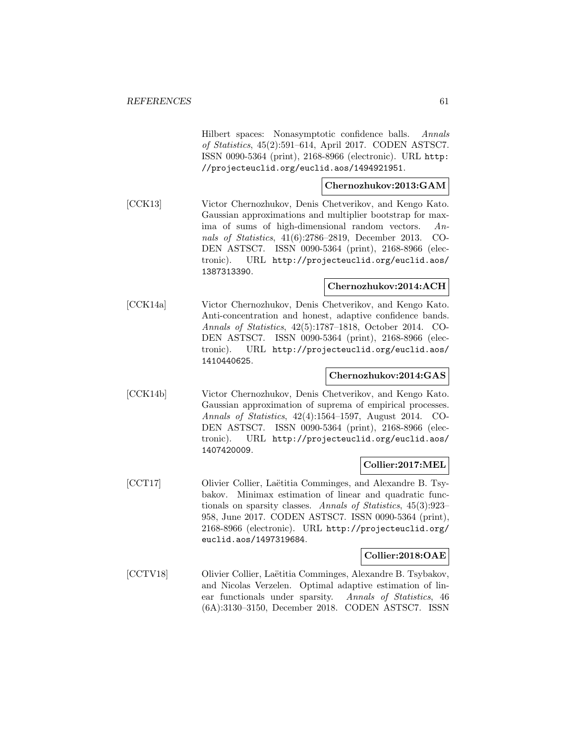Hilbert spaces: Nonasymptotic confidence balls. Annals of Statistics, 45(2):591–614, April 2017. CODEN ASTSC7. ISSN 0090-5364 (print), 2168-8966 (electronic). URL http: //projecteuclid.org/euclid.aos/1494921951.

# **Chernozhukov:2013:GAM**

[CCK13] Victor Chernozhukov, Denis Chetverikov, and Kengo Kato. Gaussian approximations and multiplier bootstrap for maxima of sums of high-dimensional random vectors. Annals of Statistics, 41(6):2786–2819, December 2013. CO-DEN ASTSC7. ISSN 0090-5364 (print), 2168-8966 (electronic). URL http://projecteuclid.org/euclid.aos/ 1387313390.

### **Chernozhukov:2014:ACH**

[CCK14a] Victor Chernozhukov, Denis Chetverikov, and Kengo Kato. Anti-concentration and honest, adaptive confidence bands. Annals of Statistics, 42(5):1787–1818, October 2014. CO-DEN ASTSC7. ISSN 0090-5364 (print), 2168-8966 (electronic). URL http://projecteuclid.org/euclid.aos/ 1410440625.

## **Chernozhukov:2014:GAS**

[CCK14b] Victor Chernozhukov, Denis Chetverikov, and Kengo Kato. Gaussian approximation of suprema of empirical processes. Annals of Statistics, 42(4):1564–1597, August 2014. CO-DEN ASTSC7. ISSN 0090-5364 (print), 2168-8966 (electronic). URL http://projecteuclid.org/euclid.aos/ 1407420009.

### **Collier:2017:MEL**

[CCT17] Olivier Collier, Laëtitia Comminges, and Alexandre B. Tsybakov. Minimax estimation of linear and quadratic functionals on sparsity classes. Annals of Statistics, 45(3):923– 958, June 2017. CODEN ASTSC7. ISSN 0090-5364 (print), 2168-8966 (electronic). URL http://projecteuclid.org/ euclid.aos/1497319684.

### **Collier:2018:OAE**

[CCTV18] Olivier Collier, Laëtitia Comminges, Alexandre B. Tsybakov, and Nicolas Verzelen. Optimal adaptive estimation of linear functionals under sparsity. Annals of Statistics, 46 (6A):3130–3150, December 2018. CODEN ASTSC7. ISSN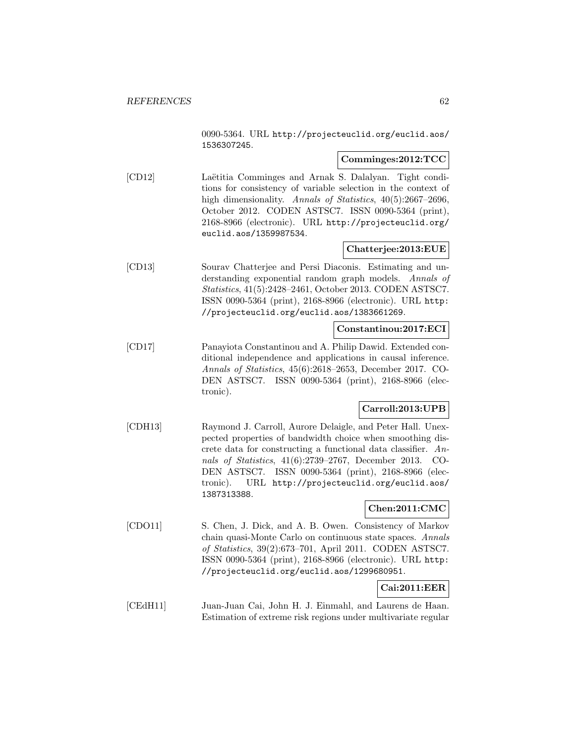0090-5364. URL http://projecteuclid.org/euclid.aos/ 1536307245.

## **Comminges:2012:TCC**

[CD12] Laëtitia Comminges and Arnak S. Dalalyan. Tight conditions for consistency of variable selection in the context of high dimensionality. Annals of Statistics, 40(5):2667-2696, October 2012. CODEN ASTSC7. ISSN 0090-5364 (print), 2168-8966 (electronic). URL http://projecteuclid.org/ euclid.aos/1359987534.

# **Chatterjee:2013:EUE**

[CD13] Sourav Chatterjee and Persi Diaconis. Estimating and understanding exponential random graph models. Annals of Statistics, 41(5):2428–2461, October 2013. CODEN ASTSC7. ISSN 0090-5364 (print), 2168-8966 (electronic). URL http: //projecteuclid.org/euclid.aos/1383661269.

# **Constantinou:2017:ECI**

[CD17] Panayiota Constantinou and A. Philip Dawid. Extended conditional independence and applications in causal inference. Annals of Statistics, 45(6):2618–2653, December 2017. CO-DEN ASTSC7. ISSN 0090-5364 (print), 2168-8966 (electronic).

### **Carroll:2013:UPB**

[CDH13] Raymond J. Carroll, Aurore Delaigle, and Peter Hall. Unexpected properties of bandwidth choice when smoothing discrete data for constructing a functional data classifier. Annals of Statistics, 41(6):2739–2767, December 2013. CO-DEN ASTSC7. ISSN 0090-5364 (print), 2168-8966 (electronic). URL http://projecteuclid.org/euclid.aos/ 1387313388.

### **Chen:2011:CMC**

[CDO11] S. Chen, J. Dick, and A. B. Owen. Consistency of Markov chain quasi-Monte Carlo on continuous state spaces. Annals of Statistics, 39(2):673–701, April 2011. CODEN ASTSC7. ISSN 0090-5364 (print), 2168-8966 (electronic). URL http: //projecteuclid.org/euclid.aos/1299680951.

# **Cai:2011:EER**

[CEdH11] Juan-Juan Cai, John H. J. Einmahl, and Laurens de Haan. Estimation of extreme risk regions under multivariate regular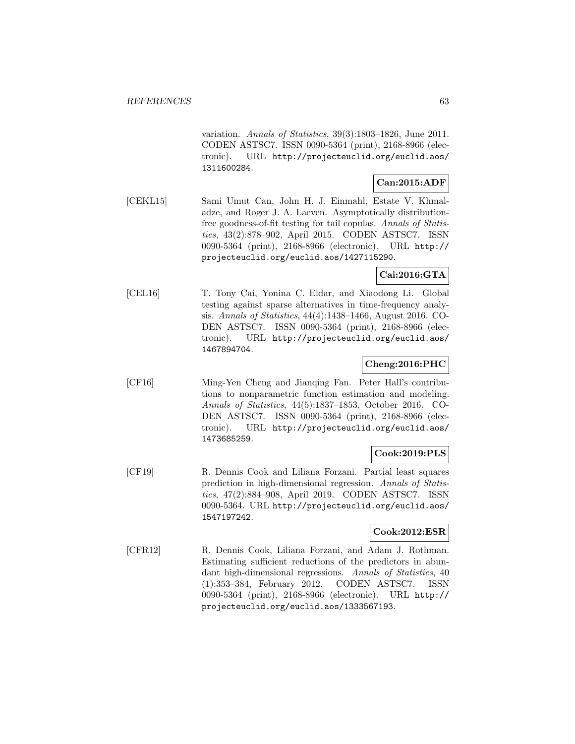variation. Annals of Statistics, 39(3):1803–1826, June 2011. CODEN ASTSC7. ISSN 0090-5364 (print), 2168-8966 (electronic). URL http://projecteuclid.org/euclid.aos/ 1311600284.

### **Can:2015:ADF**

[CEKL15] Sami Umut Can, John H. J. Einmahl, Estate V. Khmaladze, and Roger J. A. Laeven. Asymptotically distributionfree goodness-of-fit testing for tail copulas. Annals of Statistics, 43(2):878–902, April 2015. CODEN ASTSC7. ISSN 0090-5364 (print), 2168-8966 (electronic). URL http:// projecteuclid.org/euclid.aos/1427115290.

### **Cai:2016:GTA**

[CEL16] T. Tony Cai, Yonina C. Eldar, and Xiaodong Li. Global testing against sparse alternatives in time-frequency analysis. Annals of Statistics, 44(4):1438–1466, August 2016. CO-DEN ASTSC7. ISSN 0090-5364 (print), 2168-8966 (electronic). URL http://projecteuclid.org/euclid.aos/ 1467894704.

### **Cheng:2016:PHC**

[CF16] Ming-Yen Cheng and Jianqing Fan. Peter Hall's contributions to nonparametric function estimation and modeling. Annals of Statistics, 44(5):1837–1853, October 2016. CO-DEN ASTSC7. ISSN 0090-5364 (print), 2168-8966 (electronic). URL http://projecteuclid.org/euclid.aos/ 1473685259.

### **Cook:2019:PLS**

[CF19] R. Dennis Cook and Liliana Forzani. Partial least squares prediction in high-dimensional regression. Annals of Statistics, 47(2):884–908, April 2019. CODEN ASTSC7. ISSN 0090-5364. URL http://projecteuclid.org/euclid.aos/ 1547197242.

### **Cook:2012:ESR**

[CFR12] R. Dennis Cook, Liliana Forzani, and Adam J. Rothman. Estimating sufficient reductions of the predictors in abundant high-dimensional regressions. Annals of Statistics, 40 (1):353–384, February 2012. CODEN ASTSC7. ISSN 0090-5364 (print), 2168-8966 (electronic). URL http:// projecteuclid.org/euclid.aos/1333567193.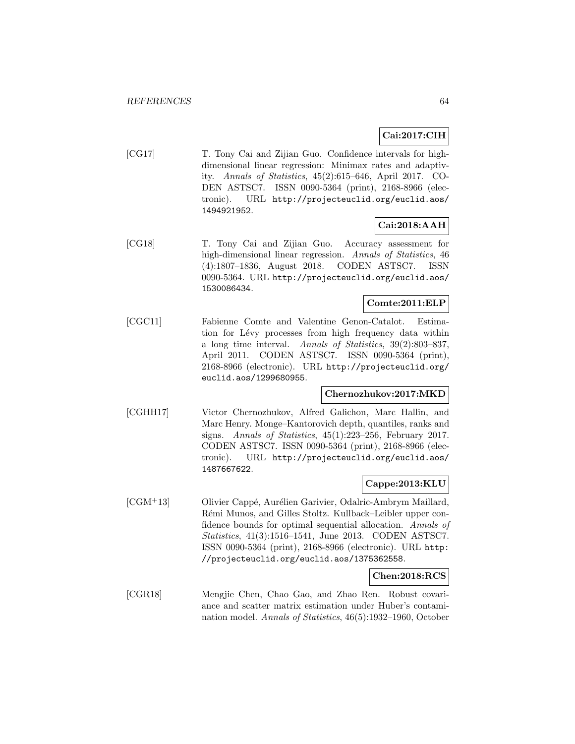# **Cai:2017:CIH**

[CG17] T. Tony Cai and Zijian Guo. Confidence intervals for highdimensional linear regression: Minimax rates and adaptivity. Annals of Statistics, 45(2):615–646, April 2017. CO-DEN ASTSC7. ISSN 0090-5364 (print), 2168-8966 (electronic). URL http://projecteuclid.org/euclid.aos/ 1494921952.

# **Cai:2018:AAH**

[CG18] T. Tony Cai and Zijian Guo. Accuracy assessment for high-dimensional linear regression. Annals of Statistics, 46 (4):1807–1836, August 2018. CODEN ASTSC7. ISSN 0090-5364. URL http://projecteuclid.org/euclid.aos/ 1530086434.

### **Comte:2011:ELP**

[CGC11] Fabienne Comte and Valentine Genon-Catalot. Estimation for Lévy processes from high frequency data within a long time interval. Annals of Statistics, 39(2):803–837, April 2011. CODEN ASTSC7. ISSN 0090-5364 (print), 2168-8966 (electronic). URL http://projecteuclid.org/ euclid.aos/1299680955.

### **Chernozhukov:2017:MKD**

[CGHH17] Victor Chernozhukov, Alfred Galichon, Marc Hallin, and Marc Henry. Monge–Kantorovich depth, quantiles, ranks and signs. Annals of Statistics, 45(1):223–256, February 2017. CODEN ASTSC7. ISSN 0090-5364 (print), 2168-8966 (electronic). URL http://projecteuclid.org/euclid.aos/ 1487667622.

### **Cappe:2013:KLU**

[CGM<sup>+</sup>13] Olivier Cappé, Aurélien Garivier, Odalric-Ambrym Maillard, Rémi Munos, and Gilles Stoltz. Kullback–Leibler upper confidence bounds for optimal sequential allocation. Annals of Statistics, 41(3):1516–1541, June 2013. CODEN ASTSC7. ISSN 0090-5364 (print), 2168-8966 (electronic). URL http: //projecteuclid.org/euclid.aos/1375362558.

### **Chen:2018:RCS**

[CGR18] Mengjie Chen, Chao Gao, and Zhao Ren. Robust covariance and scatter matrix estimation under Huber's contamination model. Annals of Statistics, 46(5):1932–1960, October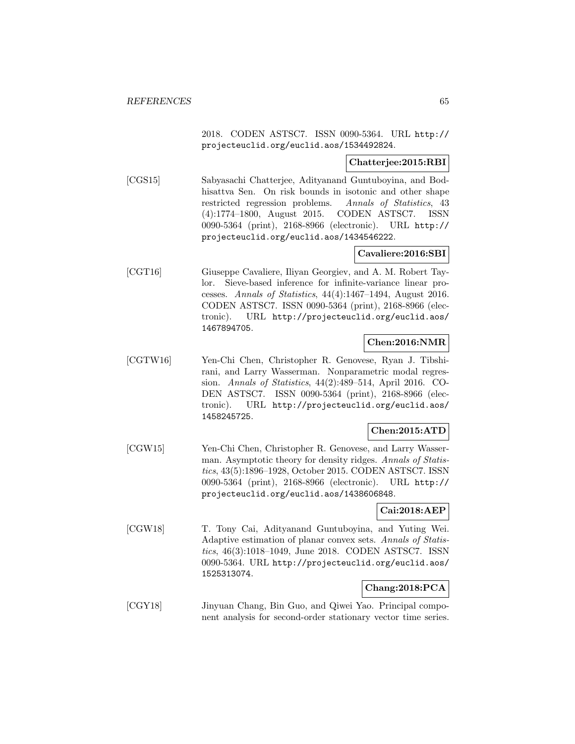2018. CODEN ASTSC7. ISSN 0090-5364. URL http:// projecteuclid.org/euclid.aos/1534492824.

### **Chatterjee:2015:RBI**

[CGS15] Sabyasachi Chatterjee, Adityanand Guntuboyina, and Bodhisattva Sen. On risk bounds in isotonic and other shape restricted regression problems. Annals of Statistics, 43 (4):1774–1800, August 2015. CODEN ASTSC7. ISSN 0090-5364 (print), 2168-8966 (electronic). URL http:// projecteuclid.org/euclid.aos/1434546222.

### **Cavaliere:2016:SBI**

[CGT16] Giuseppe Cavaliere, Iliyan Georgiev, and A. M. Robert Taylor. Sieve-based inference for infinite-variance linear processes. Annals of Statistics, 44(4):1467–1494, August 2016. CODEN ASTSC7. ISSN 0090-5364 (print), 2168-8966 (electronic). URL http://projecteuclid.org/euclid.aos/ 1467894705.

# **Chen:2016:NMR**

[CGTW16] Yen-Chi Chen, Christopher R. Genovese, Ryan J. Tibshirani, and Larry Wasserman. Nonparametric modal regression. Annals of Statistics, 44(2):489–514, April 2016. CO-DEN ASTSC7. ISSN 0090-5364 (print), 2168-8966 (electronic). URL http://projecteuclid.org/euclid.aos/ 1458245725.

### **Chen:2015:ATD**

[CGW15] Yen-Chi Chen, Christopher R. Genovese, and Larry Wasserman. Asymptotic theory for density ridges. Annals of Statistics, 43(5):1896–1928, October 2015. CODEN ASTSC7. ISSN 0090-5364 (print), 2168-8966 (electronic). URL http:// projecteuclid.org/euclid.aos/1438606848.

### **Cai:2018:AEP**

[CGW18] T. Tony Cai, Adityanand Guntuboyina, and Yuting Wei. Adaptive estimation of planar convex sets. Annals of Statistics, 46(3):1018–1049, June 2018. CODEN ASTSC7. ISSN 0090-5364. URL http://projecteuclid.org/euclid.aos/ 1525313074.

# **Chang:2018:PCA**

[CGY18] Jinyuan Chang, Bin Guo, and Qiwei Yao. Principal component analysis for second-order stationary vector time series.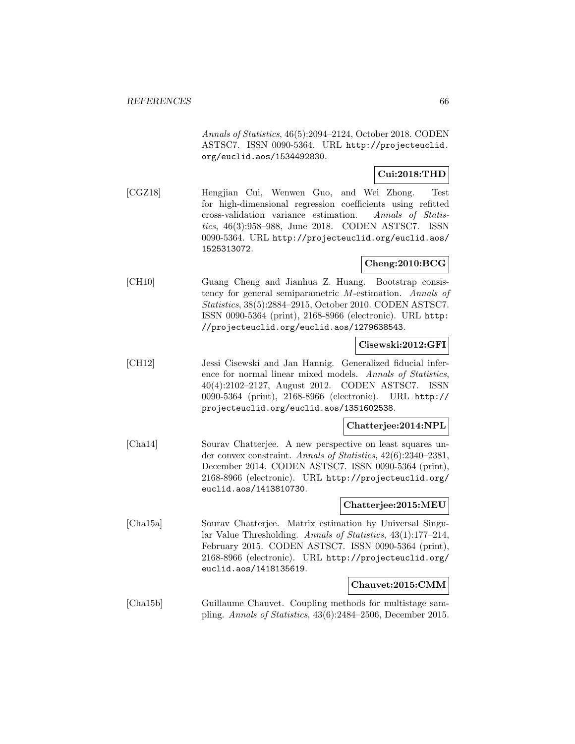Annals of Statistics, 46(5):2094–2124, October 2018. CODEN ASTSC7. ISSN 0090-5364. URL http://projecteuclid. org/euclid.aos/1534492830.

### **Cui:2018:THD**

[CGZ18] Hengjian Cui, Wenwen Guo, and Wei Zhong. Test for high-dimensional regression coefficients using refitted cross-validation variance estimation. Annals of Statistics, 46(3):958–988, June 2018. CODEN ASTSC7. ISSN 0090-5364. URL http://projecteuclid.org/euclid.aos/ 1525313072.

# **Cheng:2010:BCG**

[CH10] Guang Cheng and Jianhua Z. Huang. Bootstrap consistency for general semiparametric M-estimation. Annals of Statistics, 38(5):2884–2915, October 2010. CODEN ASTSC7. ISSN 0090-5364 (print), 2168-8966 (electronic). URL http: //projecteuclid.org/euclid.aos/1279638543.

### **Cisewski:2012:GFI**

[CH12] Jessi Cisewski and Jan Hannig. Generalized fiducial inference for normal linear mixed models. Annals of Statistics, 40(4):2102–2127, August 2012. CODEN ASTSC7. ISSN 0090-5364 (print), 2168-8966 (electronic). URL http:// projecteuclid.org/euclid.aos/1351602538.

### **Chatterjee:2014:NPL**

[Cha14] Sourav Chatterjee. A new perspective on least squares under convex constraint. Annals of Statistics, 42(6):2340–2381, December 2014. CODEN ASTSC7. ISSN 0090-5364 (print), 2168-8966 (electronic). URL http://projecteuclid.org/ euclid.aos/1413810730.

### **Chatterjee:2015:MEU**

[Cha15a] Sourav Chatterjee. Matrix estimation by Universal Singular Value Thresholding. Annals of Statistics, 43(1):177–214, February 2015. CODEN ASTSC7. ISSN 0090-5364 (print), 2168-8966 (electronic). URL http://projecteuclid.org/ euclid.aos/1418135619.

#### **Chauvet:2015:CMM**

[Cha15b] Guillaume Chauvet. Coupling methods for multistage sampling. Annals of Statistics, 43(6):2484–2506, December 2015.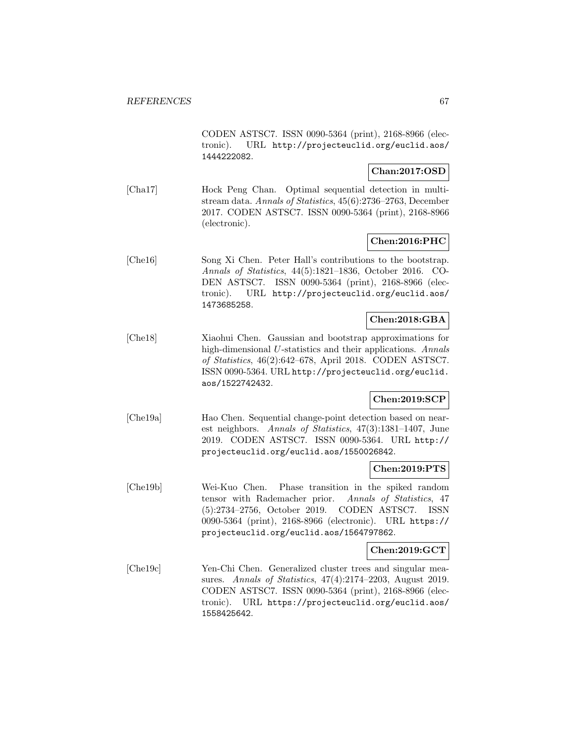CODEN ASTSC7. ISSN 0090-5364 (print), 2168-8966 (electronic). URL http://projecteuclid.org/euclid.aos/ 1444222082.

### **Chan:2017:OSD**

[Cha17] Hock Peng Chan. Optimal sequential detection in multistream data. Annals of Statistics, 45(6):2736–2763, December 2017. CODEN ASTSC7. ISSN 0090-5364 (print), 2168-8966 (electronic).

### **Chen:2016:PHC**

[Che16] Song Xi Chen. Peter Hall's contributions to the bootstrap. Annals of Statistics, 44(5):1821–1836, October 2016. CO-DEN ASTSC7. ISSN 0090-5364 (print), 2168-8966 (electronic). URL http://projecteuclid.org/euclid.aos/ 1473685258.

### **Chen:2018:GBA**

[Che18] Xiaohui Chen. Gaussian and bootstrap approximations for high-dimensional U-statistics and their applications. Annals of Statistics, 46(2):642–678, April 2018. CODEN ASTSC7. ISSN 0090-5364. URL http://projecteuclid.org/euclid. aos/1522742432.

### **Chen:2019:SCP**

[Che19a] Hao Chen. Sequential change-point detection based on nearest neighbors. Annals of Statistics, 47(3):1381–1407, June 2019. CODEN ASTSC7. ISSN 0090-5364. URL http:// projecteuclid.org/euclid.aos/1550026842.

### **Chen:2019:PTS**

[Che19b] Wei-Kuo Chen. Phase transition in the spiked random tensor with Rademacher prior. Annals of Statistics, 47 (5):2734–2756, October 2019. CODEN ASTSC7. ISSN 0090-5364 (print), 2168-8966 (electronic). URL https:// projecteuclid.org/euclid.aos/1564797862.

### **Chen:2019:GCT**

[Che19c] Yen-Chi Chen. Generalized cluster trees and singular measures. Annals of Statistics, 47(4):2174–2203, August 2019. CODEN ASTSC7. ISSN 0090-5364 (print), 2168-8966 (electronic). URL https://projecteuclid.org/euclid.aos/ 1558425642.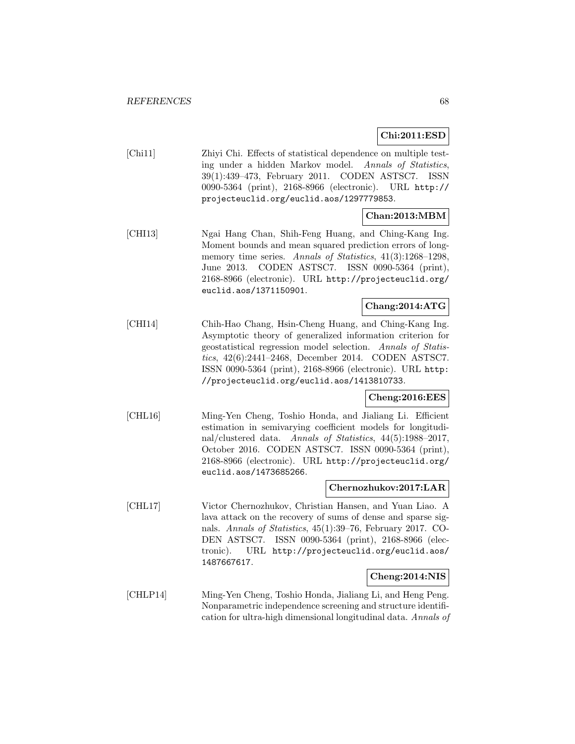**Chi:2011:ESD**

[Chi11] Zhiyi Chi. Effects of statistical dependence on multiple testing under a hidden Markov model. Annals of Statistics, 39(1):439–473, February 2011. CODEN ASTSC7. ISSN 0090-5364 (print), 2168-8966 (electronic). URL http:// projecteuclid.org/euclid.aos/1297779853.

# **Chan:2013:MBM**

[CHI13] Ngai Hang Chan, Shih-Feng Huang, and Ching-Kang Ing. Moment bounds and mean squared prediction errors of longmemory time series. Annals of Statistics,  $41(3):1268-1298$ , June 2013. CODEN ASTSC7. ISSN 0090-5364 (print), 2168-8966 (electronic). URL http://projecteuclid.org/ euclid.aos/1371150901.

# **Chang:2014:ATG**

[CHI14] Chih-Hao Chang, Hsin-Cheng Huang, and Ching-Kang Ing. Asymptotic theory of generalized information criterion for geostatistical regression model selection. Annals of Statistics, 42(6):2441–2468, December 2014. CODEN ASTSC7. ISSN 0090-5364 (print), 2168-8966 (electronic). URL http: //projecteuclid.org/euclid.aos/1413810733.

### **Cheng:2016:EES**

[CHL16] Ming-Yen Cheng, Toshio Honda, and Jialiang Li. Efficient estimation in semivarying coefficient models for longitudinal/clustered data. Annals of Statistics, 44(5):1988–2017, October 2016. CODEN ASTSC7. ISSN 0090-5364 (print), 2168-8966 (electronic). URL http://projecteuclid.org/ euclid.aos/1473685266.

### **Chernozhukov:2017:LAR**

[CHL17] Victor Chernozhukov, Christian Hansen, and Yuan Liao. A lava attack on the recovery of sums of dense and sparse signals. Annals of Statistics, 45(1):39–76, February 2017. CO-DEN ASTSC7. ISSN 0090-5364 (print), 2168-8966 (electronic). URL http://projecteuclid.org/euclid.aos/ 1487667617.

### **Cheng:2014:NIS**

[CHLP14] Ming-Yen Cheng, Toshio Honda, Jialiang Li, and Heng Peng. Nonparametric independence screening and structure identification for ultra-high dimensional longitudinal data. Annals of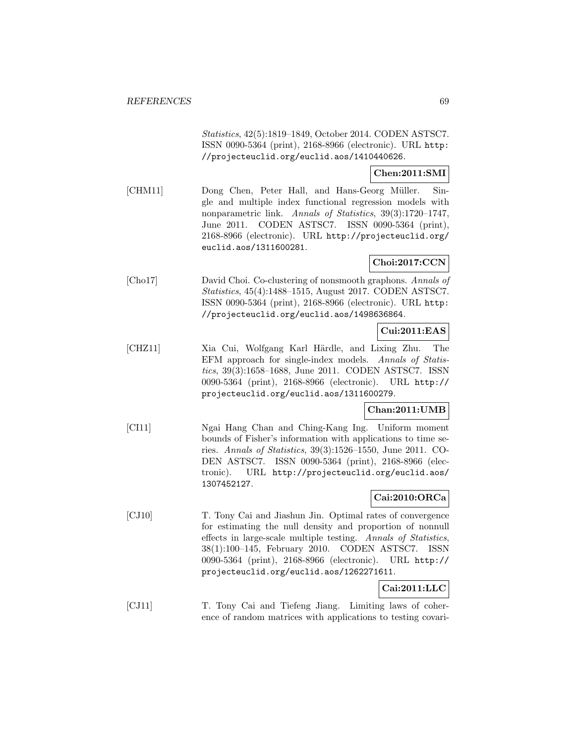Statistics, 42(5):1819–1849, October 2014. CODEN ASTSC7. ISSN 0090-5364 (print), 2168-8966 (electronic). URL http: //projecteuclid.org/euclid.aos/1410440626.

#### **Chen:2011:SMI**

[CHM11] Dong Chen, Peter Hall, and Hans-Georg Müller. Single and multiple index functional regression models with nonparametric link. Annals of Statistics, 39(3):1720–1747, June 2011. CODEN ASTSC7. ISSN 0090-5364 (print), 2168-8966 (electronic). URL http://projecteuclid.org/ euclid.aos/1311600281.

## **Choi:2017:CCN**

[Cho17] David Choi. Co-clustering of nonsmooth graphons. Annals of Statistics, 45(4):1488–1515, August 2017. CODEN ASTSC7. ISSN 0090-5364 (print), 2168-8966 (electronic). URL http: //projecteuclid.org/euclid.aos/1498636864.

### **Cui:2011:EAS**

[CHZ11] Xia Cui, Wolfgang Karl Härdle, and Lixing Zhu. The EFM approach for single-index models. Annals of Statistics, 39(3):1658–1688, June 2011. CODEN ASTSC7. ISSN 0090-5364 (print), 2168-8966 (electronic). URL http:// projecteuclid.org/euclid.aos/1311600279.

### **Chan:2011:UMB**

[CI11] Ngai Hang Chan and Ching-Kang Ing. Uniform moment bounds of Fisher's information with applications to time series. Annals of Statistics, 39(3):1526–1550, June 2011. CO-DEN ASTSC7. ISSN 0090-5364 (print), 2168-8966 (electronic). URL http://projecteuclid.org/euclid.aos/ 1307452127.

### **Cai:2010:ORCa**

[CJ10] T. Tony Cai and Jiashun Jin. Optimal rates of convergence for estimating the null density and proportion of nonnull effects in large-scale multiple testing. Annals of Statistics, 38(1):100–145, February 2010. CODEN ASTSC7. ISSN 0090-5364 (print), 2168-8966 (electronic). URL http:// projecteuclid.org/euclid.aos/1262271611.

# **Cai:2011:LLC**

[CJ11] T. Tony Cai and Tiefeng Jiang. Limiting laws of coherence of random matrices with applications to testing covari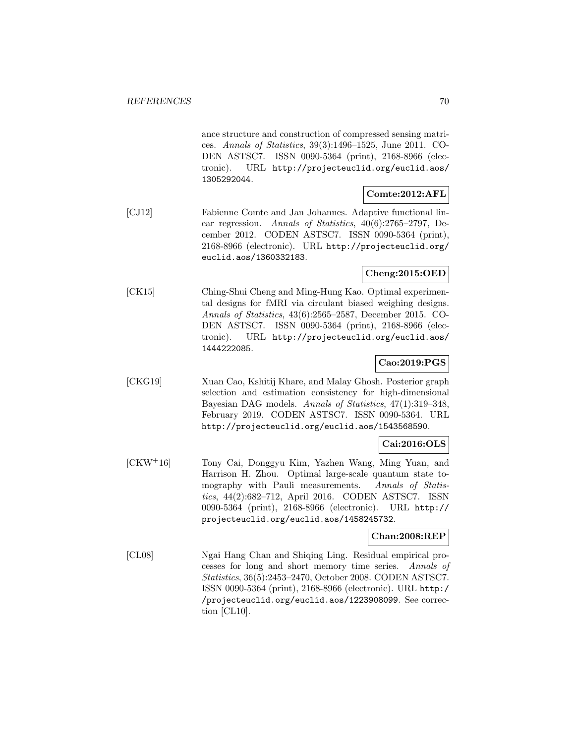ance structure and construction of compressed sensing matrices. Annals of Statistics, 39(3):1496–1525, June 2011. CO-DEN ASTSC7. ISSN 0090-5364 (print), 2168-8966 (electronic). URL http://projecteuclid.org/euclid.aos/ 1305292044.

# **Comte:2012:AFL**

[CJ12] Fabienne Comte and Jan Johannes. Adaptive functional linear regression. Annals of Statistics, 40(6):2765–2797, December 2012. CODEN ASTSC7. ISSN 0090-5364 (print), 2168-8966 (electronic). URL http://projecteuclid.org/ euclid.aos/1360332183.

### **Cheng:2015:OED**

[CK15] Ching-Shui Cheng and Ming-Hung Kao. Optimal experimental designs for fMRI via circulant biased weighing designs. Annals of Statistics, 43(6):2565–2587, December 2015. CO-DEN ASTSC7. ISSN 0090-5364 (print), 2168-8966 (electronic). URL http://projecteuclid.org/euclid.aos/ 1444222085.

### **Cao:2019:PGS**

[CKG19] Xuan Cao, Kshitij Khare, and Malay Ghosh. Posterior graph selection and estimation consistency for high-dimensional Bayesian DAG models. Annals of Statistics, 47(1):319–348, February 2019. CODEN ASTSC7. ISSN 0090-5364. URL http://projecteuclid.org/euclid.aos/1543568590.

### **Cai:2016:OLS**

[CKW<sup>+</sup>16] Tony Cai, Donggyu Kim, Yazhen Wang, Ming Yuan, and Harrison H. Zhou. Optimal large-scale quantum state tomography with Pauli measurements. Annals of Statistics, 44(2):682–712, April 2016. CODEN ASTSC7. ISSN 0090-5364 (print), 2168-8966 (electronic). URL http:// projecteuclid.org/euclid.aos/1458245732.

### **Chan:2008:REP**

[CL08] Ngai Hang Chan and Shiqing Ling. Residual empirical processes for long and short memory time series. Annals of Statistics, 36(5):2453–2470, October 2008. CODEN ASTSC7. ISSN 0090-5364 (print), 2168-8966 (electronic). URL http:/ /projecteuclid.org/euclid.aos/1223908099. See correction [CL10].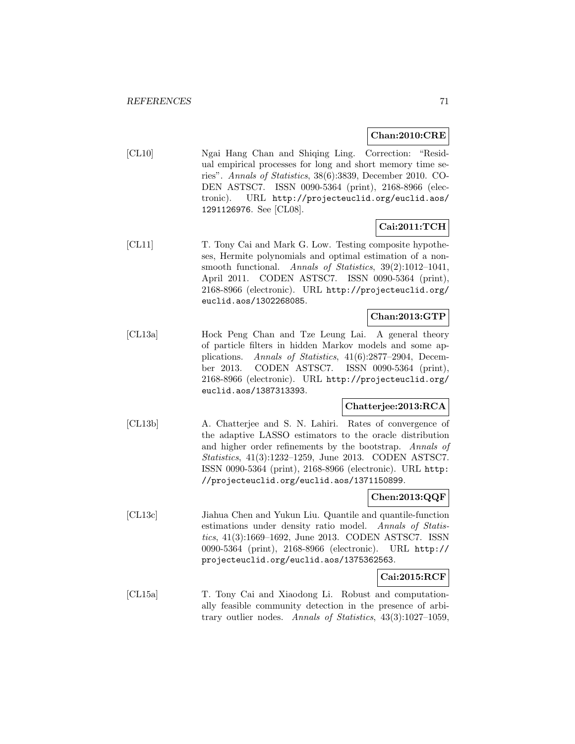### **Chan:2010:CRE**

[CL10] Ngai Hang Chan and Shiqing Ling. Correction: "Residual empirical processes for long and short memory time series". Annals of Statistics, 38(6):3839, December 2010. CO-DEN ASTSC7. ISSN 0090-5364 (print), 2168-8966 (electronic). URL http://projecteuclid.org/euclid.aos/ 1291126976. See [CL08].

# **Cai:2011:TCH**

[CL11] T. Tony Cai and Mark G. Low. Testing composite hypotheses, Hermite polynomials and optimal estimation of a nonsmooth functional. Annals of Statistics, 39(2):1012–1041, April 2011. CODEN ASTSC7. ISSN 0090-5364 (print), 2168-8966 (electronic). URL http://projecteuclid.org/ euclid.aos/1302268085.

### **Chan:2013:GTP**

[CL13a] Hock Peng Chan and Tze Leung Lai. A general theory of particle filters in hidden Markov models and some applications. Annals of Statistics, 41(6):2877–2904, December 2013. CODEN ASTSC7. ISSN 0090-5364 (print), 2168-8966 (electronic). URL http://projecteuclid.org/ euclid.aos/1387313393.

# **Chatterjee:2013:RCA**

[CL13b] A. Chatterjee and S. N. Lahiri. Rates of convergence of the adaptive LASSO estimators to the oracle distribution and higher order refinements by the bootstrap. Annals of Statistics, 41(3):1232–1259, June 2013. CODEN ASTSC7. ISSN 0090-5364 (print), 2168-8966 (electronic). URL http: //projecteuclid.org/euclid.aos/1371150899.

### **Chen:2013:QQF**

[CL13c] Jiahua Chen and Yukun Liu. Quantile and quantile-function estimations under density ratio model. Annals of Statistics, 41(3):1669–1692, June 2013. CODEN ASTSC7. ISSN 0090-5364 (print), 2168-8966 (electronic). URL http:// projecteuclid.org/euclid.aos/1375362563.

### **Cai:2015:RCF**

[CL15a] T. Tony Cai and Xiaodong Li. Robust and computationally feasible community detection in the presence of arbitrary outlier nodes. Annals of Statistics, 43(3):1027–1059,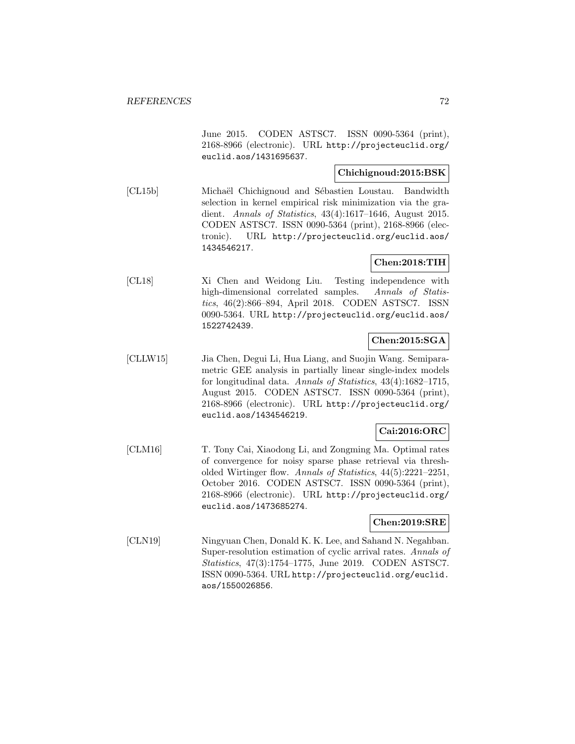June 2015. CODEN ASTSC7. ISSN 0090-5364 (print), 2168-8966 (electronic). URL http://projecteuclid.org/ euclid.aos/1431695637.

### **Chichignoud:2015:BSK**

[CL15b] Michaël Chichignoud and Sébastien Loustau. Bandwidth selection in kernel empirical risk minimization via the gradient. Annals of Statistics, 43(4):1617–1646, August 2015. CODEN ASTSC7. ISSN 0090-5364 (print), 2168-8966 (electronic). URL http://projecteuclid.org/euclid.aos/ 1434546217.

### **Chen:2018:TIH**

[CL18] Xi Chen and Weidong Liu. Testing independence with high-dimensional correlated samples. Annals of Statistics, 46(2):866–894, April 2018. CODEN ASTSC7. ISSN 0090-5364. URL http://projecteuclid.org/euclid.aos/ 1522742439.

# **Chen:2015:SGA**

[CLLW15] Jia Chen, Degui Li, Hua Liang, and Suojin Wang. Semiparametric GEE analysis in partially linear single-index models for longitudinal data. Annals of Statistics, 43(4):1682–1715, August 2015. CODEN ASTSC7. ISSN 0090-5364 (print), 2168-8966 (electronic). URL http://projecteuclid.org/ euclid.aos/1434546219.

### **Cai:2016:ORC**

[CLM16] T. Tony Cai, Xiaodong Li, and Zongming Ma. Optimal rates of convergence for noisy sparse phase retrieval via thresholded Wirtinger flow. Annals of Statistics, 44(5):2221–2251, October 2016. CODEN ASTSC7. ISSN 0090-5364 (print), 2168-8966 (electronic). URL http://projecteuclid.org/ euclid.aos/1473685274.

### **Chen:2019:SRE**

[CLN19] Ningyuan Chen, Donald K. K. Lee, and Sahand N. Negahban. Super-resolution estimation of cyclic arrival rates. Annals of Statistics, 47(3):1754–1775, June 2019. CODEN ASTSC7. ISSN 0090-5364. URL http://projecteuclid.org/euclid. aos/1550026856.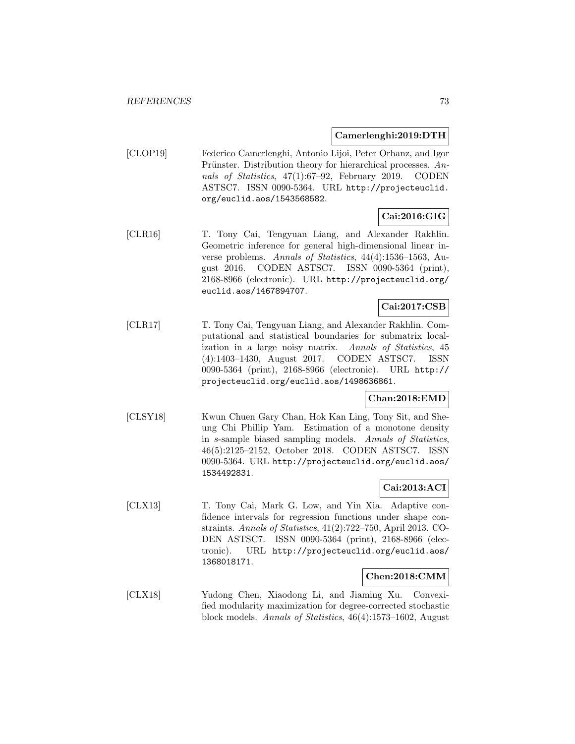#### **Camerlenghi:2019:DTH**

[CLOP19] Federico Camerlenghi, Antonio Lijoi, Peter Orbanz, and Igor Prünster. Distribution theory for hierarchical processes.  $An$ nals of Statistics, 47(1):67–92, February 2019. CODEN ASTSC7. ISSN 0090-5364. URL http://projecteuclid. org/euclid.aos/1543568582.

# **Cai:2016:GIG**

[CLR16] T. Tony Cai, Tengyuan Liang, and Alexander Rakhlin. Geometric inference for general high-dimensional linear inverse problems. Annals of Statistics, 44(4):1536–1563, August 2016. CODEN ASTSC7. ISSN 0090-5364 (print), 2168-8966 (electronic). URL http://projecteuclid.org/ euclid.aos/1467894707.

# **Cai:2017:CSB**

[CLR17] T. Tony Cai, Tengyuan Liang, and Alexander Rakhlin. Computational and statistical boundaries for submatrix localization in a large noisy matrix. Annals of Statistics, 45 (4):1403–1430, August 2017. CODEN ASTSC7. ISSN 0090-5364 (print), 2168-8966 (electronic). URL http:// projecteuclid.org/euclid.aos/1498636861.

#### **Chan:2018:EMD**

[CLSY18] Kwun Chuen Gary Chan, Hok Kan Ling, Tony Sit, and Sheung Chi Phillip Yam. Estimation of a monotone density in s-sample biased sampling models. Annals of Statistics, 46(5):2125–2152, October 2018. CODEN ASTSC7. ISSN 0090-5364. URL http://projecteuclid.org/euclid.aos/ 1534492831.

## **Cai:2013:ACI**

[CLX13] T. Tony Cai, Mark G. Low, and Yin Xia. Adaptive confidence intervals for regression functions under shape constraints. Annals of Statistics, 41(2):722–750, April 2013. CO-DEN ASTSC7. ISSN 0090-5364 (print), 2168-8966 (electronic). URL http://projecteuclid.org/euclid.aos/ 1368018171.

#### **Chen:2018:CMM**

[CLX18] Yudong Chen, Xiaodong Li, and Jiaming Xu. Convexified modularity maximization for degree-corrected stochastic block models. Annals of Statistics, 46(4):1573–1602, August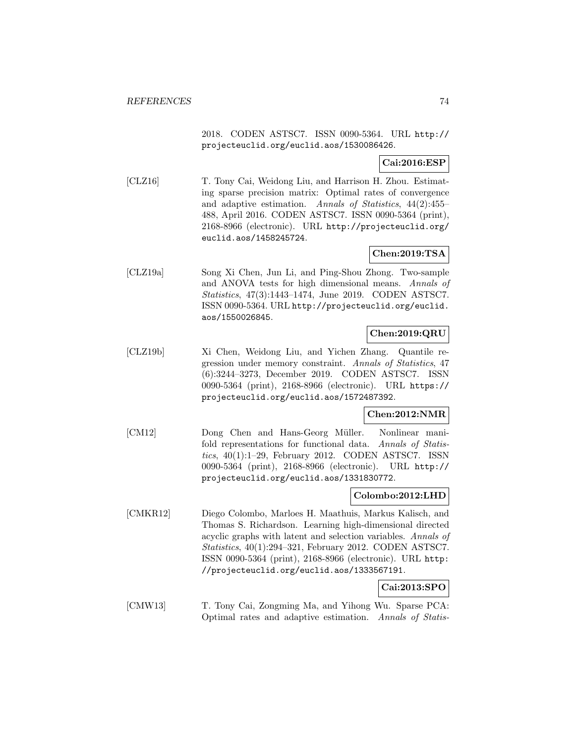2018. CODEN ASTSC7. ISSN 0090-5364. URL http:// projecteuclid.org/euclid.aos/1530086426.

## **Cai:2016:ESP**

[CLZ16] T. Tony Cai, Weidong Liu, and Harrison H. Zhou. Estimating sparse precision matrix: Optimal rates of convergence and adaptive estimation. Annals of Statistics, 44(2):455– 488, April 2016. CODEN ASTSC7. ISSN 0090-5364 (print), 2168-8966 (electronic). URL http://projecteuclid.org/ euclid.aos/1458245724.

# **Chen:2019:TSA**

[CLZ19a] Song Xi Chen, Jun Li, and Ping-Shou Zhong. Two-sample and ANOVA tests for high dimensional means. Annals of Statistics, 47(3):1443–1474, June 2019. CODEN ASTSC7. ISSN 0090-5364. URL http://projecteuclid.org/euclid. aos/1550026845.

# **Chen:2019:QRU**

[CLZ19b] Xi Chen, Weidong Liu, and Yichen Zhang. Quantile regression under memory constraint. Annals of Statistics, 47 (6):3244–3273, December 2019. CODEN ASTSC7. ISSN 0090-5364 (print), 2168-8966 (electronic). URL https:// projecteuclid.org/euclid.aos/1572487392.

## **Chen:2012:NMR**

[CM12] Dong Chen and Hans-Georg Müller. Nonlinear manifold representations for functional data. Annals of Statistics, 40(1):1–29, February 2012. CODEN ASTSC7. ISSN 0090-5364 (print), 2168-8966 (electronic). URL http:// projecteuclid.org/euclid.aos/1331830772.

## **Colombo:2012:LHD**

[CMKR12] Diego Colombo, Marloes H. Maathuis, Markus Kalisch, and Thomas S. Richardson. Learning high-dimensional directed acyclic graphs with latent and selection variables. Annals of Statistics, 40(1):294–321, February 2012. CODEN ASTSC7. ISSN 0090-5364 (print), 2168-8966 (electronic). URL http: //projecteuclid.org/euclid.aos/1333567191.

# **Cai:2013:SPO**

[CMW13] T. Tony Cai, Zongming Ma, and Yihong Wu. Sparse PCA: Optimal rates and adaptive estimation. Annals of Statis-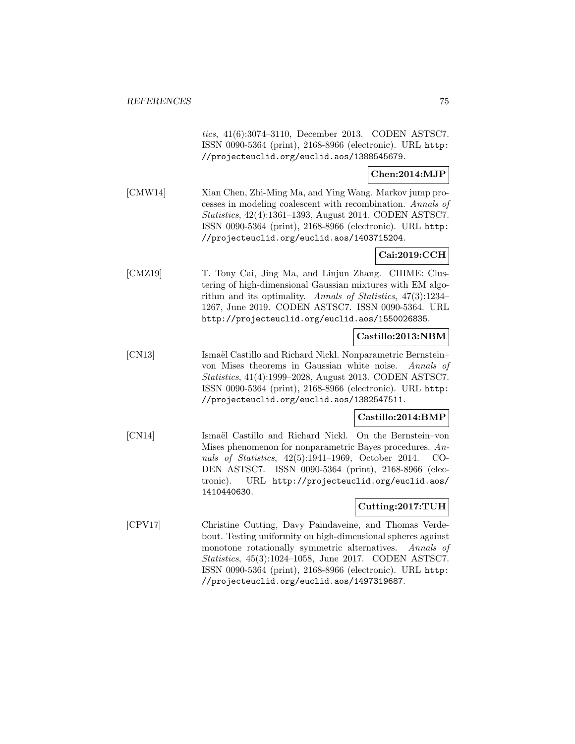tics, 41(6):3074–3110, December 2013. CODEN ASTSC7. ISSN 0090-5364 (print), 2168-8966 (electronic). URL http: //projecteuclid.org/euclid.aos/1388545679.

#### **Chen:2014:MJP**

[CMW14] Xian Chen, Zhi-Ming Ma, and Ying Wang. Markov jump processes in modeling coalescent with recombination. Annals of Statistics, 42(4):1361–1393, August 2014. CODEN ASTSC7. ISSN 0090-5364 (print), 2168-8966 (electronic). URL http: //projecteuclid.org/euclid.aos/1403715204.

# **Cai:2019:CCH**

[CMZ19] T. Tony Cai, Jing Ma, and Linjun Zhang. CHIME: Clustering of high-dimensional Gaussian mixtures with EM algorithm and its optimality. Annals of Statistics, 47(3):1234– 1267, June 2019. CODEN ASTSC7. ISSN 0090-5364. URL http://projecteuclid.org/euclid.aos/1550026835.

#### **Castillo:2013:NBM**

[CN13] Ismaël Castillo and Richard Nickl. Nonparametric Bernstein– von Mises theorems in Gaussian white noise. Annals of Statistics, 41(4):1999–2028, August 2013. CODEN ASTSC7. ISSN 0090-5364 (print), 2168-8966 (electronic). URL http: //projecteuclid.org/euclid.aos/1382547511.

## **Castillo:2014:BMP**

[CN14] Ismaël Castillo and Richard Nickl. On the Bernstein–von Mises phenomenon for nonparametric Bayes procedures. Annals of Statistics, 42(5):1941–1969, October 2014. CO-DEN ASTSC7. ISSN 0090-5364 (print), 2168-8966 (electronic). URL http://projecteuclid.org/euclid.aos/ 1410440630.

## **Cutting:2017:TUH**

[CPV17] Christine Cutting, Davy Paindaveine, and Thomas Verdebout. Testing uniformity on high-dimensional spheres against monotone rotationally symmetric alternatives. Annals of Statistics, 45(3):1024–1058, June 2017. CODEN ASTSC7. ISSN 0090-5364 (print), 2168-8966 (electronic). URL http: //projecteuclid.org/euclid.aos/1497319687.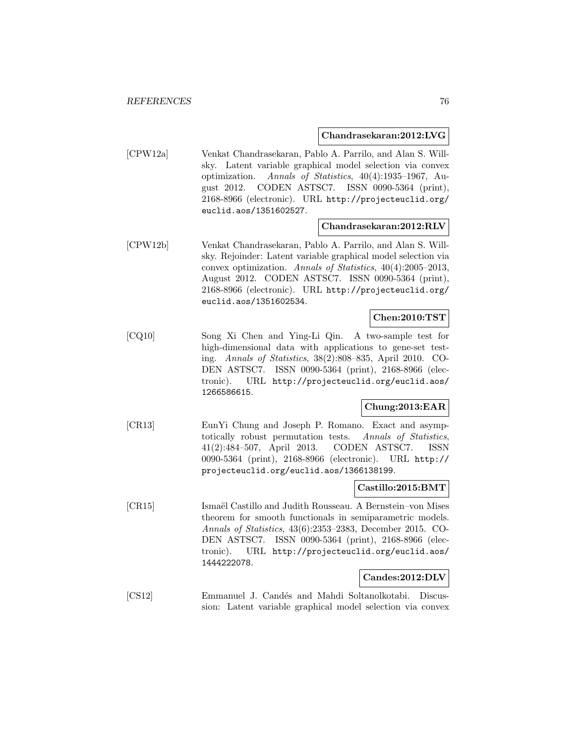#### **Chandrasekaran:2012:LVG**

[CPW12a] Venkat Chandrasekaran, Pablo A. Parrilo, and Alan S. Willsky. Latent variable graphical model selection via convex optimization. Annals of Statistics, 40(4):1935–1967, August 2012. CODEN ASTSC7. ISSN 0090-5364 (print), 2168-8966 (electronic). URL http://projecteuclid.org/ euclid.aos/1351602527.

#### **Chandrasekaran:2012:RLV**

[CPW12b] Venkat Chandrasekaran, Pablo A. Parrilo, and Alan S. Willsky. Rejoinder: Latent variable graphical model selection via convex optimization. Annals of Statistics, 40(4):2005–2013, August 2012. CODEN ASTSC7. ISSN 0090-5364 (print), 2168-8966 (electronic). URL http://projecteuclid.org/ euclid.aos/1351602534.

#### **Chen:2010:TST**

[CQ10] Song Xi Chen and Ying-Li Qin. A two-sample test for high-dimensional data with applications to gene-set testing. Annals of Statistics, 38(2):808–835, April 2010. CO-DEN ASTSC7. ISSN 0090-5364 (print), 2168-8966 (electronic). URL http://projecteuclid.org/euclid.aos/ 1266586615.

## **Chung:2013:EAR**

[CR13] EunYi Chung and Joseph P. Romano. Exact and asymptotically robust permutation tests. Annals of Statistics, 41(2):484–507, April 2013. CODEN ASTSC7. ISSN 0090-5364 (print), 2168-8966 (electronic). URL http:// projecteuclid.org/euclid.aos/1366138199.

#### **Castillo:2015:BMT**

[CR15] Ismaël Castillo and Judith Rousseau. A Bernstein–von Mises theorem for smooth functionals in semiparametric models. Annals of Statistics, 43(6):2353–2383, December 2015. CO-DEN ASTSC7. ISSN 0090-5364 (print), 2168-8966 (electronic). URL http://projecteuclid.org/euclid.aos/ 1444222078.

#### **Candes:2012:DLV**

[CS12] Emmanuel J. Candés and Mahdi Soltanolkotabi. Discussion: Latent variable graphical model selection via convex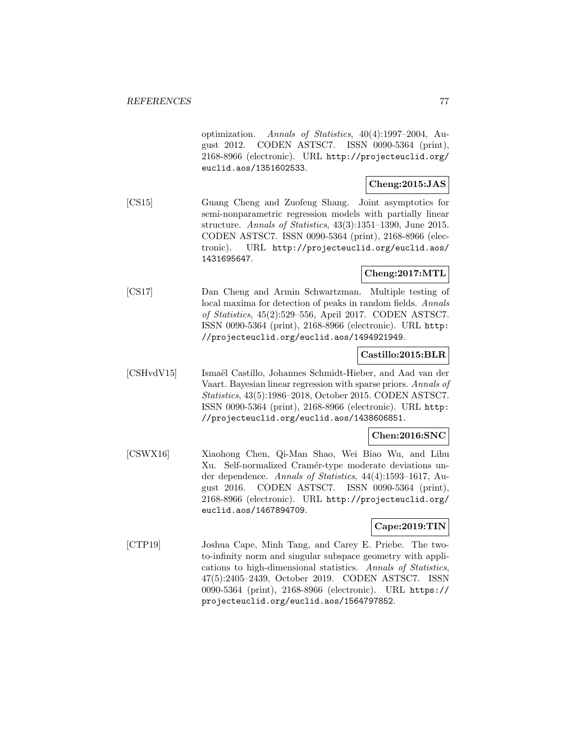optimization. Annals of Statistics, 40(4):1997–2004, August 2012. CODEN ASTSC7. ISSN 0090-5364 (print), 2168-8966 (electronic). URL http://projecteuclid.org/ euclid.aos/1351602533.

## **Cheng:2015:JAS**

[CS15] Guang Cheng and Zuofeng Shang. Joint asymptotics for semi-nonparametric regression models with partially linear structure. Annals of Statistics, 43(3):1351–1390, June 2015. CODEN ASTSC7. ISSN 0090-5364 (print), 2168-8966 (electronic). URL http://projecteuclid.org/euclid.aos/ 1431695647.

# **Cheng:2017:MTL**

[CS17] Dan Cheng and Armin Schwartzman. Multiple testing of local maxima for detection of peaks in random fields. Annals of Statistics, 45(2):529–556, April 2017. CODEN ASTSC7. ISSN 0090-5364 (print), 2168-8966 (electronic). URL http: //projecteuclid.org/euclid.aos/1494921949.

## **Castillo:2015:BLR**

[CSHvdV15] Ismaël Castillo, Johannes Schmidt-Hieber, and Aad van der Vaart. Bayesian linear regression with sparse priors. Annals of Statistics, 43(5):1986–2018, October 2015. CODEN ASTSC7. ISSN 0090-5364 (print), 2168-8966 (electronic). URL http: //projecteuclid.org/euclid.aos/1438606851.

## **Chen:2016:SNC**

[CSWX16] Xiaohong Chen, Qi-Man Shao, Wei Biao Wu, and Lihu Xu. Self-normalized Cramér-type moderate deviations under dependence. Annals of Statistics, 44(4):1593–1617, August 2016. CODEN ASTSC7. ISSN 0090-5364 (print), 2168-8966 (electronic). URL http://projecteuclid.org/ euclid.aos/1467894709.

# **Cape:2019:TIN**

[CTP19] Joshua Cape, Minh Tang, and Carey E. Priebe. The twoto-infinity norm and singular subspace geometry with applications to high-dimensional statistics. Annals of Statistics, 47(5):2405–2439, October 2019. CODEN ASTSC7. ISSN 0090-5364 (print), 2168-8966 (electronic). URL https:// projecteuclid.org/euclid.aos/1564797852.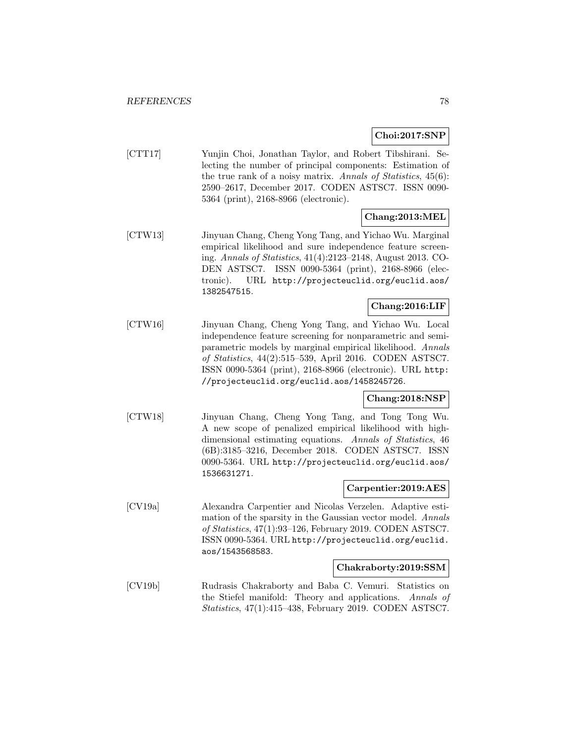## **Choi:2017:SNP**

[CTT17] Yunjin Choi, Jonathan Taylor, and Robert Tibshirani. Selecting the number of principal components: Estimation of the true rank of a noisy matrix. Annals of Statistics, 45(6): 2590–2617, December 2017. CODEN ASTSC7. ISSN 0090- 5364 (print), 2168-8966 (electronic).

# **Chang:2013:MEL**

[CTW13] Jinyuan Chang, Cheng Yong Tang, and Yichao Wu. Marginal empirical likelihood and sure independence feature screening. Annals of Statistics, 41(4):2123–2148, August 2013. CO-DEN ASTSC7. ISSN 0090-5364 (print), 2168-8966 (electronic). URL http://projecteuclid.org/euclid.aos/ 1382547515.

# **Chang:2016:LIF**

[CTW16] Jinyuan Chang, Cheng Yong Tang, and Yichao Wu. Local independence feature screening for nonparametric and semiparametric models by marginal empirical likelihood. Annals of Statistics, 44(2):515–539, April 2016. CODEN ASTSC7. ISSN 0090-5364 (print), 2168-8966 (electronic). URL http: //projecteuclid.org/euclid.aos/1458245726.

#### **Chang:2018:NSP**

[CTW18] Jinyuan Chang, Cheng Yong Tang, and Tong Tong Wu. A new scope of penalized empirical likelihood with highdimensional estimating equations. Annals of Statistics, 46 (6B):3185–3216, December 2018. CODEN ASTSC7. ISSN 0090-5364. URL http://projecteuclid.org/euclid.aos/ 1536631271.

#### **Carpentier:2019:AES**

[CV19a] Alexandra Carpentier and Nicolas Verzelen. Adaptive estimation of the sparsity in the Gaussian vector model. Annals of Statistics, 47(1):93–126, February 2019. CODEN ASTSC7. ISSN 0090-5364. URL http://projecteuclid.org/euclid. aos/1543568583.

#### **Chakraborty:2019:SSM**

[CV19b] Rudrasis Chakraborty and Baba C. Vemuri. Statistics on the Stiefel manifold: Theory and applications. Annals of Statistics, 47(1):415–438, February 2019. CODEN ASTSC7.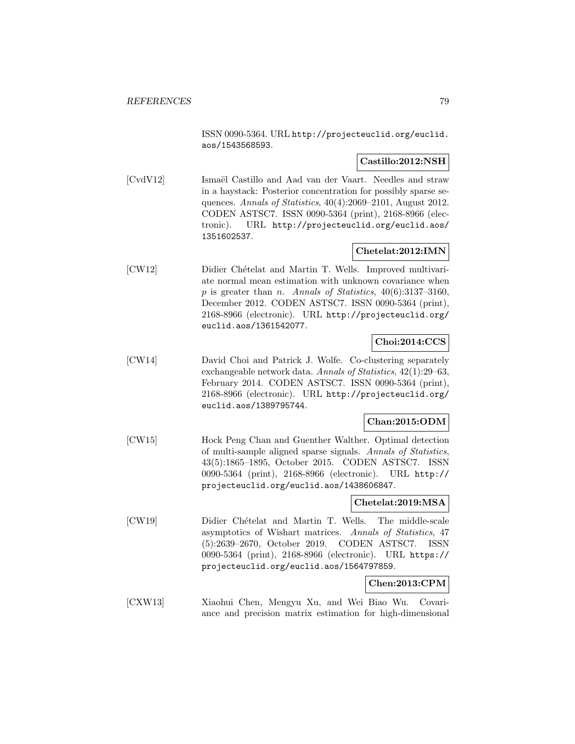ISSN 0090-5364. URL http://projecteuclid.org/euclid. aos/1543568593.

## **Castillo:2012:NSH**

[CvdV12] Ismaël Castillo and Aad van der Vaart. Needles and straw in a haystack: Posterior concentration for possibly sparse sequences. Annals of Statistics, 40(4):2069–2101, August 2012. CODEN ASTSC7. ISSN 0090-5364 (print), 2168-8966 (electronic). URL http://projecteuclid.org/euclid.aos/ 1351602537.

# **Chetelat:2012:IMN**

[CW12] Didier Chételat and Martin T. Wells. Improved multivariate normal mean estimation with unknown covariance when p is greater than n. Annals of Statistics,  $40(6):3137-3160$ , December 2012. CODEN ASTSC7. ISSN 0090-5364 (print), 2168-8966 (electronic). URL http://projecteuclid.org/ euclid.aos/1361542077.

# **Choi:2014:CCS**

[CW14] David Choi and Patrick J. Wolfe. Co-clustering separately exchangeable network data. Annals of Statistics, 42(1):29–63, February 2014. CODEN ASTSC7. ISSN 0090-5364 (print), 2168-8966 (electronic). URL http://projecteuclid.org/ euclid.aos/1389795744.

## **Chan:2015:ODM**

[CW15] Hock Peng Chan and Guenther Walther. Optimal detection of multi-sample aligned sparse signals. Annals of Statistics, 43(5):1865–1895, October 2015. CODEN ASTSC7. ISSN 0090-5364 (print), 2168-8966 (electronic). URL http:// projecteuclid.org/euclid.aos/1438606847.

#### **Chetelat:2019:MSA**

[CW19] Didier Ch´etelat and Martin T. Wells. The middle-scale asymptotics of Wishart matrices. Annals of Statistics, 47 (5):2639–2670, October 2019. CODEN ASTSC7. ISSN 0090-5364 (print), 2168-8966 (electronic). URL https:// projecteuclid.org/euclid.aos/1564797859.

## **Chen:2013:CPM**

[CXW13] Xiaohui Chen, Mengyu Xu, and Wei Biao Wu. Covariance and precision matrix estimation for high-dimensional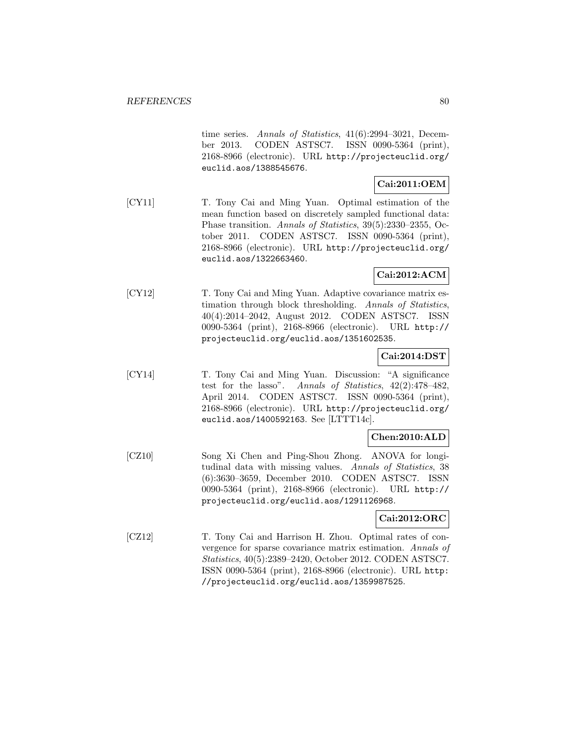time series. Annals of Statistics, 41(6):2994–3021, December 2013. CODEN ASTSC7. ISSN 0090-5364 (print), 2168-8966 (electronic). URL http://projecteuclid.org/ euclid.aos/1388545676.

## **Cai:2011:OEM**

[CY11] T. Tony Cai and Ming Yuan. Optimal estimation of the mean function based on discretely sampled functional data: Phase transition. Annals of Statistics, 39(5):2330–2355, October 2011. CODEN ASTSC7. ISSN 0090-5364 (print), 2168-8966 (electronic). URL http://projecteuclid.org/ euclid.aos/1322663460.

## **Cai:2012:ACM**

[CY12] T. Tony Cai and Ming Yuan. Adaptive covariance matrix estimation through block thresholding. Annals of Statistics, 40(4):2014–2042, August 2012. CODEN ASTSC7. ISSN 0090-5364 (print), 2168-8966 (electronic). URL http:// projecteuclid.org/euclid.aos/1351602535.

## **Cai:2014:DST**

[CY14] T. Tony Cai and Ming Yuan. Discussion: "A significance test for the lasso". Annals of Statistics, 42(2):478–482, April 2014. CODEN ASTSC7. ISSN 0090-5364 (print), 2168-8966 (electronic). URL http://projecteuclid.org/ euclid.aos/1400592163. See [LTTT14c].

## **Chen:2010:ALD**

[CZ10] Song Xi Chen and Ping-Shou Zhong. ANOVA for longitudinal data with missing values. Annals of Statistics, 38 (6):3630–3659, December 2010. CODEN ASTSC7. ISSN 0090-5364 (print), 2168-8966 (electronic). URL http:// projecteuclid.org/euclid.aos/1291126968.

# **Cai:2012:ORC**

[CZ12] T. Tony Cai and Harrison H. Zhou. Optimal rates of convergence for sparse covariance matrix estimation. Annals of Statistics, 40(5):2389–2420, October 2012. CODEN ASTSC7. ISSN 0090-5364 (print), 2168-8966 (electronic). URL http: //projecteuclid.org/euclid.aos/1359987525.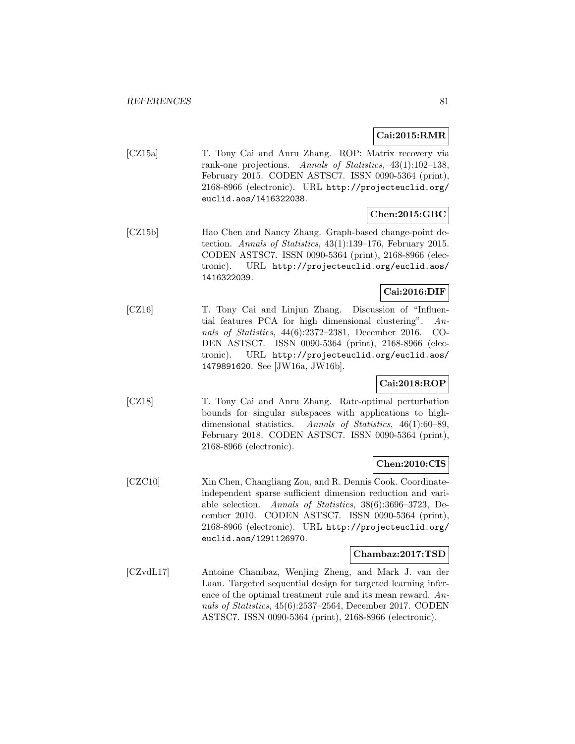**Cai:2015:RMR**

[CZ15a] T. Tony Cai and Anru Zhang. ROP: Matrix recovery via rank-one projections. Annals of Statistics, 43(1):102–138, February 2015. CODEN ASTSC7. ISSN 0090-5364 (print), 2168-8966 (electronic). URL http://projecteuclid.org/ euclid.aos/1416322038.

# **Chen:2015:GBC**

[CZ15b] Hao Chen and Nancy Zhang. Graph-based change-point detection. Annals of Statistics, 43(1):139–176, February 2015. CODEN ASTSC7. ISSN 0090-5364 (print), 2168-8966 (electronic). URL http://projecteuclid.org/euclid.aos/ 1416322039.

## **Cai:2016:DIF**

[CZ16] T. Tony Cai and Linjun Zhang. Discussion of "Influential features PCA for high dimensional clustering". Annals of Statistics, 44(6):2372–2381, December 2016. CO-DEN ASTSC7. ISSN 0090-5364 (print), 2168-8966 (electronic). URL http://projecteuclid.org/euclid.aos/ 1479891620. See [JW16a, JW16b].

# **Cai:2018:ROP**

[CZ18] T. Tony Cai and Anru Zhang. Rate-optimal perturbation bounds for singular subspaces with applications to highdimensional statistics. Annals of Statistics, 46(1):60–89, February 2018. CODEN ASTSC7. ISSN 0090-5364 (print), 2168-8966 (electronic).

# **Chen:2010:CIS**

[CZC10] Xin Chen, Changliang Zou, and R. Dennis Cook. Coordinateindependent sparse sufficient dimension reduction and variable selection. Annals of Statistics, 38(6):3696–3723, December 2010. CODEN ASTSC7. ISSN 0090-5364 (print), 2168-8966 (electronic). URL http://projecteuclid.org/ euclid.aos/1291126970.

#### **Chambaz:2017:TSD**

[CZvdL17] Antoine Chambaz, Wenjing Zheng, and Mark J. van der Laan. Targeted sequential design for targeted learning inference of the optimal treatment rule and its mean reward. Annals of Statistics, 45(6):2537–2564, December 2017. CODEN ASTSC7. ISSN 0090-5364 (print), 2168-8966 (electronic).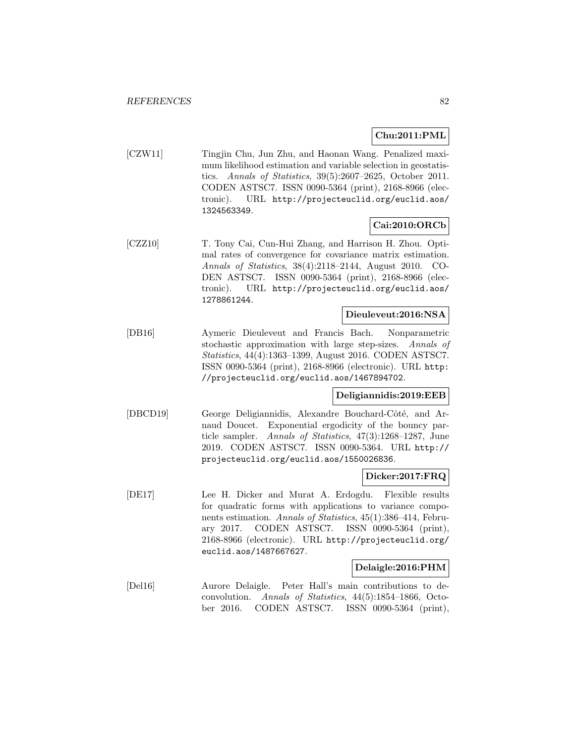## **Chu:2011:PML**

[CZW11] Tingjin Chu, Jun Zhu, and Haonan Wang. Penalized maximum likelihood estimation and variable selection in geostatistics. Annals of Statistics, 39(5):2607–2625, October 2011. CODEN ASTSC7. ISSN 0090-5364 (print), 2168-8966 (electronic). URL http://projecteuclid.org/euclid.aos/ 1324563349.

# **Cai:2010:ORCb**

[CZZ10] T. Tony Cai, Cun-Hui Zhang, and Harrison H. Zhou. Optimal rates of convergence for covariance matrix estimation. Annals of Statistics, 38(4):2118–2144, August 2010. CO-DEN ASTSC7. ISSN 0090-5364 (print), 2168-8966 (electronic). URL http://projecteuclid.org/euclid.aos/ 1278861244.

#### **Dieuleveut:2016:NSA**

[DB16] Aymeric Dieuleveut and Francis Bach. Nonparametric stochastic approximation with large step-sizes. Annals of Statistics, 44(4):1363–1399, August 2016. CODEN ASTSC7. ISSN 0090-5364 (print), 2168-8966 (electronic). URL http: //projecteuclid.org/euclid.aos/1467894702.

#### **Deligiannidis:2019:EEB**

[DBCD19] George Deligiannidis, Alexandre Bouchard-Côté, and Arnaud Doucet. Exponential ergodicity of the bouncy particle sampler. Annals of Statistics, 47(3):1268–1287, June 2019. CODEN ASTSC7. ISSN 0090-5364. URL http:// projecteuclid.org/euclid.aos/1550026836.

#### **Dicker:2017:FRQ**

[DE17] Lee H. Dicker and Murat A. Erdogdu. Flexible results for quadratic forms with applications to variance components estimation. Annals of Statistics, 45(1):386–414, February 2017. CODEN ASTSC7. ISSN 0090-5364 (print), 2168-8966 (electronic). URL http://projecteuclid.org/ euclid.aos/1487667627.

#### **Delaigle:2016:PHM**

[Del16] Aurore Delaigle. Peter Hall's main contributions to deconvolution. Annals of Statistics, 44(5):1854–1866, October 2016. CODEN ASTSC7. ISSN 0090-5364 (print),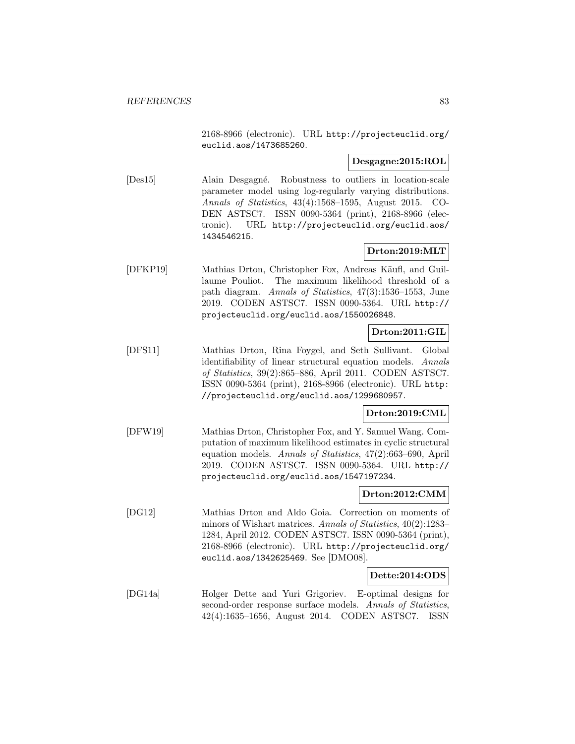2168-8966 (electronic). URL http://projecteuclid.org/ euclid.aos/1473685260.

## **Desgagne:2015:ROL**

[Des15] Alain Desgagn´e. Robustness to outliers in location-scale parameter model using log-regularly varying distributions. Annals of Statistics, 43(4):1568–1595, August 2015. CO-DEN ASTSC7. ISSN 0090-5364 (print), 2168-8966 (electronic). URL http://projecteuclid.org/euclid.aos/ 1434546215.

## **Drton:2019:MLT**

[DFKP19] Mathias Drton, Christopher Fox, Andreas Käufl, and Guillaume Pouliot. The maximum likelihood threshold of a path diagram. Annals of Statistics, 47(3):1536–1553, June 2019. CODEN ASTSC7. ISSN 0090-5364. URL http:// projecteuclid.org/euclid.aos/1550026848.

# **Drton:2011:GIL**

[DFS11] Mathias Drton, Rina Foygel, and Seth Sullivant. Global identifiability of linear structural equation models. Annals of Statistics, 39(2):865–886, April 2011. CODEN ASTSC7. ISSN 0090-5364 (print), 2168-8966 (electronic). URL http: //projecteuclid.org/euclid.aos/1299680957.

## **Drton:2019:CML**

[DFW19] Mathias Drton, Christopher Fox, and Y. Samuel Wang. Computation of maximum likelihood estimates in cyclic structural equation models. Annals of Statistics, 47(2):663–690, April 2019. CODEN ASTSC7. ISSN 0090-5364. URL http:// projecteuclid.org/euclid.aos/1547197234.

## **Drton:2012:CMM**

[DG12] Mathias Drton and Aldo Goia. Correction on moments of minors of Wishart matrices. Annals of Statistics, 40(2):1283– 1284, April 2012. CODEN ASTSC7. ISSN 0090-5364 (print), 2168-8966 (electronic). URL http://projecteuclid.org/ euclid.aos/1342625469. See [DMO08].

#### **Dette:2014:ODS**

[DG14a] Holger Dette and Yuri Grigoriev. E-optimal designs for second-order response surface models. Annals of Statistics, 42(4):1635–1656, August 2014. CODEN ASTSC7. ISSN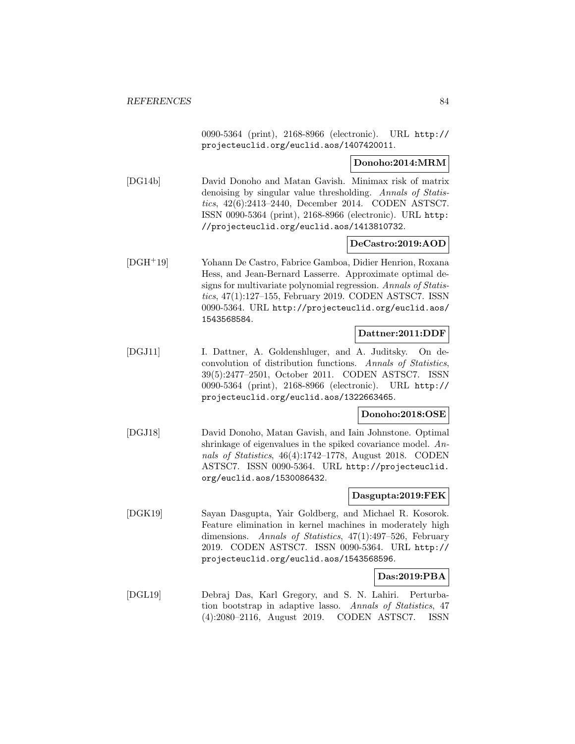0090-5364 (print), 2168-8966 (electronic). URL http:// projecteuclid.org/euclid.aos/1407420011.

## **Donoho:2014:MRM**

[DG14b] David Donoho and Matan Gavish. Minimax risk of matrix denoising by singular value thresholding. Annals of Statistics, 42(6):2413–2440, December 2014. CODEN ASTSC7. ISSN 0090-5364 (print), 2168-8966 (electronic). URL http: //projecteuclid.org/euclid.aos/1413810732.

#### **DeCastro:2019:AOD**

[DGH<sup>+</sup>19] Yohann De Castro, Fabrice Gamboa, Didier Henrion, Roxana Hess, and Jean-Bernard Lasserre. Approximate optimal designs for multivariate polynomial regression. Annals of Statistics, 47(1):127–155, February 2019. CODEN ASTSC7. ISSN 0090-5364. URL http://projecteuclid.org/euclid.aos/ 1543568584.

#### **Dattner:2011:DDF**

[DGJ11] I. Dattner, A. Goldenshluger, and A. Juditsky. On deconvolution of distribution functions. Annals of Statistics, 39(5):2477–2501, October 2011. CODEN ASTSC7. ISSN 0090-5364 (print), 2168-8966 (electronic). URL http:// projecteuclid.org/euclid.aos/1322663465.

### **Donoho:2018:OSE**

[DGJ18] David Donoho, Matan Gavish, and Iain Johnstone. Optimal shrinkage of eigenvalues in the spiked covariance model. Annals of Statistics, 46(4):1742–1778, August 2018. CODEN ASTSC7. ISSN 0090-5364. URL http://projecteuclid. org/euclid.aos/1530086432.

## **Dasgupta:2019:FEK**

[DGK19] Sayan Dasgupta, Yair Goldberg, and Michael R. Kosorok. Feature elimination in kernel machines in moderately high dimensions. Annals of Statistics, 47(1):497–526, February 2019. CODEN ASTSC7. ISSN 0090-5364. URL http:// projecteuclid.org/euclid.aos/1543568596.

#### **Das:2019:PBA**

[DGL19] Debraj Das, Karl Gregory, and S. N. Lahiri. Perturbation bootstrap in adaptive lasso. Annals of Statistics, 47 (4):2080–2116, August 2019. CODEN ASTSC7. ISSN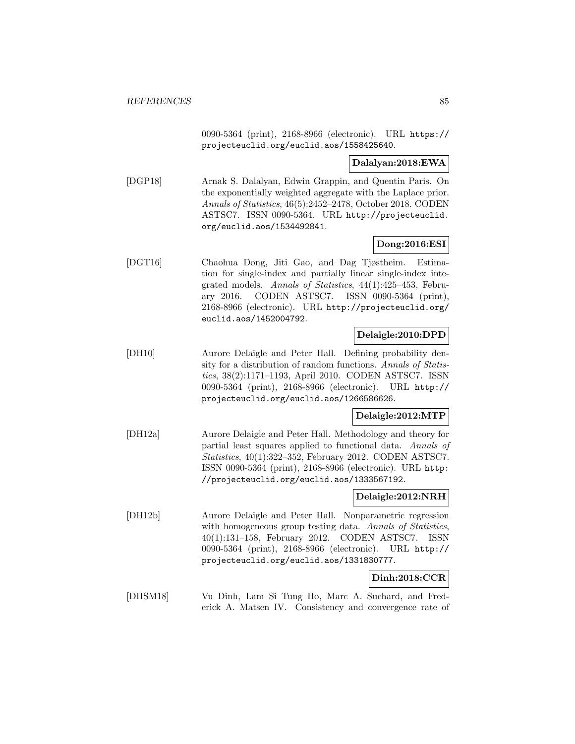0090-5364 (print), 2168-8966 (electronic). URL https:// projecteuclid.org/euclid.aos/1558425640.

#### **Dalalyan:2018:EWA**

[DGP18] Arnak S. Dalalyan, Edwin Grappin, and Quentin Paris. On the exponentially weighted aggregate with the Laplace prior. Annals of Statistics, 46(5):2452–2478, October 2018. CODEN ASTSC7. ISSN 0090-5364. URL http://projecteuclid. org/euclid.aos/1534492841.

## **Dong:2016:ESI**

[DGT16] Chaohua Dong, Jiti Gao, and Dag Tjøstheim. Estimation for single-index and partially linear single-index integrated models. Annals of Statistics, 44(1):425–453, February 2016. CODEN ASTSC7. ISSN 0090-5364 (print), 2168-8966 (electronic). URL http://projecteuclid.org/ euclid.aos/1452004792.

## **Delaigle:2010:DPD**

[DH10] Aurore Delaigle and Peter Hall. Defining probability density for a distribution of random functions. Annals of Statistics, 38(2):1171–1193, April 2010. CODEN ASTSC7. ISSN 0090-5364 (print), 2168-8966 (electronic). URL http:// projecteuclid.org/euclid.aos/1266586626.

## **Delaigle:2012:MTP**

[DH12a] Aurore Delaigle and Peter Hall. Methodology and theory for partial least squares applied to functional data. Annals of Statistics, 40(1):322–352, February 2012. CODEN ASTSC7. ISSN 0090-5364 (print), 2168-8966 (electronic). URL http: //projecteuclid.org/euclid.aos/1333567192.

#### **Delaigle:2012:NRH**

[DH12b] Aurore Delaigle and Peter Hall. Nonparametric regression with homogeneous group testing data. Annals of Statistics, 40(1):131–158, February 2012. CODEN ASTSC7. ISSN 0090-5364 (print), 2168-8966 (electronic). URL http:// projecteuclid.org/euclid.aos/1331830777.

## **Dinh:2018:CCR**

[DHSM18] Vu Dinh, Lam Si Tung Ho, Marc A. Suchard, and Frederick A. Matsen IV. Consistency and convergence rate of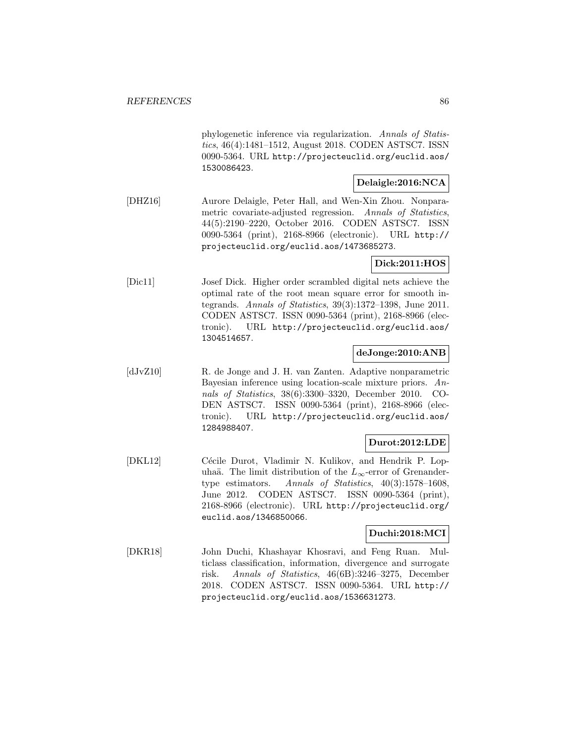phylogenetic inference via regularization. Annals of Statistics, 46(4):1481–1512, August 2018. CODEN ASTSC7. ISSN 0090-5364. URL http://projecteuclid.org/euclid.aos/ 1530086423.

### **Delaigle:2016:NCA**

[DHZ16] Aurore Delaigle, Peter Hall, and Wen-Xin Zhou. Nonparametric covariate-adjusted regression. Annals of Statistics, 44(5):2190–2220, October 2016. CODEN ASTSC7. ISSN 0090-5364 (print), 2168-8966 (electronic). URL http:// projecteuclid.org/euclid.aos/1473685273.

## **Dick:2011:HOS**

[Dic11] Josef Dick. Higher order scrambled digital nets achieve the optimal rate of the root mean square error for smooth integrands. Annals of Statistics, 39(3):1372–1398, June 2011. CODEN ASTSC7. ISSN 0090-5364 (print), 2168-8966 (electronic). URL http://projecteuclid.org/euclid.aos/ 1304514657.

## **deJonge:2010:ANB**

[dJvZ10] R. de Jonge and J. H. van Zanten. Adaptive nonparametric Bayesian inference using location-scale mixture priors. Annals of Statistics, 38(6):3300–3320, December 2010. CO-DEN ASTSC7. ISSN 0090-5364 (print), 2168-8966 (electronic). URL http://projecteuclid.org/euclid.aos/ 1284988407.

## **Durot:2012:LDE**

[DKL12] Cécile Durot, Vladimir N. Kulikov, and Hendrik P. Lopuhaä. The limit distribution of the  $L_{\infty}$ -error of Grenander-<br>type estimators. Annals of Statistics, 40(3):1578–1608, Annals of Statistics,  $40(3):1578-1608$ , June 2012. CODEN ASTSC7. ISSN 0090-5364 (print), 2168-8966 (electronic). URL http://projecteuclid.org/ euclid.aos/1346850066.

## **Duchi:2018:MCI**

[DKR18] John Duchi, Khashayar Khosravi, and Feng Ruan. Multiclass classification, information, divergence and surrogate risk. Annals of Statistics, 46(6B):3246–3275, December 2018. CODEN ASTSC7. ISSN 0090-5364. URL http:// projecteuclid.org/euclid.aos/1536631273.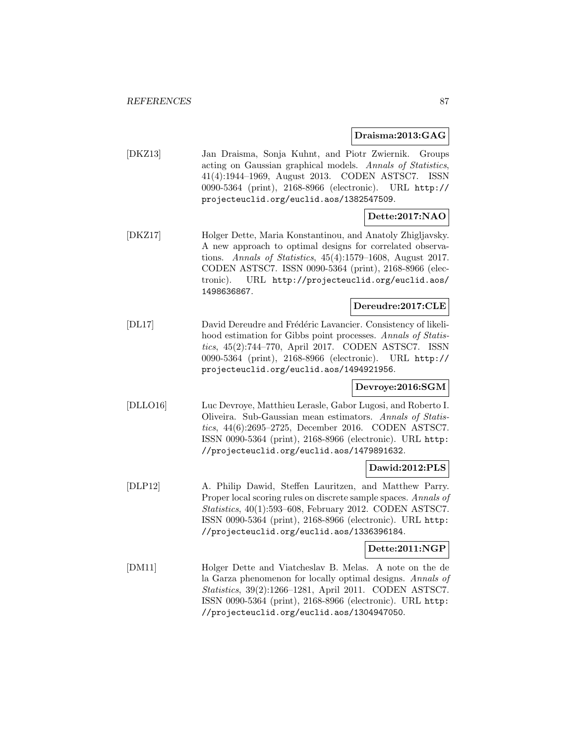**Draisma:2013:GAG**

[DKZ13] Jan Draisma, Sonja Kuhnt, and Piotr Zwiernik. Groups acting on Gaussian graphical models. Annals of Statistics, 41(4):1944–1969, August 2013. CODEN ASTSC7. ISSN 0090-5364 (print), 2168-8966 (electronic). URL http:// projecteuclid.org/euclid.aos/1382547509.

# **Dette:2017:NAO**

[DKZ17] Holger Dette, Maria Konstantinou, and Anatoly Zhigljavsky. A new approach to optimal designs for correlated observations. Annals of Statistics, 45(4):1579–1608, August 2017. CODEN ASTSC7. ISSN 0090-5364 (print), 2168-8966 (electronic). URL http://projecteuclid.org/euclid.aos/ 1498636867.

## **Dereudre:2017:CLE**

[DL17] David Dereudre and Frédéric Lavancier. Consistency of likelihood estimation for Gibbs point processes. Annals of Statistics, 45(2):744–770, April 2017. CODEN ASTSC7. ISSN 0090-5364 (print), 2168-8966 (electronic). URL http:// projecteuclid.org/euclid.aos/1494921956.

# **Devroye:2016:SGM**

[DLLO16] Luc Devroye, Matthieu Lerasle, Gabor Lugosi, and Roberto I. Oliveira. Sub-Gaussian mean estimators. Annals of Statistics, 44(6):2695–2725, December 2016. CODEN ASTSC7. ISSN 0090-5364 (print), 2168-8966 (electronic). URL http: //projecteuclid.org/euclid.aos/1479891632.

#### **Dawid:2012:PLS**

[DLP12] A. Philip Dawid, Steffen Lauritzen, and Matthew Parry. Proper local scoring rules on discrete sample spaces. Annals of Statistics, 40(1):593–608, February 2012. CODEN ASTSC7. ISSN 0090-5364 (print), 2168-8966 (electronic). URL http: //projecteuclid.org/euclid.aos/1336396184.

#### **Dette:2011:NGP**

[DM11] Holger Dette and Viatcheslav B. Melas. A note on the de la Garza phenomenon for locally optimal designs. Annals of Statistics, 39(2):1266–1281, April 2011. CODEN ASTSC7. ISSN 0090-5364 (print), 2168-8966 (electronic). URL http: //projecteuclid.org/euclid.aos/1304947050.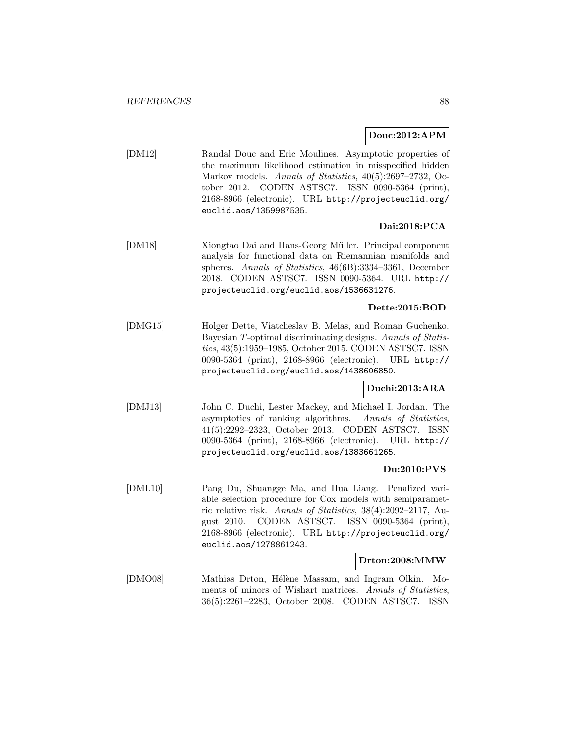## **Douc:2012:APM**

[DM12] Randal Douc and Eric Moulines. Asymptotic properties of the maximum likelihood estimation in misspecified hidden Markov models. Annals of Statistics, 40(5):2697–2732, October 2012. CODEN ASTSC7. ISSN 0090-5364 (print), 2168-8966 (electronic). URL http://projecteuclid.org/ euclid.aos/1359987535.

# **Dai:2018:PCA**

[DM18] Xiongtao Dai and Hans-Georg Müller. Principal component analysis for functional data on Riemannian manifolds and spheres. Annals of Statistics, 46(6B):3334–3361, December 2018. CODEN ASTSC7. ISSN 0090-5364. URL http:// projecteuclid.org/euclid.aos/1536631276.

# **Dette:2015:BOD**

[DMG15] Holger Dette, Viatcheslav B. Melas, and Roman Guchenko. Bayesian T-optimal discriminating designs. Annals of Statistics, 43(5):1959–1985, October 2015. CODEN ASTSC7. ISSN 0090-5364 (print), 2168-8966 (electronic). URL http:// projecteuclid.org/euclid.aos/1438606850.

## **Duchi:2013:ARA**

[DMJ13] John C. Duchi, Lester Mackey, and Michael I. Jordan. The asymptotics of ranking algorithms. Annals of Statistics, 41(5):2292–2323, October 2013. CODEN ASTSC7. ISSN 0090-5364 (print), 2168-8966 (electronic). URL http:// projecteuclid.org/euclid.aos/1383661265.

## **Du:2010:PVS**

[DML10] Pang Du, Shuangge Ma, and Hua Liang. Penalized variable selection procedure for Cox models with semiparametric relative risk. Annals of Statistics, 38(4):2092–2117, August 2010. CODEN ASTSC7. ISSN 0090-5364 (print), 2168-8966 (electronic). URL http://projecteuclid.org/ euclid.aos/1278861243.

#### **Drton:2008:MMW**

[DMO08] Mathias Drton, Hélène Massam, and Ingram Olkin. Moments of minors of Wishart matrices. Annals of Statistics, 36(5):2261–2283, October 2008. CODEN ASTSC7. ISSN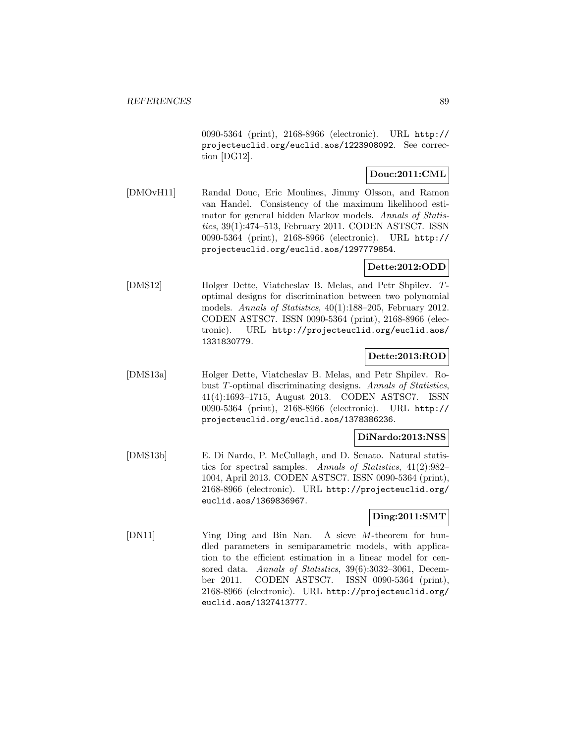0090-5364 (print), 2168-8966 (electronic). URL http:// projecteuclid.org/euclid.aos/1223908092. See correction [DG12].

# **Douc:2011:CML**

[DMOvH11] Randal Douc, Eric Moulines, Jimmy Olsson, and Ramon van Handel. Consistency of the maximum likelihood estimator for general hidden Markov models. Annals of Statistics, 39(1):474–513, February 2011. CODEN ASTSC7. ISSN 0090-5364 (print), 2168-8966 (electronic). URL http:// projecteuclid.org/euclid.aos/1297779854.

## **Dette:2012:ODD**

[DMS12] Holger Dette, Viatcheslav B. Melas, and Petr Shpilev. Toptimal designs for discrimination between two polynomial models. Annals of Statistics, 40(1):188–205, February 2012. CODEN ASTSC7. ISSN 0090-5364 (print), 2168-8966 (electronic). URL http://projecteuclid.org/euclid.aos/ 1331830779.

# **Dette:2013:ROD**

[DMS13a] Holger Dette, Viatcheslav B. Melas, and Petr Shpilev. Robust T-optimal discriminating designs. Annals of Statistics, 41(4):1693–1715, August 2013. CODEN ASTSC7. ISSN 0090-5364 (print), 2168-8966 (electronic). URL http:// projecteuclid.org/euclid.aos/1378386236.

#### **DiNardo:2013:NSS**

[DMS13b] E. Di Nardo, P. McCullagh, and D. Senato. Natural statistics for spectral samples. Annals of Statistics, 41(2):982– 1004, April 2013. CODEN ASTSC7. ISSN 0090-5364 (print), 2168-8966 (electronic). URL http://projecteuclid.org/ euclid.aos/1369836967.

#### **Ding:2011:SMT**

[DN11] Ying Ding and Bin Nan. A sieve M-theorem for bundled parameters in semiparametric models, with application to the efficient estimation in a linear model for censored data. Annals of Statistics, 39(6):3032-3061, December 2011. CODEN ASTSC7. ISSN 0090-5364 (print), 2168-8966 (electronic). URL http://projecteuclid.org/ euclid.aos/1327413777.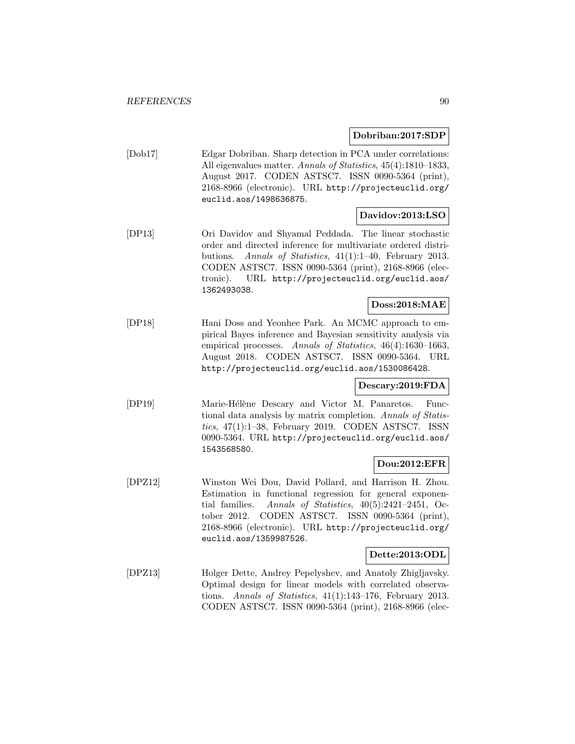**Dobriban:2017:SDP**

[Dob17] Edgar Dobriban. Sharp detection in PCA under correlations: All eigenvalues matter. Annals of Statistics, 45(4):1810–1833, August 2017. CODEN ASTSC7. ISSN 0090-5364 (print), 2168-8966 (electronic). URL http://projecteuclid.org/ euclid.aos/1498636875.

#### **Davidov:2013:LSO**

[DP13] Ori Davidov and Shyamal Peddada. The linear stochastic order and directed inference for multivariate ordered distributions. Annals of Statistics, 41(1):1–40, February 2013. CODEN ASTSC7. ISSN 0090-5364 (print), 2168-8966 (electronic). URL http://projecteuclid.org/euclid.aos/ 1362493038.

## **Doss:2018:MAE**

[DP18] Hani Doss and Yeonhee Park. An MCMC approach to empirical Bayes inference and Bayesian sensitivity analysis via empirical processes. Annals of Statistics, 46(4):1630–1663, August 2018. CODEN ASTSC7. ISSN 0090-5364. URL http://projecteuclid.org/euclid.aos/1530086428.

## **Descary:2019:FDA**

[DP19] Marie-Hélène Descary and Victor M. Panaretos. Functional data analysis by matrix completion. Annals of Statistics, 47(1):1–38, February 2019. CODEN ASTSC7. ISSN 0090-5364. URL http://projecteuclid.org/euclid.aos/ 1543568580.

## **Dou:2012:EFR**

[DPZ12] Winston Wei Dou, David Pollard, and Harrison H. Zhou. Estimation in functional regression for general exponential families. Annals of Statistics, 40(5):2421–2451, October 2012. CODEN ASTSC7. ISSN 0090-5364 (print), 2168-8966 (electronic). URL http://projecteuclid.org/ euclid.aos/1359987526.

#### **Dette:2013:ODL**

[DPZ13] Holger Dette, Andrey Pepelyshev, and Anatoly Zhigljavsky. Optimal design for linear models with correlated observations. Annals of Statistics, 41(1):143–176, February 2013. CODEN ASTSC7. ISSN 0090-5364 (print), 2168-8966 (elec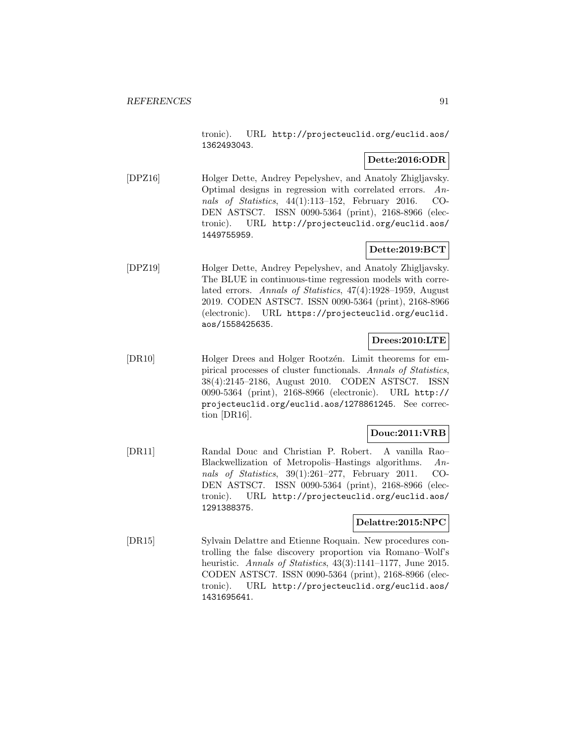tronic). URL http://projecteuclid.org/euclid.aos/ 1362493043.

## **Dette:2016:ODR**

[DPZ16] Holger Dette, Andrey Pepelyshev, and Anatoly Zhigljavsky. Optimal designs in regression with correlated errors. Annals of Statistics, 44(1):113–152, February 2016. CO-DEN ASTSC7. ISSN 0090-5364 (print), 2168-8966 (electronic). URL http://projecteuclid.org/euclid.aos/ 1449755959.

# **Dette:2019:BCT**

[DPZ19] Holger Dette, Andrey Pepelyshev, and Anatoly Zhigljavsky. The BLUE in continuous-time regression models with correlated errors. Annals of Statistics, 47(4):1928–1959, August 2019. CODEN ASTSC7. ISSN 0090-5364 (print), 2168-8966 (electronic). URL https://projecteuclid.org/euclid. aos/1558425635.

# **Drees:2010:LTE**

[DR10] Holger Drees and Holger Rootzen. Limit theorems for empirical processes of cluster functionals. Annals of Statistics, 38(4):2145–2186, August 2010. CODEN ASTSC7. ISSN 0090-5364 (print), 2168-8966 (electronic). URL http:// projecteuclid.org/euclid.aos/1278861245. See correction [DR16].

# **Douc:2011:VRB**

[DR11] Randal Douc and Christian P. Robert. A vanilla Rao– Blackwellization of Metropolis–Hastings algorithms. Annals of Statistics, 39(1):261–277, February 2011. CO-DEN ASTSC7. ISSN 0090-5364 (print), 2168-8966 (electronic). URL http://projecteuclid.org/euclid.aos/ 1291388375.

#### **Delattre:2015:NPC**

[DR15] Sylvain Delattre and Etienne Roquain. New procedures controlling the false discovery proportion via Romano–Wolf's heuristic. Annals of Statistics, 43(3):1141–1177, June 2015. CODEN ASTSC7. ISSN 0090-5364 (print), 2168-8966 (electronic). URL http://projecteuclid.org/euclid.aos/ 1431695641.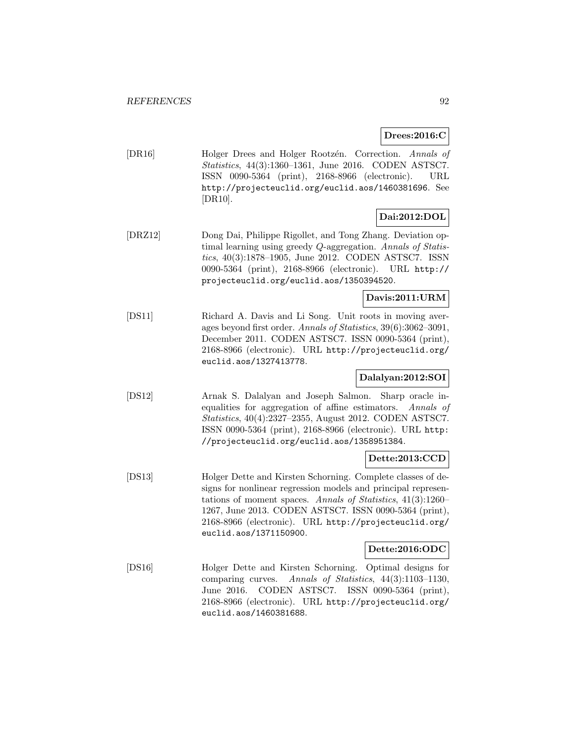## **Drees:2016:C**

[DR16] Holger Drees and Holger Rootzén. Correction. Annals of Statistics, 44(3):1360–1361, June 2016. CODEN ASTSC7. ISSN 0090-5364 (print), 2168-8966 (electronic). URL http://projecteuclid.org/euclid.aos/1460381696. See [DR10].

# **Dai:2012:DOL**

[DRZ12] Dong Dai, Philippe Rigollet, and Tong Zhang. Deviation optimal learning using greedy Q-aggregation. Annals of Statistics, 40(3):1878–1905, June 2012. CODEN ASTSC7. ISSN 0090-5364 (print), 2168-8966 (electronic). URL http:// projecteuclid.org/euclid.aos/1350394520.

## **Davis:2011:URM**

[DS11] Richard A. Davis and Li Song. Unit roots in moving averages beyond first order. Annals of Statistics, 39(6):3062–3091, December 2011. CODEN ASTSC7. ISSN 0090-5364 (print), 2168-8966 (electronic). URL http://projecteuclid.org/ euclid.aos/1327413778.

## **Dalalyan:2012:SOI**

[DS12] Arnak S. Dalalyan and Joseph Salmon. Sharp oracle inequalities for aggregation of affine estimators. Annals of Statistics, 40(4):2327–2355, August 2012. CODEN ASTSC7. ISSN 0090-5364 (print), 2168-8966 (electronic). URL http: //projecteuclid.org/euclid.aos/1358951384.

## **Dette:2013:CCD**

[DS13] Holger Dette and Kirsten Schorning. Complete classes of designs for nonlinear regression models and principal representations of moment spaces. Annals of Statistics, 41(3):1260– 1267, June 2013. CODEN ASTSC7. ISSN 0090-5364 (print), 2168-8966 (electronic). URL http://projecteuclid.org/ euclid.aos/1371150900.

## **Dette:2016:ODC**

[DS16] Holger Dette and Kirsten Schorning. Optimal designs for comparing curves. Annals of Statistics, 44(3):1103–1130, June 2016. CODEN ASTSC7. ISSN 0090-5364 (print), 2168-8966 (electronic). URL http://projecteuclid.org/ euclid.aos/1460381688.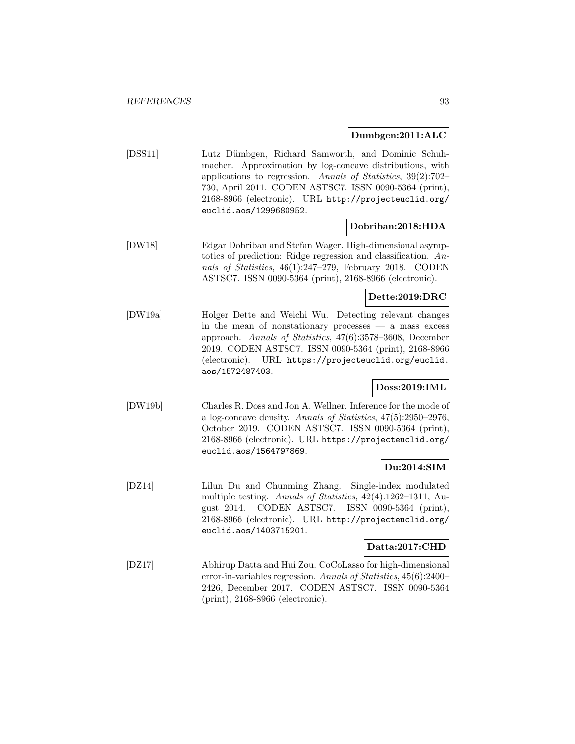## **Dumbgen:2011:ALC**

[DSS11] Lutz Dümbgen, Richard Samworth, and Dominic Schuhmacher. Approximation by log-concave distributions, with applications to regression. Annals of Statistics, 39(2):702– 730, April 2011. CODEN ASTSC7. ISSN 0090-5364 (print), 2168-8966 (electronic). URL http://projecteuclid.org/ euclid.aos/1299680952.

## **Dobriban:2018:HDA**

[DW18] Edgar Dobriban and Stefan Wager. High-dimensional asymptotics of prediction: Ridge regression and classification. Annals of Statistics, 46(1):247–279, February 2018. CODEN ASTSC7. ISSN 0090-5364 (print), 2168-8966 (electronic).

## **Dette:2019:DRC**

[DW19a] Holger Dette and Weichi Wu. Detecting relevant changes in the mean of nonstationary processes  $-$  a mass excess approach. Annals of Statistics, 47(6):3578–3608, December 2019. CODEN ASTSC7. ISSN 0090-5364 (print), 2168-8966 (electronic). URL https://projecteuclid.org/euclid. aos/1572487403.

# **Doss:2019:IML**

[DW19b] Charles R. Doss and Jon A. Wellner. Inference for the mode of a log-concave density. Annals of Statistics, 47(5):2950–2976, October 2019. CODEN ASTSC7. ISSN 0090-5364 (print), 2168-8966 (electronic). URL https://projecteuclid.org/ euclid.aos/1564797869.

## **Du:2014:SIM**

[DZ14] Lilun Du and Chunming Zhang. Single-index modulated multiple testing. Annals of Statistics, 42(4):1262–1311, August 2014. CODEN ASTSC7. ISSN 0090-5364 (print), 2168-8966 (electronic). URL http://projecteuclid.org/ euclid.aos/1403715201.

## **Datta:2017:CHD**

[DZ17] Abhirup Datta and Hui Zou. CoCoLasso for high-dimensional error-in-variables regression. Annals of Statistics, 45(6):2400– 2426, December 2017. CODEN ASTSC7. ISSN 0090-5364 (print), 2168-8966 (electronic).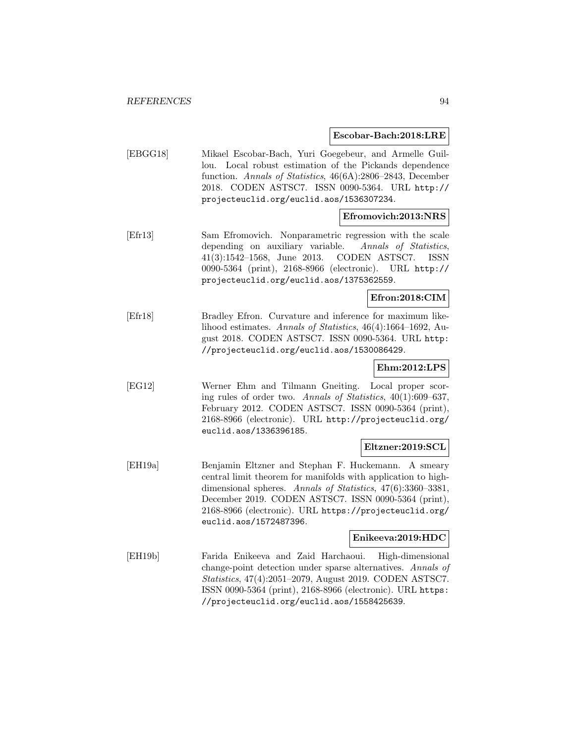**Escobar-Bach:2018:LRE**

[EBGG18] Mikael Escobar-Bach, Yuri Goegebeur, and Armelle Guillou. Local robust estimation of the Pickands dependence function. Annals of Statistics, 46(6A):2806–2843, December 2018. CODEN ASTSC7. ISSN 0090-5364. URL http:// projecteuclid.org/euclid.aos/1536307234.

## **Efromovich:2013:NRS**

[Efr13] Sam Efromovich. Nonparametric regression with the scale depending on auxiliary variable. Annals of Statistics, 41(3):1542–1568, June 2013. CODEN ASTSC7. ISSN 0090-5364 (print), 2168-8966 (electronic). URL http:// projecteuclid.org/euclid.aos/1375362559.

## **Efron:2018:CIM**

[Efr18] Bradley Efron. Curvature and inference for maximum likelihood estimates. Annals of Statistics, 46(4):1664–1692, August 2018. CODEN ASTSC7. ISSN 0090-5364. URL http: //projecteuclid.org/euclid.aos/1530086429.

#### **Ehm:2012:LPS**

[EG12] Werner Ehm and Tilmann Gneiting. Local proper scoring rules of order two. Annals of Statistics, 40(1):609–637, February 2012. CODEN ASTSC7. ISSN 0090-5364 (print), 2168-8966 (electronic). URL http://projecteuclid.org/ euclid.aos/1336396185.

#### **Eltzner:2019:SCL**

[EH19a] Benjamin Eltzner and Stephan F. Huckemann. A smeary central limit theorem for manifolds with application to highdimensional spheres. Annals of Statistics, 47(6):3360–3381, December 2019. CODEN ASTSC7. ISSN 0090-5364 (print), 2168-8966 (electronic). URL https://projecteuclid.org/ euclid.aos/1572487396.

#### **Enikeeva:2019:HDC**

[EH19b] Farida Enikeeva and Zaid Harchaoui. High-dimensional change-point detection under sparse alternatives. Annals of Statistics, 47(4):2051–2079, August 2019. CODEN ASTSC7. ISSN 0090-5364 (print), 2168-8966 (electronic). URL https: //projecteuclid.org/euclid.aos/1558425639.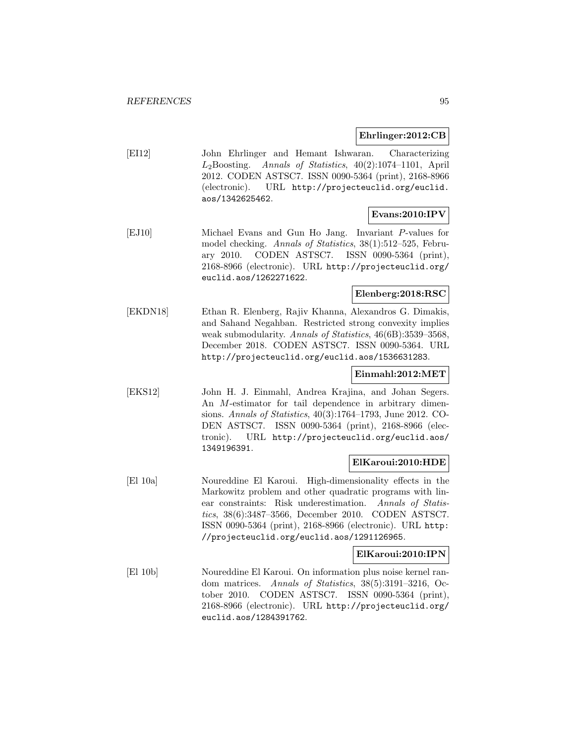#### **Ehrlinger:2012:CB**

[EI12] John Ehrlinger and Hemant Ishwaran. Characterizing  $L_2$ Boosting. Annals of Statistics, 40(2):1074-1101, April 2012. CODEN ASTSC7. ISSN 0090-5364 (print), 2168-8966 (electronic). URL http://projecteuclid.org/euclid. aos/1342625462.

## **Evans:2010:IPV**

[EJ10] Michael Evans and Gun Ho Jang. Invariant P-values for model checking. Annals of Statistics, 38(1):512–525, February 2010. CODEN ASTSC7. ISSN 0090-5364 (print), 2168-8966 (electronic). URL http://projecteuclid.org/ euclid.aos/1262271622.

## **Elenberg:2018:RSC**

[EKDN18] Ethan R. Elenberg, Rajiv Khanna, Alexandros G. Dimakis, and Sahand Negahban. Restricted strong convexity implies weak submodularity. Annals of Statistics, 46(6B):3539–3568, December 2018. CODEN ASTSC7. ISSN 0090-5364. URL http://projecteuclid.org/euclid.aos/1536631283.

## **Einmahl:2012:MET**

[EKS12] John H. J. Einmahl, Andrea Krajina, and Johan Segers. An M-estimator for tail dependence in arbitrary dimensions. Annals of Statistics, 40(3):1764–1793, June 2012. CO-DEN ASTSC7. ISSN 0090-5364 (print), 2168-8966 (electronic). URL http://projecteuclid.org/euclid.aos/ 1349196391.

#### **ElKaroui:2010:HDE**

[El 10a] Noureddine El Karoui. High-dimensionality effects in the Markowitz problem and other quadratic programs with linear constraints: Risk underestimation. Annals of Statistics, 38(6):3487–3566, December 2010. CODEN ASTSC7. ISSN 0090-5364 (print), 2168-8966 (electronic). URL http: //projecteuclid.org/euclid.aos/1291126965.

#### **ElKaroui:2010:IPN**

[El 10b] Noureddine El Karoui. On information plus noise kernel random matrices. Annals of Statistics, 38(5):3191–3216, October 2010. CODEN ASTSC7. ISSN 0090-5364 (print), 2168-8966 (electronic). URL http://projecteuclid.org/ euclid.aos/1284391762.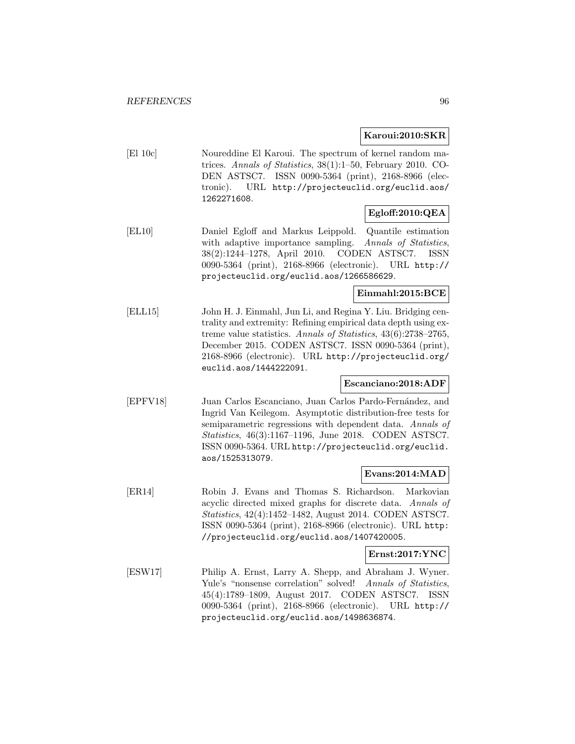## **Karoui:2010:SKR**

[El 10c] Noureddine El Karoui. The spectrum of kernel random matrices. Annals of Statistics, 38(1):1–50, February 2010. CO-DEN ASTSC7. ISSN 0090-5364 (print), 2168-8966 (electronic). URL http://projecteuclid.org/euclid.aos/ 1262271608.

# **Egloff:2010:QEA**

[EL10] Daniel Egloff and Markus Leippold. Quantile estimation with adaptive importance sampling. Annals of Statistics, 38(2):1244–1278, April 2010. CODEN ASTSC7. ISSN 0090-5364 (print), 2168-8966 (electronic). URL http:// projecteuclid.org/euclid.aos/1266586629.

# **Einmahl:2015:BCE**

[ELL15] John H. J. Einmahl, Jun Li, and Regina Y. Liu. Bridging centrality and extremity: Refining empirical data depth using extreme value statistics. Annals of Statistics, 43(6):2738–2765, December 2015. CODEN ASTSC7. ISSN 0090-5364 (print), 2168-8966 (electronic). URL http://projecteuclid.org/ euclid.aos/1444222091.

#### **Escanciano:2018:ADF**

[EPFV18] Juan Carlos Escanciano, Juan Carlos Pardo-Fernández, and Ingrid Van Keilegom. Asymptotic distribution-free tests for semiparametric regressions with dependent data. Annals of Statistics, 46(3):1167–1196, June 2018. CODEN ASTSC7. ISSN 0090-5364. URL http://projecteuclid.org/euclid. aos/1525313079.

#### **Evans:2014:MAD**

[ER14] Robin J. Evans and Thomas S. Richardson. Markovian acyclic directed mixed graphs for discrete data. Annals of Statistics, 42(4):1452–1482, August 2014. CODEN ASTSC7. ISSN 0090-5364 (print), 2168-8966 (electronic). URL http: //projecteuclid.org/euclid.aos/1407420005.

#### **Ernst:2017:YNC**

[ESW17] Philip A. Ernst, Larry A. Shepp, and Abraham J. Wyner. Yule's "nonsense correlation" solved! Annals of Statistics, 45(4):1789–1809, August 2017. CODEN ASTSC7. ISSN 0090-5364 (print), 2168-8966 (electronic). URL http:// projecteuclid.org/euclid.aos/1498636874.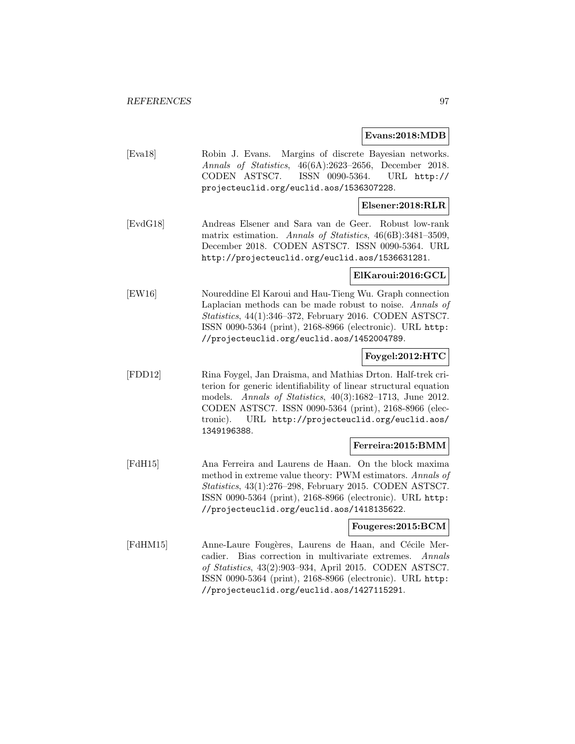#### **Evans:2018:MDB**

[Eva18] Robin J. Evans. Margins of discrete Bayesian networks. Annals of Statistics, 46(6A):2623–2656, December 2018. CODEN ASTSC7. ISSN 0090-5364. URL http:// projecteuclid.org/euclid.aos/1536307228.

### **Elsener:2018:RLR**

[EvdG18] Andreas Elsener and Sara van de Geer. Robust low-rank matrix estimation. Annals of Statistics, 46(6B):3481–3509, December 2018. CODEN ASTSC7. ISSN 0090-5364. URL http://projecteuclid.org/euclid.aos/1536631281.

#### **ElKaroui:2016:GCL**

[EW16] Noureddine El Karoui and Hau-Tieng Wu. Graph connection Laplacian methods can be made robust to noise. Annals of Statistics, 44(1):346–372, February 2016. CODEN ASTSC7. ISSN 0090-5364 (print), 2168-8966 (electronic). URL http: //projecteuclid.org/euclid.aos/1452004789.

#### **Foygel:2012:HTC**

[FDD12] Rina Foygel, Jan Draisma, and Mathias Drton. Half-trek criterion for generic identifiability of linear structural equation models. Annals of Statistics, 40(3):1682–1713, June 2012. CODEN ASTSC7. ISSN 0090-5364 (print), 2168-8966 (electronic). URL http://projecteuclid.org/euclid.aos/ 1349196388.

#### **Ferreira:2015:BMM**

[FdH15] Ana Ferreira and Laurens de Haan. On the block maxima method in extreme value theory: PWM estimators. Annals of Statistics, 43(1):276–298, February 2015. CODEN ASTSC7. ISSN 0090-5364 (print), 2168-8966 (electronic). URL http: //projecteuclid.org/euclid.aos/1418135622.

## **Fougeres:2015:BCM**

[FdHM15] Anne-Laure Fougères, Laurens de Haan, and Cécile Mercadier. Bias correction in multivariate extremes. Annals of Statistics, 43(2):903–934, April 2015. CODEN ASTSC7. ISSN 0090-5364 (print), 2168-8966 (electronic). URL http: //projecteuclid.org/euclid.aos/1427115291.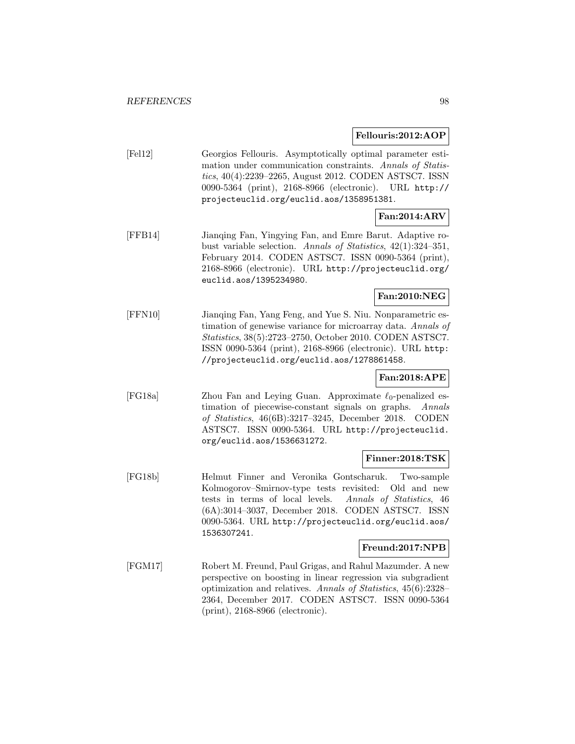#### **Fellouris:2012:AOP**

| [Fe12] | Georgios Fellouris. Asymptotically optimal parameter esti-<br>mation under communication constraints. Annals of Statis-<br>tics, 40(4):2239–2265, August 2012. CODEN ASTSC7. ISSN<br>0090-5364 (print), 2168-8966 (electronic). URL http:// |              |
|--------|---------------------------------------------------------------------------------------------------------------------------------------------------------------------------------------------------------------------------------------------|--------------|
|        | projecteuclid.org/euclid.aos/1358951381.                                                                                                                                                                                                    | Fan:2014:ARV |

[FFB14] Jianqing Fan, Yingying Fan, and Emre Barut. Adaptive robust variable selection. Annals of Statistics, 42(1):324–351, February 2014. CODEN ASTSC7. ISSN 0090-5364 (print), 2168-8966 (electronic). URL http://projecteuclid.org/ euclid.aos/1395234980.

## **Fan:2010:NEG**

[FFN10] Jianqing Fan, Yang Feng, and Yue S. Niu. Nonparametric estimation of genewise variance for microarray data. Annals of Statistics, 38(5):2723–2750, October 2010. CODEN ASTSC7. ISSN 0090-5364 (print), 2168-8966 (electronic). URL http: //projecteuclid.org/euclid.aos/1278861458.

# **Fan:2018:APE**

[FG18a] Zhou Fan and Leying Guan. Approximate  $\ell_0$ -penalized estimation of piecewise-constant signals on graphs. Annals of Statistics, 46(6B):3217–3245, December 2018. CODEN ASTSC7. ISSN 0090-5364. URL http://projecteuclid. org/euclid.aos/1536631272.

#### **Finner:2018:TSK**

[FG18b] Helmut Finner and Veronika Gontscharuk. Two-sample Kolmogorov–Smirnov-type tests revisited: Old and new tests in terms of local levels. Annals of Statistics, 46 (6A):3014–3037, December 2018. CODEN ASTSC7. ISSN 0090-5364. URL http://projecteuclid.org/euclid.aos/ 1536307241.

#### **Freund:2017:NPB**

[FGM17] Robert M. Freund, Paul Grigas, and Rahul Mazumder. A new perspective on boosting in linear regression via subgradient optimization and relatives. Annals of Statistics, 45(6):2328– 2364, December 2017. CODEN ASTSC7. ISSN 0090-5364 (print), 2168-8966 (electronic).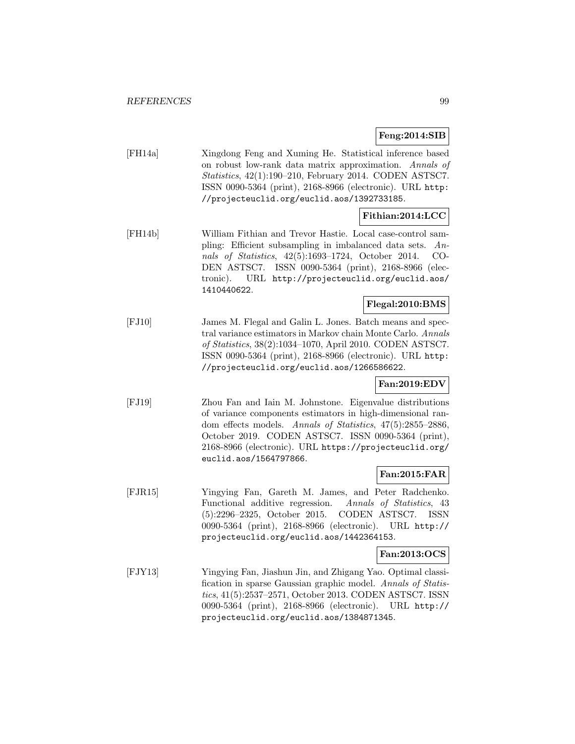## **Feng:2014:SIB**

[FH14a] Xingdong Feng and Xuming He. Statistical inference based on robust low-rank data matrix approximation. Annals of Statistics, 42(1):190–210, February 2014. CODEN ASTSC7. ISSN 0090-5364 (print), 2168-8966 (electronic). URL http: //projecteuclid.org/euclid.aos/1392733185.

## **Fithian:2014:LCC**

[FH14b] William Fithian and Trevor Hastie. Local case-control sampling: Efficient subsampling in imbalanced data sets. Annals of Statistics, 42(5):1693–1724, October 2014. CO-DEN ASTSC7. ISSN 0090-5364 (print), 2168-8966 (electronic). URL http://projecteuclid.org/euclid.aos/ 1410440622.

# **Flegal:2010:BMS**

[FJ10] James M. Flegal and Galin L. Jones. Batch means and spectral variance estimators in Markov chain Monte Carlo. Annals of Statistics, 38(2):1034–1070, April 2010. CODEN ASTSC7. ISSN 0090-5364 (print), 2168-8966 (electronic). URL http: //projecteuclid.org/euclid.aos/1266586622.

# **Fan:2019:EDV**

[FJ19] Zhou Fan and Iain M. Johnstone. Eigenvalue distributions of variance components estimators in high-dimensional random effects models. Annals of Statistics, 47(5):2855–2886, October 2019. CODEN ASTSC7. ISSN 0090-5364 (print), 2168-8966 (electronic). URL https://projecteuclid.org/ euclid.aos/1564797866.

## **Fan:2015:FAR**

[FJR15] Yingying Fan, Gareth M. James, and Peter Radchenko. Functional additive regression. Annals of Statistics, 43 (5):2296–2325, October 2015. CODEN ASTSC7. ISSN 0090-5364 (print), 2168-8966 (electronic). URL http:// projecteuclid.org/euclid.aos/1442364153.

#### **Fan:2013:OCS**

[FJY13] Yingying Fan, Jiashun Jin, and Zhigang Yao. Optimal classification in sparse Gaussian graphic model. Annals of Statistics, 41(5):2537–2571, October 2013. CODEN ASTSC7. ISSN 0090-5364 (print), 2168-8966 (electronic). URL http:// projecteuclid.org/euclid.aos/1384871345.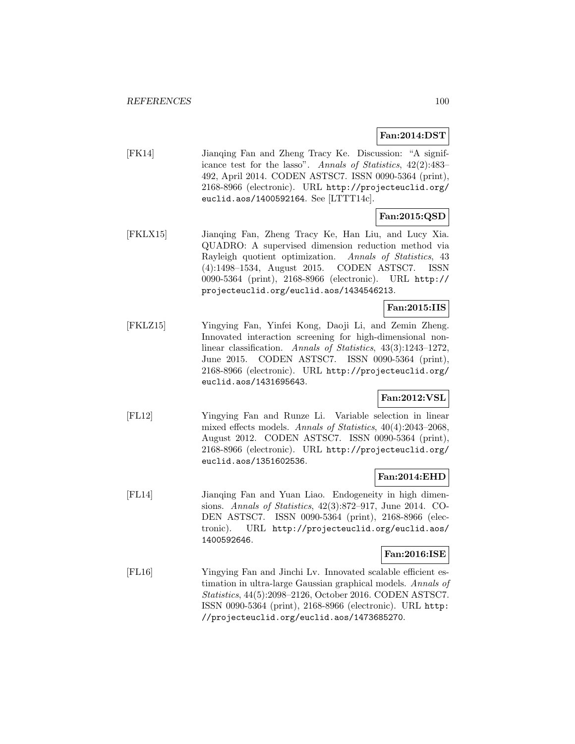# **Fan:2014:DST**

[FK14] Jianqing Fan and Zheng Tracy Ke. Discussion: "A significance test for the lasso". Annals of Statistics, 42(2):483– 492, April 2014. CODEN ASTSC7. ISSN 0090-5364 (print), 2168-8966 (electronic). URL http://projecteuclid.org/ euclid.aos/1400592164. See [LTTT14c].

# **Fan:2015:QSD**

[FKLX15] Jianqing Fan, Zheng Tracy Ke, Han Liu, and Lucy Xia. QUADRO: A supervised dimension reduction method via Rayleigh quotient optimization. Annals of Statistics, 43 (4):1498–1534, August 2015. CODEN ASTSC7. ISSN 0090-5364 (print), 2168-8966 (electronic). URL http:// projecteuclid.org/euclid.aos/1434546213.

# **Fan:2015:IIS**

[FKLZ15] Yingying Fan, Yinfei Kong, Daoji Li, and Zemin Zheng. Innovated interaction screening for high-dimensional nonlinear classification. Annals of Statistics, 43(3):1243-1272, June 2015. CODEN ASTSC7. ISSN 0090-5364 (print), 2168-8966 (electronic). URL http://projecteuclid.org/ euclid.aos/1431695643.

# **Fan:2012:VSL**

[FL12] Yingying Fan and Runze Li. Variable selection in linear mixed effects models. Annals of Statistics, 40(4):2043–2068, August 2012. CODEN ASTSC7. ISSN 0090-5364 (print), 2168-8966 (electronic). URL http://projecteuclid.org/ euclid.aos/1351602536.

## **Fan:2014:EHD**

[FL14] Jianqing Fan and Yuan Liao. Endogeneity in high dimensions. Annals of Statistics, 42(3):872–917, June 2014. CO-DEN ASTSC7. ISSN 0090-5364 (print), 2168-8966 (electronic). URL http://projecteuclid.org/euclid.aos/ 1400592646.

#### **Fan:2016:ISE**

[FL16] Yingying Fan and Jinchi Lv. Innovated scalable efficient estimation in ultra-large Gaussian graphical models. Annals of Statistics, 44(5):2098–2126, October 2016. CODEN ASTSC7. ISSN 0090-5364 (print), 2168-8966 (electronic). URL http: //projecteuclid.org/euclid.aos/1473685270.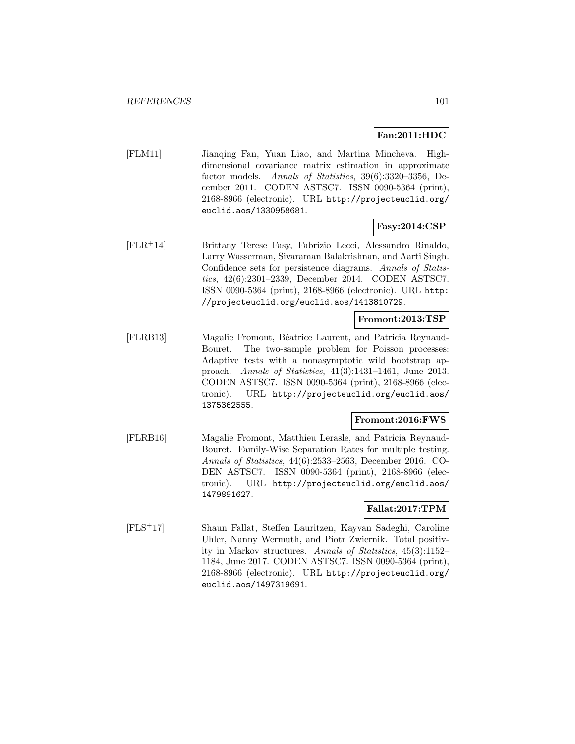## **Fan:2011:HDC**

[FLM11] Jianqing Fan, Yuan Liao, and Martina Mincheva. Highdimensional covariance matrix estimation in approximate factor models. Annals of Statistics, 39(6):3320–3356, December 2011. CODEN ASTSC7. ISSN 0090-5364 (print), 2168-8966 (electronic). URL http://projecteuclid.org/ euclid.aos/1330958681.

## **Fasy:2014:CSP**

[FLR<sup>+</sup>14] Brittany Terese Fasy, Fabrizio Lecci, Alessandro Rinaldo, Larry Wasserman, Sivaraman Balakrishnan, and Aarti Singh. Confidence sets for persistence diagrams. Annals of Statistics, 42(6):2301–2339, December 2014. CODEN ASTSC7. ISSN 0090-5364 (print), 2168-8966 (electronic). URL http: //projecteuclid.org/euclid.aos/1413810729.

#### **Fromont:2013:TSP**

[FLRB13] Magalie Fromont, B´eatrice Laurent, and Patricia Reynaud-Bouret. The two-sample problem for Poisson processes: Adaptive tests with a nonasymptotic wild bootstrap approach. Annals of Statistics, 41(3):1431–1461, June 2013. CODEN ASTSC7. ISSN 0090-5364 (print), 2168-8966 (electronic). URL http://projecteuclid.org/euclid.aos/ 1375362555.

## **Fromont:2016:FWS**

[FLRB16] Magalie Fromont, Matthieu Lerasle, and Patricia Reynaud-Bouret. Family-Wise Separation Rates for multiple testing. Annals of Statistics, 44(6):2533–2563, December 2016. CO-DEN ASTSC7. ISSN 0090-5364 (print), 2168-8966 (electronic). URL http://projecteuclid.org/euclid.aos/ 1479891627.

## **Fallat:2017:TPM**

[FLS<sup>+</sup>17] Shaun Fallat, Steffen Lauritzen, Kayvan Sadeghi, Caroline Uhler, Nanny Wermuth, and Piotr Zwiernik. Total positivity in Markov structures. Annals of Statistics, 45(3):1152– 1184, June 2017. CODEN ASTSC7. ISSN 0090-5364 (print), 2168-8966 (electronic). URL http://projecteuclid.org/ euclid.aos/1497319691.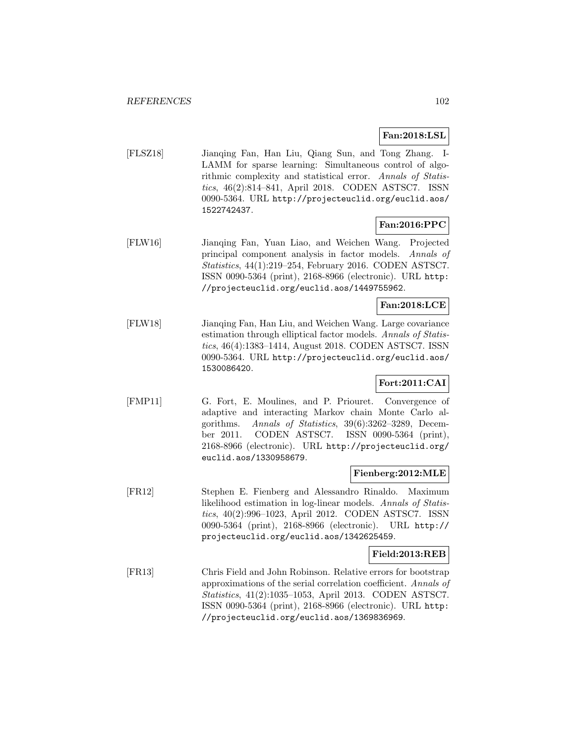# **Fan:2018:LSL**

[FLSZ18] Jianqing Fan, Han Liu, Qiang Sun, and Tong Zhang. I-LAMM for sparse learning: Simultaneous control of algorithmic complexity and statistical error. Annals of Statistics, 46(2):814–841, April 2018. CODEN ASTSC7. ISSN 0090-5364. URL http://projecteuclid.org/euclid.aos/ 1522742437.

# **Fan:2016:PPC**

[FLW16] Jianqing Fan, Yuan Liao, and Weichen Wang. Projected principal component analysis in factor models. Annals of Statistics, 44(1):219–254, February 2016. CODEN ASTSC7. ISSN 0090-5364 (print), 2168-8966 (electronic). URL http: //projecteuclid.org/euclid.aos/1449755962.

## **Fan:2018:LCE**

[FLW18] Jianqing Fan, Han Liu, and Weichen Wang. Large covariance estimation through elliptical factor models. Annals of Statistics, 46(4):1383–1414, August 2018. CODEN ASTSC7. ISSN 0090-5364. URL http://projecteuclid.org/euclid.aos/ 1530086420.

# **Fort:2011:CAI**

[FMP11] G. Fort, E. Moulines, and P. Priouret. Convergence of adaptive and interacting Markov chain Monte Carlo algorithms. Annals of Statistics, 39(6):3262–3289, December 2011. CODEN ASTSC7. ISSN 0090-5364 (print), 2168-8966 (electronic). URL http://projecteuclid.org/ euclid.aos/1330958679.

## **Fienberg:2012:MLE**

[FR12] Stephen E. Fienberg and Alessandro Rinaldo. Maximum likelihood estimation in log-linear models. Annals of Statistics, 40(2):996–1023, April 2012. CODEN ASTSC7. ISSN 0090-5364 (print), 2168-8966 (electronic). URL http:// projecteuclid.org/euclid.aos/1342625459.

#### **Field:2013:REB**

[FR13] Chris Field and John Robinson. Relative errors for bootstrap approximations of the serial correlation coefficient. Annals of Statistics, 41(2):1035–1053, April 2013. CODEN ASTSC7. ISSN 0090-5364 (print), 2168-8966 (electronic). URL http: //projecteuclid.org/euclid.aos/1369836969.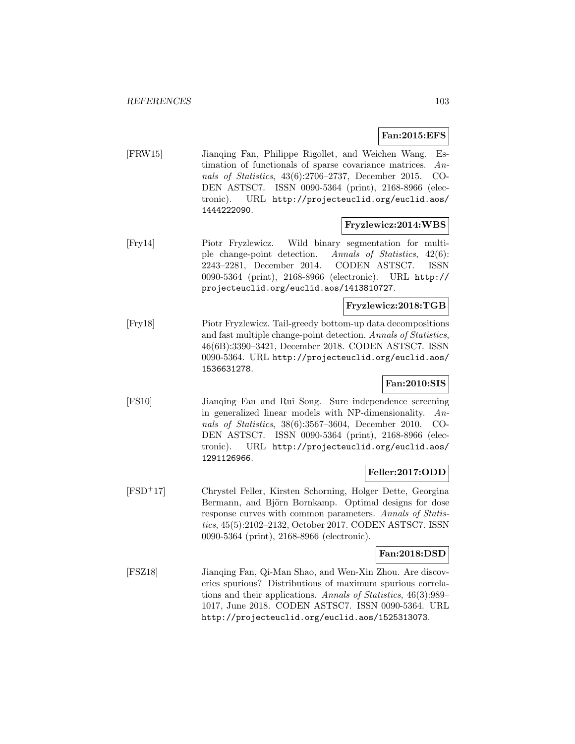## **Fan:2015:EFS**

[FRW15] Jianqing Fan, Philippe Rigollet, and Weichen Wang. Estimation of functionals of sparse covariance matrices. Annals of Statistics, 43(6):2706–2737, December 2015. CO-DEN ASTSC7. ISSN 0090-5364 (print), 2168-8966 (electronic). URL http://projecteuclid.org/euclid.aos/ 1444222090.

#### **Fryzlewicz:2014:WBS**

[Fry14] Piotr Fryzlewicz. Wild binary segmentation for multiple change-point detection. Annals of Statistics, 42(6): 2243–2281, December 2014. CODEN ASTSC7. ISSN 0090-5364 (print), 2168-8966 (electronic). URL http:// projecteuclid.org/euclid.aos/1413810727.

# **Fryzlewicz:2018:TGB**

[Fry18] Piotr Fryzlewicz. Tail-greedy bottom-up data decompositions and fast multiple change-point detection. Annals of Statistics, 46(6B):3390–3421, December 2018. CODEN ASTSC7. ISSN 0090-5364. URL http://projecteuclid.org/euclid.aos/ 1536631278.

## **Fan:2010:SIS**

[FS10] Jianqing Fan and Rui Song. Sure independence screening in generalized linear models with NP-dimensionality. Annals of Statistics, 38(6):3567–3604, December 2010. CO-DEN ASTSC7. ISSN 0090-5364 (print), 2168-8966 (electronic). URL http://projecteuclid.org/euclid.aos/ 1291126966.

## **Feller:2017:ODD**

[FSD<sup>+</sup>17] Chrystel Feller, Kirsten Schorning, Holger Dette, Georgina Bermann, and Björn Bornkamp. Optimal designs for dose response curves with common parameters. Annals of Statistics, 45(5):2102–2132, October 2017. CODEN ASTSC7. ISSN 0090-5364 (print), 2168-8966 (electronic).

#### **Fan:2018:DSD**

[FSZ18] Jianqing Fan, Qi-Man Shao, and Wen-Xin Zhou. Are discoveries spurious? Distributions of maximum spurious correlations and their applications. Annals of Statistics, 46(3):989– 1017, June 2018. CODEN ASTSC7. ISSN 0090-5364. URL http://projecteuclid.org/euclid.aos/1525313073.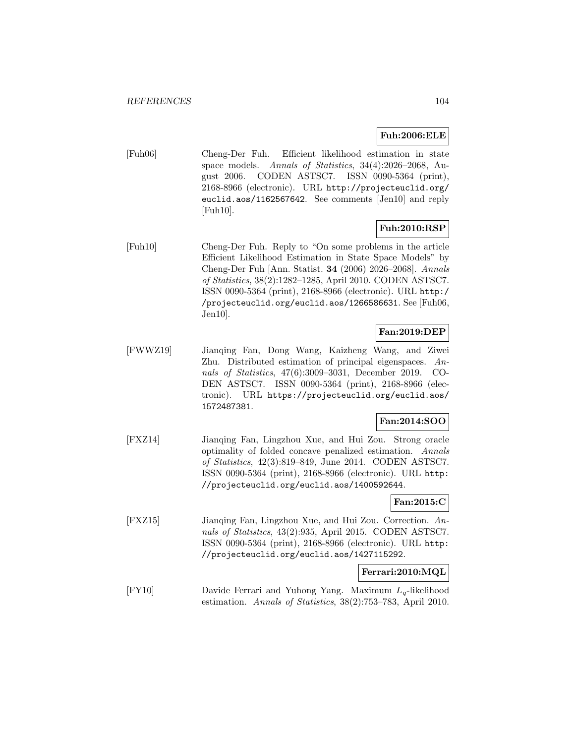## **Fuh:2006:ELE**

[Fuh06] Cheng-Der Fuh. Efficient likelihood estimation in state space models. Annals of Statistics, 34(4):2026–2068, August 2006. CODEN ASTSC7. ISSN 0090-5364 (print), 2168-8966 (electronic). URL http://projecteuclid.org/ euclid.aos/1162567642. See comments [Jen10] and reply [Fuh10].

## **Fuh:2010:RSP**

[Fuh10] Cheng-Der Fuh. Reply to "On some problems in the article Efficient Likelihood Estimation in State Space Models" by Cheng-Der Fuh [Ann. Statist. **34** (2006) 2026–2068]. Annals of Statistics, 38(2):1282–1285, April 2010. CODEN ASTSC7. ISSN 0090-5364 (print), 2168-8966 (electronic). URL http:/ /projecteuclid.org/euclid.aos/1266586631. See [Fuh06, Jen10].

# **Fan:2019:DEP**

[FWWZ19] Jianqing Fan, Dong Wang, Kaizheng Wang, and Ziwei Zhu. Distributed estimation of principal eigenspaces. Annals of Statistics, 47(6):3009–3031, December 2019. CO-DEN ASTSC7. ISSN 0090-5364 (print), 2168-8966 (electronic). URL https://projecteuclid.org/euclid.aos/ 1572487381.

## **Fan:2014:SOO**

[FXZ14] Jianqing Fan, Lingzhou Xue, and Hui Zou. Strong oracle optimality of folded concave penalized estimation. Annals of Statistics, 42(3):819–849, June 2014. CODEN ASTSC7. ISSN 0090-5364 (print), 2168-8966 (electronic). URL http: //projecteuclid.org/euclid.aos/1400592644.

# **Fan:2015:C**

[FXZ15] Jianqing Fan, Lingzhou Xue, and Hui Zou. Correction. Annals of Statistics, 43(2):935, April 2015. CODEN ASTSC7. ISSN 0090-5364 (print), 2168-8966 (electronic). URL http: //projecteuclid.org/euclid.aos/1427115292.

#### **Ferrari:2010:MQL**

[FY10] Davide Ferrari and Yuhong Yang. Maximum  $L_q$ -likelihood estimation. Annals of Statistics, 38(2):753–783, April 2010.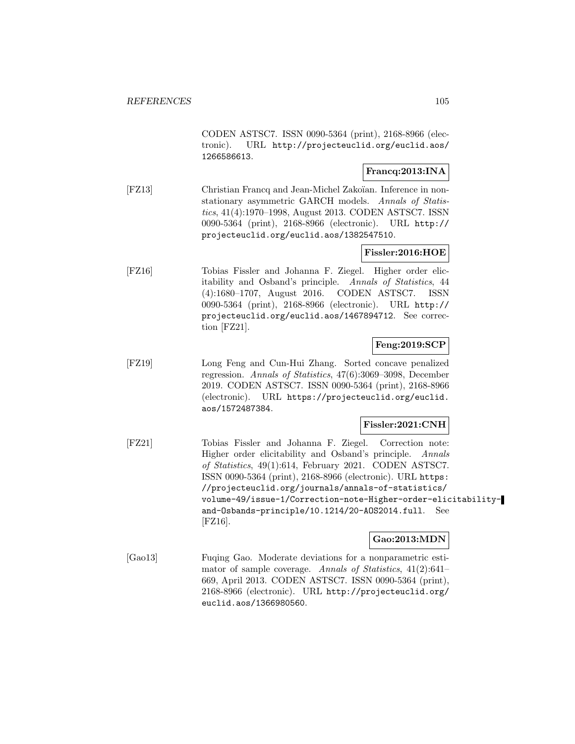CODEN ASTSC7. ISSN 0090-5364 (print), 2168-8966 (electronic). URL http://projecteuclid.org/euclid.aos/ 1266586613.

# **Francq:2013:INA**

[FZ13] Christian Francq and Jean-Michel Zakoïan. Inference in nonstationary asymmetric GARCH models. Annals of Statistics, 41(4):1970–1998, August 2013. CODEN ASTSC7. ISSN 0090-5364 (print), 2168-8966 (electronic). URL http:// projecteuclid.org/euclid.aos/1382547510.

## **Fissler:2016:HOE**

[FZ16] Tobias Fissler and Johanna F. Ziegel. Higher order elicitability and Osband's principle. Annals of Statistics, 44 (4):1680–1707, August 2016. CODEN ASTSC7. ISSN 0090-5364 (print), 2168-8966 (electronic). URL http:// projecteuclid.org/euclid.aos/1467894712. See correction [FZ21].

## **Feng:2019:SCP**

[FZ19] Long Feng and Cun-Hui Zhang. Sorted concave penalized regression. Annals of Statistics, 47(6):3069–3098, December 2019. CODEN ASTSC7. ISSN 0090-5364 (print), 2168-8966 (electronic). URL https://projecteuclid.org/euclid. aos/1572487384.

#### **Fissler:2021:CNH**

[FZ21] Tobias Fissler and Johanna F. Ziegel. Correction note: Higher order elicitability and Osband's principle. Annals of Statistics, 49(1):614, February 2021. CODEN ASTSC7. ISSN 0090-5364 (print), 2168-8966 (electronic). URL https: //projecteuclid.org/journals/annals-of-statistics/ volume-49/issue-1/Correction-note-Higher-order-elicitabilityand-Osbands-principle/10.1214/20-AOS2014.full. See [FZ16].

#### **Gao:2013:MDN**

[Gao13] Fuqing Gao. Moderate deviations for a nonparametric estimator of sample coverage. Annals of Statistics, 41(2):641– 669, April 2013. CODEN ASTSC7. ISSN 0090-5364 (print), 2168-8966 (electronic). URL http://projecteuclid.org/ euclid.aos/1366980560.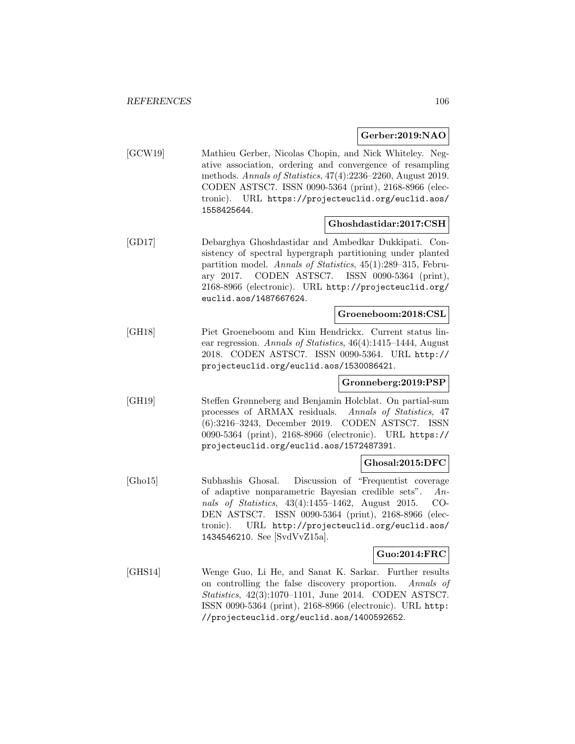#### **Gerber:2019:NAO**

[GCW19] Mathieu Gerber, Nicolas Chopin, and Nick Whiteley. Negative association, ordering and convergence of resampling methods. Annals of Statistics, 47(4):2236–2260, August 2019. CODEN ASTSC7. ISSN 0090-5364 (print), 2168-8966 (electronic). URL https://projecteuclid.org/euclid.aos/ 1558425644.

#### **Ghoshdastidar:2017:CSH**

[GD17] Debarghya Ghoshdastidar and Ambedkar Dukkipati. Consistency of spectral hypergraph partitioning under planted partition model. Annals of Statistics, 45(1):289–315, February 2017. CODEN ASTSC7. ISSN 0090-5364 (print), 2168-8966 (electronic). URL http://projecteuclid.org/ euclid.aos/1487667624.

## **Groeneboom:2018:CSL**

[GH18] Piet Groeneboom and Kim Hendrickx. Current status linear regression. Annals of Statistics, 46(4):1415–1444, August 2018. CODEN ASTSC7. ISSN 0090-5364. URL http:// projecteuclid.org/euclid.aos/1530086421.

#### **Gronneberg:2019:PSP**

[GH19] Steffen Grønneberg and Benjamin Holcblat. On partial-sum processes of ARMAX residuals. Annals of Statistics, 47 (6):3216–3243, December 2019. CODEN ASTSC7. ISSN 0090-5364 (print), 2168-8966 (electronic). URL https:// projecteuclid.org/euclid.aos/1572487391.

#### **Ghosal:2015:DFC**

[Gho15] Subhashis Ghosal. Discussion of "Frequentist coverage of adaptive nonparametric Bayesian credible sets". Annals of Statistics, 43(4):1455–1462, August 2015. CO-DEN ASTSC7. ISSN 0090-5364 (print), 2168-8966 (electronic). URL http://projecteuclid.org/euclid.aos/ 1434546210. See [SvdVvZ15a].

#### **Guo:2014:FRC**

[GHS14] Wenge Guo, Li He, and Sanat K. Sarkar. Further results on controlling the false discovery proportion. Annals of Statistics, 42(3):1070–1101, June 2014. CODEN ASTSC7. ISSN 0090-5364 (print), 2168-8966 (electronic). URL http: //projecteuclid.org/euclid.aos/1400592652.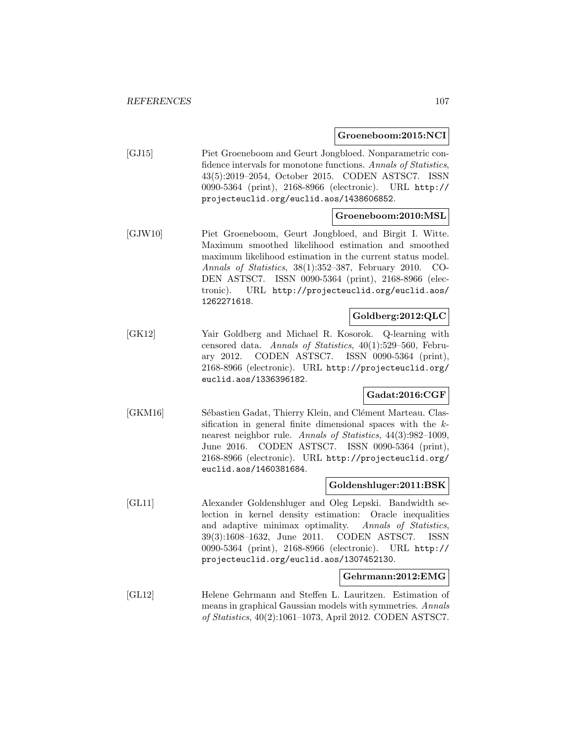#### **Groeneboom:2015:NCI**

[GJ15] Piet Groeneboom and Geurt Jongbloed. Nonparametric confidence intervals for monotone functions. Annals of Statistics, 43(5):2019–2054, October 2015. CODEN ASTSC7. ISSN 0090-5364 (print), 2168-8966 (electronic). URL http:// projecteuclid.org/euclid.aos/1438606852.

#### **Groeneboom:2010:MSL**

[GJW10] Piet Groeneboom, Geurt Jongbloed, and Birgit I. Witte. Maximum smoothed likelihood estimation and smoothed maximum likelihood estimation in the current status model. Annals of Statistics, 38(1):352–387, February 2010. CO-DEN ASTSC7. ISSN 0090-5364 (print), 2168-8966 (electronic). URL http://projecteuclid.org/euclid.aos/ 1262271618.

## **Goldberg:2012:QLC**

[GK12] Yair Goldberg and Michael R. Kosorok. Q-learning with censored data. Annals of Statistics, 40(1):529–560, February 2012. CODEN ASTSC7. ISSN 0090-5364 (print), 2168-8966 (electronic). URL http://projecteuclid.org/ euclid.aos/1336396182.

## **Gadat:2016:CGF**

[GKM16] Sébastien Gadat, Thierry Klein, and Clément Marteau. Classification in general finite dimensional spaces with the knearest neighbor rule. Annals of Statistics, 44(3):982–1009, June 2016. CODEN ASTSC7. ISSN 0090-5364 (print), 2168-8966 (electronic). URL http://projecteuclid.org/ euclid.aos/1460381684.

## **Goldenshluger:2011:BSK**

[GL11] Alexander Goldenshluger and Oleg Lepski. Bandwidth selection in kernel density estimation: Oracle inequalities and adaptive minimax optimality. Annals of Statistics, 39(3):1608–1632, June 2011. CODEN ASTSC7. ISSN 0090-5364 (print), 2168-8966 (electronic). URL http:// projecteuclid.org/euclid.aos/1307452130.

#### **Gehrmann:2012:EMG**

[GL12] Helene Gehrmann and Steffen L. Lauritzen. Estimation of means in graphical Gaussian models with symmetries. Annals of Statistics, 40(2):1061–1073, April 2012. CODEN ASTSC7.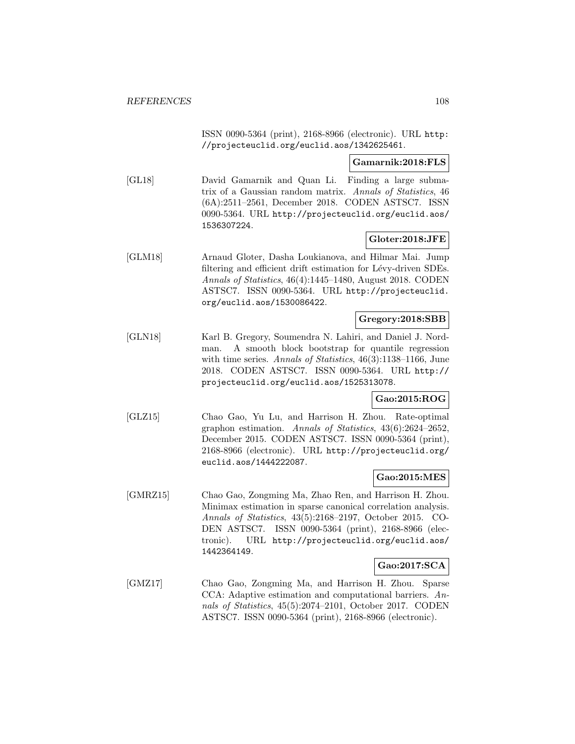ISSN 0090-5364 (print), 2168-8966 (electronic). URL http: //projecteuclid.org/euclid.aos/1342625461.

#### **Gamarnik:2018:FLS**

[GL18] David Gamarnik and Quan Li. Finding a large submatrix of a Gaussian random matrix. Annals of Statistics, 46 (6A):2511–2561, December 2018. CODEN ASTSC7. ISSN 0090-5364. URL http://projecteuclid.org/euclid.aos/ 1536307224.

## **Gloter:2018:JFE**

[GLM18] Arnaud Gloter, Dasha Loukianova, and Hilmar Mai. Jump filtering and efficient drift estimation for Lévy-driven SDEs. Annals of Statistics, 46(4):1445–1480, August 2018. CODEN ASTSC7. ISSN 0090-5364. URL http://projecteuclid. org/euclid.aos/1530086422.

## **Gregory:2018:SBB**

[GLN18] Karl B. Gregory, Soumendra N. Lahiri, and Daniel J. Nordman. A smooth block bootstrap for quantile regression with time series. Annals of Statistics, 46(3):1138–1166, June 2018. CODEN ASTSC7. ISSN 0090-5364. URL http:// projecteuclid.org/euclid.aos/1525313078.

#### **Gao:2015:ROG**

[GLZ15] Chao Gao, Yu Lu, and Harrison H. Zhou. Rate-optimal graphon estimation. Annals of Statistics, 43(6):2624–2652, December 2015. CODEN ASTSC7. ISSN 0090-5364 (print), 2168-8966 (electronic). URL http://projecteuclid.org/ euclid.aos/1444222087.

#### **Gao:2015:MES**

[GMRZ15] Chao Gao, Zongming Ma, Zhao Ren, and Harrison H. Zhou. Minimax estimation in sparse canonical correlation analysis. Annals of Statistics, 43(5):2168–2197, October 2015. CO-DEN ASTSC7. ISSN 0090-5364 (print), 2168-8966 (electronic). URL http://projecteuclid.org/euclid.aos/ 1442364149.

## **Gao:2017:SCA**

[GMZ17] Chao Gao, Zongming Ma, and Harrison H. Zhou. Sparse CCA: Adaptive estimation and computational barriers. Annals of Statistics, 45(5):2074–2101, October 2017. CODEN ASTSC7. ISSN 0090-5364 (print), 2168-8966 (electronic).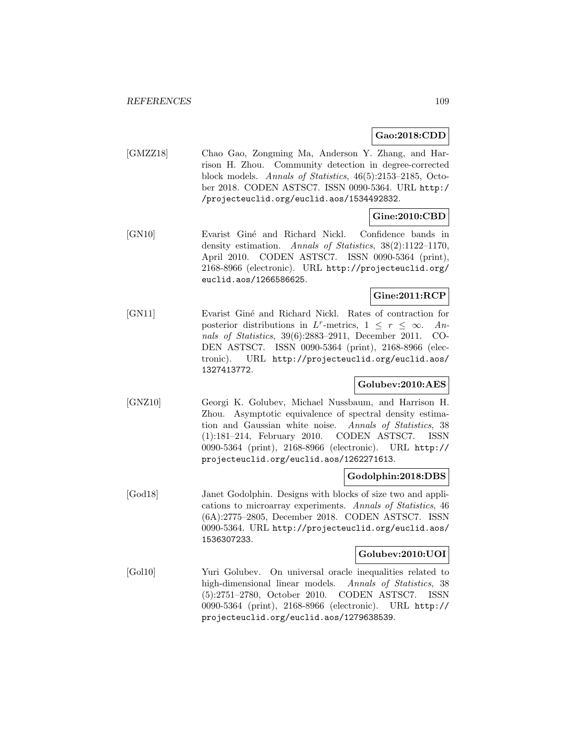**Gao:2018:CDD**

[GMZZ18] Chao Gao, Zongming Ma, Anderson Y. Zhang, and Harrison H. Zhou. Community detection in degree-corrected block models. Annals of Statistics, 46(5):2153–2185, October 2018. CODEN ASTSC7. ISSN 0090-5364. URL http:/ /projecteuclid.org/euclid.aos/1534492832.

### **Gine:2010:CBD**

[GN10] Evarist Giné and Richard Nickl. Confidence bands in density estimation. Annals of Statistics, 38(2):1122–1170, April 2010. CODEN ASTSC7. ISSN 0090-5364 (print), 2168-8966 (electronic). URL http://projecteuclid.org/ euclid.aos/1266586625.

### **Gine:2011:RCP**

[GN11] Evarist Giné and Richard Nickl. Rates of contraction for posterior distributions in L<sup>r</sup>-metrics,  $1 \leq r \leq \infty$ . An-<br>nals of Statistics, 39(6):2883-2911, December 2011. COnals of Statistics,  $39(6):2883-2911$ , December 2011. DEN ASTSC7. ISSN 0090-5364 (print), 2168-8966 (electronic). URL http://projecteuclid.org/euclid.aos/ 1327413772.

#### **Golubev:2010:AES**

[GNZ10] Georgi K. Golubev, Michael Nussbaum, and Harrison H. Zhou. Asymptotic equivalence of spectral density estimation and Gaussian white noise. Annals of Statistics, 38 (1):181–214, February 2010. CODEN ASTSC7. ISSN 0090-5364 (print), 2168-8966 (electronic). URL http:// projecteuclid.org/euclid.aos/1262271613.

#### **Godolphin:2018:DBS**

[God18] Janet Godolphin. Designs with blocks of size two and applications to microarray experiments. Annals of Statistics, 46 (6A):2775–2805, December 2018. CODEN ASTSC7. ISSN 0090-5364. URL http://projecteuclid.org/euclid.aos/ 1536307233.

#### **Golubev:2010:UOI**

[Gol10] Yuri Golubev. On universal oracle inequalities related to high-dimensional linear models. Annals of Statistics, 38 (5):2751–2780, October 2010. CODEN ASTSC7. ISSN 0090-5364 (print), 2168-8966 (electronic). URL http:// projecteuclid.org/euclid.aos/1279638539.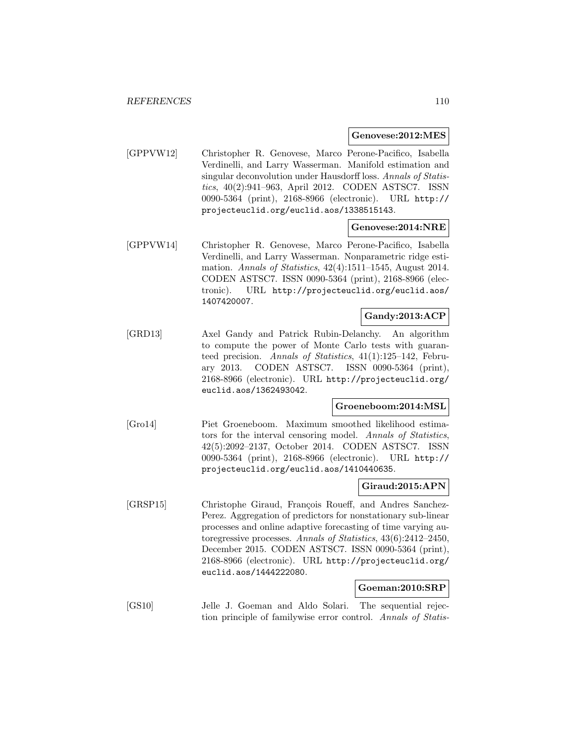#### **Genovese:2012:MES**

[GPPVW12] Christopher R. Genovese, Marco Perone-Pacifico, Isabella Verdinelli, and Larry Wasserman. Manifold estimation and singular deconvolution under Hausdorff loss. Annals of Statistics, 40(2):941–963, April 2012. CODEN ASTSC7. ISSN 0090-5364 (print), 2168-8966 (electronic). URL http:// projecteuclid.org/euclid.aos/1338515143.

#### **Genovese:2014:NRE**

[GPPVW14] Christopher R. Genovese, Marco Perone-Pacifico, Isabella Verdinelli, and Larry Wasserman. Nonparametric ridge estimation. Annals of Statistics, 42(4):1511–1545, August 2014. CODEN ASTSC7. ISSN 0090-5364 (print), 2168-8966 (electronic). URL http://projecteuclid.org/euclid.aos/ 1407420007.

### **Gandy:2013:ACP**

[GRD13] Axel Gandy and Patrick Rubin-Delanchy. An algorithm to compute the power of Monte Carlo tests with guaranteed precision. Annals of Statistics, 41(1):125–142, February 2013. CODEN ASTSC7. ISSN 0090-5364 (print), 2168-8966 (electronic). URL http://projecteuclid.org/ euclid.aos/1362493042.

#### **Groeneboom:2014:MSL**

[Gro14] Piet Groeneboom. Maximum smoothed likelihood estimators for the interval censoring model. Annals of Statistics, 42(5):2092–2137, October 2014. CODEN ASTSC7. ISSN 0090-5364 (print), 2168-8966 (electronic). URL http:// projecteuclid.org/euclid.aos/1410440635.

#### **Giraud:2015:APN**

[GRSP15] Christophe Giraud, François Roueff, and Andres Sanchez-Perez. Aggregation of predictors for nonstationary sub-linear processes and online adaptive forecasting of time varying autoregressive processes. Annals of Statistics, 43(6):2412–2450, December 2015. CODEN ASTSC7. ISSN 0090-5364 (print), 2168-8966 (electronic). URL http://projecteuclid.org/ euclid.aos/1444222080.

### **Goeman:2010:SRP**

[GS10] Jelle J. Goeman and Aldo Solari. The sequential rejection principle of familywise error control. Annals of Statis-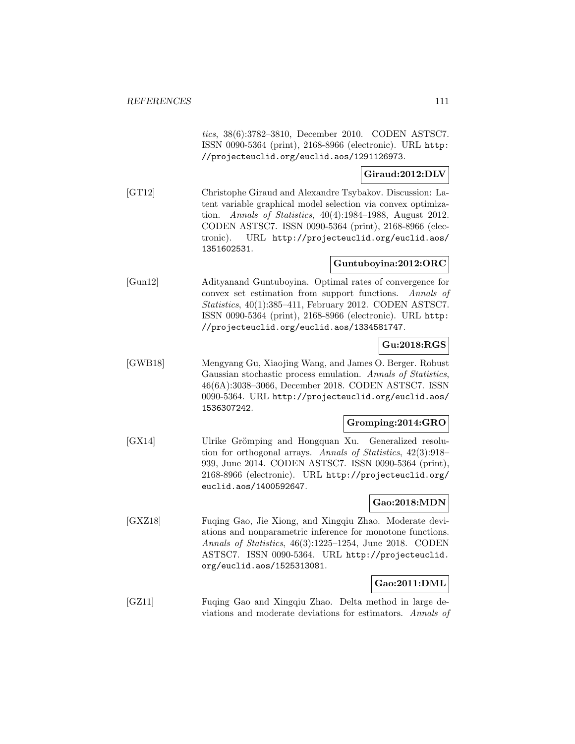tics, 38(6):3782–3810, December 2010. CODEN ASTSC7. ISSN 0090-5364 (print), 2168-8966 (electronic). URL http: //projecteuclid.org/euclid.aos/1291126973.

#### **Giraud:2012:DLV**

[GT12] Christophe Giraud and Alexandre Tsybakov. Discussion: Latent variable graphical model selection via convex optimization. Annals of Statistics, 40(4):1984–1988, August 2012. CODEN ASTSC7. ISSN 0090-5364 (print), 2168-8966 (electronic). URL http://projecteuclid.org/euclid.aos/ 1351602531.

### **Guntuboyina:2012:ORC**

[Gun12] Adityanand Guntuboyina. Optimal rates of convergence for convex set estimation from support functions. Annals of Statistics, 40(1):385–411, February 2012. CODEN ASTSC7. ISSN 0090-5364 (print), 2168-8966 (electronic). URL http: //projecteuclid.org/euclid.aos/1334581747.

### **Gu:2018:RGS**

[GWB18] Mengyang Gu, Xiaojing Wang, and James O. Berger. Robust Gaussian stochastic process emulation. Annals of Statistics, 46(6A):3038–3066, December 2018. CODEN ASTSC7. ISSN 0090-5364. URL http://projecteuclid.org/euclid.aos/ 1536307242.

#### **Gromping:2014:GRO**

[GX14] Ulrike Grömping and Hongquan Xu. Generalized resolution for orthogonal arrays. Annals of Statistics, 42(3):918– 939, June 2014. CODEN ASTSC7. ISSN 0090-5364 (print), 2168-8966 (electronic). URL http://projecteuclid.org/ euclid.aos/1400592647.

### **Gao:2018:MDN**

[GXZ18] Fuqing Gao, Jie Xiong, and Xingqiu Zhao. Moderate deviations and nonparametric inference for monotone functions. Annals of Statistics, 46(3):1225–1254, June 2018. CODEN ASTSC7. ISSN 0090-5364. URL http://projecteuclid. org/euclid.aos/1525313081.

# **Gao:2011:DML**

[GZ11] Fuqing Gao and Xingqiu Zhao. Delta method in large deviations and moderate deviations for estimators. Annals of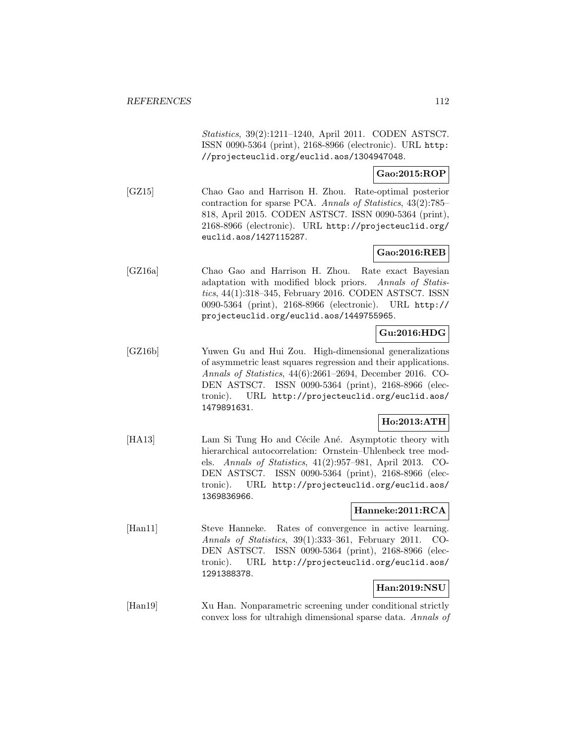Statistics, 39(2):1211–1240, April 2011. CODEN ASTSC7. ISSN 0090-5364 (print), 2168-8966 (electronic). URL http: //projecteuclid.org/euclid.aos/1304947048.

### **Gao:2015:ROP**

[GZ15] Chao Gao and Harrison H. Zhou. Rate-optimal posterior contraction for sparse PCA. Annals of Statistics, 43(2):785– 818, April 2015. CODEN ASTSC7. ISSN 0090-5364 (print), 2168-8966 (electronic). URL http://projecteuclid.org/ euclid.aos/1427115287.

### **Gao:2016:REB**

[GZ16a] Chao Gao and Harrison H. Zhou. Rate exact Bayesian adaptation with modified block priors. Annals of Statistics, 44(1):318–345, February 2016. CODEN ASTSC7. ISSN 0090-5364 (print), 2168-8966 (electronic). URL http:// projecteuclid.org/euclid.aos/1449755965.

## **Gu:2016:HDG**

[GZ16b] Yuwen Gu and Hui Zou. High-dimensional generalizations of asymmetric least squares regression and their applications. Annals of Statistics, 44(6):2661–2694, December 2016. CO-DEN ASTSC7. ISSN 0090-5364 (print), 2168-8966 (electronic). URL http://projecteuclid.org/euclid.aos/ 1479891631.

### **Ho:2013:ATH**

[HA13] Lam Si Tung Ho and Cécile Ané. Asymptotic theory with hierarchical autocorrelation: Ornstein–Uhlenbeck tree models. Annals of Statistics, 41(2):957–981, April 2013. CO-DEN ASTSC7. ISSN 0090-5364 (print), 2168-8966 (electronic). URL http://projecteuclid.org/euclid.aos/ 1369836966.

### **Hanneke:2011:RCA**

[Han11] Steve Hanneke. Rates of convergence in active learning. Annals of Statistics, 39(1):333–361, February 2011. CO-DEN ASTSC7. ISSN 0090-5364 (print), 2168-8966 (electronic). URL http://projecteuclid.org/euclid.aos/ 1291388378.

## **Han:2019:NSU**

[Han19] Xu Han. Nonparametric screening under conditional strictly convex loss for ultrahigh dimensional sparse data. Annals of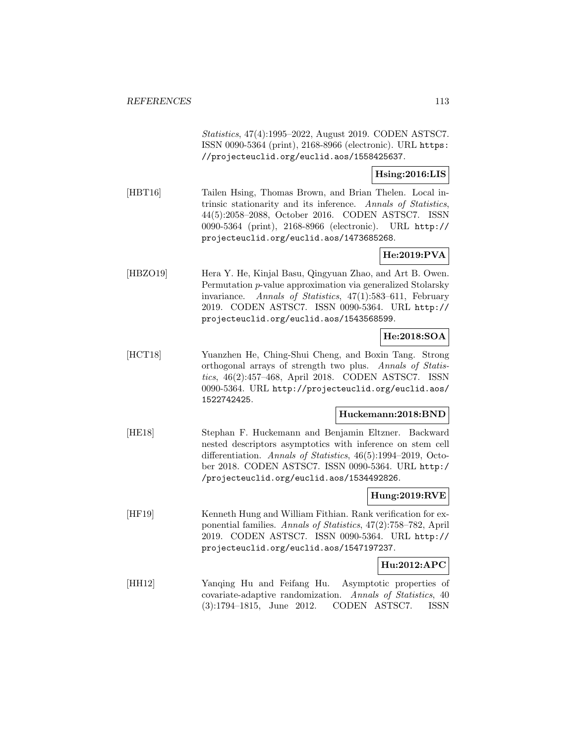Statistics, 47(4):1995–2022, August 2019. CODEN ASTSC7. ISSN 0090-5364 (print), 2168-8966 (electronic). URL https: //projecteuclid.org/euclid.aos/1558425637.

#### **Hsing:2016:LIS**

[HBT16] Tailen Hsing, Thomas Brown, and Brian Thelen. Local intrinsic stationarity and its inference. Annals of Statistics, 44(5):2058–2088, October 2016. CODEN ASTSC7. ISSN 0090-5364 (print), 2168-8966 (electronic). URL http:// projecteuclid.org/euclid.aos/1473685268.

## **He:2019:PVA**

[HBZO19] Hera Y. He, Kinjal Basu, Qingyuan Zhao, and Art B. Owen. Permutation p-value approximation via generalized Stolarsky invariance. Annals of Statistics, 47(1):583–611, February 2019. CODEN ASTSC7. ISSN 0090-5364. URL http:// projecteuclid.org/euclid.aos/1543568599.

### **He:2018:SOA**

[HCT18] Yuanzhen He, Ching-Shui Cheng, and Boxin Tang. Strong orthogonal arrays of strength two plus. Annals of Statistics, 46(2):457–468, April 2018. CODEN ASTSC7. ISSN 0090-5364. URL http://projecteuclid.org/euclid.aos/ 1522742425.

#### **Huckemann:2018:BND**

[HE18] Stephan F. Huckemann and Benjamin Eltzner. Backward nested descriptors asymptotics with inference on stem cell differentiation. Annals of Statistics, 46(5):1994–2019, October 2018. CODEN ASTSC7. ISSN 0090-5364. URL http:/ /projecteuclid.org/euclid.aos/1534492826.

### **Hung:2019:RVE**

[HF19] Kenneth Hung and William Fithian. Rank verification for exponential families. Annals of Statistics, 47(2):758–782, April 2019. CODEN ASTSC7. ISSN 0090-5364. URL http:// projecteuclid.org/euclid.aos/1547197237.

#### **Hu:2012:APC**

[HH12] Yanqing Hu and Feifang Hu. Asymptotic properties of covariate-adaptive randomization. Annals of Statistics, 40 (3):1794–1815, June 2012. CODEN ASTSC7. ISSN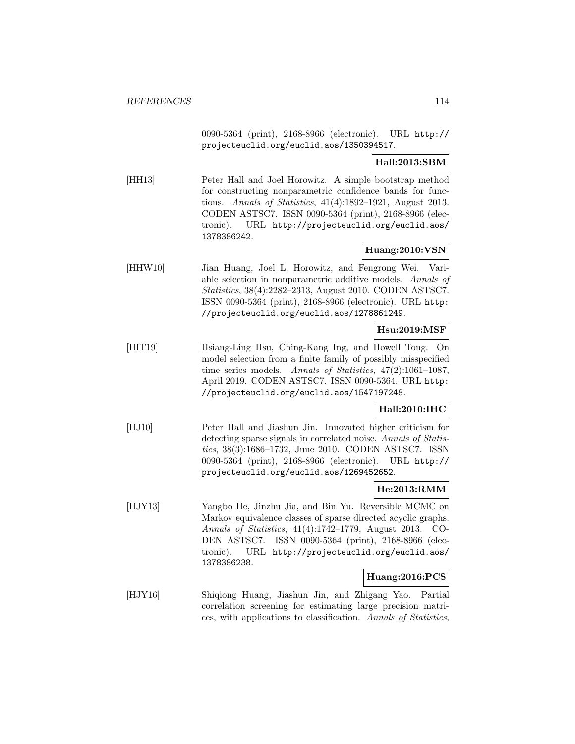0090-5364 (print), 2168-8966 (electronic). URL http:// projecteuclid.org/euclid.aos/1350394517.

## **Hall:2013:SBM**

[HH13] Peter Hall and Joel Horowitz. A simple bootstrap method for constructing nonparametric confidence bands for functions. Annals of Statistics, 41(4):1892–1921, August 2013. CODEN ASTSC7. ISSN 0090-5364 (print), 2168-8966 (electronic). URL http://projecteuclid.org/euclid.aos/ 1378386242.

## **Huang:2010:VSN**

[HHW10] Jian Huang, Joel L. Horowitz, and Fengrong Wei. Variable selection in nonparametric additive models. Annals of Statistics, 38(4):2282–2313, August 2010. CODEN ASTSC7. ISSN 0090-5364 (print), 2168-8966 (electronic). URL http: //projecteuclid.org/euclid.aos/1278861249.

## **Hsu:2019:MSF**

[HIT19] Hsiang-Ling Hsu, Ching-Kang Ing, and Howell Tong. On model selection from a finite family of possibly misspecified time series models. Annals of Statistics,  $47(2):1061-1087$ , April 2019. CODEN ASTSC7. ISSN 0090-5364. URL http: //projecteuclid.org/euclid.aos/1547197248.

### **Hall:2010:IHC**

[HJ10] Peter Hall and Jiashun Jin. Innovated higher criticism for detecting sparse signals in correlated noise. Annals of Statistics, 38(3):1686–1732, June 2010. CODEN ASTSC7. ISSN 0090-5364 (print), 2168-8966 (electronic). URL http:// projecteuclid.org/euclid.aos/1269452652.

### **He:2013:RMM**

[HJY13] Yangbo He, Jinzhu Jia, and Bin Yu. Reversible MCMC on Markov equivalence classes of sparse directed acyclic graphs. Annals of Statistics, 41(4):1742–1779, August 2013. CO-DEN ASTSC7. ISSN 0090-5364 (print), 2168-8966 (electronic). URL http://projecteuclid.org/euclid.aos/ 1378386238.

### **Huang:2016:PCS**

[HJY16] Shiqiong Huang, Jiashun Jin, and Zhigang Yao. Partial correlation screening for estimating large precision matrices, with applications to classification. Annals of Statistics,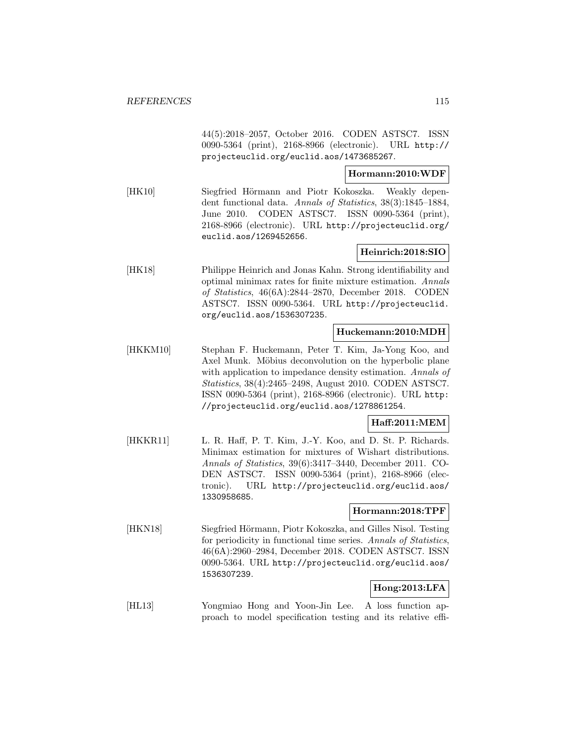44(5):2018–2057, October 2016. CODEN ASTSC7. ISSN 0090-5364 (print), 2168-8966 (electronic). URL http:// projecteuclid.org/euclid.aos/1473685267.

### **Hormann:2010:WDF**

[HK10] Siegfried Hörmann and Piotr Kokoszka. Weakly dependent functional data. Annals of Statistics, 38(3):1845–1884, June 2010. CODEN ASTSC7. ISSN 0090-5364 (print), 2168-8966 (electronic). URL http://projecteuclid.org/ euclid.aos/1269452656.

### **Heinrich:2018:SIO**

[HK18] Philippe Heinrich and Jonas Kahn. Strong identifiability and optimal minimax rates for finite mixture estimation. Annals of Statistics, 46(6A):2844–2870, December 2018. CODEN ASTSC7. ISSN 0090-5364. URL http://projecteuclid. org/euclid.aos/1536307235.

#### **Huckemann:2010:MDH**

[HKKM10] Stephan F. Huckemann, Peter T. Kim, Ja-Yong Koo, and Axel Munk. Möbius deconvolution on the hyperbolic plane with application to impedance density estimation. Annals of Statistics, 38(4):2465–2498, August 2010. CODEN ASTSC7. ISSN 0090-5364 (print), 2168-8966 (electronic). URL http: //projecteuclid.org/euclid.aos/1278861254.

### **Haff:2011:MEM**

[HKKR11] L. R. Haff, P. T. Kim, J.-Y. Koo, and D. St. P. Richards. Minimax estimation for mixtures of Wishart distributions. Annals of Statistics, 39(6):3417–3440, December 2011. CO-DEN ASTSC7. ISSN 0090-5364 (print), 2168-8966 (electronic). URL http://projecteuclid.org/euclid.aos/ 1330958685.

### **Hormann:2018:TPF**

[HKN18] Siegfried Hörmann, Piotr Kokoszka, and Gilles Nisol. Testing for periodicity in functional time series. Annals of Statistics, 46(6A):2960–2984, December 2018. CODEN ASTSC7. ISSN 0090-5364. URL http://projecteuclid.org/euclid.aos/ 1536307239.

# **Hong:2013:LFA**

[HL13] Yongmiao Hong and Yoon-Jin Lee. A loss function approach to model specification testing and its relative effi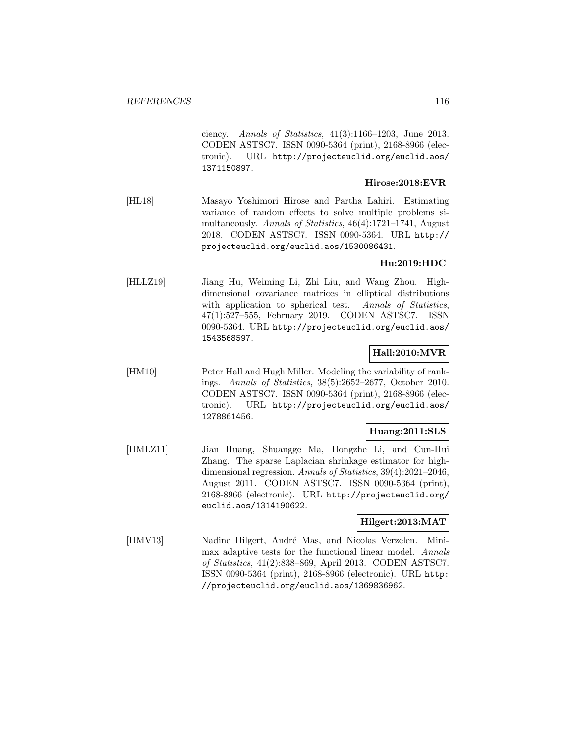ciency. Annals of Statistics, 41(3):1166–1203, June 2013. CODEN ASTSC7. ISSN 0090-5364 (print), 2168-8966 (electronic). URL http://projecteuclid.org/euclid.aos/ 1371150897.

### **Hirose:2018:EVR**

[HL18] Masayo Yoshimori Hirose and Partha Lahiri. Estimating variance of random effects to solve multiple problems simultaneously. Annals of Statistics, 46(4):1721–1741, August 2018. CODEN ASTSC7. ISSN 0090-5364. URL http:// projecteuclid.org/euclid.aos/1530086431.

## **Hu:2019:HDC**

[HLLZ19] Jiang Hu, Weiming Li, Zhi Liu, and Wang Zhou. Highdimensional covariance matrices in elliptical distributions with application to spherical test. Annals of Statistics, 47(1):527–555, February 2019. CODEN ASTSC7. ISSN 0090-5364. URL http://projecteuclid.org/euclid.aos/ 1543568597.

#### **Hall:2010:MVR**

[HM10] Peter Hall and Hugh Miller. Modeling the variability of rankings. Annals of Statistics, 38(5):2652–2677, October 2010. CODEN ASTSC7. ISSN 0090-5364 (print), 2168-8966 (electronic). URL http://projecteuclid.org/euclid.aos/ 1278861456.

#### **Huang:2011:SLS**

[HMLZ11] Jian Huang, Shuangge Ma, Hongzhe Li, and Cun-Hui Zhang. The sparse Laplacian shrinkage estimator for highdimensional regression. Annals of Statistics, 39(4):2021–2046, August 2011. CODEN ASTSC7. ISSN 0090-5364 (print), 2168-8966 (electronic). URL http://projecteuclid.org/ euclid.aos/1314190622.

#### **Hilgert:2013:MAT**

[HMV13] Nadine Hilgert, André Mas, and Nicolas Verzelen. Minimax adaptive tests for the functional linear model. Annals of Statistics, 41(2):838–869, April 2013. CODEN ASTSC7. ISSN 0090-5364 (print), 2168-8966 (electronic). URL http: //projecteuclid.org/euclid.aos/1369836962.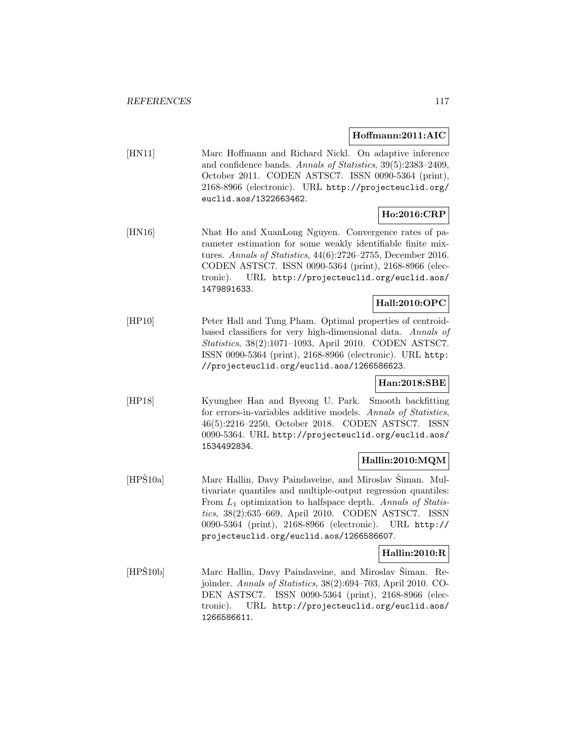### **Hoffmann:2011:AIC**

[HN11] Marc Hoffmann and Richard Nickl. On adaptive inference and confidence bands. Annals of Statistics, 39(5):2383–2409, October 2011. CODEN ASTSC7. ISSN 0090-5364 (print), 2168-8966 (electronic). URL http://projecteuclid.org/ euclid.aos/1322663462.

# **Ho:2016:CRP**

[HN16] Nhat Ho and XuanLong Nguyen. Convergence rates of parameter estimation for some weakly identifiable finite mixtures. Annals of Statistics, 44(6):2726–2755, December 2016. CODEN ASTSC7. ISSN 0090-5364 (print), 2168-8966 (electronic). URL http://projecteuclid.org/euclid.aos/ 1479891633.

## **Hall:2010:OPC**

[HP10] Peter Hall and Tung Pham. Optimal properties of centroidbased classifiers for very high-dimensional data. Annals of Statistics, 38(2):1071–1093, April 2010. CODEN ASTSC7. ISSN 0090-5364 (print), 2168-8966 (electronic). URL http: //projecteuclid.org/euclid.aos/1266586623.

# **Han:2018:SBE**

[HP18] Kyunghee Han and Byeong U. Park. Smooth backfitting for errors-in-variables additive models. Annals of Statistics, 46(5):2216–2250, October 2018. CODEN ASTSC7. ISSN 0090-5364. URL http://projecteuclid.org/euclid.aos/ 1534492834.

### **Hallin:2010:MQM**

[HPŠ10a] Marc Hallin, Davy Paindaveine, and Miroslav Šiman. Multivariate quantiles and multiple-output regression quantiles: From  $L_1$  optimization to halfspace depth. Annals of Statistics, 38(2):635–669, April 2010. CODEN ASTSC7. ISSN 0090-5364 (print), 2168-8966 (electronic). URL http:// projecteuclid.org/euclid.aos/1266586607.

### **Hallin:2010:R**

[HPS10b] Marc Hallin, Davy Paindaveine, and Miroslav Siman. Rejoinder. Annals of Statistics, 38(2):694–703, April 2010. CO-DEN ASTSC7. ISSN 0090-5364 (print), 2168-8966 (electronic). URL http://projecteuclid.org/euclid.aos/ 1266586611.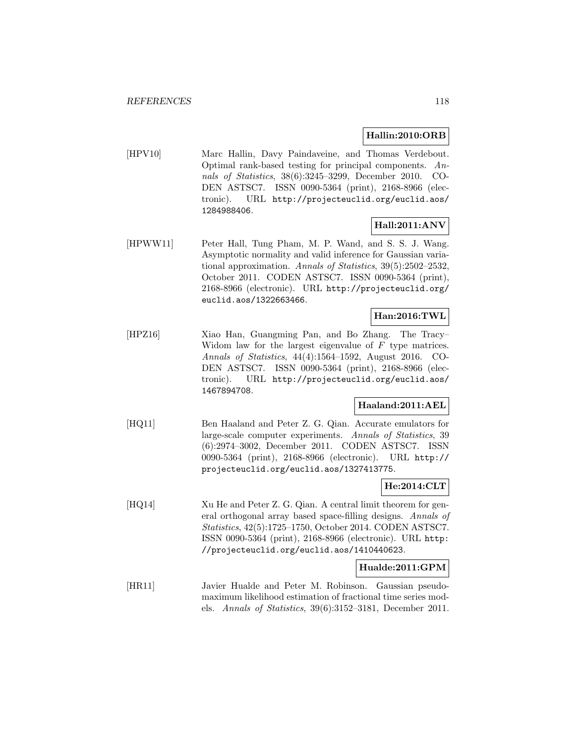#### **Hallin:2010:ORB**

[HPV10] Marc Hallin, Davy Paindaveine, and Thomas Verdebout. Optimal rank-based testing for principal components. Annals of Statistics, 38(6):3245–3299, December 2010. CO-DEN ASTSC7. ISSN 0090-5364 (print), 2168-8966 (electronic). URL http://projecteuclid.org/euclid.aos/ 1284988406.

### **Hall:2011:ANV**

[HPWW11] Peter Hall, Tung Pham, M. P. Wand, and S. S. J. Wang. Asymptotic normality and valid inference for Gaussian variational approximation. Annals of Statistics, 39(5):2502–2532, October 2011. CODEN ASTSC7. ISSN 0090-5364 (print), 2168-8966 (electronic). URL http://projecteuclid.org/ euclid.aos/1322663466.

#### **Han:2016:TWL**

[HPZ16] Xiao Han, Guangming Pan, and Bo Zhang. The Tracy– Widom law for the largest eigenvalue of  $F$  type matrices. Annals of Statistics, 44(4):1564–1592, August 2016. CO-DEN ASTSC7. ISSN 0090-5364 (print), 2168-8966 (electronic). URL http://projecteuclid.org/euclid.aos/ 1467894708.

### **Haaland:2011:AEL**

[HQ11] Ben Haaland and Peter Z. G. Qian. Accurate emulators for large-scale computer experiments. Annals of Statistics, 39 (6):2974–3002, December 2011. CODEN ASTSC7. ISSN 0090-5364 (print), 2168-8966 (electronic). URL http:// projecteuclid.org/euclid.aos/1327413775.

#### **He:2014:CLT**

[HQ14] Xu He and Peter Z. G. Qian. A central limit theorem for general orthogonal array based space-filling designs. Annals of Statistics, 42(5):1725–1750, October 2014. CODEN ASTSC7. ISSN 0090-5364 (print), 2168-8966 (electronic). URL http: //projecteuclid.org/euclid.aos/1410440623.

#### **Hualde:2011:GPM**

[HR11] Javier Hualde and Peter M. Robinson. Gaussian pseudomaximum likelihood estimation of fractional time series models. Annals of Statistics, 39(6):3152–3181, December 2011.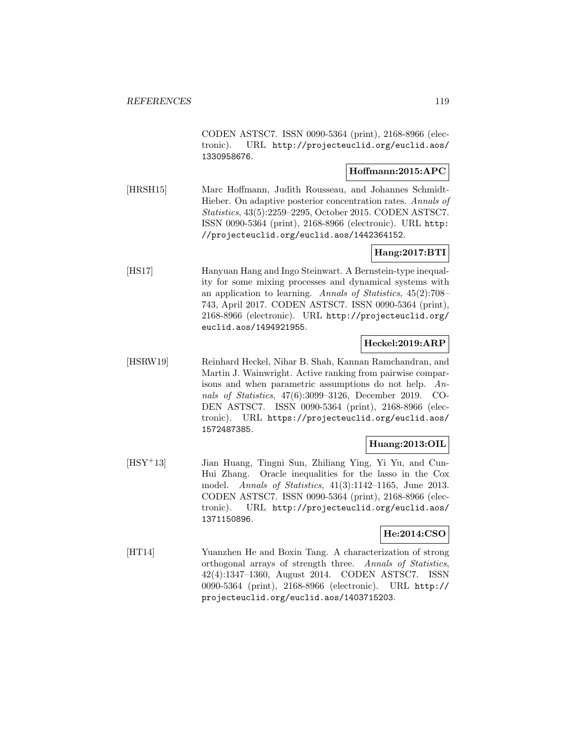CODEN ASTSC7. ISSN 0090-5364 (print), 2168-8966 (electronic). URL http://projecteuclid.org/euclid.aos/ 1330958676.

### **Hoffmann:2015:APC**

[HRSH15] Marc Hoffmann, Judith Rousseau, and Johannes Schmidt-Hieber. On adaptive posterior concentration rates. Annals of Statistics, 43(5):2259–2295, October 2015. CODEN ASTSC7. ISSN 0090-5364 (print), 2168-8966 (electronic). URL http: //projecteuclid.org/euclid.aos/1442364152.

### **Hang:2017:BTI**

[HS17] Hanyuan Hang and Ingo Steinwart. A Bernstein-type inequality for some mixing processes and dynamical systems with an application to learning. Annals of Statistics, 45(2):708– 743, April 2017. CODEN ASTSC7. ISSN 0090-5364 (print), 2168-8966 (electronic). URL http://projecteuclid.org/ euclid.aos/1494921955.

### **Heckel:2019:ARP**

[HSRW19] Reinhard Heckel, Nihar B. Shah, Kannan Ramchandran, and Martin J. Wainwright. Active ranking from pairwise comparisons and when parametric assumptions do not help. Annals of Statistics, 47(6):3099–3126, December 2019. CO-DEN ASTSC7. ISSN 0090-5364 (print), 2168-8966 (electronic). URL https://projecteuclid.org/euclid.aos/ 1572487385.

### **Huang:2013:OIL**

[HSY<sup>+</sup>13] Jian Huang, Tingni Sun, Zhiliang Ying, Yi Yu, and Cun-Hui Zhang. Oracle inequalities for the lasso in the Cox model. Annals of Statistics, 41(3):1142–1165, June 2013. CODEN ASTSC7. ISSN 0090-5364 (print), 2168-8966 (electronic). URL http://projecteuclid.org/euclid.aos/ 1371150896.

#### **He:2014:CSO**

[HT14] Yuanzhen He and Boxin Tang. A characterization of strong orthogonal arrays of strength three. Annals of Statistics, 42(4):1347–1360, August 2014. CODEN ASTSC7. ISSN 0090-5364 (print), 2168-8966 (electronic). URL http:// projecteuclid.org/euclid.aos/1403715203.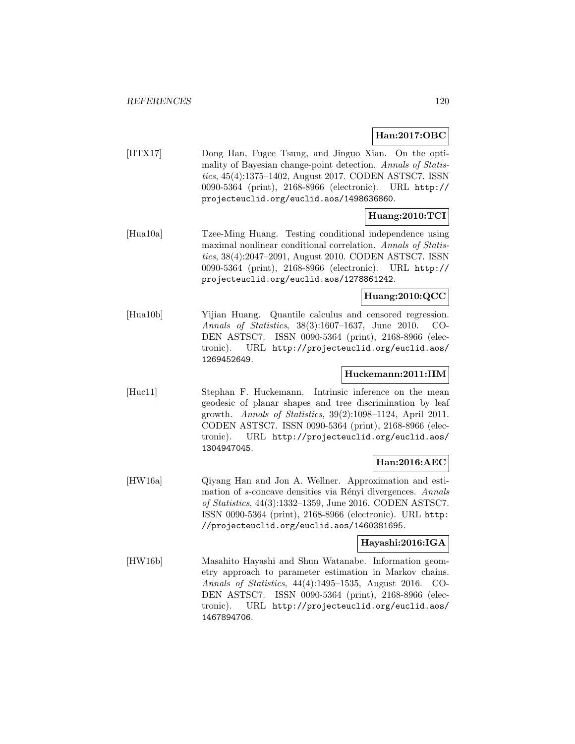**Han:2017:OBC**

[HTX17] Dong Han, Fugee Tsung, and Jinguo Xian. On the optimality of Bayesian change-point detection. Annals of Statistics, 45(4):1375–1402, August 2017. CODEN ASTSC7. ISSN 0090-5364 (print), 2168-8966 (electronic). URL http:// projecteuclid.org/euclid.aos/1498636860.

# **Huang:2010:TCI**

[Hua10a] Tzee-Ming Huang. Testing conditional independence using maximal nonlinear conditional correlation. Annals of Statistics, 38(4):2047–2091, August 2010. CODEN ASTSC7. ISSN 0090-5364 (print), 2168-8966 (electronic). URL http:// projecteuclid.org/euclid.aos/1278861242.

### **Huang:2010:QCC**

[Hua10b] Yijian Huang. Quantile calculus and censored regression. Annals of Statistics, 38(3):1607–1637, June 2010. CO-DEN ASTSC7. ISSN 0090-5364 (print), 2168-8966 (electronic). URL http://projecteuclid.org/euclid.aos/ 1269452649.

### **Huckemann:2011:IIM**

[Huc11] Stephan F. Huckemann. Intrinsic inference on the mean geodesic of planar shapes and tree discrimination by leaf growth. Annals of Statistics, 39(2):1098–1124, April 2011. CODEN ASTSC7. ISSN 0090-5364 (print), 2168-8966 (electronic). URL http://projecteuclid.org/euclid.aos/ 1304947045.

### **Han:2016:AEC**

[HW16a] Qiyang Han and Jon A. Wellner. Approximation and estimation of s-concave densities via Rényi divergences. Annals of Statistics, 44(3):1332–1359, June 2016. CODEN ASTSC7. ISSN 0090-5364 (print), 2168-8966 (electronic). URL http: //projecteuclid.org/euclid.aos/1460381695.

#### **Hayashi:2016:IGA**

[HW16b] Masahito Hayashi and Shun Watanabe. Information geometry approach to parameter estimation in Markov chains. Annals of Statistics, 44(4):1495–1535, August 2016. CO-DEN ASTSC7. ISSN 0090-5364 (print), 2168-8966 (electronic). URL http://projecteuclid.org/euclid.aos/ 1467894706.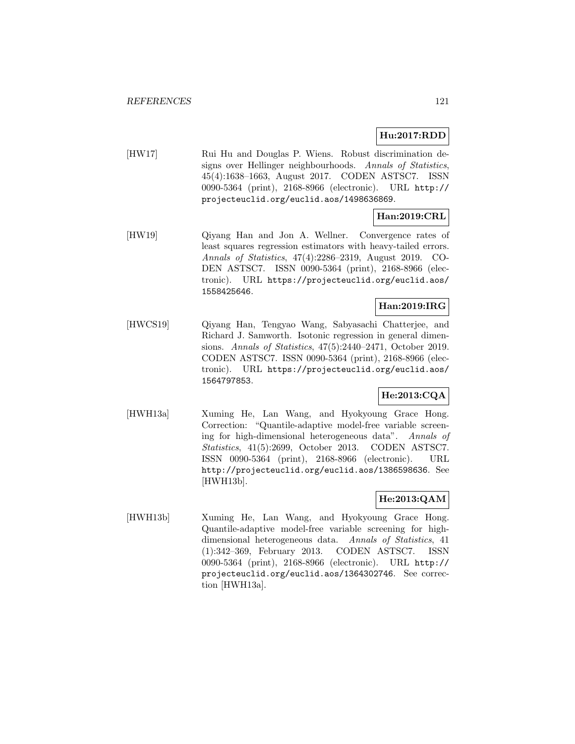## **Hu:2017:RDD**

[HW17] Rui Hu and Douglas P. Wiens. Robust discrimination designs over Hellinger neighbourhoods. Annals of Statistics, 45(4):1638–1663, August 2017. CODEN ASTSC7. ISSN 0090-5364 (print), 2168-8966 (electronic). URL http:// projecteuclid.org/euclid.aos/1498636869.

# **Han:2019:CRL**

[HW19] Qiyang Han and Jon A. Wellner. Convergence rates of least squares regression estimators with heavy-tailed errors. Annals of Statistics, 47(4):2286–2319, August 2019. CO-DEN ASTSC7. ISSN 0090-5364 (print), 2168-8966 (electronic). URL https://projecteuclid.org/euclid.aos/ 1558425646.

# **Han:2019:IRG**

[HWCS19] Qiyang Han, Tengyao Wang, Sabyasachi Chatterjee, and Richard J. Samworth. Isotonic regression in general dimensions. Annals of Statistics, 47(5):2440–2471, October 2019. CODEN ASTSC7. ISSN 0090-5364 (print), 2168-8966 (electronic). URL https://projecteuclid.org/euclid.aos/ 1564797853.

### **He:2013:CQA**

[HWH13a] Xuming He, Lan Wang, and Hyokyoung Grace Hong. Correction: "Quantile-adaptive model-free variable screening for high-dimensional heterogeneous data". Annals of Statistics, 41(5):2699, October 2013. CODEN ASTSC7. ISSN 0090-5364 (print), 2168-8966 (electronic). URL http://projecteuclid.org/euclid.aos/1386598636. See [HWH13b].

# **He:2013:QAM**

[HWH13b] Xuming He, Lan Wang, and Hyokyoung Grace Hong. Quantile-adaptive model-free variable screening for highdimensional heterogeneous data. Annals of Statistics, 41 (1):342–369, February 2013. CODEN ASTSC7. ISSN 0090-5364 (print), 2168-8966 (electronic). URL http:// projecteuclid.org/euclid.aos/1364302746. See correction [HWH13a].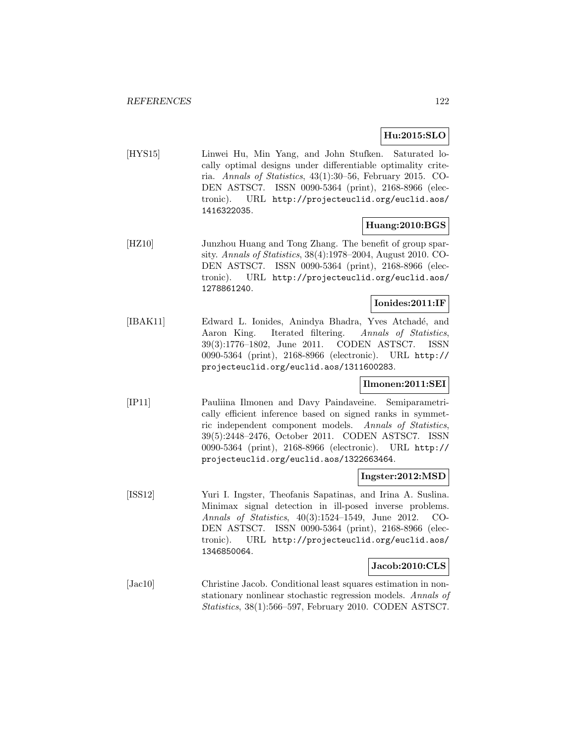### **Hu:2015:SLO**

[HYS15] Linwei Hu, Min Yang, and John Stufken. Saturated locally optimal designs under differentiable optimality criteria. Annals of Statistics, 43(1):30–56, February 2015. CO-DEN ASTSC7. ISSN 0090-5364 (print), 2168-8966 (electronic). URL http://projecteuclid.org/euclid.aos/ 1416322035.

### **Huang:2010:BGS**

[HZ10] Junzhou Huang and Tong Zhang. The benefit of group sparsity. Annals of Statistics, 38(4):1978–2004, August 2010. CO-DEN ASTSC7. ISSN 0090-5364 (print), 2168-8966 (electronic). URL http://projecteuclid.org/euclid.aos/ 1278861240.

#### **Ionides:2011:IF**

[IBAK11] Edward L. Ionides, Anindya Bhadra, Yves Atchad´e, and Aaron King. Iterated filtering. Annals of Statistics, 39(3):1776–1802, June 2011. CODEN ASTSC7. ISSN 0090-5364 (print), 2168-8966 (electronic). URL http:// projecteuclid.org/euclid.aos/1311600283.

### **Ilmonen:2011:SEI**

[IP11] Pauliina Ilmonen and Davy Paindaveine. Semiparametrically efficient inference based on signed ranks in symmetric independent component models. Annals of Statistics, 39(5):2448–2476, October 2011. CODEN ASTSC7. ISSN 0090-5364 (print), 2168-8966 (electronic). URL http:// projecteuclid.org/euclid.aos/1322663464.

#### **Ingster:2012:MSD**

[ISS12] Yuri I. Ingster, Theofanis Sapatinas, and Irina A. Suslina. Minimax signal detection in ill-posed inverse problems. Annals of Statistics, 40(3):1524–1549, June 2012. CO-DEN ASTSC7. ISSN 0090-5364 (print), 2168-8966 (electronic). URL http://projecteuclid.org/euclid.aos/ 1346850064.

### **Jacob:2010:CLS**

[Jac10] Christine Jacob. Conditional least squares estimation in nonstationary nonlinear stochastic regression models. Annals of Statistics, 38(1):566–597, February 2010. CODEN ASTSC7.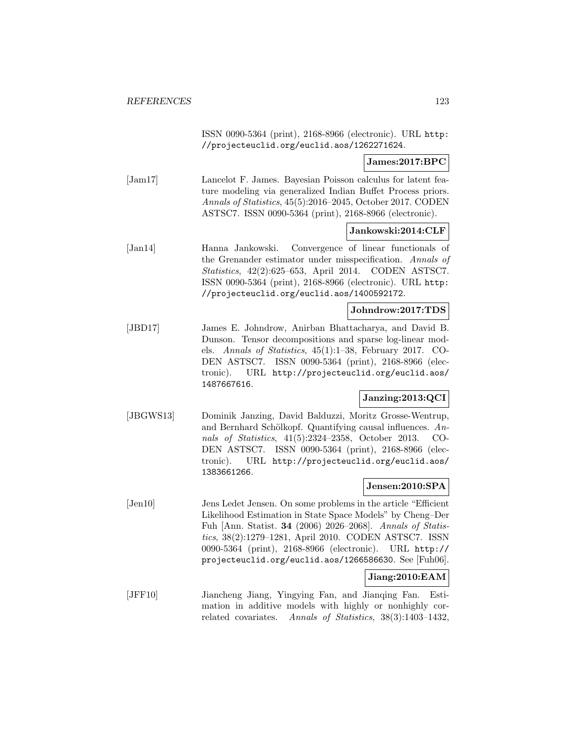ISSN 0090-5364 (print), 2168-8966 (electronic). URL http: //projecteuclid.org/euclid.aos/1262271624.

### **James:2017:BPC**

[Jam17] Lancelot F. James. Bayesian Poisson calculus for latent feature modeling via generalized Indian Buffet Process priors. Annals of Statistics, 45(5):2016–2045, October 2017. CODEN ASTSC7. ISSN 0090-5364 (print), 2168-8966 (electronic).

#### **Jankowski:2014:CLF**

[Jan14] Hanna Jankowski. Convergence of linear functionals of the Grenander estimator under misspecification. Annals of Statistics, 42(2):625–653, April 2014. CODEN ASTSC7. ISSN 0090-5364 (print), 2168-8966 (electronic). URL http: //projecteuclid.org/euclid.aos/1400592172.

#### **Johndrow:2017:TDS**

[JBD17] James E. Johndrow, Anirban Bhattacharya, and David B. Dunson. Tensor decompositions and sparse log-linear models. Annals of Statistics, 45(1):1–38, February 2017. CO-DEN ASTSC7. ISSN 0090-5364 (print), 2168-8966 (electronic). URL http://projecteuclid.org/euclid.aos/ 1487667616.

#### **Janzing:2013:QCI**

[JBGWS13] Dominik Janzing, David Balduzzi, Moritz Grosse-Wentrup, and Bernhard Schölkopf. Quantifying causal influences.  $An$ nals of Statistics, 41(5):2324–2358, October 2013. CO-DEN ASTSC7. ISSN 0090-5364 (print), 2168-8966 (electronic). URL http://projecteuclid.org/euclid.aos/ 1383661266.

### **Jensen:2010:SPA**

[Jen10] Jens Ledet Jensen. On some problems in the article "Efficient Likelihood Estimation in State Space Models" by Cheng–Der Fuh [Ann. Statist. **34** (2006) 2026–2068]. Annals of Statistics, 38(2):1279–1281, April 2010. CODEN ASTSC7. ISSN 0090-5364 (print), 2168-8966 (electronic). URL http:// projecteuclid.org/euclid.aos/1266586630. See [Fuh06].

#### **Jiang:2010:EAM**

[JFF10] Jiancheng Jiang, Yingying Fan, and Jianqing Fan. Estimation in additive models with highly or nonhighly correlated covariates. Annals of Statistics, 38(3):1403–1432,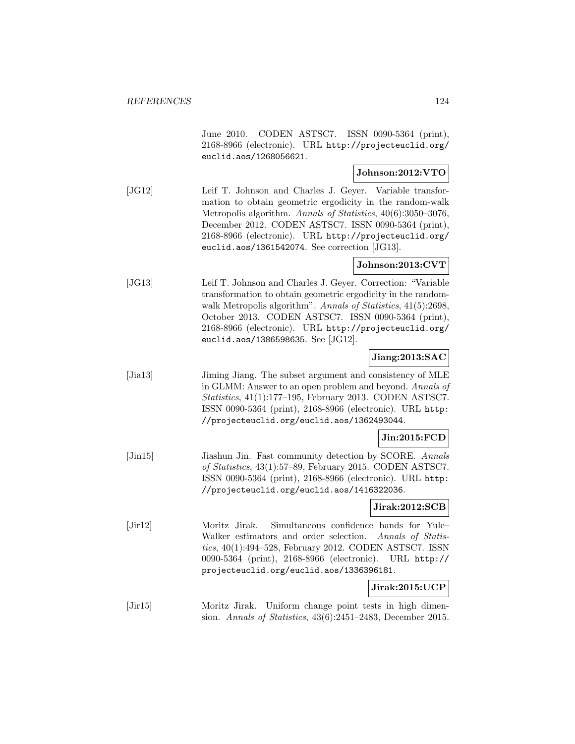June 2010. CODEN ASTSC7. ISSN 0090-5364 (print), 2168-8966 (electronic). URL http://projecteuclid.org/ euclid.aos/1268056621.

### **Johnson:2012:VTO**

[JG12] Leif T. Johnson and Charles J. Geyer. Variable transformation to obtain geometric ergodicity in the random-walk Metropolis algorithm. Annals of Statistics, 40(6):3050–3076, December 2012. CODEN ASTSC7. ISSN 0090-5364 (print), 2168-8966 (electronic). URL http://projecteuclid.org/ euclid.aos/1361542074. See correction [JG13].

### **Johnson:2013:CVT**

[JG13] Leif T. Johnson and Charles J. Geyer. Correction: "Variable transformation to obtain geometric ergodicity in the randomwalk Metropolis algorithm". Annals of Statistics,  $41(5):2698$ , October 2013. CODEN ASTSC7. ISSN 0090-5364 (print), 2168-8966 (electronic). URL http://projecteuclid.org/ euclid.aos/1386598635. See [JG12].

### **Jiang:2013:SAC**

[Jia13] Jiming Jiang. The subset argument and consistency of MLE in GLMM: Answer to an open problem and beyond. Annals of Statistics, 41(1):177–195, February 2013. CODEN ASTSC7. ISSN 0090-5364 (print), 2168-8966 (electronic). URL http: //projecteuclid.org/euclid.aos/1362493044.

### **Jin:2015:FCD**

[Jin15] Jiashun Jin. Fast community detection by SCORE. Annals of Statistics, 43(1):57–89, February 2015. CODEN ASTSC7. ISSN 0090-5364 (print), 2168-8966 (electronic). URL http: //projecteuclid.org/euclid.aos/1416322036.

#### **Jirak:2012:SCB**

[Jir12] Moritz Jirak. Simultaneous confidence bands for Yule– Walker estimators and order selection. Annals of Statistics, 40(1):494–528, February 2012. CODEN ASTSC7. ISSN 0090-5364 (print), 2168-8966 (electronic). URL http:// projecteuclid.org/euclid.aos/1336396181.

### **Jirak:2015:UCP**

[Jir15] Moritz Jirak. Uniform change point tests in high dimension. Annals of Statistics, 43(6):2451–2483, December 2015.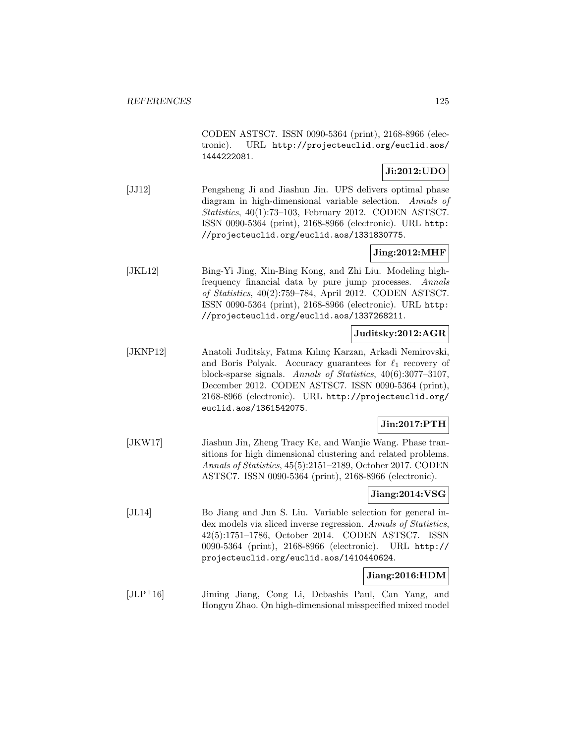CODEN ASTSC7. ISSN 0090-5364 (print), 2168-8966 (electronic). URL http://projecteuclid.org/euclid.aos/ 1444222081.

### **Ji:2012:UDO**

[JJ12] Pengsheng Ji and Jiashun Jin. UPS delivers optimal phase diagram in high-dimensional variable selection. Annals of Statistics, 40(1):73–103, February 2012. CODEN ASTSC7. ISSN 0090-5364 (print), 2168-8966 (electronic). URL http: //projecteuclid.org/euclid.aos/1331830775.

### **Jing:2012:MHF**

[JKL12] Bing-Yi Jing, Xin-Bing Kong, and Zhi Liu. Modeling highfrequency financial data by pure jump processes. Annals of Statistics, 40(2):759–784, April 2012. CODEN ASTSC7. ISSN 0090-5364 (print), 2168-8966 (electronic). URL http: //projecteuclid.org/euclid.aos/1337268211.

#### **Juditsky:2012:AGR**

[JKNP12] Anatoli Juditsky, Fatma Kılınç Karzan, Arkadi Nemirovski, and Boris Polyak. Accuracy guarantees for  $\ell_1$  recovery of block-sparse signals. Annals of Statistics, 40(6):3077–3107, December 2012. CODEN ASTSC7. ISSN 0090-5364 (print), 2168-8966 (electronic). URL http://projecteuclid.org/ euclid.aos/1361542075.

### **Jin:2017:PTH**

[JKW17] Jiashun Jin, Zheng Tracy Ke, and Wanjie Wang. Phase transitions for high dimensional clustering and related problems. Annals of Statistics, 45(5):2151–2189, October 2017. CODEN ASTSC7. ISSN 0090-5364 (print), 2168-8966 (electronic).

# **Jiang:2014:VSG**

[JL14] Bo Jiang and Jun S. Liu. Variable selection for general index models via sliced inverse regression. Annals of Statistics, 42(5):1751–1786, October 2014. CODEN ASTSC7. ISSN 0090-5364 (print), 2168-8966 (electronic). URL http:// projecteuclid.org/euclid.aos/1410440624.

### **Jiang:2016:HDM**

[JLP<sup>+</sup>16] Jiming Jiang, Cong Li, Debashis Paul, Can Yang, and Hongyu Zhao. On high-dimensional misspecified mixed model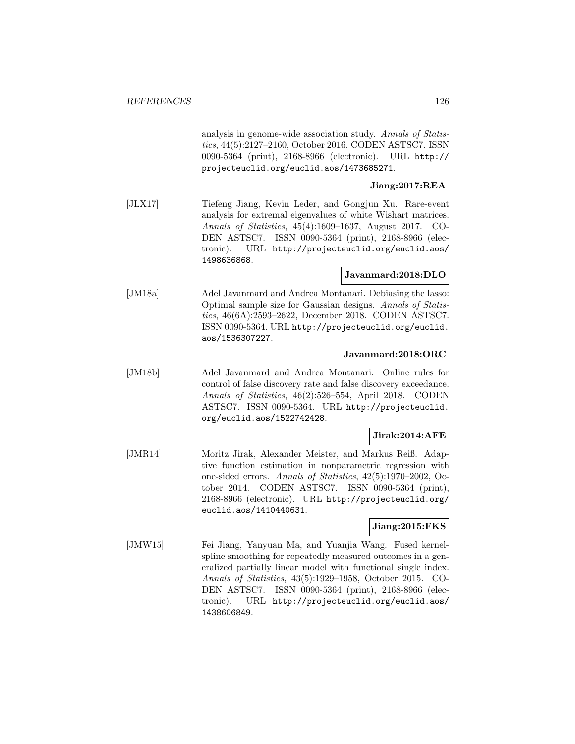analysis in genome-wide association study. Annals of Statistics, 44(5):2127–2160, October 2016. CODEN ASTSC7. ISSN 0090-5364 (print), 2168-8966 (electronic). URL http:// projecteuclid.org/euclid.aos/1473685271.

# **Jiang:2017:REA**

[JLX17] Tiefeng Jiang, Kevin Leder, and Gongjun Xu. Rare-event analysis for extremal eigenvalues of white Wishart matrices. Annals of Statistics, 45(4):1609–1637, August 2017. CO-DEN ASTSC7. ISSN 0090-5364 (print), 2168-8966 (electronic). URL http://projecteuclid.org/euclid.aos/ 1498636868.

### **Javanmard:2018:DLO**

[JM18a] Adel Javanmard and Andrea Montanari. Debiasing the lasso: Optimal sample size for Gaussian designs. Annals of Statistics, 46(6A):2593–2622, December 2018. CODEN ASTSC7. ISSN 0090-5364. URL http://projecteuclid.org/euclid. aos/1536307227.

#### **Javanmard:2018:ORC**

[JM18b] Adel Javanmard and Andrea Montanari. Online rules for control of false discovery rate and false discovery exceedance. Annals of Statistics, 46(2):526–554, April 2018. CODEN ASTSC7. ISSN 0090-5364. URL http://projecteuclid. org/euclid.aos/1522742428.

### **Jirak:2014:AFE**

[JMR14] Moritz Jirak, Alexander Meister, and Markus Reiß. Adaptive function estimation in nonparametric regression with one-sided errors. Annals of Statistics, 42(5):1970–2002, October 2014. CODEN ASTSC7. ISSN 0090-5364 (print), 2168-8966 (electronic). URL http://projecteuclid.org/ euclid.aos/1410440631.

### **Jiang:2015:FKS**

[JMW15] Fei Jiang, Yanyuan Ma, and Yuanjia Wang. Fused kernelspline smoothing for repeatedly measured outcomes in a generalized partially linear model with functional single index. Annals of Statistics, 43(5):1929–1958, October 2015. CO-DEN ASTSC7. ISSN 0090-5364 (print), 2168-8966 (electronic). URL http://projecteuclid.org/euclid.aos/ 1438606849.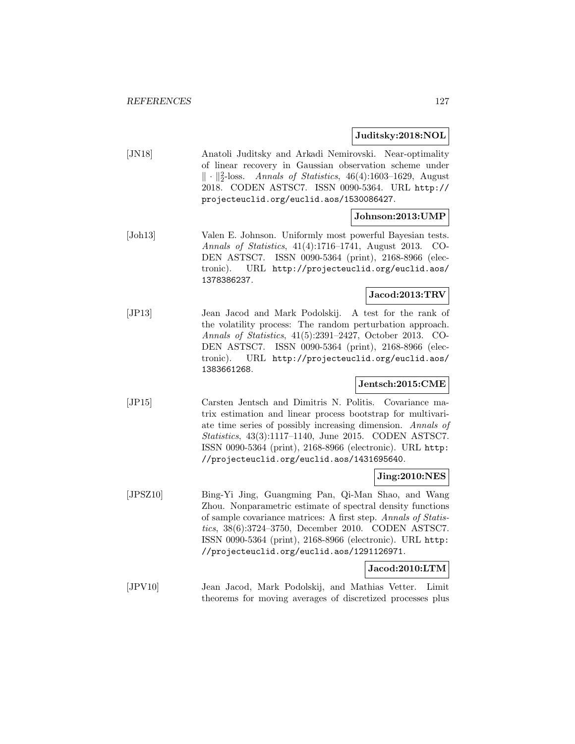#### **Juditsky:2018:NOL**

| JN18 | Anatoli Juditsky and Arkadi Nemirovski. Near-optimality              |
|------|----------------------------------------------------------------------|
|      | of linear recovery in Gaussian observation scheme under              |
|      | $\ \cdot\ _2^2$ -loss. Annals of Statistics, 46(4):1603–1629, August |
|      | 2018. CODEN ASTSC7. ISSN 0090-5364. URL http://                      |
|      | projecteuclid.org/euclid.aos/1530086427.                             |

### **Johnson:2013:UMP**

[Joh13] Valen E. Johnson. Uniformly most powerful Bayesian tests. Annals of Statistics, 41(4):1716–1741, August 2013. CO-DEN ASTSC7. ISSN 0090-5364 (print), 2168-8966 (electronic). URL http://projecteuclid.org/euclid.aos/ 1378386237.

### **Jacod:2013:TRV**

[JP13] Jean Jacod and Mark Podolskij. A test for the rank of the volatility process: The random perturbation approach. Annals of Statistics, 41(5):2391–2427, October 2013. CO-DEN ASTSC7. ISSN 0090-5364 (print), 2168-8966 (electronic). URL http://projecteuclid.org/euclid.aos/ 1383661268.

#### **Jentsch:2015:CME**

[JP15] Carsten Jentsch and Dimitris N. Politis. Covariance matrix estimation and linear process bootstrap for multivariate time series of possibly increasing dimension. Annals of Statistics, 43(3):1117–1140, June 2015. CODEN ASTSC7. ISSN 0090-5364 (print), 2168-8966 (electronic). URL http: //projecteuclid.org/euclid.aos/1431695640.

### **Jing:2010:NES**

[JPSZ10] Bing-Yi Jing, Guangming Pan, Qi-Man Shao, and Wang Zhou. Nonparametric estimate of spectral density functions of sample covariance matrices: A first step. Annals of Statistics, 38(6):3724–3750, December 2010. CODEN ASTSC7. ISSN 0090-5364 (print), 2168-8966 (electronic). URL http: //projecteuclid.org/euclid.aos/1291126971.

### **Jacod:2010:LTM**

[JPV10] Jean Jacod, Mark Podolskij, and Mathias Vetter. Limit theorems for moving averages of discretized processes plus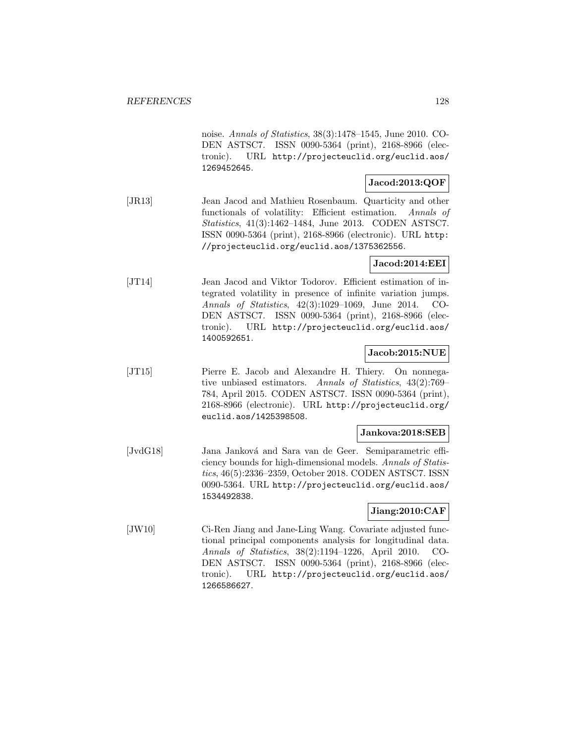noise. Annals of Statistics, 38(3):1478–1545, June 2010. CO-DEN ASTSC7. ISSN 0090-5364 (print), 2168-8966 (electronic). URL http://projecteuclid.org/euclid.aos/ 1269452645.

### **Jacod:2013:QOF**

[JR13] Jean Jacod and Mathieu Rosenbaum. Quarticity and other functionals of volatility: Efficient estimation. Annals of Statistics, 41(3):1462–1484, June 2013. CODEN ASTSC7. ISSN 0090-5364 (print), 2168-8966 (electronic). URL http: //projecteuclid.org/euclid.aos/1375362556.

### **Jacod:2014:EEI**

[JT14] Jean Jacod and Viktor Todorov. Efficient estimation of integrated volatility in presence of infinite variation jumps. Annals of Statistics, 42(3):1029–1069, June 2014. CO-DEN ASTSC7. ISSN 0090-5364 (print), 2168-8966 (electronic). URL http://projecteuclid.org/euclid.aos/ 1400592651.

#### **Jacob:2015:NUE**

[JT15] Pierre E. Jacob and Alexandre H. Thiery. On nonnegative unbiased estimators. Annals of Statistics, 43(2):769– 784, April 2015. CODEN ASTSC7. ISSN 0090-5364 (print), 2168-8966 (electronic). URL http://projecteuclid.org/ euclid.aos/1425398508.

#### **Jankova:2018:SEB**

[JvdG18] Jana Janková and Sara van de Geer. Semiparametric efficiency bounds for high-dimensional models. Annals of Statistics, 46(5):2336–2359, October 2018. CODEN ASTSC7. ISSN 0090-5364. URL http://projecteuclid.org/euclid.aos/ 1534492838.

### **Jiang:2010:CAF**

[JW10] Ci-Ren Jiang and Jane-Ling Wang. Covariate adjusted functional principal components analysis for longitudinal data. Annals of Statistics, 38(2):1194–1226, April 2010. CO-DEN ASTSC7. ISSN 0090-5364 (print), 2168-8966 (electronic). URL http://projecteuclid.org/euclid.aos/ 1266586627.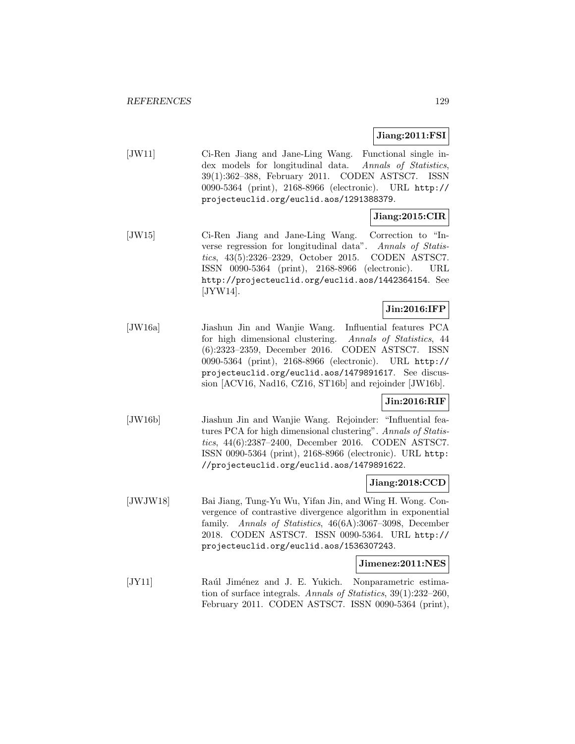### **Jiang:2011:FSI**

[JW11] Ci-Ren Jiang and Jane-Ling Wang. Functional single index models for longitudinal data. Annals of Statistics, 39(1):362–388, February 2011. CODEN ASTSC7. ISSN 0090-5364 (print), 2168-8966 (electronic). URL http:// projecteuclid.org/euclid.aos/1291388379.

### **Jiang:2015:CIR**

[JW15] Ci-Ren Jiang and Jane-Ling Wang. Correction to "Inverse regression for longitudinal data". Annals of Statistics, 43(5):2326–2329, October 2015. CODEN ASTSC7. ISSN 0090-5364 (print), 2168-8966 (electronic). URL http://projecteuclid.org/euclid.aos/1442364154. See [JYW14].

## **Jin:2016:IFP**

[JW16a] Jiashun Jin and Wanjie Wang. Influential features PCA for high dimensional clustering. Annals of Statistics, 44 (6):2323–2359, December 2016. CODEN ASTSC7. ISSN 0090-5364 (print), 2168-8966 (electronic). URL http:// projecteuclid.org/euclid.aos/1479891617. See discussion [ACV16, Nad16, CZ16, ST16b] and rejoinder [JW16b].

#### **Jin:2016:RIF**

[JW16b] Jiashun Jin and Wanjie Wang. Rejoinder: "Influential features PCA for high dimensional clustering". Annals of Statistics, 44(6):2387–2400, December 2016. CODEN ASTSC7. ISSN 0090-5364 (print), 2168-8966 (electronic). URL http: //projecteuclid.org/euclid.aos/1479891622.

### **Jiang:2018:CCD**

[JWJW18] Bai Jiang, Tung-Yu Wu, Yifan Jin, and Wing H. Wong. Convergence of contrastive divergence algorithm in exponential family. Annals of Statistics, 46(6A):3067–3098, December 2018. CODEN ASTSC7. ISSN 0090-5364. URL http:// projecteuclid.org/euclid.aos/1536307243.

#### **Jimenez:2011:NES**

[JY11] Raúl Jiménez and J. E. Yukich. Nonparametric estimation of surface integrals. Annals of Statistics, 39(1):232–260, February 2011. CODEN ASTSC7. ISSN 0090-5364 (print),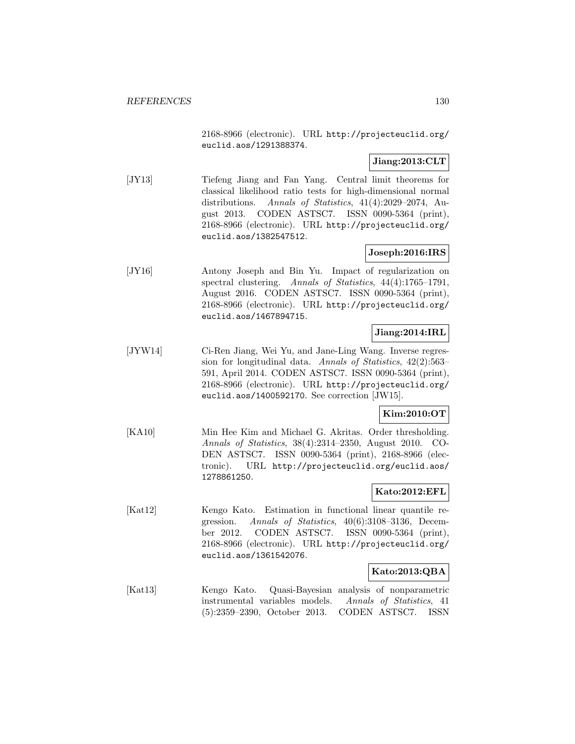2168-8966 (electronic). URL http://projecteuclid.org/ euclid.aos/1291388374.

# **Jiang:2013:CLT**

[JY13] Tiefeng Jiang and Fan Yang. Central limit theorems for classical likelihood ratio tests for high-dimensional normal distributions. Annals of Statistics, 41(4):2029–2074, August 2013. CODEN ASTSC7. ISSN 0090-5364 (print), 2168-8966 (electronic). URL http://projecteuclid.org/ euclid.aos/1382547512.

### **Joseph:2016:IRS**

[JY16] Antony Joseph and Bin Yu. Impact of regularization on spectral clustering. Annals of Statistics, 44(4):1765–1791, August 2016. CODEN ASTSC7. ISSN 0090-5364 (print), 2168-8966 (electronic). URL http://projecteuclid.org/ euclid.aos/1467894715.

### **Jiang:2014:IRL**

[JYW14] Ci-Ren Jiang, Wei Yu, and Jane-Ling Wang. Inverse regression for longitudinal data. Annals of Statistics, 42(2):563– 591, April 2014. CODEN ASTSC7. ISSN 0090-5364 (print), 2168-8966 (electronic). URL http://projecteuclid.org/ euclid.aos/1400592170. See correction [JW15].

#### **Kim:2010:OT**

[KA10] Min Hee Kim and Michael G. Akritas. Order thresholding. Annals of Statistics, 38(4):2314–2350, August 2010. CO-DEN ASTSC7. ISSN 0090-5364 (print), 2168-8966 (electronic). URL http://projecteuclid.org/euclid.aos/ 1278861250.

#### **Kato:2012:EFL**

[Kat12] Kengo Kato. Estimation in functional linear quantile regression. Annals of Statistics, 40(6):3108–3136, December 2012. CODEN ASTSC7. ISSN 0090-5364 (print), 2168-8966 (electronic). URL http://projecteuclid.org/ euclid.aos/1361542076.

#### **Kato:2013:QBA**

[Kat13] Kengo Kato. Quasi-Bayesian analysis of nonparametric instrumental variables models. Annals of Statistics, 41 (5):2359–2390, October 2013. CODEN ASTSC7. ISSN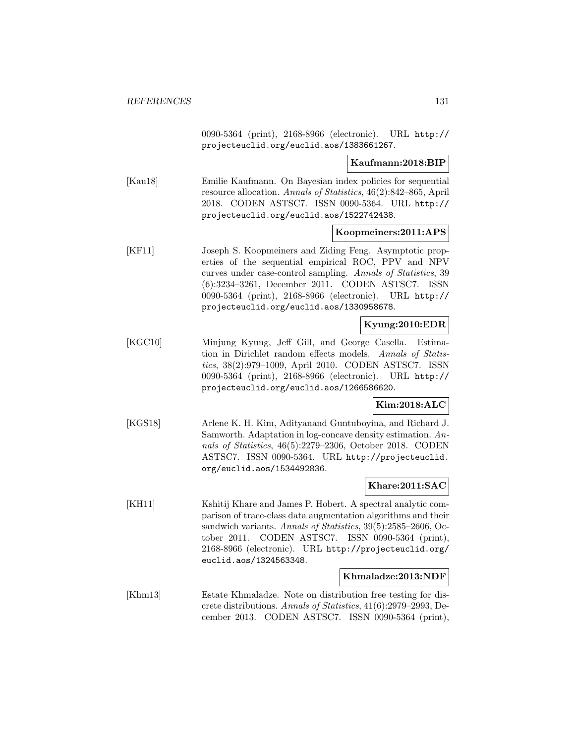0090-5364 (print), 2168-8966 (electronic). URL http:// projecteuclid.org/euclid.aos/1383661267.

#### **Kaufmann:2018:BIP**

[Kau18] Emilie Kaufmann. On Bayesian index policies for sequential resource allocation. Annals of Statistics, 46(2):842–865, April 2018. CODEN ASTSC7. ISSN 0090-5364. URL http:// projecteuclid.org/euclid.aos/1522742438.

#### **Koopmeiners:2011:APS**

[KF11] Joseph S. Koopmeiners and Ziding Feng. Asymptotic properties of the sequential empirical ROC, PPV and NPV curves under case-control sampling. Annals of Statistics, 39 (6):3234–3261, December 2011. CODEN ASTSC7. ISSN 0090-5364 (print), 2168-8966 (electronic). URL http:// projecteuclid.org/euclid.aos/1330958678.

### **Kyung:2010:EDR**

[KGC10] Minjung Kyung, Jeff Gill, and George Casella. Estimation in Dirichlet random effects models. Annals of Statistics, 38(2):979–1009, April 2010. CODEN ASTSC7. ISSN 0090-5364 (print), 2168-8966 (electronic). URL http:// projecteuclid.org/euclid.aos/1266586620.

#### **Kim:2018:ALC**

[KGS18] Arlene K. H. Kim, Adityanand Guntuboyina, and Richard J. Samworth. Adaptation in log-concave density estimation. Annals of Statistics, 46(5):2279–2306, October 2018. CODEN ASTSC7. ISSN 0090-5364. URL http://projecteuclid. org/euclid.aos/1534492836.

#### **Khare:2011:SAC**

[KH11] Kshitij Khare and James P. Hobert. A spectral analytic comparison of trace-class data augmentation algorithms and their sandwich variants. Annals of Statistics, 39(5):2585-2606, October 2011. CODEN ASTSC7. ISSN 0090-5364 (print), 2168-8966 (electronic). URL http://projecteuclid.org/ euclid.aos/1324563348.

### **Khmaladze:2013:NDF**

[Khm13] Estate Khmaladze. Note on distribution free testing for discrete distributions. Annals of Statistics, 41(6):2979–2993, December 2013. CODEN ASTSC7. ISSN 0090-5364 (print),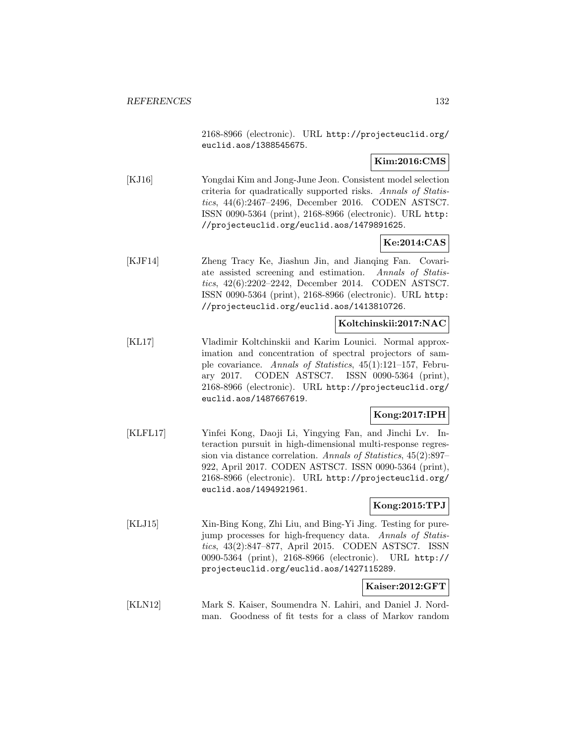2168-8966 (electronic). URL http://projecteuclid.org/ euclid.aos/1388545675.

**Kim:2016:CMS**

[KJ16] Yongdai Kim and Jong-June Jeon. Consistent model selection criteria for quadratically supported risks. Annals of Statistics, 44(6):2467–2496, December 2016. CODEN ASTSC7. ISSN 0090-5364 (print), 2168-8966 (electronic). URL http: //projecteuclid.org/euclid.aos/1479891625.

**Ke:2014:CAS**

[KJF14] Zheng Tracy Ke, Jiashun Jin, and Jianqing Fan. Covariate assisted screening and estimation. Annals of Statistics, 42(6):2202–2242, December 2014. CODEN ASTSC7. ISSN 0090-5364 (print), 2168-8966 (electronic). URL http: //projecteuclid.org/euclid.aos/1413810726.

#### **Koltchinskii:2017:NAC**

[KL17] Vladimir Koltchinskii and Karim Lounici. Normal approximation and concentration of spectral projectors of sample covariance. Annals of Statistics, 45(1):121–157, February 2017. CODEN ASTSC7. ISSN 0090-5364 (print), 2168-8966 (electronic). URL http://projecteuclid.org/ euclid.aos/1487667619.

### **Kong:2017:IPH**

[KLFL17] Yinfei Kong, Daoji Li, Yingying Fan, and Jinchi Lv. Interaction pursuit in high-dimensional multi-response regression via distance correlation. Annals of Statistics, 45(2):897– 922, April 2017. CODEN ASTSC7. ISSN 0090-5364 (print), 2168-8966 (electronic). URL http://projecteuclid.org/ euclid.aos/1494921961.

#### **Kong:2015:TPJ**

[KLJ15] Xin-Bing Kong, Zhi Liu, and Bing-Yi Jing. Testing for purejump processes for high-frequency data. Annals of Statistics, 43(2):847–877, April 2015. CODEN ASTSC7. ISSN 0090-5364 (print), 2168-8966 (electronic). URL http:// projecteuclid.org/euclid.aos/1427115289.

#### **Kaiser:2012:GFT**

[KLN12] Mark S. Kaiser, Soumendra N. Lahiri, and Daniel J. Nordman. Goodness of fit tests for a class of Markov random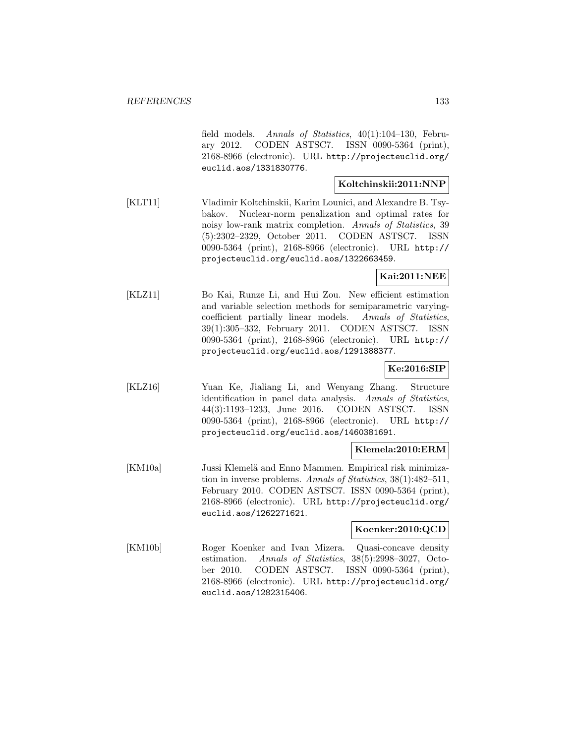field models. Annals of Statistics, 40(1):104–130, February 2012. CODEN ASTSC7. ISSN 0090-5364 (print), 2168-8966 (electronic). URL http://projecteuclid.org/ euclid.aos/1331830776.

#### **Koltchinskii:2011:NNP**

[KLT11] Vladimir Koltchinskii, Karim Lounici, and Alexandre B. Tsybakov. Nuclear-norm penalization and optimal rates for noisy low-rank matrix completion. Annals of Statistics, 39 (5):2302–2329, October 2011. CODEN ASTSC7. ISSN 0090-5364 (print), 2168-8966 (electronic). URL http:// projecteuclid.org/euclid.aos/1322663459.

### **Kai:2011:NEE**

[KLZ11] Bo Kai, Runze Li, and Hui Zou. New efficient estimation and variable selection methods for semiparametric varyingcoefficient partially linear models. Annals of Statistics, 39(1):305–332, February 2011. CODEN ASTSC7. ISSN 0090-5364 (print), 2168-8966 (electronic). URL http:// projecteuclid.org/euclid.aos/1291388377.

# **Ke:2016:SIP**

[KLZ16] Yuan Ke, Jialiang Li, and Wenyang Zhang. Structure identification in panel data analysis. Annals of Statistics, 44(3):1193–1233, June 2016. CODEN ASTSC7. ISSN 0090-5364 (print), 2168-8966 (electronic). URL http:// projecteuclid.org/euclid.aos/1460381691.

#### **Klemela:2010:ERM**

[KM10a] Jussi Klemelä and Enno Mammen. Empirical risk minimization in inverse problems. Annals of Statistics, 38(1):482–511, February 2010. CODEN ASTSC7. ISSN 0090-5364 (print), 2168-8966 (electronic). URL http://projecteuclid.org/ euclid.aos/1262271621.

### **Koenker:2010:QCD**

[KM10b] Roger Koenker and Ivan Mizera. Quasi-concave density estimation. Annals of Statistics, 38(5):2998–3027, October 2010. CODEN ASTSC7. ISSN 0090-5364 (print), 2168-8966 (electronic). URL http://projecteuclid.org/ euclid.aos/1282315406.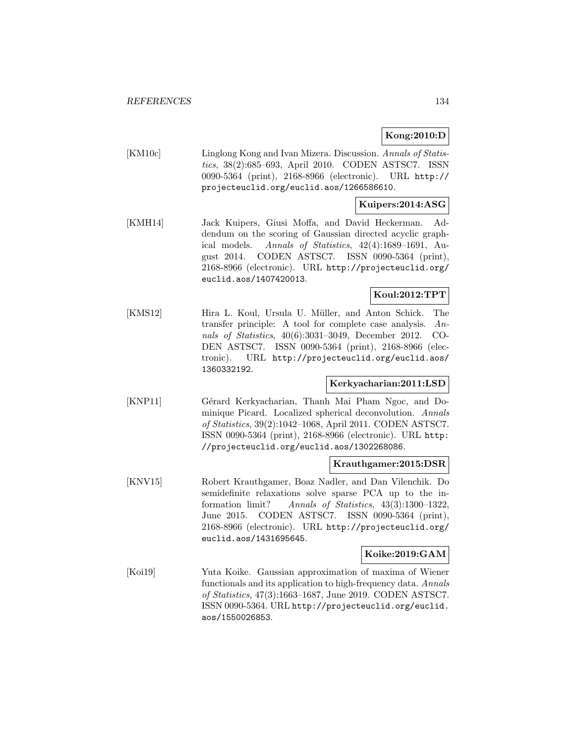### **Kong:2010:D**

[KM10c] Linglong Kong and Ivan Mizera. Discussion. Annals of Statistics, 38(2):685–693, April 2010. CODEN ASTSC7. ISSN 0090-5364 (print), 2168-8966 (electronic). URL http:// projecteuclid.org/euclid.aos/1266586610.

### **Kuipers:2014:ASG**

[KMH14] Jack Kuipers, Giusi Moffa, and David Heckerman. Addendum on the scoring of Gaussian directed acyclic graphical models. Annals of Statistics, 42(4):1689–1691, August 2014. CODEN ASTSC7. ISSN 0090-5364 (print), 2168-8966 (electronic). URL http://projecteuclid.org/ euclid.aos/1407420013.

### **Koul:2012:TPT**

[KMS12] Hira L. Koul, Ursula U. Müller, and Anton Schick. The transfer principle: A tool for complete case analysis. Annals of Statistics, 40(6):3031–3049, December 2012. CO-DEN ASTSC7. ISSN 0090-5364 (print), 2168-8966 (electronic). URL http://projecteuclid.org/euclid.aos/ 1360332192.

#### **Kerkyacharian:2011:LSD**

[KNP11] Gérard Kerkyacharian, Thanh Mai Pham Ngoc, and Dominique Picard. Localized spherical deconvolution. Annals of Statistics, 39(2):1042–1068, April 2011. CODEN ASTSC7. ISSN 0090-5364 (print), 2168-8966 (electronic). URL http: //projecteuclid.org/euclid.aos/1302268086.

### **Krauthgamer:2015:DSR**

[KNV15] Robert Krauthgamer, Boaz Nadler, and Dan Vilenchik. Do semidefinite relaxations solve sparse PCA up to the information limit? Annals of Statistics, 43(3):1300–1322, June 2015. CODEN ASTSC7. ISSN 0090-5364 (print), 2168-8966 (electronic). URL http://projecteuclid.org/ euclid.aos/1431695645.

#### **Koike:2019:GAM**

[Koi19] Yuta Koike. Gaussian approximation of maxima of Wiener functionals and its application to high-frequency data. Annals of Statistics, 47(3):1663–1687, June 2019. CODEN ASTSC7. ISSN 0090-5364. URL http://projecteuclid.org/euclid. aos/1550026853.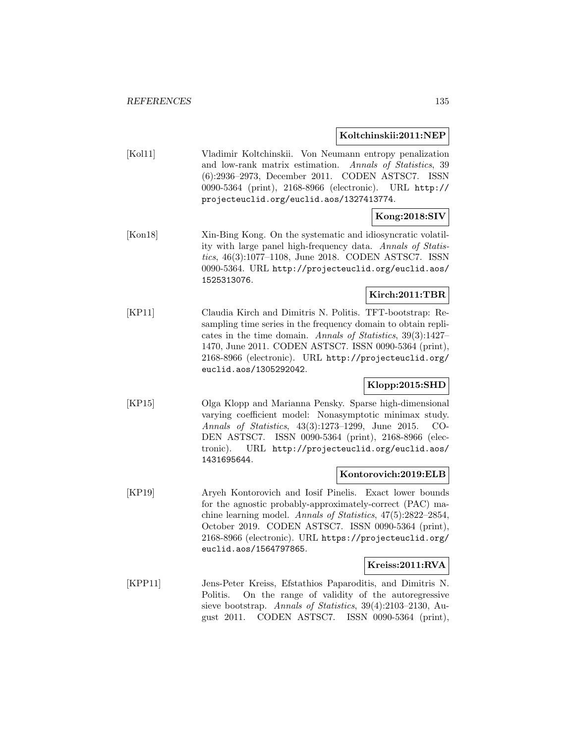#### **Koltchinskii:2011:NEP**

[Kol11] Vladimir Koltchinskii. Von Neumann entropy penalization and low-rank matrix estimation. Annals of Statistics, 39 (6):2936–2973, December 2011. CODEN ASTSC7. ISSN 0090-5364 (print), 2168-8966 (electronic). URL http:// projecteuclid.org/euclid.aos/1327413774.

# **Kong:2018:SIV**

[Kon18] Xin-Bing Kong. On the systematic and idiosyncratic volatility with large panel high-frequency data. Annals of Statistics, 46(3):1077–1108, June 2018. CODEN ASTSC7. ISSN 0090-5364. URL http://projecteuclid.org/euclid.aos/ 1525313076.

## **Kirch:2011:TBR**

[KP11] Claudia Kirch and Dimitris N. Politis. TFT-bootstrap: Resampling time series in the frequency domain to obtain replicates in the time domain. Annals of Statistics, 39(3):1427– 1470, June 2011. CODEN ASTSC7. ISSN 0090-5364 (print), 2168-8966 (electronic). URL http://projecteuclid.org/ euclid.aos/1305292042.

## **Klopp:2015:SHD**

[KP15] Olga Klopp and Marianna Pensky. Sparse high-dimensional varying coefficient model: Nonasymptotic minimax study. Annals of Statistics, 43(3):1273–1299, June 2015. CO-DEN ASTSC7. ISSN 0090-5364 (print), 2168-8966 (electronic). URL http://projecteuclid.org/euclid.aos/ 1431695644.

#### **Kontorovich:2019:ELB**

[KP19] Aryeh Kontorovich and Iosif Pinelis. Exact lower bounds for the agnostic probably-approximately-correct (PAC) machine learning model. Annals of Statistics, 47(5):2822–2854, October 2019. CODEN ASTSC7. ISSN 0090-5364 (print), 2168-8966 (electronic). URL https://projecteuclid.org/ euclid.aos/1564797865.

#### **Kreiss:2011:RVA**

[KPP11] Jens-Peter Kreiss, Efstathios Paparoditis, and Dimitris N. Politis. On the range of validity of the autoregressive sieve bootstrap. Annals of Statistics, 39(4):2103–2130, August 2011. CODEN ASTSC7. ISSN 0090-5364 (print),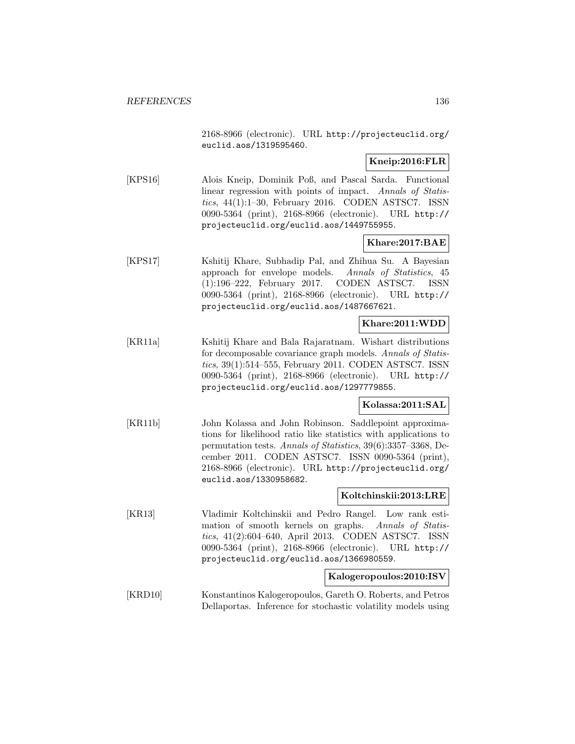2168-8966 (electronic). URL http://projecteuclid.org/ euclid.aos/1319595460.

### **Kneip:2016:FLR**

[KPS16] Alois Kneip, Dominik Poß, and Pascal Sarda. Functional linear regression with points of impact. Annals of Statistics, 44(1):1–30, February 2016. CODEN ASTSC7. ISSN 0090-5364 (print), 2168-8966 (electronic). URL http:// projecteuclid.org/euclid.aos/1449755955.

### **Khare:2017:BAE**

[KPS17] Kshitij Khare, Subhadip Pal, and Zhihua Su. A Bayesian approach for envelope models. Annals of Statistics, 45 (1):196–222, February 2017. CODEN ASTSC7. ISSN 0090-5364 (print), 2168-8966 (electronic). URL http:// projecteuclid.org/euclid.aos/1487667621.

### **Khare:2011:WDD**

[KR11a] Kshitij Khare and Bala Rajaratnam. Wishart distributions for decomposable covariance graph models. Annals of Statistics, 39(1):514–555, February 2011. CODEN ASTSC7. ISSN 0090-5364 (print), 2168-8966 (electronic). URL http:// projecteuclid.org/euclid.aos/1297779855.

### **Kolassa:2011:SAL**

[KR11b] John Kolassa and John Robinson. Saddlepoint approximations for likelihood ratio like statistics with applications to permutation tests. Annals of Statistics, 39(6):3357–3368, December 2011. CODEN ASTSC7. ISSN 0090-5364 (print), 2168-8966 (electronic). URL http://projecteuclid.org/ euclid.aos/1330958682.

#### **Koltchinskii:2013:LRE**

[KR13] Vladimir Koltchinskii and Pedro Rangel. Low rank estimation of smooth kernels on graphs. Annals of Statistics, 41(2):604–640, April 2013. CODEN ASTSC7. ISSN 0090-5364 (print), 2168-8966 (electronic). URL http:// projecteuclid.org/euclid.aos/1366980559.

#### **Kalogeropoulos:2010:ISV**

[KRD10] Konstantinos Kalogeropoulos, Gareth O. Roberts, and Petros Dellaportas. Inference for stochastic volatility models using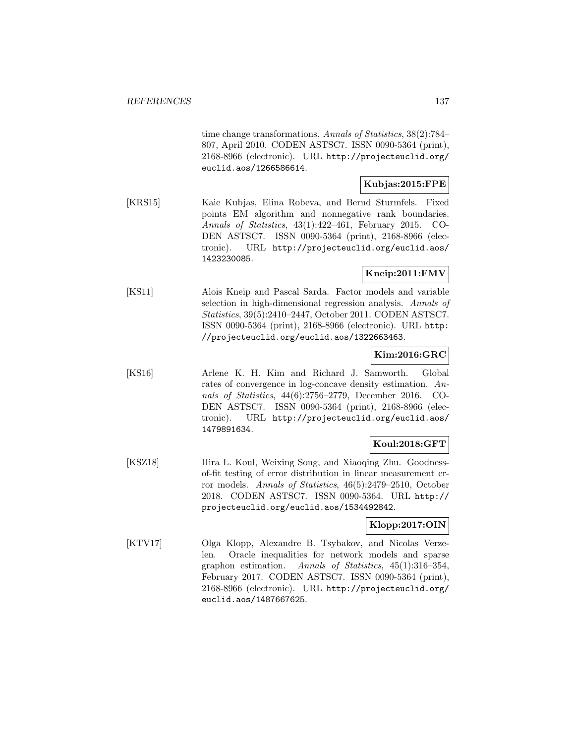time change transformations. Annals of Statistics, 38(2):784– 807, April 2010. CODEN ASTSC7. ISSN 0090-5364 (print), 2168-8966 (electronic). URL http://projecteuclid.org/ euclid.aos/1266586614.

### **Kubjas:2015:FPE**

[KRS15] Kaie Kubjas, Elina Robeva, and Bernd Sturmfels. Fixed points EM algorithm and nonnegative rank boundaries. Annals of Statistics, 43(1):422–461, February 2015. CO-DEN ASTSC7. ISSN 0090-5364 (print), 2168-8966 (electronic). URL http://projecteuclid.org/euclid.aos/ 1423230085.

### **Kneip:2011:FMV**

[KS11] Alois Kneip and Pascal Sarda. Factor models and variable selection in high-dimensional regression analysis. Annals of Statistics, 39(5):2410–2447, October 2011. CODEN ASTSC7. ISSN 0090-5364 (print), 2168-8966 (electronic). URL http: //projecteuclid.org/euclid.aos/1322663463.

### **Kim:2016:GRC**

[KS16] Arlene K. H. Kim and Richard J. Samworth. Global rates of convergence in log-concave density estimation. Annals of Statistics, 44(6):2756–2779, December 2016. CO-DEN ASTSC7. ISSN 0090-5364 (print), 2168-8966 (electronic). URL http://projecteuclid.org/euclid.aos/ 1479891634.

### **Koul:2018:GFT**

[KSZ18] Hira L. Koul, Weixing Song, and Xiaoqing Zhu. Goodnessof-fit testing of error distribution in linear measurement error models. Annals of Statistics, 46(5):2479–2510, October 2018. CODEN ASTSC7. ISSN 0090-5364. URL http:// projecteuclid.org/euclid.aos/1534492842.

#### **Klopp:2017:OIN**

[KTV17] Olga Klopp, Alexandre B. Tsybakov, and Nicolas Verzelen. Oracle inequalities for network models and sparse graphon estimation. Annals of Statistics, 45(1):316–354, February 2017. CODEN ASTSC7. ISSN 0090-5364 (print), 2168-8966 (electronic). URL http://projecteuclid.org/ euclid.aos/1487667625.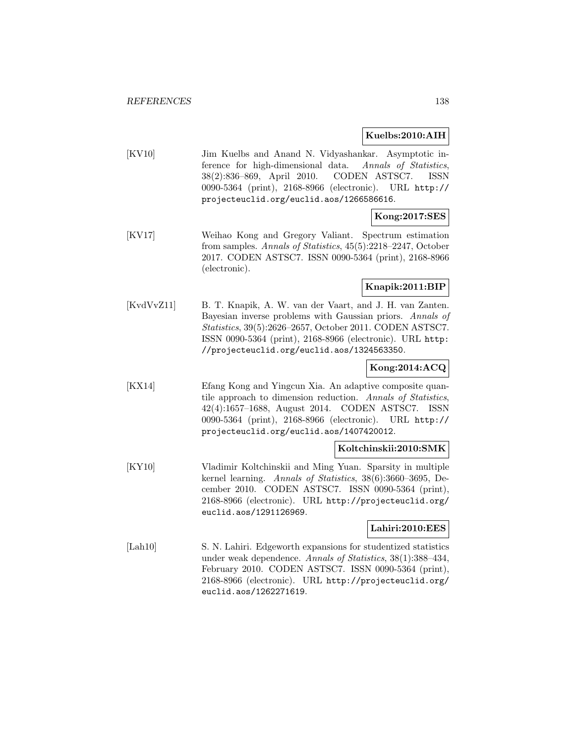#### **Kuelbs:2010:AIH**

[KV10] Jim Kuelbs and Anand N. Vidyashankar. Asymptotic inference for high-dimensional data. Annals of Statistics, 38(2):836–869, April 2010. CODEN ASTSC7. ISSN 0090-5364 (print), 2168-8966 (electronic). URL http:// projecteuclid.org/euclid.aos/1266586616.

### **Kong:2017:SES**

[KV17] Weihao Kong and Gregory Valiant. Spectrum estimation from samples. Annals of Statistics, 45(5):2218–2247, October 2017. CODEN ASTSC7. ISSN 0090-5364 (print), 2168-8966 (electronic).

### **Knapik:2011:BIP**

[KvdVvZ11] B. T. Knapik, A. W. van der Vaart, and J. H. van Zanten. Bayesian inverse problems with Gaussian priors. Annals of Statistics, 39(5):2626–2657, October 2011. CODEN ASTSC7. ISSN 0090-5364 (print), 2168-8966 (electronic). URL http: //projecteuclid.org/euclid.aos/1324563350.

### **Kong:2014:ACQ**

[KX14] Efang Kong and Yingcun Xia. An adaptive composite quantile approach to dimension reduction. Annals of Statistics, 42(4):1657–1688, August 2014. CODEN ASTSC7. ISSN 0090-5364 (print), 2168-8966 (electronic). URL http:// projecteuclid.org/euclid.aos/1407420012.

#### **Koltchinskii:2010:SMK**

[KY10] Vladimir Koltchinskii and Ming Yuan. Sparsity in multiple kernel learning. Annals of Statistics, 38(6):3660–3695, December 2010. CODEN ASTSC7. ISSN 0090-5364 (print), 2168-8966 (electronic). URL http://projecteuclid.org/ euclid.aos/1291126969.

#### **Lahiri:2010:EES**

[Lah10] S. N. Lahiri. Edgeworth expansions for studentized statistics under weak dependence. Annals of Statistics, 38(1):388–434, February 2010. CODEN ASTSC7. ISSN 0090-5364 (print), 2168-8966 (electronic). URL http://projecteuclid.org/ euclid.aos/1262271619.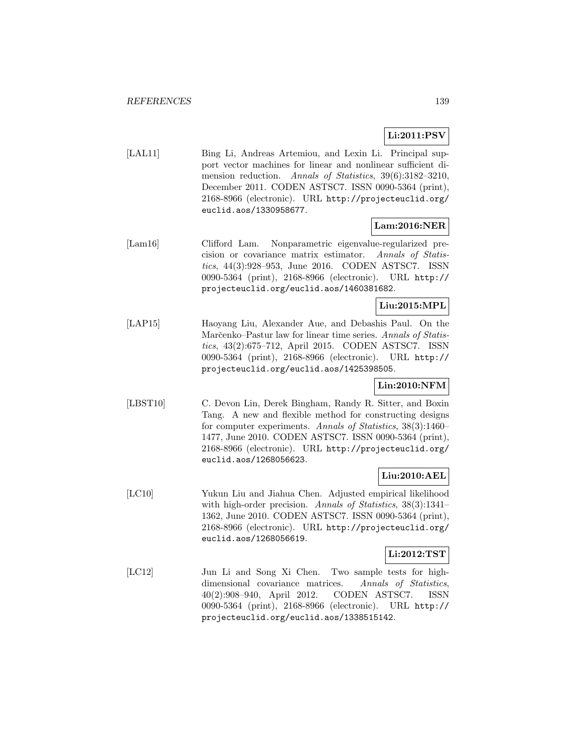# **Li:2011:PSV**

[LAL11] Bing Li, Andreas Artemiou, and Lexin Li. Principal support vector machines for linear and nonlinear sufficient dimension reduction. Annals of Statistics, 39(6):3182-3210, December 2011. CODEN ASTSC7. ISSN 0090-5364 (print), 2168-8966 (electronic). URL http://projecteuclid.org/ euclid.aos/1330958677.

# **Lam:2016:NER**

[Lam16] Clifford Lam. Nonparametric eigenvalue-regularized precision or covariance matrix estimator. Annals of Statistics, 44(3):928–953, June 2016. CODEN ASTSC7. ISSN 0090-5364 (print), 2168-8966 (electronic). URL http:// projecteuclid.org/euclid.aos/1460381682.

### **Liu:2015:MPL**

[LAP15] Haoyang Liu, Alexander Aue, and Debashis Paul. On the Marčenko–Pastur law for linear time series. Annals of Statistics, 43(2):675–712, April 2015. CODEN ASTSC7. ISSN 0090-5364 (print), 2168-8966 (electronic). URL http:// projecteuclid.org/euclid.aos/1425398505.

# **Lin:2010:NFM**

[LBST10] C. Devon Lin, Derek Bingham, Randy R. Sitter, and Boxin Tang. A new and flexible method for constructing designs for computer experiments. Annals of Statistics, 38(3):1460– 1477, June 2010. CODEN ASTSC7. ISSN 0090-5364 (print), 2168-8966 (electronic). URL http://projecteuclid.org/ euclid.aos/1268056623.

### **Liu:2010:AEL**

[LC10] Yukun Liu and Jiahua Chen. Adjusted empirical likelihood with high-order precision. Annals of Statistics, 38(3):1341-1362, June 2010. CODEN ASTSC7. ISSN 0090-5364 (print), 2168-8966 (electronic). URL http://projecteuclid.org/ euclid.aos/1268056619.

#### **Li:2012:TST**

[LC12] Jun Li and Song Xi Chen. Two sample tests for highdimensional covariance matrices. Annals of Statistics, 40(2):908–940, April 2012. CODEN ASTSC7. ISSN 0090-5364 (print), 2168-8966 (electronic). URL http:// projecteuclid.org/euclid.aos/1338515142.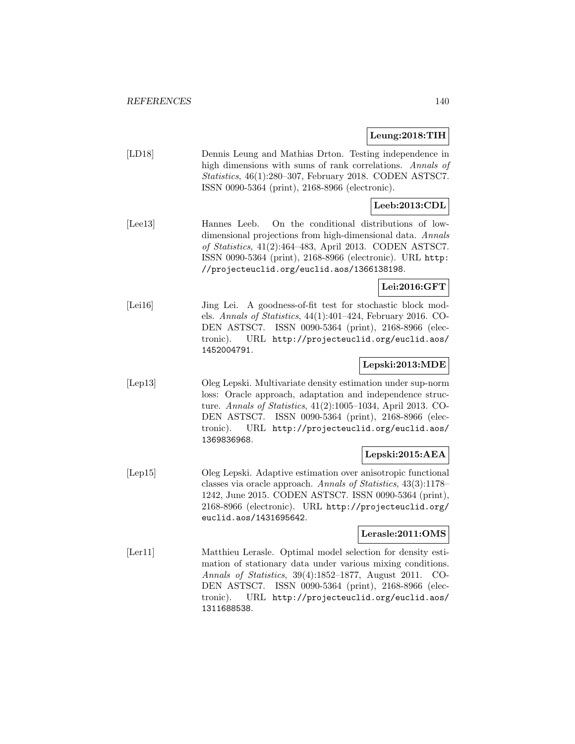#### **Leung:2018:TIH**

[LD18] Dennis Leung and Mathias Drton. Testing independence in high dimensions with sums of rank correlations. Annals of Statistics, 46(1):280–307, February 2018. CODEN ASTSC7. ISSN 0090-5364 (print), 2168-8966 (electronic).

### **Leeb:2013:CDL**

[Lee13] Hannes Leeb. On the conditional distributions of lowdimensional projections from high-dimensional data. Annals of Statistics, 41(2):464–483, April 2013. CODEN ASTSC7. ISSN 0090-5364 (print), 2168-8966 (electronic). URL http: //projecteuclid.org/euclid.aos/1366138198.

#### **Lei:2016:GFT**

[Lei16] Jing Lei. A goodness-of-fit test for stochastic block models. Annals of Statistics, 44(1):401–424, February 2016. CO-DEN ASTSC7. ISSN 0090-5364 (print), 2168-8966 (electronic). URL http://projecteuclid.org/euclid.aos/ 1452004791.

#### **Lepski:2013:MDE**

[Lep13] Oleg Lepski. Multivariate density estimation under sup-norm loss: Oracle approach, adaptation and independence structure. Annals of Statistics, 41(2):1005–1034, April 2013. CO-DEN ASTSC7. ISSN 0090-5364 (print), 2168-8966 (electronic). URL http://projecteuclid.org/euclid.aos/ 1369836968.

### **Lepski:2015:AEA**

[Lep15] Oleg Lepski. Adaptive estimation over anisotropic functional classes via oracle approach. Annals of Statistics, 43(3):1178– 1242, June 2015. CODEN ASTSC7. ISSN 0090-5364 (print), 2168-8966 (electronic). URL http://projecteuclid.org/ euclid.aos/1431695642.

### **Lerasle:2011:OMS**

[Ler11] Matthieu Lerasle. Optimal model selection for density estimation of stationary data under various mixing conditions. Annals of Statistics, 39(4):1852–1877, August 2011. CO-DEN ASTSC7. ISSN 0090-5364 (print), 2168-8966 (electronic). URL http://projecteuclid.org/euclid.aos/ 1311688538.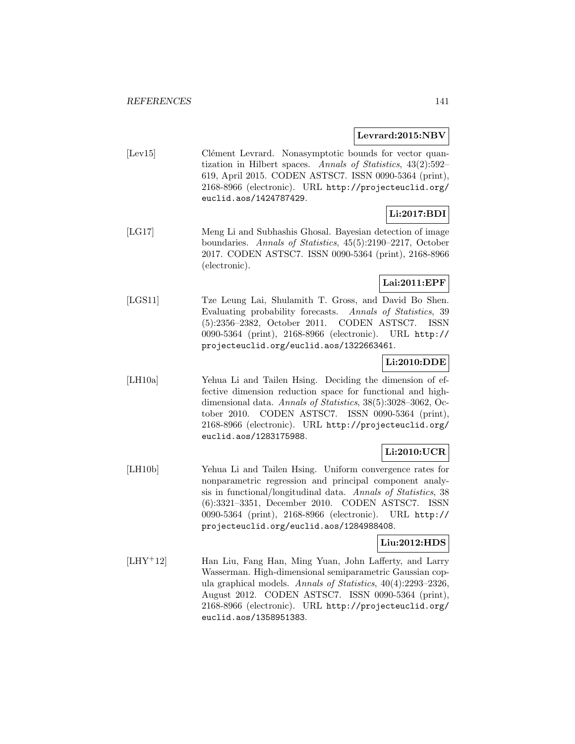### **Levrard:2015:NBV**

[Lev15] Clément Levrard. Nonasymptotic bounds for vector quantization in Hilbert spaces. Annals of Statistics, 43(2):592– 619, April 2015. CODEN ASTSC7. ISSN 0090-5364 (print), 2168-8966 (electronic). URL http://projecteuclid.org/ euclid.aos/1424787429.

## **Li:2017:BDI**

[LG17] Meng Li and Subhashis Ghosal. Bayesian detection of image boundaries. Annals of Statistics, 45(5):2190–2217, October 2017. CODEN ASTSC7. ISSN 0090-5364 (print), 2168-8966 (electronic).

### **Lai:2011:EPF**

[LGS11] Tze Leung Lai, Shulamith T. Gross, and David Bo Shen. Evaluating probability forecasts. Annals of Statistics, 39 (5):2356–2382, October 2011. CODEN ASTSC7. ISSN 0090-5364 (print), 2168-8966 (electronic). URL http:// projecteuclid.org/euclid.aos/1322663461.

### **Li:2010:DDE**

[LH10a] Yehua Li and Tailen Hsing. Deciding the dimension of effective dimension reduction space for functional and highdimensional data. Annals of Statistics, 38(5):3028-3062, October 2010. CODEN ASTSC7. ISSN 0090-5364 (print), 2168-8966 (electronic). URL http://projecteuclid.org/ euclid.aos/1283175988.

# **Li:2010:UCR**

[LH10b] Yehua Li and Tailen Hsing. Uniform convergence rates for nonparametric regression and principal component analysis in functional/longitudinal data. Annals of Statistics, 38 (6):3321–3351, December 2010. CODEN ASTSC7. ISSN 0090-5364 (print), 2168-8966 (electronic). URL http:// projecteuclid.org/euclid.aos/1284988408.

### **Liu:2012:HDS**

[LHY<sup>+</sup>12] Han Liu, Fang Han, Ming Yuan, John Lafferty, and Larry Wasserman. High-dimensional semiparametric Gaussian copula graphical models. Annals of Statistics, 40(4):2293–2326, August 2012. CODEN ASTSC7. ISSN 0090-5364 (print), 2168-8966 (electronic). URL http://projecteuclid.org/ euclid.aos/1358951383.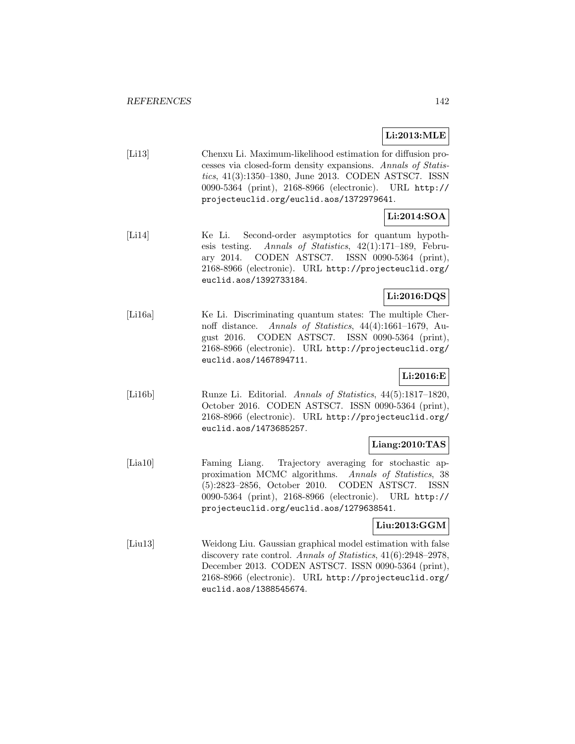### **Li:2013:MLE**

| [L13] | Chenxu Li. Maximum-likelihood estimation for diffusion pro-  |
|-------|--------------------------------------------------------------|
|       | cesses via closed-form density expansions. Annals of Statis- |
|       | tics, 41(3):1350–1380, June 2013. CODEN ASTSC7. ISSN         |
|       | 0090-5364 (print), 2168-8966 (electronic). URL http://       |
|       | projecteuclid.org/euclid.aos/1372979641.                     |

# **Li:2014:SOA**

[Li14] Ke Li. Second-order asymptotics for quantum hypothesis testing. Annals of Statistics, 42(1):171–189, February 2014. CODEN ASTSC7. ISSN 0090-5364 (print), 2168-8966 (electronic). URL http://projecteuclid.org/ euclid.aos/1392733184.

### **Li:2016:DQS**

[Li16a] Ke Li. Discriminating quantum states: The multiple Chernoff distance. Annals of Statistics, 44(4):1661–1679, August 2016. CODEN ASTSC7. ISSN 0090-5364 (print), 2168-8966 (electronic). URL http://projecteuclid.org/ euclid.aos/1467894711.

## **Li:2016:E**

[Li16b] Runze Li. Editorial. Annals of Statistics, 44(5):1817–1820, October 2016. CODEN ASTSC7. ISSN 0090-5364 (print), 2168-8966 (electronic). URL http://projecteuclid.org/ euclid.aos/1473685257.

### **Liang:2010:TAS**

[Lia10] Faming Liang. Trajectory averaging for stochastic approximation MCMC algorithms. Annals of Statistics, 38 (5):2823–2856, October 2010. CODEN ASTSC7. ISSN 0090-5364 (print), 2168-8966 (electronic). URL http:// projecteuclid.org/euclid.aos/1279638541.

### **Liu:2013:GGM**

[Liu13] Weidong Liu. Gaussian graphical model estimation with false discovery rate control. Annals of Statistics, 41(6):2948–2978, December 2013. CODEN ASTSC7. ISSN 0090-5364 (print), 2168-8966 (electronic). URL http://projecteuclid.org/ euclid.aos/1388545674.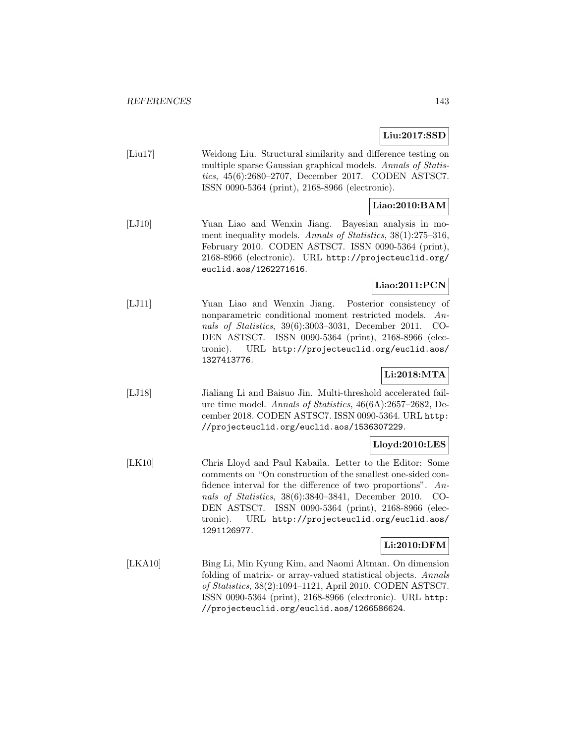### **Liu:2017:SSD**

[Liu17] Weidong Liu. Structural similarity and difference testing on multiple sparse Gaussian graphical models. Annals of Statistics, 45(6):2680–2707, December 2017. CODEN ASTSC7. ISSN 0090-5364 (print), 2168-8966 (electronic).

## **Liao:2010:BAM**

[LJ10] Yuan Liao and Wenxin Jiang. Bayesian analysis in moment inequality models. Annals of Statistics, 38(1):275–316, February 2010. CODEN ASTSC7. ISSN 0090-5364 (print), 2168-8966 (electronic). URL http://projecteuclid.org/ euclid.aos/1262271616.

### **Liao:2011:PCN**

[LJ11] Yuan Liao and Wenxin Jiang. Posterior consistency of nonparametric conditional moment restricted models. Annals of Statistics, 39(6):3003–3031, December 2011. CO-DEN ASTSC7. ISSN 0090-5364 (print), 2168-8966 (electronic). URL http://projecteuclid.org/euclid.aos/ 1327413776.

## **Li:2018:MTA**

[LJ18] Jialiang Li and Baisuo Jin. Multi-threshold accelerated failure time model. Annals of Statistics, 46(6A):2657–2682, December 2018. CODEN ASTSC7. ISSN 0090-5364. URL http: //projecteuclid.org/euclid.aos/1536307229.

### **Lloyd:2010:LES**

[LK10] Chris Lloyd and Paul Kabaila. Letter to the Editor: Some comments on "On construction of the smallest one-sided confidence interval for the difference of two proportions". Annals of Statistics, 38(6):3840–3841, December 2010. CO-DEN ASTSC7. ISSN 0090-5364 (print), 2168-8966 (electronic). URL http://projecteuclid.org/euclid.aos/ 1291126977.

### **Li:2010:DFM**

[LKA10] Bing Li, Min Kyung Kim, and Naomi Altman. On dimension folding of matrix- or array-valued statistical objects. Annals of Statistics, 38(2):1094–1121, April 2010. CODEN ASTSC7. ISSN 0090-5364 (print), 2168-8966 (electronic). URL http: //projecteuclid.org/euclid.aos/1266586624.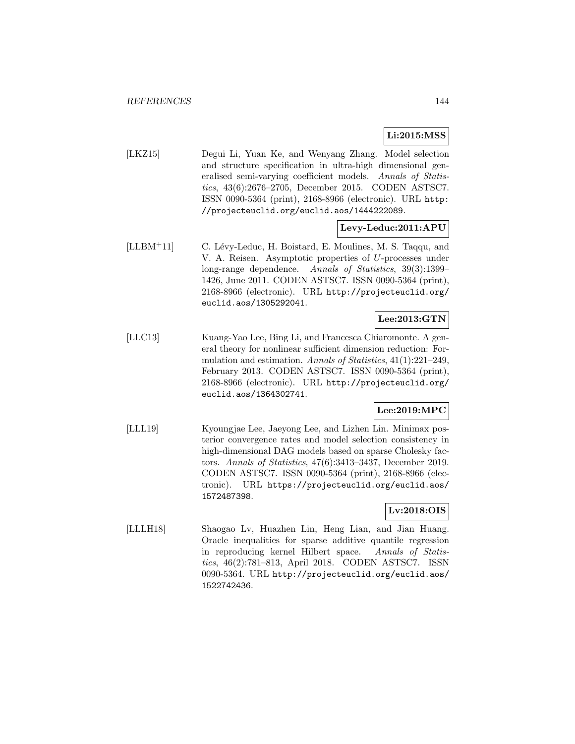# **Li:2015:MSS**

[LKZ15] Degui Li, Yuan Ke, and Wenyang Zhang. Model selection and structure specification in ultra-high dimensional generalised semi-varying coefficient models. Annals of Statistics, 43(6):2676–2705, December 2015. CODEN ASTSC7. ISSN 0090-5364 (print), 2168-8966 (electronic). URL http: //projecteuclid.org/euclid.aos/1444222089.

### **Levy-Leduc:2011:APU**

[LLBM<sup>+</sup>11] C. Lévy-Leduc, H. Boistard, E. Moulines, M. S. Taqqu, and V. A. Reisen. Asymptotic properties of U-processes under long-range dependence. Annals of Statistics, 39(3):1399– 1426, June 2011. CODEN ASTSC7. ISSN 0090-5364 (print), 2168-8966 (electronic). URL http://projecteuclid.org/ euclid.aos/1305292041.

# **Lee:2013:GTN**

[LLC13] Kuang-Yao Lee, Bing Li, and Francesca Chiaromonte. A general theory for nonlinear sufficient dimension reduction: Formulation and estimation. Annals of Statistics, 41(1):221–249, February 2013. CODEN ASTSC7. ISSN 0090-5364 (print), 2168-8966 (electronic). URL http://projecteuclid.org/ euclid.aos/1364302741.

## **Lee:2019:MPC**

[LLL19] Kyoungjae Lee, Jaeyong Lee, and Lizhen Lin. Minimax posterior convergence rates and model selection consistency in high-dimensional DAG models based on sparse Cholesky factors. Annals of Statistics, 47(6):3413–3437, December 2019. CODEN ASTSC7. ISSN 0090-5364 (print), 2168-8966 (electronic). URL https://projecteuclid.org/euclid.aos/ 1572487398.

## **Lv:2018:OIS**

[LLLH18] Shaogao Lv, Huazhen Lin, Heng Lian, and Jian Huang. Oracle inequalities for sparse additive quantile regression in reproducing kernel Hilbert space. Annals of Statistics, 46(2):781–813, April 2018. CODEN ASTSC7. ISSN 0090-5364. URL http://projecteuclid.org/euclid.aos/ 1522742436.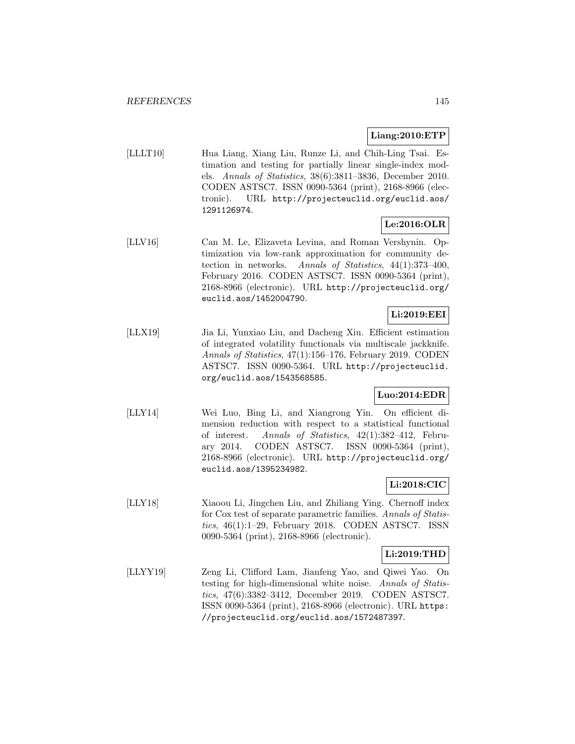## **Liang:2010:ETP**

[LLLT10] Hua Liang, Xiang Liu, Runze Li, and Chih-Ling Tsai. Estimation and testing for partially linear single-index models. Annals of Statistics, 38(6):3811–3836, December 2010. CODEN ASTSC7. ISSN 0090-5364 (print), 2168-8966 (electronic). URL http://projecteuclid.org/euclid.aos/ 1291126974.

## **Le:2016:OLR**

[LLV16] Can M. Le, Elizaveta Levina, and Roman Vershynin. Optimization via low-rank approximation for community detection in networks. Annals of Statistics, 44(1):373–400, February 2016. CODEN ASTSC7. ISSN 0090-5364 (print), 2168-8966 (electronic). URL http://projecteuclid.org/ euclid.aos/1452004790.

## **Li:2019:EEI**

[LLX19] Jia Li, Yunxiao Liu, and Dacheng Xiu. Efficient estimation of integrated volatility functionals via multiscale jackknife. Annals of Statistics, 47(1):156–176, February 2019. CODEN ASTSC7. ISSN 0090-5364. URL http://projecteuclid. org/euclid.aos/1543568585.

## **Luo:2014:EDR**

[LLY14] Wei Luo, Bing Li, and Xiangrong Yin. On efficient dimension reduction with respect to a statistical functional of interest. Annals of Statistics, 42(1):382–412, February 2014. CODEN ASTSC7. ISSN 0090-5364 (print), 2168-8966 (electronic). URL http://projecteuclid.org/ euclid.aos/1395234982.

## **Li:2018:CIC**

[LLY18] Xiaoou Li, Jingchen Liu, and Zhiliang Ying. Chernoff index for Cox test of separate parametric families. Annals of Statistics, 46(1):1–29, February 2018. CODEN ASTSC7. ISSN 0090-5364 (print), 2168-8966 (electronic).

#### **Li:2019:THD**

[LLYY19] Zeng Li, Clifford Lam, Jianfeng Yao, and Qiwei Yao. On testing for high-dimensional white noise. Annals of Statistics, 47(6):3382–3412, December 2019. CODEN ASTSC7. ISSN 0090-5364 (print), 2168-8966 (electronic). URL https: //projecteuclid.org/euclid.aos/1572487397.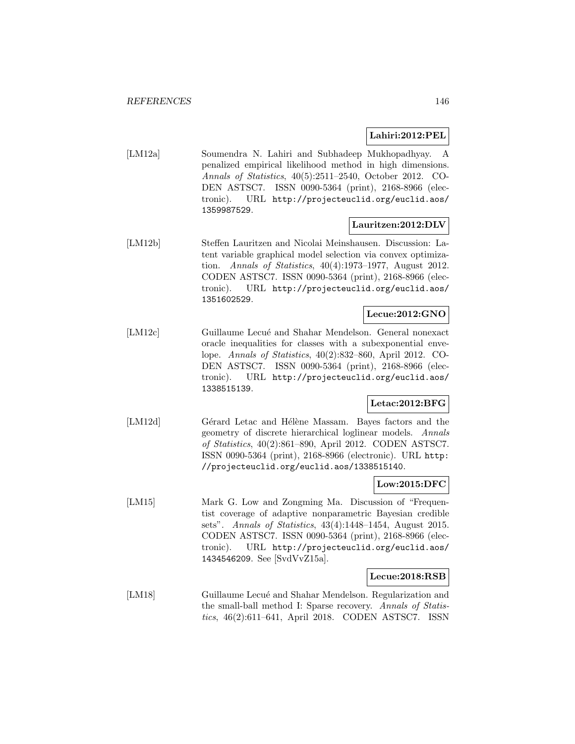## **Lahiri:2012:PEL**

[LM12a] Soumendra N. Lahiri and Subhadeep Mukhopadhyay. A penalized empirical likelihood method in high dimensions. Annals of Statistics, 40(5):2511–2540, October 2012. CO-DEN ASTSC7. ISSN 0090-5364 (print), 2168-8966 (electronic). URL http://projecteuclid.org/euclid.aos/ 1359987529.

## **Lauritzen:2012:DLV**

[LM12b] Steffen Lauritzen and Nicolai Meinshausen. Discussion: Latent variable graphical model selection via convex optimization. Annals of Statistics, 40(4):1973–1977, August 2012. CODEN ASTSC7. ISSN 0090-5364 (print), 2168-8966 (electronic). URL http://projecteuclid.org/euclid.aos/ 1351602529.

### **Lecue:2012:GNO**

[LM12c] Guillaume Lecué and Shahar Mendelson. General nonexact oracle inequalities for classes with a subexponential envelope. Annals of Statistics, 40(2):832–860, April 2012. CO-DEN ASTSC7. ISSN 0090-5364 (print), 2168-8966 (electronic). URL http://projecteuclid.org/euclid.aos/ 1338515139.

### **Letac:2012:BFG**

[LM12d] Gérard Letac and Hélène Massam. Bayes factors and the geometry of discrete hierarchical loglinear models. Annals of Statistics, 40(2):861–890, April 2012. CODEN ASTSC7. ISSN 0090-5364 (print), 2168-8966 (electronic). URL http: //projecteuclid.org/euclid.aos/1338515140.

#### **Low:2015:DFC**

[LM15] Mark G. Low and Zongming Ma. Discussion of "Frequentist coverage of adaptive nonparametric Bayesian credible sets". Annals of Statistics, 43(4):1448–1454, August 2015. CODEN ASTSC7. ISSN 0090-5364 (print), 2168-8966 (electronic). URL http://projecteuclid.org/euclid.aos/ 1434546209. See [SvdVvZ15a].

#### **Lecue:2018:RSB**

[LM18] Guillaume Lecué and Shahar Mendelson. Regularization and the small-ball method I: Sparse recovery. Annals of Statistics, 46(2):611–641, April 2018. CODEN ASTSC7. ISSN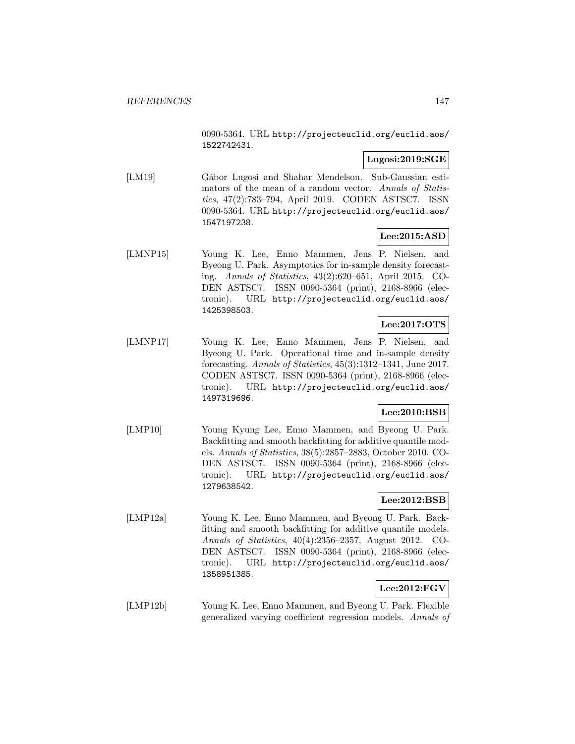0090-5364. URL http://projecteuclid.org/euclid.aos/ 1522742431.

## **Lugosi:2019:SGE**

[LM19] Gábor Lugosi and Shahar Mendelson. Sub-Gaussian estimators of the mean of a random vector. Annals of Statistics, 47(2):783–794, April 2019. CODEN ASTSC7. ISSN 0090-5364. URL http://projecteuclid.org/euclid.aos/ 1547197238.

## **Lee:2015:ASD**

[LMNP15] Young K. Lee, Enno Mammen, Jens P. Nielsen, and Byeong U. Park. Asymptotics for in-sample density forecasting. Annals of Statistics, 43(2):620–651, April 2015. CO-DEN ASTSC7. ISSN 0090-5364 (print), 2168-8966 (electronic). URL http://projecteuclid.org/euclid.aos/ 1425398503.

# **Lee:2017:OTS**

[LMNP17] Young K. Lee, Enno Mammen, Jens P. Nielsen, and Byeong U. Park. Operational time and in-sample density forecasting. Annals of Statistics, 45(3):1312–1341, June 2017. CODEN ASTSC7. ISSN 0090-5364 (print), 2168-8966 (electronic). URL http://projecteuclid.org/euclid.aos/ 1497319696.

## **Lee:2010:BSB**

[LMP10] Young Kyung Lee, Enno Mammen, and Byeong U. Park. Backfitting and smooth backfitting for additive quantile models. Annals of Statistics, 38(5):2857–2883, October 2010. CO-DEN ASTSC7. ISSN 0090-5364 (print), 2168-8966 (electronic). URL http://projecteuclid.org/euclid.aos/ 1279638542.

## **Lee:2012:BSB**

[LMP12a] Young K. Lee, Enno Mammen, and Byeong U. Park. Backfitting and smooth backfitting for additive quantile models. Annals of Statistics, 40(4):2356–2357, August 2012. CO-DEN ASTSC7. ISSN 0090-5364 (print), 2168-8966 (electronic). URL http://projecteuclid.org/euclid.aos/ 1358951385.

# **Lee:2012:FGV**

[LMP12b] Young K. Lee, Enno Mammen, and Byeong U. Park. Flexible generalized varying coefficient regression models. Annals of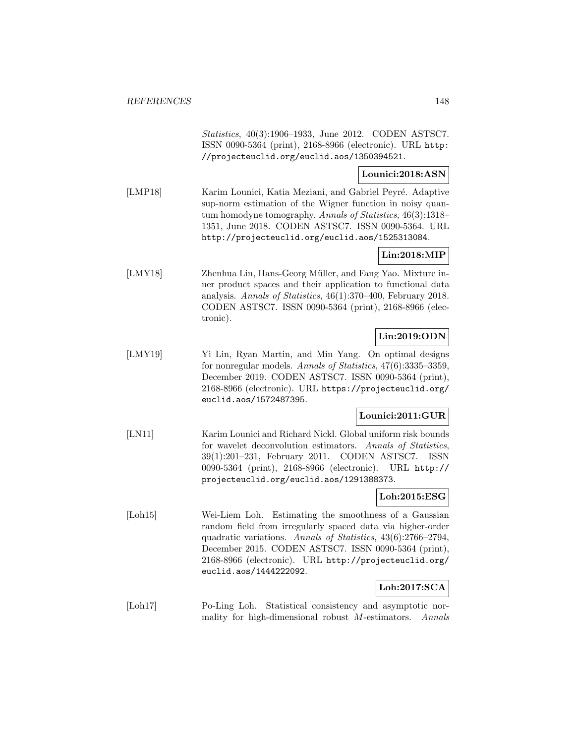Statistics, 40(3):1906–1933, June 2012. CODEN ASTSC7. ISSN 0090-5364 (print), 2168-8966 (electronic). URL http: //projecteuclid.org/euclid.aos/1350394521.

## **Lounici:2018:ASN**

[LMP18] Karim Lounici, Katia Meziani, and Gabriel Peyré. Adaptive sup-norm estimation of the Wigner function in noisy quantum homodyne tomography. Annals of Statistics, 46(3):1318– 1351, June 2018. CODEN ASTSC7. ISSN 0090-5364. URL http://projecteuclid.org/euclid.aos/1525313084.

## **Lin:2018:MIP**

[LMY18] Zhenhua Lin, Hans-Georg Müller, and Fang Yao. Mixture inner product spaces and their application to functional data analysis. Annals of Statistics, 46(1):370–400, February 2018. CODEN ASTSC7. ISSN 0090-5364 (print), 2168-8966 (electronic).

## **Lin:2019:ODN**

[LMY19] Yi Lin, Ryan Martin, and Min Yang. On optimal designs for nonregular models. Annals of Statistics, 47(6):3335–3359, December 2019. CODEN ASTSC7. ISSN 0090-5364 (print), 2168-8966 (electronic). URL https://projecteuclid.org/ euclid.aos/1572487395.

## **Lounici:2011:GUR**

[LN11] Karim Lounici and Richard Nickl. Global uniform risk bounds for wavelet deconvolution estimators. Annals of Statistics, 39(1):201–231, February 2011. CODEN ASTSC7. ISSN 0090-5364 (print), 2168-8966 (electronic). URL http:// projecteuclid.org/euclid.aos/1291388373.

# **Loh:2015:ESG**

[Loh15] Wei-Liem Loh. Estimating the smoothness of a Gaussian random field from irregularly spaced data via higher-order quadratic variations. Annals of Statistics, 43(6):2766–2794, December 2015. CODEN ASTSC7. ISSN 0090-5364 (print), 2168-8966 (electronic). URL http://projecteuclid.org/ euclid.aos/1444222092.

## **Loh:2017:SCA**

[Loh17] Po-Ling Loh. Statistical consistency and asymptotic normality for high-dimensional robust M-estimators. Annals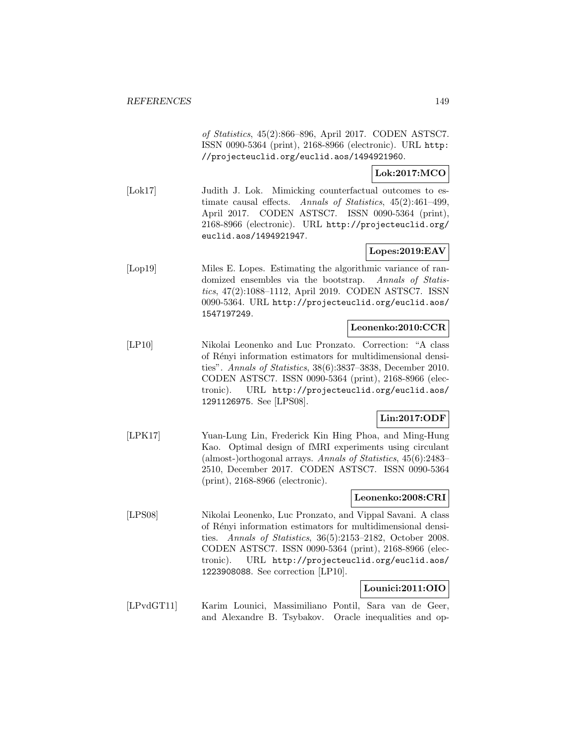of Statistics, 45(2):866–896, April 2017. CODEN ASTSC7. ISSN 0090-5364 (print), 2168-8966 (electronic). URL http: //projecteuclid.org/euclid.aos/1494921960.

**Lok:2017:MCO**

[Lok17] Judith J. Lok. Mimicking counterfactual outcomes to estimate causal effects. Annals of Statistics, 45(2):461–499, April 2017. CODEN ASTSC7. ISSN 0090-5364 (print), 2168-8966 (electronic). URL http://projecteuclid.org/ euclid.aos/1494921947.

## **Lopes:2019:EAV**

[Lop19] Miles E. Lopes. Estimating the algorithmic variance of randomized ensembles via the bootstrap. Annals of Statistics, 47(2):1088–1112, April 2019. CODEN ASTSC7. ISSN 0090-5364. URL http://projecteuclid.org/euclid.aos/ 1547197249.

## **Leonenko:2010:CCR**

[LP10] Nikolai Leonenko and Luc Pronzato. Correction: "A class of R´enyi information estimators for multidimensional densities". Annals of Statistics, 38(6):3837–3838, December 2010. CODEN ASTSC7. ISSN 0090-5364 (print), 2168-8966 (electronic). URL http://projecteuclid.org/euclid.aos/ 1291126975. See [LPS08].

# **Lin:2017:ODF**

[LPK17] Yuan-Lung Lin, Frederick Kin Hing Phoa, and Ming-Hung Kao. Optimal design of fMRI experiments using circulant (almost-)orthogonal arrays. Annals of Statistics, 45(6):2483– 2510, December 2017. CODEN ASTSC7. ISSN 0090-5364 (print), 2168-8966 (electronic).

## **Leonenko:2008:CRI**

[LPS08] Nikolai Leonenko, Luc Pronzato, and Vippal Savani. A class of R´enyi information estimators for multidimensional densities. Annals of Statistics, 36(5):2153–2182, October 2008. CODEN ASTSC7. ISSN 0090-5364 (print), 2168-8966 (electronic). URL http://projecteuclid.org/euclid.aos/ 1223908088. See correction [LP10].

## **Lounici:2011:OIO**

[LPvdGT11] Karim Lounici, Massimiliano Pontil, Sara van de Geer, and Alexandre B. Tsybakov. Oracle inequalities and op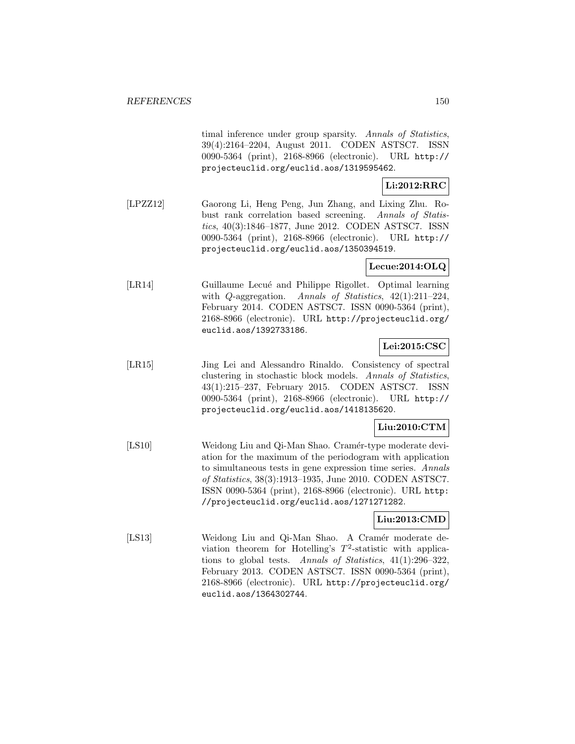timal inference under group sparsity. Annals of Statistics, 39(4):2164–2204, August 2011. CODEN ASTSC7. ISSN 0090-5364 (print), 2168-8966 (electronic). URL http:// projecteuclid.org/euclid.aos/1319595462.

## **Li:2012:RRC**

[LPZZ12] Gaorong Li, Heng Peng, Jun Zhang, and Lixing Zhu. Robust rank correlation based screening. Annals of Statistics, 40(3):1846–1877, June 2012. CODEN ASTSC7. ISSN 0090-5364 (print), 2168-8966 (electronic). URL http:// projecteuclid.org/euclid.aos/1350394519.

## **Lecue:2014:OLQ**

[LR14] Guillaume Lecué and Philippe Rigollet. Optimal learning with *Q*-aggregation. Annals of Statistics, 42(1):211-224, February 2014. CODEN ASTSC7. ISSN 0090-5364 (print), 2168-8966 (electronic). URL http://projecteuclid.org/ euclid.aos/1392733186.

## **Lei:2015:CSC**

[LR15] Jing Lei and Alessandro Rinaldo. Consistency of spectral clustering in stochastic block models. Annals of Statistics, 43(1):215–237, February 2015. CODEN ASTSC7. ISSN 0090-5364 (print), 2168-8966 (electronic). URL http:// projecteuclid.org/euclid.aos/1418135620.

## **Liu:2010:CTM**

[LS10] Weidong Liu and Qi-Man Shao. Cramér-type moderate deviation for the maximum of the periodogram with application to simultaneous tests in gene expression time series. Annals of Statistics, 38(3):1913–1935, June 2010. CODEN ASTSC7. ISSN 0090-5364 (print), 2168-8966 (electronic). URL http: //projecteuclid.org/euclid.aos/1271271282.

### **Liu:2013:CMD**

[LS13] Weidong Liu and Qi-Man Shao. A Cramér moderate deviation theorem for Hotelling's  $T^2$ -statistic with applications to global tests. Annals of Statistics, 41(1):296–322, February 2013. CODEN ASTSC7. ISSN 0090-5364 (print), 2168-8966 (electronic). URL http://projecteuclid.org/ euclid.aos/1364302744.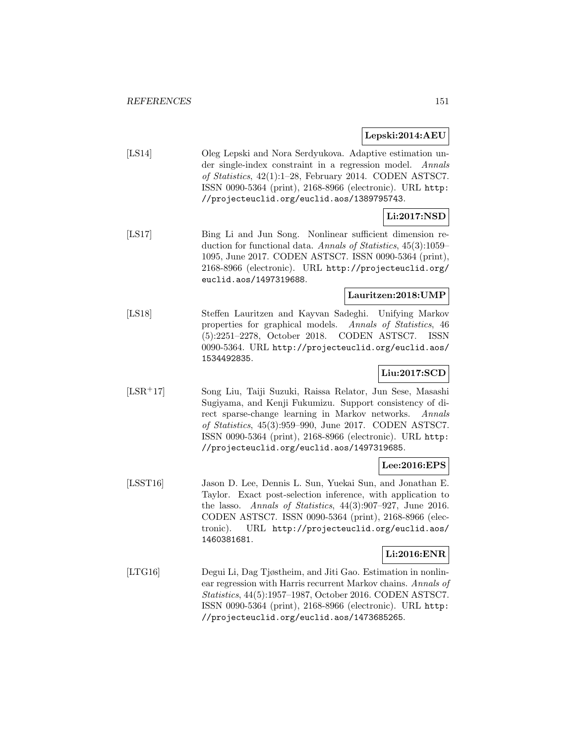### **Lepski:2014:AEU**

[LS14] Oleg Lepski and Nora Serdyukova. Adaptive estimation under single-index constraint in a regression model. Annals of Statistics, 42(1):1–28, February 2014. CODEN ASTSC7. ISSN 0090-5364 (print), 2168-8966 (electronic). URL http: //projecteuclid.org/euclid.aos/1389795743.

## **Li:2017:NSD**

[LS17] Bing Li and Jun Song. Nonlinear sufficient dimension reduction for functional data. Annals of Statistics, 45(3):1059– 1095, June 2017. CODEN ASTSC7. ISSN 0090-5364 (print), 2168-8966 (electronic). URL http://projecteuclid.org/ euclid.aos/1497319688.

## **Lauritzen:2018:UMP**

[LS18] Steffen Lauritzen and Kayvan Sadeghi. Unifying Markov properties for graphical models. Annals of Statistics, 46 (5):2251–2278, October 2018. CODEN ASTSC7. ISSN 0090-5364. URL http://projecteuclid.org/euclid.aos/ 1534492835.

# **Liu:2017:SCD**

[LSR<sup>+</sup>17] Song Liu, Taiji Suzuki, Raissa Relator, Jun Sese, Masashi Sugiyama, and Kenji Fukumizu. Support consistency of direct sparse-change learning in Markov networks. Annals of Statistics, 45(3):959–990, June 2017. CODEN ASTSC7. ISSN 0090-5364 (print), 2168-8966 (electronic). URL http: //projecteuclid.org/euclid.aos/1497319685.

## **Lee:2016:EPS**

[LSST16] Jason D. Lee, Dennis L. Sun, Yuekai Sun, and Jonathan E. Taylor. Exact post-selection inference, with application to the lasso. Annals of Statistics, 44(3):907–927, June 2016. CODEN ASTSC7. ISSN 0090-5364 (print), 2168-8966 (electronic). URL http://projecteuclid.org/euclid.aos/ 1460381681.

### **Li:2016:ENR**

[LTG16] Degui Li, Dag Tjøstheim, and Jiti Gao. Estimation in nonlinear regression with Harris recurrent Markov chains. Annals of Statistics, 44(5):1957–1987, October 2016. CODEN ASTSC7. ISSN 0090-5364 (print), 2168-8966 (electronic). URL http: //projecteuclid.org/euclid.aos/1473685265.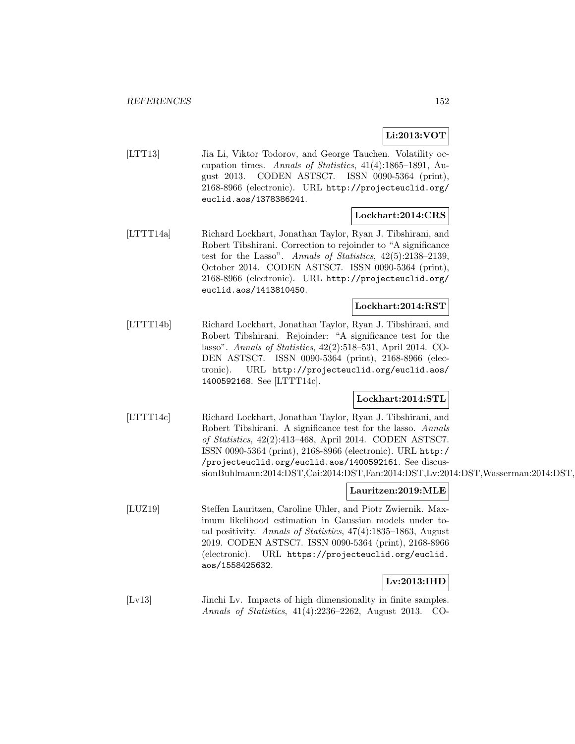## **Li:2013:VOT**

[LTT13] Jia Li, Viktor Todorov, and George Tauchen. Volatility occupation times. Annals of Statistics, 41(4):1865–1891, August 2013. CODEN ASTSC7. ISSN 0090-5364 (print), 2168-8966 (electronic). URL http://projecteuclid.org/ euclid.aos/1378386241.

## **Lockhart:2014:CRS**

[LTTT14a] Richard Lockhart, Jonathan Taylor, Ryan J. Tibshirani, and Robert Tibshirani. Correction to rejoinder to "A significance test for the Lasso". Annals of Statistics, 42(5):2138–2139, October 2014. CODEN ASTSC7. ISSN 0090-5364 (print), 2168-8966 (electronic). URL http://projecteuclid.org/ euclid.aos/1413810450.

## **Lockhart:2014:RST**

[LTTT14b] Richard Lockhart, Jonathan Taylor, Ryan J. Tibshirani, and Robert Tibshirani. Rejoinder: "A significance test for the lasso". Annals of Statistics, 42(2):518–531, April 2014. CO-DEN ASTSC7. ISSN 0090-5364 (print), 2168-8966 (electronic). URL http://projecteuclid.org/euclid.aos/ 1400592168. See [LTTT14c].

## **Lockhart:2014:STL**

[LTTT14c] Richard Lockhart, Jonathan Taylor, Ryan J. Tibshirani, and Robert Tibshirani. A significance test for the lasso. Annals of Statistics, 42(2):413–468, April 2014. CODEN ASTSC7. ISSN 0090-5364 (print), 2168-8966 (electronic). URL http:/ /projecteuclid.org/euclid.aos/1400592161. See discussionBuhlmann:2014:DST,Cai:2014:DST,Fan:2014:DST,Lv:2014:DST,Wasserman:2014:DST,

## **Lauritzen:2019:MLE**

[LUZ19] Steffen Lauritzen, Caroline Uhler, and Piotr Zwiernik. Maximum likelihood estimation in Gaussian models under total positivity. Annals of Statistics, 47(4):1835–1863, August 2019. CODEN ASTSC7. ISSN 0090-5364 (print), 2168-8966 (electronic). URL https://projecteuclid.org/euclid. aos/1558425632.

### **Lv:2013:IHD**

[Lv13] Jinchi Lv. Impacts of high dimensionality in finite samples. Annals of Statistics, 41(4):2236–2262, August 2013. CO-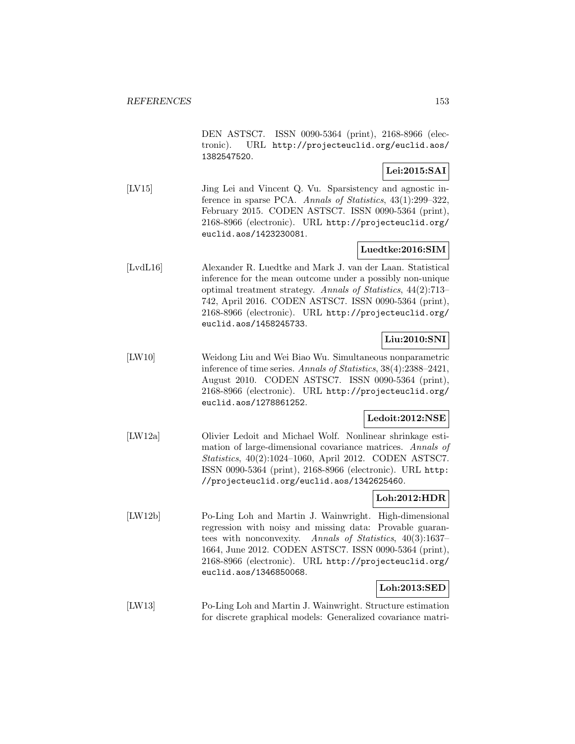DEN ASTSC7. ISSN 0090-5364 (print), 2168-8966 (electronic). URL http://projecteuclid.org/euclid.aos/ 1382547520.

## **Lei:2015:SAI**

[LV15] Jing Lei and Vincent Q. Vu. Sparsistency and agnostic inference in sparse PCA. Annals of Statistics, 43(1):299–322, February 2015. CODEN ASTSC7. ISSN 0090-5364 (print), 2168-8966 (electronic). URL http://projecteuclid.org/ euclid.aos/1423230081.

## **Luedtke:2016:SIM**

[LvdL16] Alexander R. Luedtke and Mark J. van der Laan. Statistical inference for the mean outcome under a possibly non-unique optimal treatment strategy. Annals of Statistics, 44(2):713– 742, April 2016. CODEN ASTSC7. ISSN 0090-5364 (print), 2168-8966 (electronic). URL http://projecteuclid.org/ euclid.aos/1458245733.

## **Liu:2010:SNI**

[LW10] Weidong Liu and Wei Biao Wu. Simultaneous nonparametric inference of time series. Annals of Statistics, 38(4):2388–2421, August 2010. CODEN ASTSC7. ISSN 0090-5364 (print), 2168-8966 (electronic). URL http://projecteuclid.org/ euclid.aos/1278861252.

### **Ledoit:2012:NSE**

[LW12a] Olivier Ledoit and Michael Wolf. Nonlinear shrinkage estimation of large-dimensional covariance matrices. Annals of Statistics, 40(2):1024–1060, April 2012. CODEN ASTSC7. ISSN 0090-5364 (print), 2168-8966 (electronic). URL http: //projecteuclid.org/euclid.aos/1342625460.

### **Loh:2012:HDR**

[LW12b] Po-Ling Loh and Martin J. Wainwright. High-dimensional regression with noisy and missing data: Provable guarantees with nonconvexity. Annals of Statistics, 40(3):1637– 1664, June 2012. CODEN ASTSC7. ISSN 0090-5364 (print), 2168-8966 (electronic). URL http://projecteuclid.org/ euclid.aos/1346850068.

## **Loh:2013:SED**

[LW13] Po-Ling Loh and Martin J. Wainwright. Structure estimation for discrete graphical models: Generalized covariance matri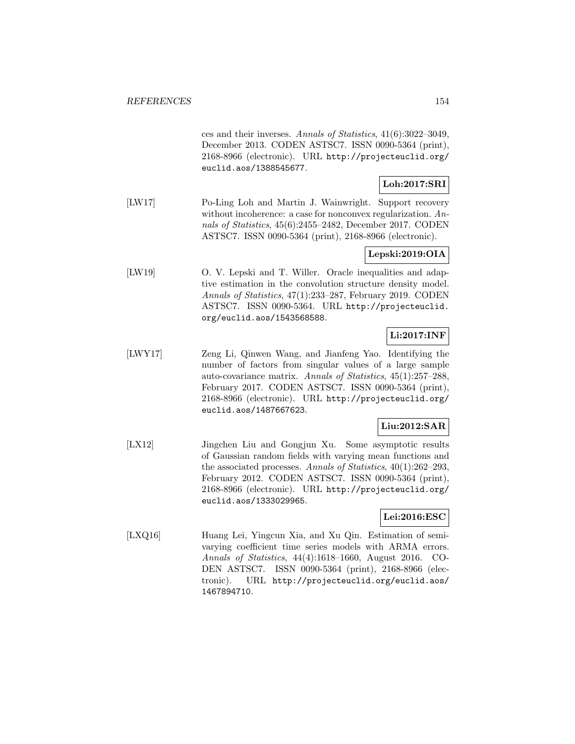ces and their inverses. Annals of Statistics, 41(6):3022–3049, December 2013. CODEN ASTSC7. ISSN 0090-5364 (print), 2168-8966 (electronic). URL http://projecteuclid.org/ euclid.aos/1388545677.

## **Loh:2017:SRI**

[LW17] Po-Ling Loh and Martin J. Wainwright. Support recovery without incoherence: a case for nonconvex regularization. Annals of Statistics, 45(6):2455–2482, December 2017. CODEN ASTSC7. ISSN 0090-5364 (print), 2168-8966 (electronic).

## **Lepski:2019:OIA**

[LW19] O. V. Lepski and T. Willer. Oracle inequalities and adaptive estimation in the convolution structure density model. Annals of Statistics, 47(1):233–287, February 2019. CODEN ASTSC7. ISSN 0090-5364. URL http://projecteuclid. org/euclid.aos/1543568588.

# **Li:2017:INF**

[LWY17] Zeng Li, Qinwen Wang, and Jianfeng Yao. Identifying the number of factors from singular values of a large sample auto-covariance matrix. Annals of Statistics, 45(1):257–288, February 2017. CODEN ASTSC7. ISSN 0090-5364 (print), 2168-8966 (electronic). URL http://projecteuclid.org/ euclid.aos/1487667623.

## **Liu:2012:SAR**

[LX12] Jingchen Liu and Gongjun Xu. Some asymptotic results of Gaussian random fields with varying mean functions and the associated processes. Annals of Statistics, 40(1):262–293, February 2012. CODEN ASTSC7. ISSN 0090-5364 (print), 2168-8966 (electronic). URL http://projecteuclid.org/ euclid.aos/1333029965.

## **Lei:2016:ESC**

[LXQ16] Huang Lei, Yingcun Xia, and Xu Qin. Estimation of semivarying coefficient time series models with ARMA errors. Annals of Statistics, 44(4):1618–1660, August 2016. CO-DEN ASTSC7. ISSN 0090-5364 (print), 2168-8966 (electronic). URL http://projecteuclid.org/euclid.aos/ 1467894710.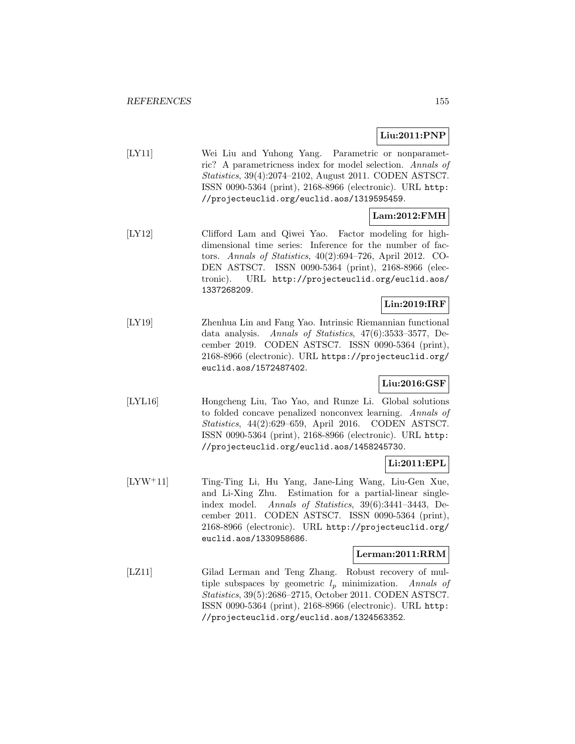# **Liu:2011:PNP**

[LY11] Wei Liu and Yuhong Yang. Parametric or nonparametric? A parametricness index for model selection. Annals of Statistics, 39(4):2074–2102, August 2011. CODEN ASTSC7. ISSN 0090-5364 (print), 2168-8966 (electronic). URL http: //projecteuclid.org/euclid.aos/1319595459.

## **Lam:2012:FMH**

[LY12] Clifford Lam and Qiwei Yao. Factor modeling for highdimensional time series: Inference for the number of factors. Annals of Statistics, 40(2):694–726, April 2012. CO-DEN ASTSC7. ISSN 0090-5364 (print), 2168-8966 (electronic). URL http://projecteuclid.org/euclid.aos/ 1337268209.

## **Lin:2019:IRF**

[LY19] Zhenhua Lin and Fang Yao. Intrinsic Riemannian functional data analysis. Annals of Statistics, 47(6):3533–3577, December 2019. CODEN ASTSC7. ISSN 0090-5364 (print), 2168-8966 (electronic). URL https://projecteuclid.org/ euclid.aos/1572487402.

## **Liu:2016:GSF**

[LYL16] Hongcheng Liu, Tao Yao, and Runze Li. Global solutions to folded concave penalized nonconvex learning. Annals of Statistics, 44(2):629–659, April 2016. CODEN ASTSC7. ISSN 0090-5364 (print), 2168-8966 (electronic). URL http: //projecteuclid.org/euclid.aos/1458245730.

# **Li:2011:EPL**

[LYW<sup>+</sup>11] Ting-Ting Li, Hu Yang, Jane-Ling Wang, Liu-Gen Xue, and Li-Xing Zhu. Estimation for a partial-linear singleindex model. Annals of Statistics, 39(6):3441–3443, December 2011. CODEN ASTSC7. ISSN 0090-5364 (print), 2168-8966 (electronic). URL http://projecteuclid.org/ euclid.aos/1330958686.

### **Lerman:2011:RRM**

[LZ11] Gilad Lerman and Teng Zhang. Robust recovery of multiple subspaces by geometric  $l_p$  minimization. Annals of Statistics, 39(5):2686–2715, October 2011. CODEN ASTSC7. ISSN 0090-5364 (print), 2168-8966 (electronic). URL http: //projecteuclid.org/euclid.aos/1324563352.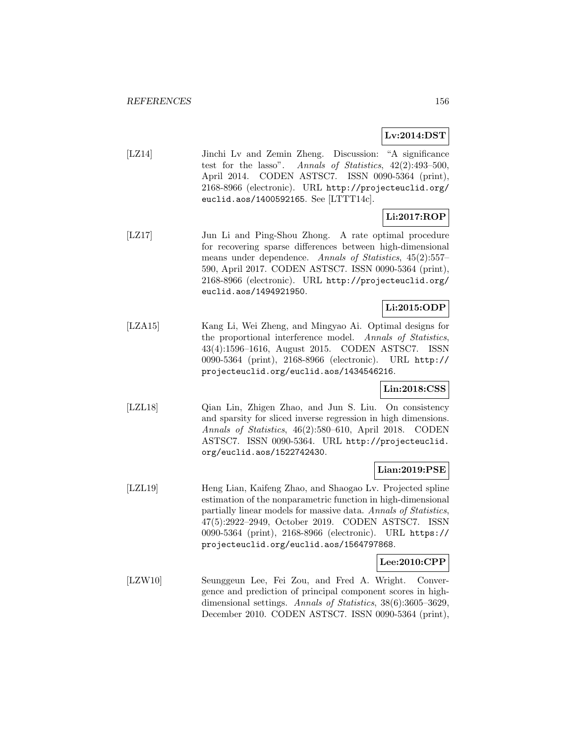## **Lv:2014:DST**

[LZ14] Jinchi Lv and Zemin Zheng. Discussion: "A significance test for the lasso". Annals of Statistics, 42(2):493–500, April 2014. CODEN ASTSC7. ISSN 0090-5364 (print), 2168-8966 (electronic). URL http://projecteuclid.org/ euclid.aos/1400592165. See [LTTT14c].

## **Li:2017:ROP**

[LZ17] Jun Li and Ping-Shou Zhong. A rate optimal procedure for recovering sparse differences between high-dimensional means under dependence. Annals of Statistics, 45(2):557– 590, April 2017. CODEN ASTSC7. ISSN 0090-5364 (print), 2168-8966 (electronic). URL http://projecteuclid.org/ euclid.aos/1494921950.

# **Li:2015:ODP**

[LZA15] Kang Li, Wei Zheng, and Mingyao Ai. Optimal designs for the proportional interference model. Annals of Statistics, 43(4):1596–1616, August 2015. CODEN ASTSC7. ISSN 0090-5364 (print), 2168-8966 (electronic). URL http:// projecteuclid.org/euclid.aos/1434546216.

## **Lin:2018:CSS**

[LZL18] Qian Lin, Zhigen Zhao, and Jun S. Liu. On consistency and sparsity for sliced inverse regression in high dimensions. Annals of Statistics, 46(2):580–610, April 2018. CODEN ASTSC7. ISSN 0090-5364. URL http://projecteuclid. org/euclid.aos/1522742430.

## **Lian:2019:PSE**

[LZL19] Heng Lian, Kaifeng Zhao, and Shaogao Lv. Projected spline estimation of the nonparametric function in high-dimensional partially linear models for massive data. Annals of Statistics, 47(5):2922–2949, October 2019. CODEN ASTSC7. ISSN 0090-5364 (print), 2168-8966 (electronic). URL https:// projecteuclid.org/euclid.aos/1564797868.

## **Lee:2010:CPP**

[LZW10] Seunggeun Lee, Fei Zou, and Fred A. Wright. Convergence and prediction of principal component scores in highdimensional settings. Annals of Statistics, 38(6):3605–3629, December 2010. CODEN ASTSC7. ISSN 0090-5364 (print),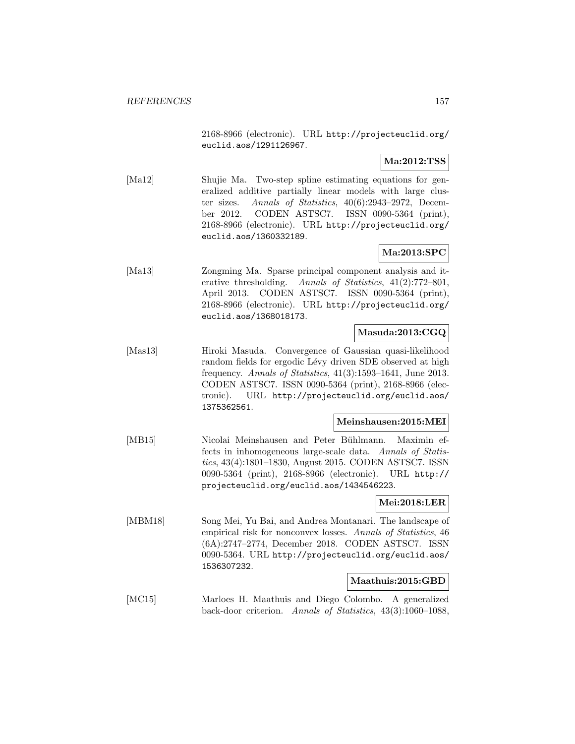2168-8966 (electronic). URL http://projecteuclid.org/ euclid.aos/1291126967.

## **Ma:2012:TSS**

[Ma12] Shujie Ma. Two-step spline estimating equations for generalized additive partially linear models with large cluster sizes. Annals of Statistics, 40(6):2943–2972, December 2012. CODEN ASTSC7. ISSN 0090-5364 (print), 2168-8966 (electronic). URL http://projecteuclid.org/ euclid.aos/1360332189.

## **Ma:2013:SPC**

[Ma13] Zongming Ma. Sparse principal component analysis and iterative thresholding. Annals of Statistics, 41(2):772–801, April 2013. CODEN ASTSC7. ISSN 0090-5364 (print), 2168-8966 (electronic). URL http://projecteuclid.org/ euclid.aos/1368018173.

## **Masuda:2013:CGQ**

[Mas13] Hiroki Masuda. Convergence of Gaussian quasi-likelihood random fields for ergodic Lévy driven SDE observed at high frequency. Annals of Statistics, 41(3):1593–1641, June 2013. CODEN ASTSC7. ISSN 0090-5364 (print), 2168-8966 (electronic). URL http://projecteuclid.org/euclid.aos/ 1375362561.

### **Meinshausen:2015:MEI**

[MB15] Nicolai Meinshausen and Peter Bühlmann. Maximin effects in inhomogeneous large-scale data. Annals of Statistics, 43(4):1801–1830, August 2015. CODEN ASTSC7. ISSN 0090-5364 (print), 2168-8966 (electronic). URL http:// projecteuclid.org/euclid.aos/1434546223.

## **Mei:2018:LER**

[MBM18] Song Mei, Yu Bai, and Andrea Montanari. The landscape of empirical risk for nonconvex losses. Annals of Statistics, 46 (6A):2747–2774, December 2018. CODEN ASTSC7. ISSN 0090-5364. URL http://projecteuclid.org/euclid.aos/ 1536307232.

### **Maathuis:2015:GBD**

[MC15] Marloes H. Maathuis and Diego Colombo. A generalized back-door criterion. Annals of Statistics, 43(3):1060–1088,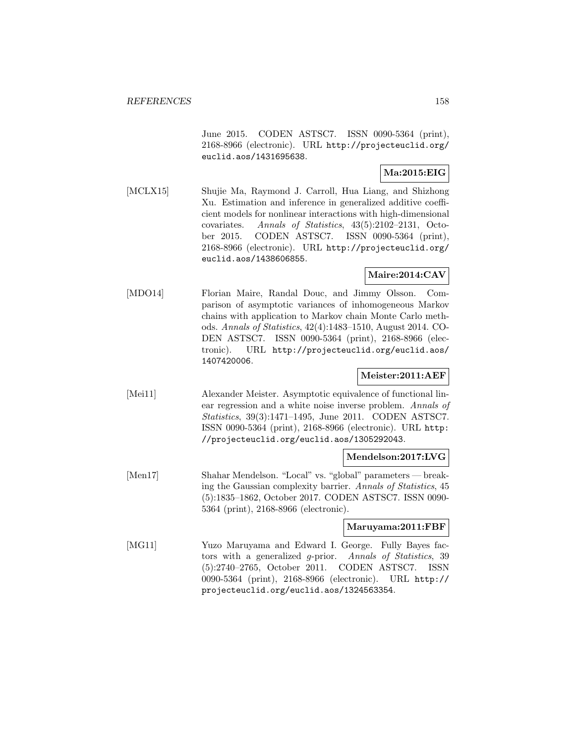June 2015. CODEN ASTSC7. ISSN 0090-5364 (print), 2168-8966 (electronic). URL http://projecteuclid.org/ euclid.aos/1431695638.

## **Ma:2015:EIG**

[MCLX15] Shujie Ma, Raymond J. Carroll, Hua Liang, and Shizhong Xu. Estimation and inference in generalized additive coefficient models for nonlinear interactions with high-dimensional covariates. Annals of Statistics, 43(5):2102–2131, October 2015. CODEN ASTSC7. ISSN 0090-5364 (print), 2168-8966 (electronic). URL http://projecteuclid.org/ euclid.aos/1438606855.

## **Maire:2014:CAV**

[MDO14] Florian Maire, Randal Douc, and Jimmy Olsson. Comparison of asymptotic variances of inhomogeneous Markov chains with application to Markov chain Monte Carlo methods. Annals of Statistics, 42(4):1483–1510, August 2014. CO-DEN ASTSC7. ISSN 0090-5364 (print), 2168-8966 (electronic). URL http://projecteuclid.org/euclid.aos/ 1407420006.

## **Meister:2011:AEF**

[Mei11] Alexander Meister. Asymptotic equivalence of functional linear regression and a white noise inverse problem. Annals of Statistics, 39(3):1471–1495, June 2011. CODEN ASTSC7. ISSN 0090-5364 (print), 2168-8966 (electronic). URL http: //projecteuclid.org/euclid.aos/1305292043.

### **Mendelson:2017:LVG**

[Men17] Shahar Mendelson. "Local" vs. "global" parameters — breaking the Gaussian complexity barrier. Annals of Statistics, 45 (5):1835–1862, October 2017. CODEN ASTSC7. ISSN 0090- 5364 (print), 2168-8966 (electronic).

### **Maruyama:2011:FBF**

[MG11] Yuzo Maruyama and Edward I. George. Fully Bayes factors with a generalized g-prior. Annals of Statistics, 39 (5):2740–2765, October 2011. CODEN ASTSC7. ISSN 0090-5364 (print), 2168-8966 (electronic). URL http:// projecteuclid.org/euclid.aos/1324563354.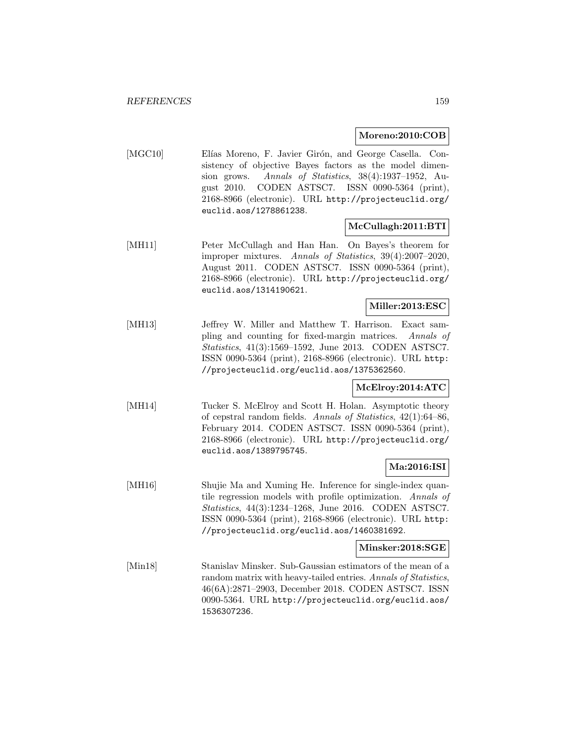### **Moreno:2010:COB**

[MGC10] Elías Moreno, F. Javier Girón, and George Casella. Consistency of objective Bayes factors as the model dimension grows. Annals of Statistics, 38(4):1937–1952, August 2010. CODEN ASTSC7. ISSN 0090-5364 (print), 2168-8966 (electronic). URL http://projecteuclid.org/ euclid.aos/1278861238.

## **McCullagh:2011:BTI**

[MH11] Peter McCullagh and Han Han. On Bayes's theorem for improper mixtures. Annals of Statistics, 39(4):2007–2020, August 2011. CODEN ASTSC7. ISSN 0090-5364 (print), 2168-8966 (electronic). URL http://projecteuclid.org/ euclid.aos/1314190621.

### **Miller:2013:ESC**

[MH13] Jeffrey W. Miller and Matthew T. Harrison. Exact sampling and counting for fixed-margin matrices. Annals of Statistics, 41(3):1569–1592, June 2013. CODEN ASTSC7. ISSN 0090-5364 (print), 2168-8966 (electronic). URL http: //projecteuclid.org/euclid.aos/1375362560.

## **McElroy:2014:ATC**

[MH14] Tucker S. McElroy and Scott H. Holan. Asymptotic theory of cepstral random fields. Annals of Statistics, 42(1):64–86, February 2014. CODEN ASTSC7. ISSN 0090-5364 (print), 2168-8966 (electronic). URL http://projecteuclid.org/ euclid.aos/1389795745.

### **Ma:2016:ISI**

[MH16] Shujie Ma and Xuming He. Inference for single-index quantile regression models with profile optimization. Annals of Statistics, 44(3):1234–1268, June 2016. CODEN ASTSC7. ISSN 0090-5364 (print), 2168-8966 (electronic). URL http: //projecteuclid.org/euclid.aos/1460381692.

### **Minsker:2018:SGE**

[Min18] Stanislav Minsker. Sub-Gaussian estimators of the mean of a random matrix with heavy-tailed entries. Annals of Statistics, 46(6A):2871–2903, December 2018. CODEN ASTSC7. ISSN 0090-5364. URL http://projecteuclid.org/euclid.aos/ 1536307236.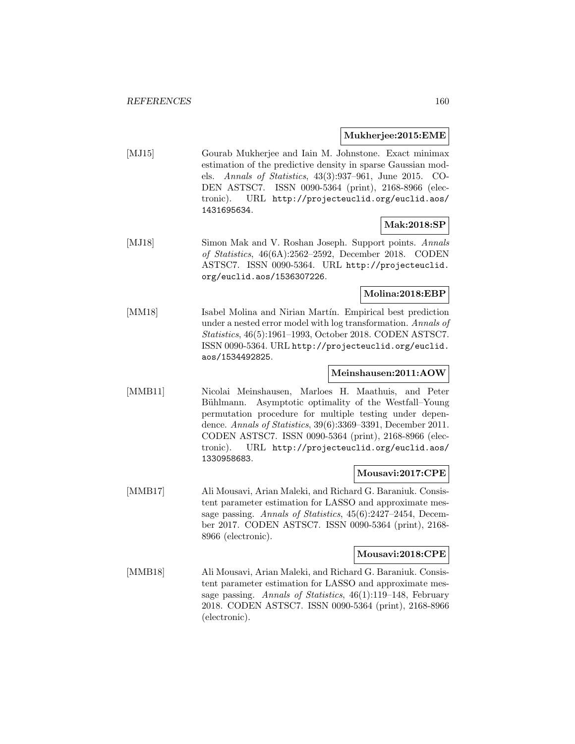#### **Mukherjee:2015:EME**

[MJ15] Gourab Mukherjee and Iain M. Johnstone. Exact minimax estimation of the predictive density in sparse Gaussian models. Annals of Statistics, 43(3):937–961, June 2015. CO-DEN ASTSC7. ISSN 0090-5364 (print), 2168-8966 (electronic). URL http://projecteuclid.org/euclid.aos/ 1431695634.

## **Mak:2018:SP**

[MJ18] Simon Mak and V. Roshan Joseph. Support points. Annals of Statistics, 46(6A):2562–2592, December 2018. CODEN ASTSC7. ISSN 0090-5364. URL http://projecteuclid. org/euclid.aos/1536307226.

### **Molina:2018:EBP**

[MM18] Isabel Molina and Nirian Martín. Empirical best prediction under a nested error model with log transformation. Annals of Statistics, 46(5):1961–1993, October 2018. CODEN ASTSC7. ISSN 0090-5364. URL http://projecteuclid.org/euclid. aos/1534492825.

# **Meinshausen:2011:AOW**

[MMB11] Nicolai Meinshausen, Marloes H. Maathuis, and Peter Bühlmann. Asymptotic optimality of the Westfall–Young permutation procedure for multiple testing under dependence. Annals of Statistics, 39(6):3369–3391, December 2011. CODEN ASTSC7. ISSN 0090-5364 (print), 2168-8966 (electronic). URL http://projecteuclid.org/euclid.aos/ 1330958683.

### **Mousavi:2017:CPE**

[MMB17] Ali Mousavi, Arian Maleki, and Richard G. Baraniuk. Consistent parameter estimation for LASSO and approximate message passing. Annals of Statistics, 45(6):2427–2454, December 2017. CODEN ASTSC7. ISSN 0090-5364 (print), 2168- 8966 (electronic).

### **Mousavi:2018:CPE**

[MMB18] Ali Mousavi, Arian Maleki, and Richard G. Baraniuk. Consistent parameter estimation for LASSO and approximate message passing. Annals of Statistics, 46(1):119–148, February 2018. CODEN ASTSC7. ISSN 0090-5364 (print), 2168-8966 (electronic).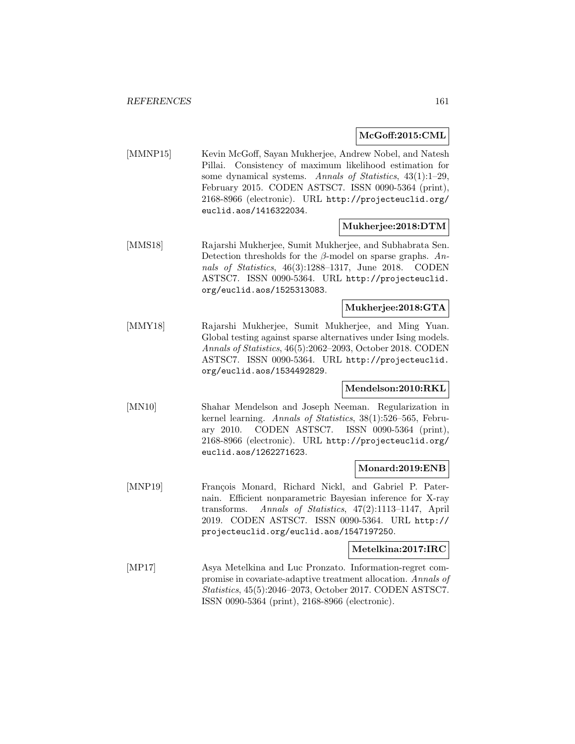#### **McGoff:2015:CML**

[MMNP15] Kevin McGoff, Sayan Mukherjee, Andrew Nobel, and Natesh Pillai. Consistency of maximum likelihood estimation for some dynamical systems. Annals of Statistics, 43(1):1–29, February 2015. CODEN ASTSC7. ISSN 0090-5364 (print), 2168-8966 (electronic). URL http://projecteuclid.org/ euclid.aos/1416322034.

### **Mukherjee:2018:DTM**

[MMS18] Rajarshi Mukherjee, Sumit Mukherjee, and Subhabrata Sen. Detection thresholds for the  $\beta$ -model on sparse graphs. Annals of Statistics, 46(3):1288–1317, June 2018. CODEN ASTSC7. ISSN 0090-5364. URL http://projecteuclid. org/euclid.aos/1525313083.

## **Mukherjee:2018:GTA**

[MMY18] Rajarshi Mukherjee, Sumit Mukherjee, and Ming Yuan. Global testing against sparse alternatives under Ising models. Annals of Statistics, 46(5):2062–2093, October 2018. CODEN ASTSC7. ISSN 0090-5364. URL http://projecteuclid. org/euclid.aos/1534492829.

### **Mendelson:2010:RKL**

[MN10] Shahar Mendelson and Joseph Neeman. Regularization in kernel learning. Annals of Statistics, 38(1):526–565, February 2010. CODEN ASTSC7. ISSN 0090-5364 (print), 2168-8966 (electronic). URL http://projecteuclid.org/ euclid.aos/1262271623.

## **Monard:2019:ENB**

[MNP19] François Monard, Richard Nickl, and Gabriel P. Paternain. Efficient nonparametric Bayesian inference for X-ray transforms. Annals of Statistics, 47(2):1113–1147, April 2019. CODEN ASTSC7. ISSN 0090-5364. URL http:// projecteuclid.org/euclid.aos/1547197250.

#### **Metelkina:2017:IRC**

[MP17] Asya Metelkina and Luc Pronzato. Information-regret compromise in covariate-adaptive treatment allocation. Annals of Statistics, 45(5):2046–2073, October 2017. CODEN ASTSC7. ISSN 0090-5364 (print), 2168-8966 (electronic).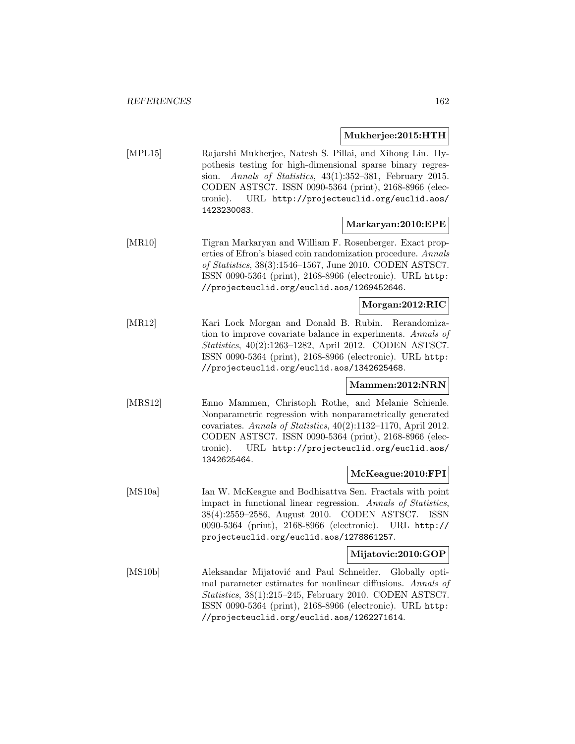### **Mukherjee:2015:HTH**

[MPL15] Rajarshi Mukherjee, Natesh S. Pillai, and Xihong Lin. Hypothesis testing for high-dimensional sparse binary regression. Annals of Statistics, 43(1):352–381, February 2015. CODEN ASTSC7. ISSN 0090-5364 (print), 2168-8966 (electronic). URL http://projecteuclid.org/euclid.aos/ 1423230083.

## **Markaryan:2010:EPE**

[MR10] Tigran Markaryan and William F. Rosenberger. Exact properties of Efron's biased coin randomization procedure. Annals of Statistics, 38(3):1546–1567, June 2010. CODEN ASTSC7. ISSN 0090-5364 (print), 2168-8966 (electronic). URL http: //projecteuclid.org/euclid.aos/1269452646.

### **Morgan:2012:RIC**

[MR12] Kari Lock Morgan and Donald B. Rubin. Rerandomization to improve covariate balance in experiments. Annals of Statistics, 40(2):1263–1282, April 2012. CODEN ASTSC7. ISSN 0090-5364 (print), 2168-8966 (electronic). URL http: //projecteuclid.org/euclid.aos/1342625468.

## **Mammen:2012:NRN**

[MRS12] Enno Mammen, Christoph Rothe, and Melanie Schienle. Nonparametric regression with nonparametrically generated covariates. Annals of Statistics, 40(2):1132–1170, April 2012. CODEN ASTSC7. ISSN 0090-5364 (print), 2168-8966 (electronic). URL http://projecteuclid.org/euclid.aos/ 1342625464.

### **McKeague:2010:FPI**

[MS10a] Ian W. McKeague and Bodhisattva Sen. Fractals with point impact in functional linear regression. Annals of Statistics, 38(4):2559–2586, August 2010. CODEN ASTSC7. ISSN 0090-5364 (print), 2168-8966 (electronic). URL http:// projecteuclid.org/euclid.aos/1278861257.

### **Mijatovic:2010:GOP**

[MS10b] Aleksandar Mijatović and Paul Schneider. Globally optimal parameter estimates for nonlinear diffusions. Annals of Statistics, 38(1):215–245, February 2010. CODEN ASTSC7. ISSN 0090-5364 (print), 2168-8966 (electronic). URL http: //projecteuclid.org/euclid.aos/1262271614.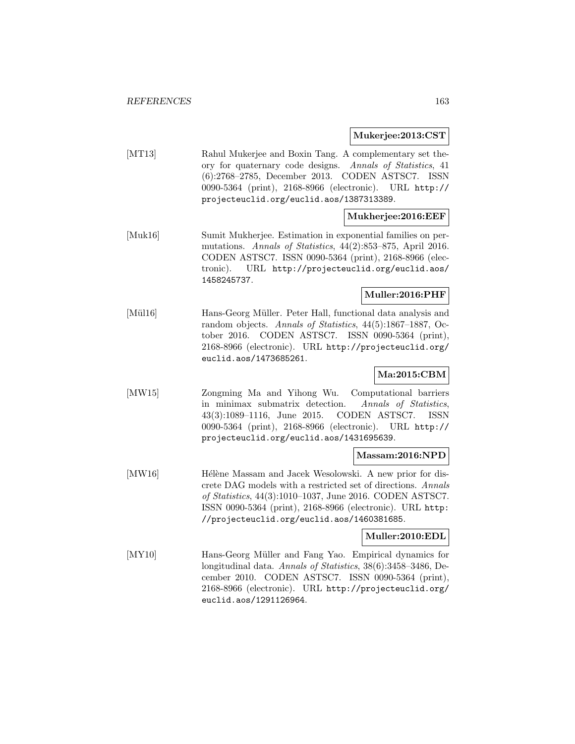**Mukerjee:2013:CST**

[MT13] Rahul Mukerjee and Boxin Tang. A complementary set theory for quaternary code designs. Annals of Statistics, 41 (6):2768–2785, December 2013. CODEN ASTSC7. ISSN 0090-5364 (print), 2168-8966 (electronic). URL http:// projecteuclid.org/euclid.aos/1387313389.

## **Mukherjee:2016:EEF**

[Muk16] Sumit Mukherjee. Estimation in exponential families on permutations. Annals of Statistics, 44(2):853–875, April 2016. CODEN ASTSC7. ISSN 0090-5364 (print), 2168-8966 (electronic). URL http://projecteuclid.org/euclid.aos/ 1458245737.

## **Muller:2016:PHF**

[Mül16] Hans-Georg Müller. Peter Hall, functional data analysis and random objects. Annals of Statistics, 44(5):1867–1887, October 2016. CODEN ASTSC7. ISSN 0090-5364 (print), 2168-8966 (electronic). URL http://projecteuclid.org/ euclid.aos/1473685261.

## **Ma:2015:CBM**

[MW15] Zongming Ma and Yihong Wu. Computational barriers in minimax submatrix detection. Annals of Statistics, 43(3):1089–1116, June 2015. CODEN ASTSC7. ISSN 0090-5364 (print), 2168-8966 (electronic). URL http:// projecteuclid.org/euclid.aos/1431695639.

### **Massam:2016:NPD**

[MW16] Hélène Massam and Jacek Wesolowski. A new prior for discrete DAG models with a restricted set of directions. Annals of Statistics, 44(3):1010–1037, June 2016. CODEN ASTSC7. ISSN 0090-5364 (print), 2168-8966 (electronic). URL http: //projecteuclid.org/euclid.aos/1460381685.

## **Muller:2010:EDL**

[MY10] Hans-Georg Müller and Fang Yao. Empirical dynamics for longitudinal data. Annals of Statistics, 38(6):3458–3486, December 2010. CODEN ASTSC7. ISSN 0090-5364 (print), 2168-8966 (electronic). URL http://projecteuclid.org/ euclid.aos/1291126964.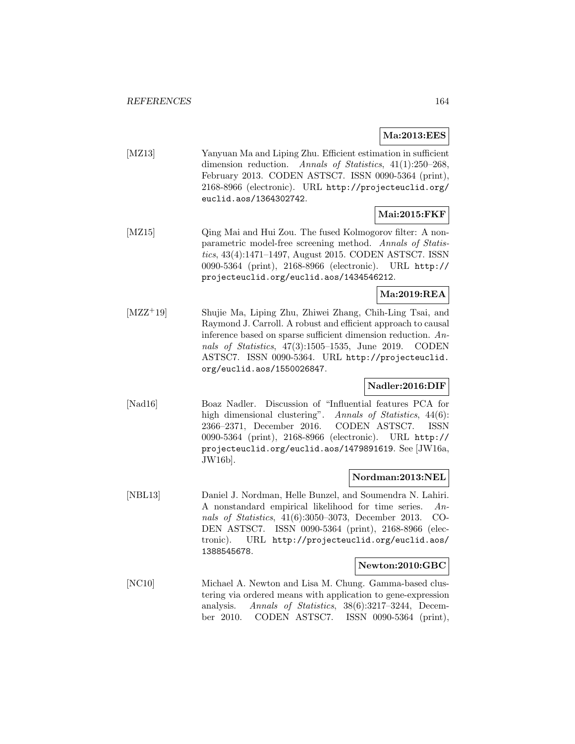**Ma:2013:EES**

[MZ13] Yanyuan Ma and Liping Zhu. Efficient estimation in sufficient dimension reduction. Annals of Statistics, 41(1):250–268, February 2013. CODEN ASTSC7. ISSN 0090-5364 (print), 2168-8966 (electronic). URL http://projecteuclid.org/ euclid.aos/1364302742.

## **Mai:2015:FKF**

[MZ15] Qing Mai and Hui Zou. The fused Kolmogorov filter: A nonparametric model-free screening method. Annals of Statistics, 43(4):1471–1497, August 2015. CODEN ASTSC7. ISSN 0090-5364 (print), 2168-8966 (electronic). URL http:// projecteuclid.org/euclid.aos/1434546212.

## **Ma:2019:REA**

[MZZ<sup>+</sup>19] Shujie Ma, Liping Zhu, Zhiwei Zhang, Chih-Ling Tsai, and Raymond J. Carroll. A robust and efficient approach to causal inference based on sparse sufficient dimension reduction. Annals of Statistics, 47(3):1505–1535, June 2019. CODEN ASTSC7. ISSN 0090-5364. URL http://projecteuclid. org/euclid.aos/1550026847.

## **Nadler:2016:DIF**

[Nad16] Boaz Nadler. Discussion of "Influential features PCA for high dimensional clustering". Annals of Statistics, 44(6): 2366–2371, December 2016. CODEN ASTSC7. ISSN 0090-5364 (print), 2168-8966 (electronic). URL http:// projecteuclid.org/euclid.aos/1479891619. See [JW16a, JW16b].

### **Nordman:2013:NEL**

[NBL13] Daniel J. Nordman, Helle Bunzel, and Soumendra N. Lahiri. A nonstandard empirical likelihood for time series. Annals of Statistics, 41(6):3050–3073, December 2013. CO-DEN ASTSC7. ISSN 0090-5364 (print), 2168-8966 (electronic). URL http://projecteuclid.org/euclid.aos/ 1388545678.

### **Newton:2010:GBC**

[NC10] Michael A. Newton and Lisa M. Chung. Gamma-based clustering via ordered means with application to gene-expression analysis. Annals of Statistics, 38(6):3217–3244, December 2010. CODEN ASTSC7. ISSN 0090-5364 (print),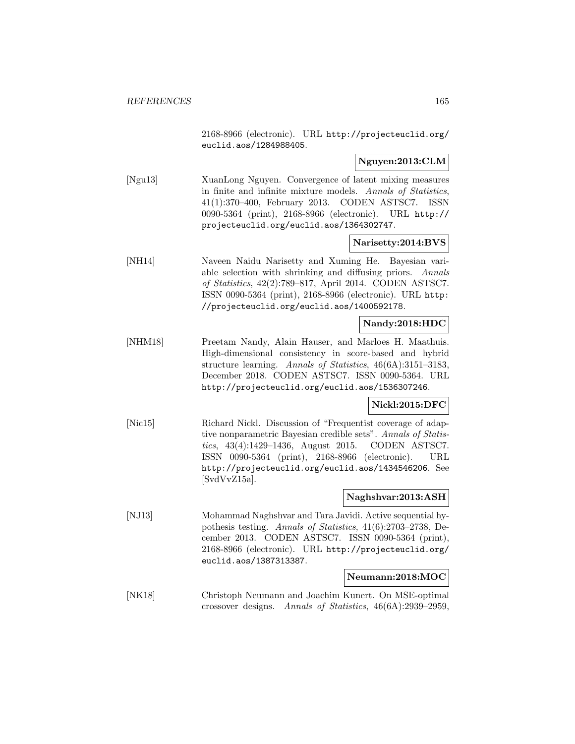2168-8966 (electronic). URL http://projecteuclid.org/ euclid.aos/1284988405.

**Nguyen:2013:CLM**

[Ngu13] XuanLong Nguyen. Convergence of latent mixing measures in finite and infinite mixture models. Annals of Statistics, 41(1):370–400, February 2013. CODEN ASTSC7. ISSN 0090-5364 (print), 2168-8966 (electronic). URL http:// projecteuclid.org/euclid.aos/1364302747.

**Narisetty:2014:BVS**

[NH14] Naveen Naidu Narisetty and Xuming He. Bayesian variable selection with shrinking and diffusing priors. Annals of Statistics, 42(2):789–817, April 2014. CODEN ASTSC7. ISSN 0090-5364 (print), 2168-8966 (electronic). URL http: //projecteuclid.org/euclid.aos/1400592178.

### **Nandy:2018:HDC**

[NHM18] Preetam Nandy, Alain Hauser, and Marloes H. Maathuis. High-dimensional consistency in score-based and hybrid structure learning. Annals of Statistics, 46(6A):3151–3183, December 2018. CODEN ASTSC7. ISSN 0090-5364. URL http://projecteuclid.org/euclid.aos/1536307246.

**Nickl:2015:DFC**

[Nic15] Richard Nickl. Discussion of "Frequentist coverage of adaptive nonparametric Bayesian credible sets". Annals of Statistics, 43(4):1429–1436, August 2015. CODEN ASTSC7. ISSN 0090-5364 (print), 2168-8966 (electronic). URL http://projecteuclid.org/euclid.aos/1434546206. See [SvdVvZ15a].

### **Naghshvar:2013:ASH**

[NJ13] Mohammad Naghshvar and Tara Javidi. Active sequential hypothesis testing. Annals of Statistics, 41(6):2703–2738, December 2013. CODEN ASTSC7. ISSN 0090-5364 (print), 2168-8966 (electronic). URL http://projecteuclid.org/ euclid.aos/1387313387.

#### **Neumann:2018:MOC**

[NK18] Christoph Neumann and Joachim Kunert. On MSE-optimal crossover designs. Annals of Statistics, 46(6A):2939–2959,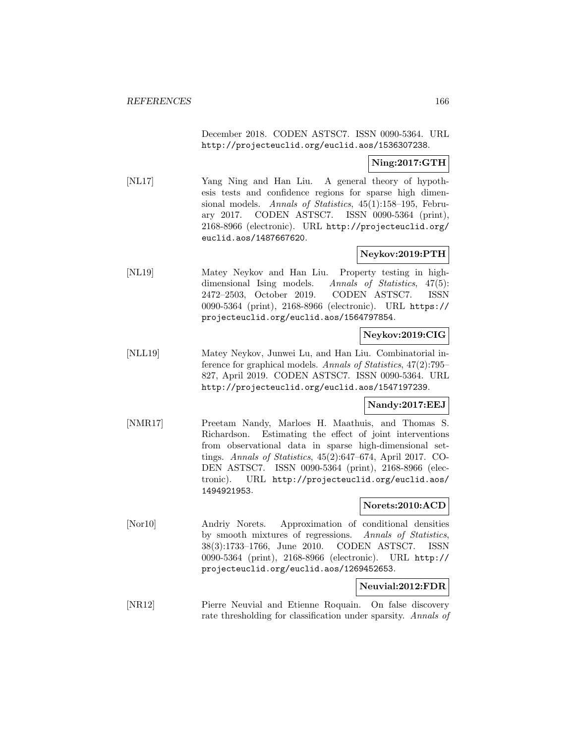December 2018. CODEN ASTSC7. ISSN 0090-5364. URL http://projecteuclid.org/euclid.aos/1536307238.

## **Ning:2017:GTH**

[NL17] Yang Ning and Han Liu. A general theory of hypothesis tests and confidence regions for sparse high dimensional models. Annals of Statistics, 45(1):158–195, February 2017. CODEN ASTSC7. ISSN 0090-5364 (print), 2168-8966 (electronic). URL http://projecteuclid.org/ euclid.aos/1487667620.

### **Neykov:2019:PTH**

[NL19] Matey Neykov and Han Liu. Property testing in highdimensional Ising models. Annals of Statistics, 47(5): 2472–2503, October 2019. CODEN ASTSC7. ISSN 0090-5364 (print), 2168-8966 (electronic). URL https:// projecteuclid.org/euclid.aos/1564797854.

## **Neykov:2019:CIG**

[NLL19] Matey Neykov, Junwei Lu, and Han Liu. Combinatorial inference for graphical models. Annals of Statistics, 47(2):795– 827, April 2019. CODEN ASTSC7. ISSN 0090-5364. URL http://projecteuclid.org/euclid.aos/1547197239.

### **Nandy:2017:EEJ**

[NMR17] Preetam Nandy, Marloes H. Maathuis, and Thomas S. Richardson. Estimating the effect of joint interventions from observational data in sparse high-dimensional settings. Annals of Statistics, 45(2):647–674, April 2017. CO-DEN ASTSC7. ISSN 0090-5364 (print), 2168-8966 (electronic). URL http://projecteuclid.org/euclid.aos/ 1494921953.

#### **Norets:2010:ACD**

[Nor10] Andriy Norets. Approximation of conditional densities by smooth mixtures of regressions. Annals of Statistics, 38(3):1733–1766, June 2010. CODEN ASTSC7. ISSN 0090-5364 (print), 2168-8966 (electronic). URL http:// projecteuclid.org/euclid.aos/1269452653.

#### **Neuvial:2012:FDR**

[NR12] Pierre Neuvial and Etienne Roquain. On false discovery rate thresholding for classification under sparsity. Annals of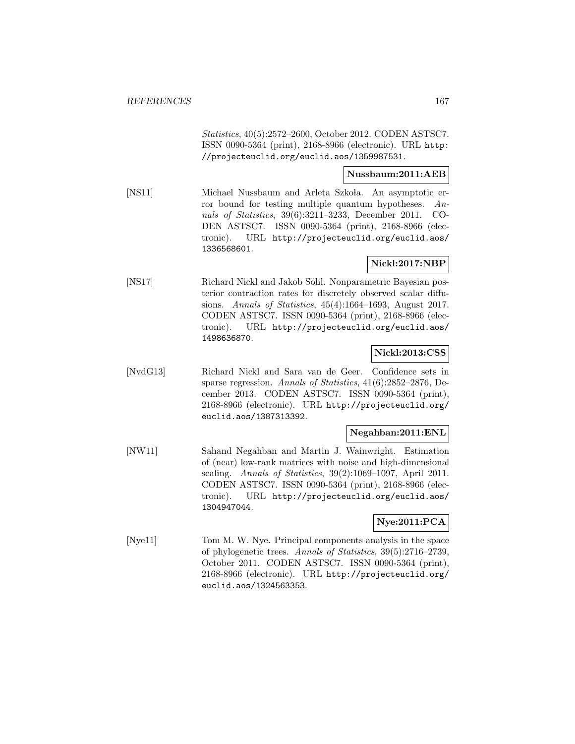Statistics, 40(5):2572–2600, October 2012. CODEN ASTSC7. ISSN 0090-5364 (print), 2168-8966 (electronic). URL http: //projecteuclid.org/euclid.aos/1359987531.

### **Nussbaum:2011:AEB**

[NS11] Michael Nussbaum and Arleta Szkoła. An asymptotic error bound for testing multiple quantum hypotheses. Annals of Statistics, 39(6):3211–3233, December 2011. CO-DEN ASTSC7. ISSN 0090-5364 (print), 2168-8966 (electronic). URL http://projecteuclid.org/euclid.aos/ 1336568601.

## **Nickl:2017:NBP**

[NS17] Richard Nickl and Jakob Söhl. Nonparametric Bayesian posterior contraction rates for discretely observed scalar diffusions. Annals of Statistics, 45(4):1664–1693, August 2017. CODEN ASTSC7. ISSN 0090-5364 (print), 2168-8966 (electronic). URL http://projecteuclid.org/euclid.aos/ 1498636870.

#### **Nickl:2013:CSS**

[NvdG13] Richard Nickl and Sara van de Geer. Confidence sets in sparse regression. Annals of Statistics, 41(6):2852–2876, December 2013. CODEN ASTSC7. ISSN 0090-5364 (print), 2168-8966 (electronic). URL http://projecteuclid.org/ euclid.aos/1387313392.

### **Negahban:2011:ENL**

[NW11] Sahand Negahban and Martin J. Wainwright. Estimation of (near) low-rank matrices with noise and high-dimensional scaling. Annals of Statistics, 39(2):1069–1097, April 2011. CODEN ASTSC7. ISSN 0090-5364 (print), 2168-8966 (electronic). URL http://projecteuclid.org/euclid.aos/ 1304947044.

### **Nye:2011:PCA**

[Nye11] Tom M. W. Nye. Principal components analysis in the space of phylogenetic trees. Annals of Statistics, 39(5):2716–2739, October 2011. CODEN ASTSC7. ISSN 0090-5364 (print), 2168-8966 (electronic). URL http://projecteuclid.org/ euclid.aos/1324563353.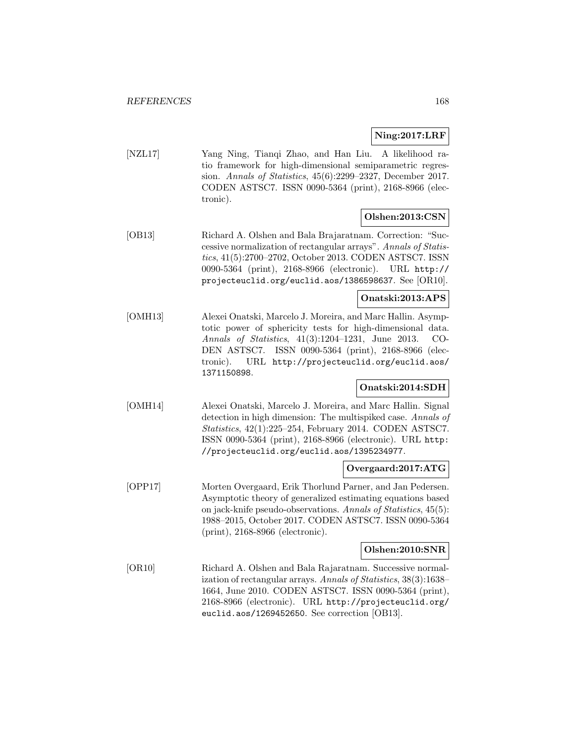## **Ning:2017:LRF**

[NZL17] Yang Ning, Tianqi Zhao, and Han Liu. A likelihood ratio framework for high-dimensional semiparametric regression. Annals of Statistics, 45(6):2299–2327, December 2017. CODEN ASTSC7. ISSN 0090-5364 (print), 2168-8966 (electronic).

# **Olshen:2013:CSN**

[OB13] Richard A. Olshen and Bala Brajaratnam. Correction: "Successive normalization of rectangular arrays". Annals of Statistics, 41(5):2700–2702, October 2013. CODEN ASTSC7. ISSN 0090-5364 (print), 2168-8966 (electronic). URL http:// projecteuclid.org/euclid.aos/1386598637. See [OR10].

## **Onatski:2013:APS**

[OMH13] Alexei Onatski, Marcelo J. Moreira, and Marc Hallin. Asymptotic power of sphericity tests for high-dimensional data. Annals of Statistics, 41(3):1204–1231, June 2013. CO-DEN ASTSC7. ISSN 0090-5364 (print), 2168-8966 (electronic). URL http://projecteuclid.org/euclid.aos/ 1371150898.

## **Onatski:2014:SDH**

[OMH14] Alexei Onatski, Marcelo J. Moreira, and Marc Hallin. Signal detection in high dimension: The multispiked case. Annals of Statistics, 42(1):225–254, February 2014. CODEN ASTSC7. ISSN 0090-5364 (print), 2168-8966 (electronic). URL http: //projecteuclid.org/euclid.aos/1395234977.

## **Overgaard:2017:ATG**

[OPP17] Morten Overgaard, Erik Thorlund Parner, and Jan Pedersen. Asymptotic theory of generalized estimating equations based on jack-knife pseudo-observations. Annals of Statistics, 45(5): 1988–2015, October 2017. CODEN ASTSC7. ISSN 0090-5364 (print), 2168-8966 (electronic).

### **Olshen:2010:SNR**

[OR10] Richard A. Olshen and Bala Rajaratnam. Successive normalization of rectangular arrays. Annals of Statistics, 38(3):1638– 1664, June 2010. CODEN ASTSC7. ISSN 0090-5364 (print), 2168-8966 (electronic). URL http://projecteuclid.org/ euclid.aos/1269452650. See correction [OB13].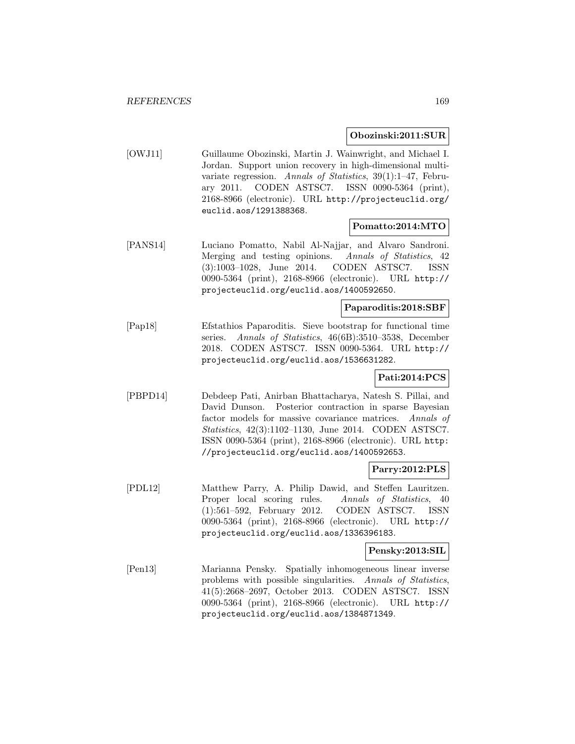#### **Obozinski:2011:SUR**

[OWJ11] Guillaume Obozinski, Martin J. Wainwright, and Michael I. Jordan. Support union recovery in high-dimensional multivariate regression. Annals of Statistics, 39(1):1–47, February 2011. CODEN ASTSC7. ISSN 0090-5364 (print), 2168-8966 (electronic). URL http://projecteuclid.org/ euclid.aos/1291388368.

### **Pomatto:2014:MTO**

[PANS14] Luciano Pomatto, Nabil Al-Najjar, and Alvaro Sandroni. Merging and testing opinions. Annals of Statistics, 42 (3):1003–1028, June 2014. CODEN ASTSC7. ISSN 0090-5364 (print), 2168-8966 (electronic). URL http:// projecteuclid.org/euclid.aos/1400592650.

## **Paparoditis:2018:SBF**

[Pap18] Efstathios Paparoditis. Sieve bootstrap for functional time series. Annals of Statistics, 46(6B):3510–3538, December 2018. CODEN ASTSC7. ISSN 0090-5364. URL http:// projecteuclid.org/euclid.aos/1536631282.

## **Pati:2014:PCS**

[PBPD14] Debdeep Pati, Anirban Bhattacharya, Natesh S. Pillai, and David Dunson. Posterior contraction in sparse Bayesian factor models for massive covariance matrices. Annals of Statistics, 42(3):1102–1130, June 2014. CODEN ASTSC7. ISSN 0090-5364 (print), 2168-8966 (electronic). URL http: //projecteuclid.org/euclid.aos/1400592653.

## **Parry:2012:PLS**

[PDL12] Matthew Parry, A. Philip Dawid, and Steffen Lauritzen. Proper local scoring rules. Annals of Statistics, 40 (1):561–592, February 2012. CODEN ASTSC7. ISSN 0090-5364 (print), 2168-8966 (electronic). URL http:// projecteuclid.org/euclid.aos/1336396183.

### **Pensky:2013:SIL**

[Pen13] Marianna Pensky. Spatially inhomogeneous linear inverse problems with possible singularities. Annals of Statistics, 41(5):2668–2697, October 2013. CODEN ASTSC7. ISSN 0090-5364 (print), 2168-8966 (electronic). URL http:// projecteuclid.org/euclid.aos/1384871349.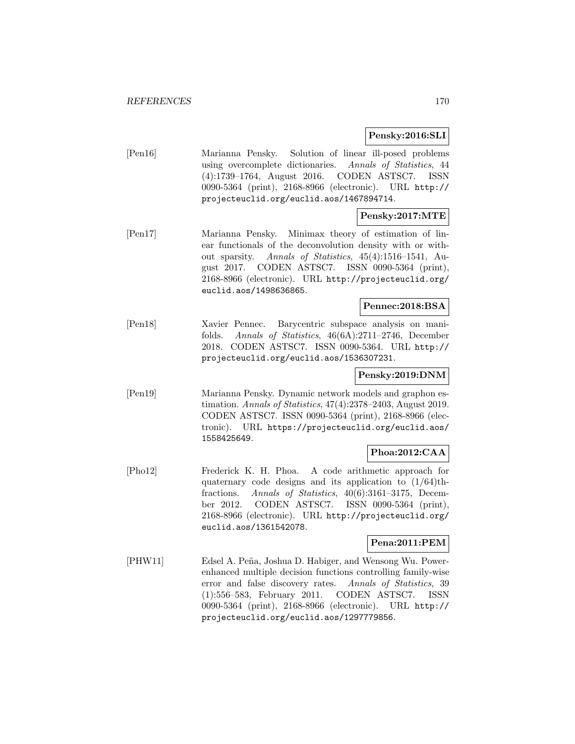## **Pensky:2016:SLI**

[Pen16] Marianna Pensky. Solution of linear ill-posed problems using overcomplete dictionaries. Annals of Statistics, 44 (4):1739–1764, August 2016. CODEN ASTSC7. ISSN 0090-5364 (print), 2168-8966 (electronic). URL http:// projecteuclid.org/euclid.aos/1467894714.

## **Pensky:2017:MTE**

[Pen17] Marianna Pensky. Minimax theory of estimation of linear functionals of the deconvolution density with or without sparsity. Annals of Statistics, 45(4):1516–1541, August 2017. CODEN ASTSC7. ISSN 0090-5364 (print), 2168-8966 (electronic). URL http://projecteuclid.org/ euclid.aos/1498636865.

### **Pennec:2018:BSA**

[Pen18] Xavier Pennec. Barycentric subspace analysis on manifolds. Annals of Statistics, 46(6A):2711–2746, December 2018. CODEN ASTSC7. ISSN 0090-5364. URL http:// projecteuclid.org/euclid.aos/1536307231.

## **Pensky:2019:DNM**

[Pen19] Marianna Pensky. Dynamic network models and graphon estimation. Annals of Statistics, 47(4):2378–2403, August 2019. CODEN ASTSC7. ISSN 0090-5364 (print), 2168-8966 (electronic). URL https://projecteuclid.org/euclid.aos/ 1558425649.

## **Phoa:2012:CAA**

[Pho12] Frederick K. H. Phoa. A code arithmetic approach for quaternary code designs and its application to  $(1/64)$ thfractions. Annals of Statistics, 40(6):3161–3175, December 2012. CODEN ASTSC7. ISSN 0090-5364 (print), 2168-8966 (electronic). URL http://projecteuclid.org/ euclid.aos/1361542078.

### **Pena:2011:PEM**

[PHW11] Edsel A. Peña, Joshua D. Habiger, and Wensong Wu. Powerenhanced multiple decision functions controlling family-wise error and false discovery rates. Annals of Statistics, 39 (1):556–583, February 2011. CODEN ASTSC7. ISSN 0090-5364 (print), 2168-8966 (electronic). URL http:// projecteuclid.org/euclid.aos/1297779856.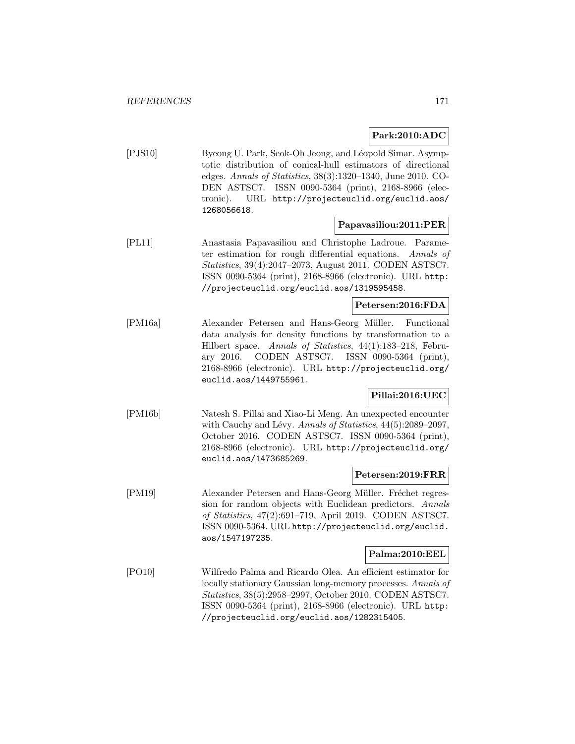## **Park:2010:ADC**

[PJS10] Byeong U. Park, Seok-Oh Jeong, and Léopold Simar. Asymptotic distribution of conical-hull estimators of directional edges. Annals of Statistics, 38(3):1320–1340, June 2010. CO-DEN ASTSC7. ISSN 0090-5364 (print), 2168-8966 (electronic). URL http://projecteuclid.org/euclid.aos/ 1268056618.

## **Papavasiliou:2011:PER**

[PL11] Anastasia Papavasiliou and Christophe Ladroue. Parameter estimation for rough differential equations. Annals of Statistics, 39(4):2047–2073, August 2011. CODEN ASTSC7. ISSN 0090-5364 (print), 2168-8966 (electronic). URL http: //projecteuclid.org/euclid.aos/1319595458.

## **Petersen:2016:FDA**

[PM16a] Alexander Petersen and Hans-Georg Müller. Functional data analysis for density functions by transformation to a Hilbert space. Annals of Statistics, 44(1):183–218, February 2016. CODEN ASTSC7. ISSN 0090-5364 (print), 2168-8966 (electronic). URL http://projecteuclid.org/ euclid.aos/1449755961.

## **Pillai:2016:UEC**

[PM16b] Natesh S. Pillai and Xiao-Li Meng. An unexpected encounter with Cauchy and Lévy. Annals of Statistics,  $44(5):2089-2097$ , October 2016. CODEN ASTSC7. ISSN 0090-5364 (print), 2168-8966 (electronic). URL http://projecteuclid.org/ euclid.aos/1473685269.

### **Petersen:2019:FRR**

[PM19] Alexander Petersen and Hans-Georg Müller. Fréchet regression for random objects with Euclidean predictors. Annals of Statistics, 47(2):691–719, April 2019. CODEN ASTSC7. ISSN 0090-5364. URL http://projecteuclid.org/euclid. aos/1547197235.

### **Palma:2010:EEL**

[PO10] Wilfredo Palma and Ricardo Olea. An efficient estimator for locally stationary Gaussian long-memory processes. Annals of Statistics, 38(5):2958–2997, October 2010. CODEN ASTSC7. ISSN 0090-5364 (print), 2168-8966 (electronic). URL http: //projecteuclid.org/euclid.aos/1282315405.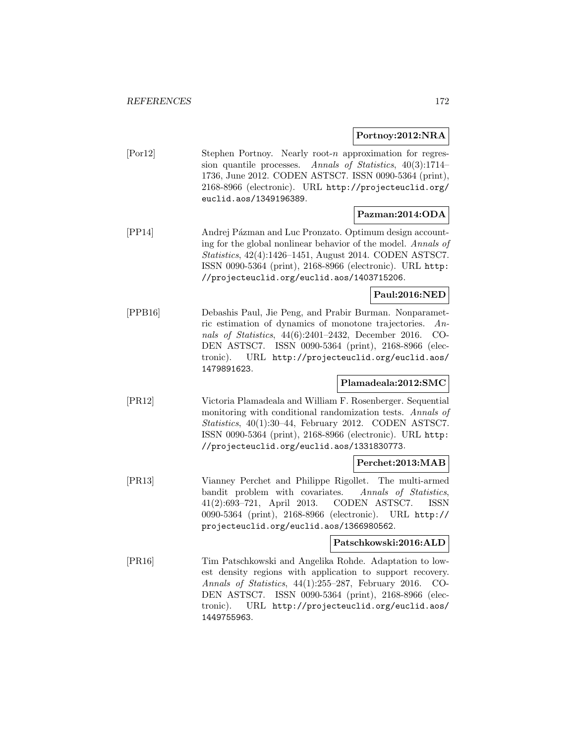**Portnoy:2012:NRA**

| [Por12] | Stephen Portnoy. Nearly root- <i>n</i> approximation for regres- |
|---------|------------------------------------------------------------------|
|         | sion quantile processes. Annals of Statistics, $40(3):1714-$     |
|         | 1736, June 2012. CODEN ASTSC7. ISSN 0090-5364 (print),           |
|         | 2168-8966 (electronic). URL http://projecteuclid.org/            |
|         | euclid.aos/1349196389.                                           |
|         |                                                                  |

## **Pazman:2014:ODA**

[PP14] Andrej Pázman and Luc Pronzato. Optimum design accounting for the global nonlinear behavior of the model. Annals of Statistics, 42(4):1426–1451, August 2014. CODEN ASTSC7. ISSN 0090-5364 (print), 2168-8966 (electronic). URL http: //projecteuclid.org/euclid.aos/1403715206.

## **Paul:2016:NED**

[PPB16] Debashis Paul, Jie Peng, and Prabir Burman. Nonparametric estimation of dynamics of monotone trajectories. Annals of Statistics, 44(6):2401–2432, December 2016. CO-DEN ASTSC7. ISSN 0090-5364 (print), 2168-8966 (electronic). URL http://projecteuclid.org/euclid.aos/ 1479891623.

### **Plamadeala:2012:SMC**

[PR12] Victoria Plamadeala and William F. Rosenberger. Sequential monitoring with conditional randomization tests. Annals of Statistics, 40(1):30–44, February 2012. CODEN ASTSC7. ISSN 0090-5364 (print), 2168-8966 (electronic). URL http: //projecteuclid.org/euclid.aos/1331830773.

## **Perchet:2013:MAB**

[PR13] Vianney Perchet and Philippe Rigollet. The multi-armed bandit problem with covariates. Annals of Statistics, 41(2):693–721, April 2013. CODEN ASTSC7. ISSN 0090-5364 (print), 2168-8966 (electronic). URL http:// projecteuclid.org/euclid.aos/1366980562.

## **Patschkowski:2016:ALD**

[PR16] Tim Patschkowski and Angelika Rohde. Adaptation to lowest density regions with application to support recovery. Annals of Statistics, 44(1):255–287, February 2016. CO-DEN ASTSC7. ISSN 0090-5364 (print), 2168-8966 (electronic). URL http://projecteuclid.org/euclid.aos/ 1449755963.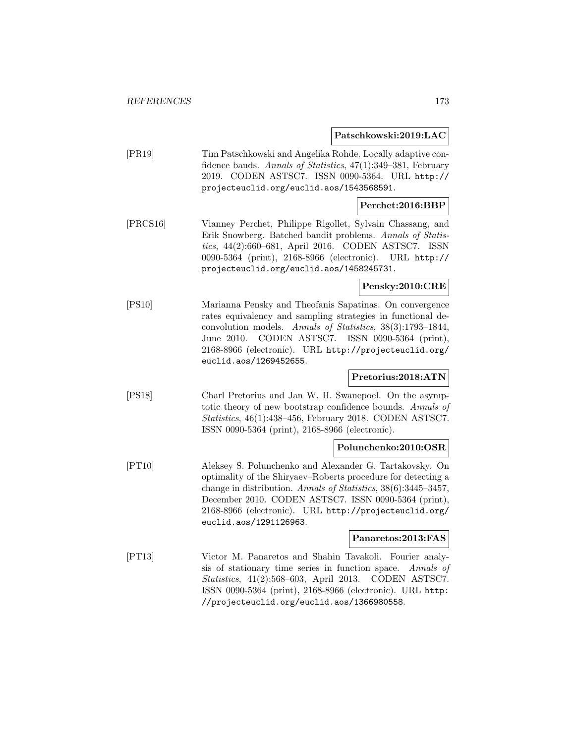**Patschkowski:2019:LAC**

| [PR19] | Tim Patschkowski and Angelika Rohde. Locally adaptive con-   |
|--------|--------------------------------------------------------------|
|        | fidence bands. Annals of Statistics, 47(1):349–381, February |
|        | 2019. CODEN ASTSC7. ISSN 0090-5364. URL http://              |
|        | projecteuclid.org/euclid.aos/1543568591.                     |
|        |                                                              |

## **Perchet:2016:BBP**

[PRCS16] Vianney Perchet, Philippe Rigollet, Sylvain Chassang, and Erik Snowberg. Batched bandit problems. Annals of Statistics, 44(2):660–681, April 2016. CODEN ASTSC7. ISSN 0090-5364 (print), 2168-8966 (electronic). URL http:// projecteuclid.org/euclid.aos/1458245731.

#### **Pensky:2010:CRE**

[PS10] Marianna Pensky and Theofanis Sapatinas. On convergence rates equivalency and sampling strategies in functional deconvolution models. Annals of Statistics, 38(3):1793–1844, June 2010. CODEN ASTSC7. ISSN 0090-5364 (print), 2168-8966 (electronic). URL http://projecteuclid.org/ euclid.aos/1269452655.

### **Pretorius:2018:ATN**

[PS18] Charl Pretorius and Jan W. H. Swanepoel. On the asymptotic theory of new bootstrap confidence bounds. Annals of Statistics, 46(1):438–456, February 2018. CODEN ASTSC7. ISSN 0090-5364 (print), 2168-8966 (electronic).

## **Polunchenko:2010:OSR**

[PT10] Aleksey S. Polunchenko and Alexander G. Tartakovsky. On optimality of the Shiryaev–Roberts procedure for detecting a change in distribution. Annals of Statistics, 38(6):3445–3457, December 2010. CODEN ASTSC7. ISSN 0090-5364 (print), 2168-8966 (electronic). URL http://projecteuclid.org/ euclid.aos/1291126963.

#### **Panaretos:2013:FAS**

[PT13] Victor M. Panaretos and Shahin Tavakoli. Fourier analysis of stationary time series in function space. Annals of Statistics, 41(2):568–603, April 2013. CODEN ASTSC7. ISSN 0090-5364 (print), 2168-8966 (electronic). URL http: //projecteuclid.org/euclid.aos/1366980558.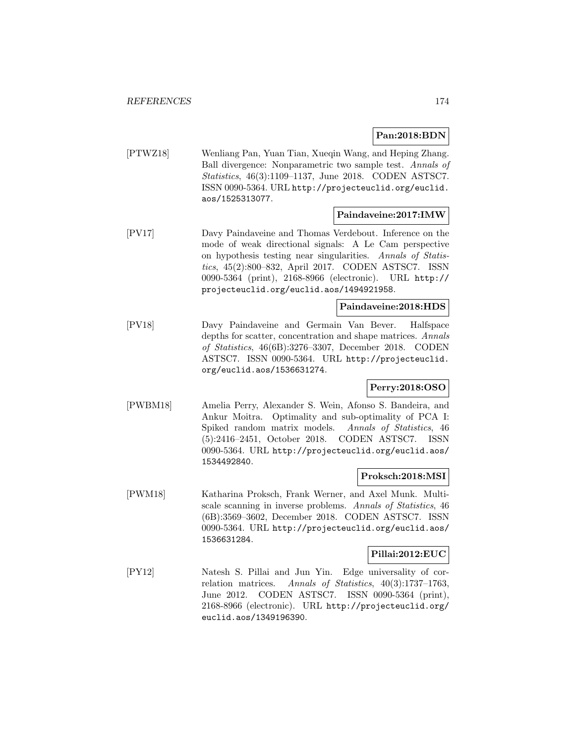**Pan:2018:BDN**

[PTWZ18] Wenliang Pan, Yuan Tian, Xueqin Wang, and Heping Zhang. Ball divergence: Nonparametric two sample test. Annals of Statistics, 46(3):1109–1137, June 2018. CODEN ASTSC7. ISSN 0090-5364. URL http://projecteuclid.org/euclid. aos/1525313077.

## **Paindaveine:2017:IMW**

[PV17] Davy Paindaveine and Thomas Verdebout. Inference on the mode of weak directional signals: A Le Cam perspective on hypothesis testing near singularities. Annals of Statistics, 45(2):800–832, April 2017. CODEN ASTSC7. ISSN 0090-5364 (print), 2168-8966 (electronic). URL http:// projecteuclid.org/euclid.aos/1494921958.

### **Paindaveine:2018:HDS**

[PV18] Davy Paindaveine and Germain Van Bever. Halfspace depths for scatter, concentration and shape matrices. Annals of Statistics, 46(6B):3276–3307, December 2018. CODEN ASTSC7. ISSN 0090-5364. URL http://projecteuclid. org/euclid.aos/1536631274.

## **Perry:2018:OSO**

[PWBM18] Amelia Perry, Alexander S. Wein, Afonso S. Bandeira, and Ankur Moitra. Optimality and sub-optimality of PCA I: Spiked random matrix models. Annals of Statistics, 46 (5):2416–2451, October 2018. CODEN ASTSC7. ISSN 0090-5364. URL http://projecteuclid.org/euclid.aos/ 1534492840.

## **Proksch:2018:MSI**

[PWM18] Katharina Proksch, Frank Werner, and Axel Munk. Multiscale scanning in inverse problems. Annals of Statistics, 46 (6B):3569–3602, December 2018. CODEN ASTSC7. ISSN 0090-5364. URL http://projecteuclid.org/euclid.aos/ 1536631284.

### **Pillai:2012:EUC**

[PY12] Natesh S. Pillai and Jun Yin. Edge universality of correlation matrices. Annals of Statistics, 40(3):1737–1763, June 2012. CODEN ASTSC7. ISSN 0090-5364 (print), 2168-8966 (electronic). URL http://projecteuclid.org/ euclid.aos/1349196390.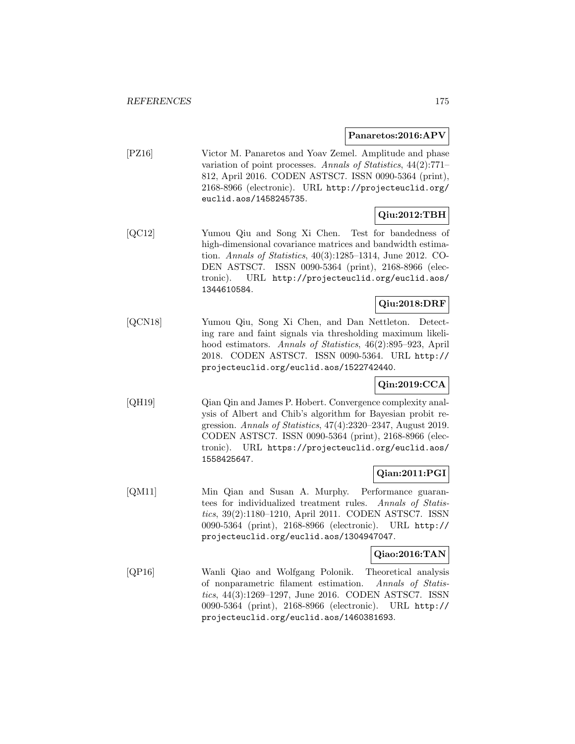#### **Panaretos:2016:APV**

[PZ16] Victor M. Panaretos and Yoav Zemel. Amplitude and phase variation of point processes. Annals of Statistics, 44(2):771– 812, April 2016. CODEN ASTSC7. ISSN 0090-5364 (print), 2168-8966 (electronic). URL http://projecteuclid.org/ euclid.aos/1458245735.

## **Qiu:2012:TBH**

[QC12] Yumou Qiu and Song Xi Chen. Test for bandedness of high-dimensional covariance matrices and bandwidth estimation. Annals of Statistics, 40(3):1285–1314, June 2012. CO-DEN ASTSC7. ISSN 0090-5364 (print), 2168-8966 (electronic). URL http://projecteuclid.org/euclid.aos/ 1344610584.

## **Qiu:2018:DRF**

[QCN18] Yumou Qiu, Song Xi Chen, and Dan Nettleton. Detecting rare and faint signals via thresholding maximum likelihood estimators. Annals of Statistics, 46(2):895–923, April 2018. CODEN ASTSC7. ISSN 0090-5364. URL http:// projecteuclid.org/euclid.aos/1522742440.

## **Qin:2019:CCA**

[QH19] Qian Qin and James P. Hobert. Convergence complexity analysis of Albert and Chib's algorithm for Bayesian probit regression. Annals of Statistics, 47(4):2320–2347, August 2019. CODEN ASTSC7. ISSN 0090-5364 (print), 2168-8966 (electronic). URL https://projecteuclid.org/euclid.aos/ 1558425647.

## **Qian:2011:PGI**

[QM11] Min Qian and Susan A. Murphy. Performance guarantees for individualized treatment rules. Annals of Statistics, 39(2):1180–1210, April 2011. CODEN ASTSC7. ISSN 0090-5364 (print), 2168-8966 (electronic). URL http:// projecteuclid.org/euclid.aos/1304947047.

#### **Qiao:2016:TAN**

[QP16] Wanli Qiao and Wolfgang Polonik. Theoretical analysis of nonparametric filament estimation. Annals of Statistics, 44(3):1269–1297, June 2016. CODEN ASTSC7. ISSN 0090-5364 (print), 2168-8966 (electronic). URL http:// projecteuclid.org/euclid.aos/1460381693.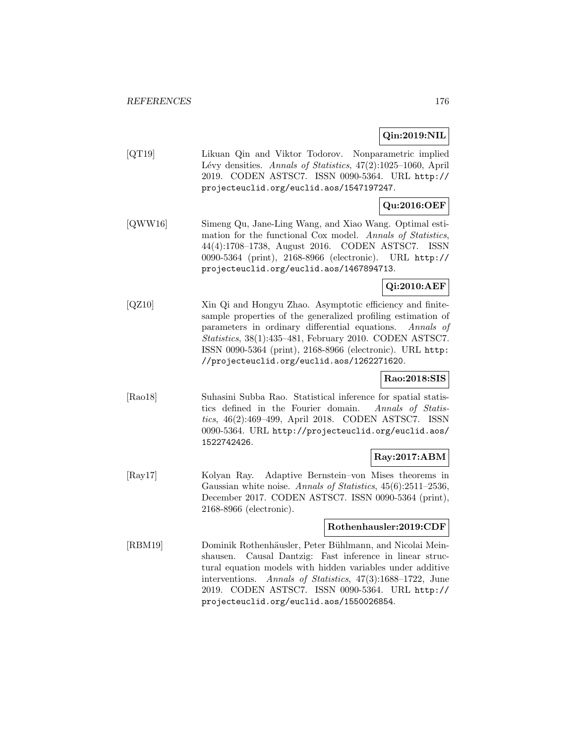## **Qin:2019:NIL**

[QT19] Likuan Qin and Viktor Todorov. Nonparametric implied Lévy densities. Annals of Statistics, 47(2):1025-1060, April 2019. CODEN ASTSC7. ISSN 0090-5364. URL http:// projecteuclid.org/euclid.aos/1547197247.

## **Qu:2016:OEF**

[QWW16] Simeng Qu, Jane-Ling Wang, and Xiao Wang. Optimal estimation for the functional Cox model. Annals of Statistics, 44(4):1708–1738, August 2016. CODEN ASTSC7. ISSN 0090-5364 (print), 2168-8966 (electronic). URL http:// projecteuclid.org/euclid.aos/1467894713.

## **Qi:2010:AEF**

[QZ10] Xin Qi and Hongyu Zhao. Asymptotic efficiency and finitesample properties of the generalized profiling estimation of parameters in ordinary differential equations. Annals of Statistics, 38(1):435–481, February 2010. CODEN ASTSC7. ISSN 0090-5364 (print), 2168-8966 (electronic). URL http: //projecteuclid.org/euclid.aos/1262271620.

### **Rao:2018:SIS**

[Rao18] Suhasini Subba Rao. Statistical inference for spatial statistics defined in the Fourier domain. Annals of Statistics, 46(2):469–499, April 2018. CODEN ASTSC7. ISSN 0090-5364. URL http://projecteuclid.org/euclid.aos/ 1522742426.

### **Ray:2017:ABM**

[Ray17] Kolyan Ray. Adaptive Bernstein–von Mises theorems in Gaussian white noise. Annals of Statistics, 45(6):2511–2536, December 2017. CODEN ASTSC7. ISSN 0090-5364 (print), 2168-8966 (electronic).

### **Rothenhausler:2019:CDF**

[RBM19] Dominik Rothenhäusler, Peter Bühlmann, and Nicolai Meinshausen. Causal Dantzig: Fast inference in linear structural equation models with hidden variables under additive interventions. Annals of Statistics, 47(3):1688–1722, June 2019. CODEN ASTSC7. ISSN 0090-5364. URL http:// projecteuclid.org/euclid.aos/1550026854.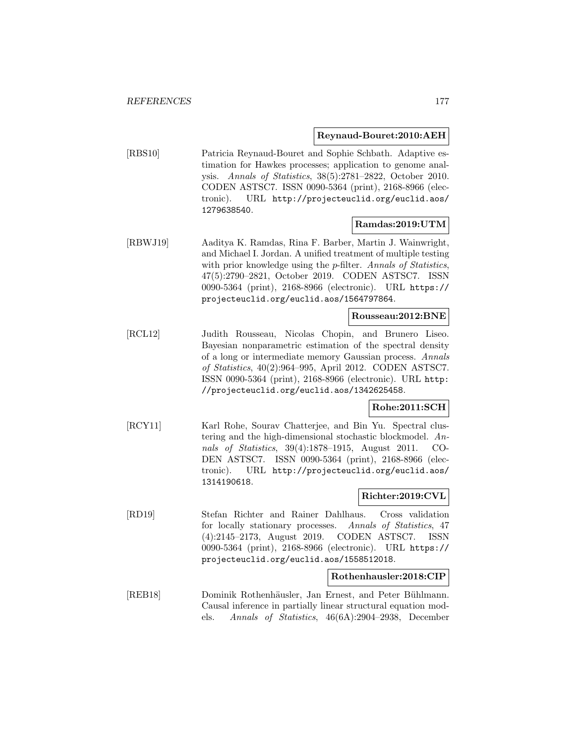#### **Reynaud-Bouret:2010:AEH**

[RBS10] Patricia Reynaud-Bouret and Sophie Schbath. Adaptive estimation for Hawkes processes; application to genome analysis. Annals of Statistics, 38(5):2781–2822, October 2010. CODEN ASTSC7. ISSN 0090-5364 (print), 2168-8966 (electronic). URL http://projecteuclid.org/euclid.aos/ 1279638540.

## **Ramdas:2019:UTM**

[RBWJ19] Aaditya K. Ramdas, Rina F. Barber, Martin J. Wainwright, and Michael I. Jordan. A unified treatment of multiple testing with prior knowledge using the *p*-filter. Annals of Statistics, 47(5):2790–2821, October 2019. CODEN ASTSC7. ISSN 0090-5364 (print), 2168-8966 (electronic). URL https:// projecteuclid.org/euclid.aos/1564797864.

#### **Rousseau:2012:BNE**

[RCL12] Judith Rousseau, Nicolas Chopin, and Brunero Liseo. Bayesian nonparametric estimation of the spectral density of a long or intermediate memory Gaussian process. Annals of Statistics, 40(2):964–995, April 2012. CODEN ASTSC7. ISSN 0090-5364 (print), 2168-8966 (electronic). URL http: //projecteuclid.org/euclid.aos/1342625458.

### **Rohe:2011:SCH**

[RCY11] Karl Rohe, Sourav Chatterjee, and Bin Yu. Spectral clustering and the high-dimensional stochastic blockmodel. Annals of Statistics, 39(4):1878–1915, August 2011. CO-DEN ASTSC7. ISSN 0090-5364 (print), 2168-8966 (electronic). URL http://projecteuclid.org/euclid.aos/ 1314190618.

### **Richter:2019:CVL**

[RD19] Stefan Richter and Rainer Dahlhaus. Cross validation for locally stationary processes. Annals of Statistics, 47 (4):2145–2173, August 2019. CODEN ASTSC7. ISSN 0090-5364 (print), 2168-8966 (electronic). URL https:// projecteuclid.org/euclid.aos/1558512018.

### **Rothenhausler:2018:CIP**

[REB18] Dominik Rothenhäusler, Jan Ernest, and Peter Bühlmann. Causal inference in partially linear structural equation models. Annals of Statistics, 46(6A):2904–2938, December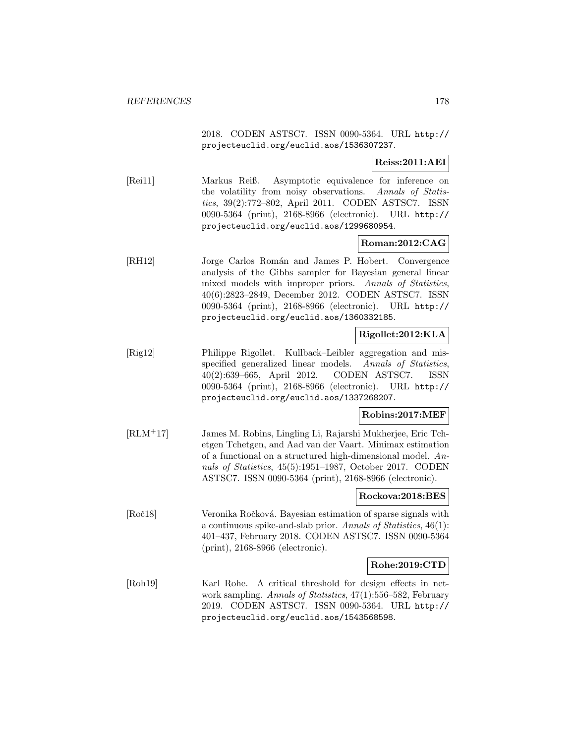2018. CODEN ASTSC7. ISSN 0090-5364. URL http:// projecteuclid.org/euclid.aos/1536307237.

## **Reiss:2011:AEI**

[Rei11] Markus Reiß. Asymptotic equivalence for inference on the volatility from noisy observations. Annals of Statistics, 39(2):772–802, April 2011. CODEN ASTSC7. ISSN 0090-5364 (print), 2168-8966 (electronic). URL http:// projecteuclid.org/euclid.aos/1299680954.

## **Roman:2012:CAG**

[RH12] Jorge Carlos Román and James P. Hobert. Convergence analysis of the Gibbs sampler for Bayesian general linear mixed models with improper priors. Annals of Statistics, 40(6):2823–2849, December 2012. CODEN ASTSC7. ISSN 0090-5364 (print), 2168-8966 (electronic). URL http:// projecteuclid.org/euclid.aos/1360332185.

## **Rigollet:2012:KLA**

[Rig12] Philippe Rigollet. Kullback–Leibler aggregation and misspecified generalized linear models. Annals of Statistics, 40(2):639–665, April 2012. CODEN ASTSC7. ISSN 0090-5364 (print), 2168-8966 (electronic). URL http:// projecteuclid.org/euclid.aos/1337268207.

### **Robins:2017:MEF**

[RLM<sup>+</sup>17] James M. Robins, Lingling Li, Rajarshi Mukherjee, Eric Tchetgen Tchetgen, and Aad van der Vaart. Minimax estimation of a functional on a structured high-dimensional model. Annals of Statistics, 45(5):1951–1987, October 2017. CODEN ASTSC7. ISSN 0090-5364 (print), 2168-8966 (electronic).

### **Rockova:2018:BES**

[Roč18] Veronika Ročková. Bayesian estimation of sparse signals with a continuous spike-and-slab prior. Annals of Statistics, 46(1): 401–437, February 2018. CODEN ASTSC7. ISSN 0090-5364 (print), 2168-8966 (electronic).

## **Rohe:2019:CTD**

[Roh19] Karl Rohe. A critical threshold for design effects in network sampling. Annals of Statistics, 47(1):556–582, February 2019. CODEN ASTSC7. ISSN 0090-5364. URL http:// projecteuclid.org/euclid.aos/1543568598.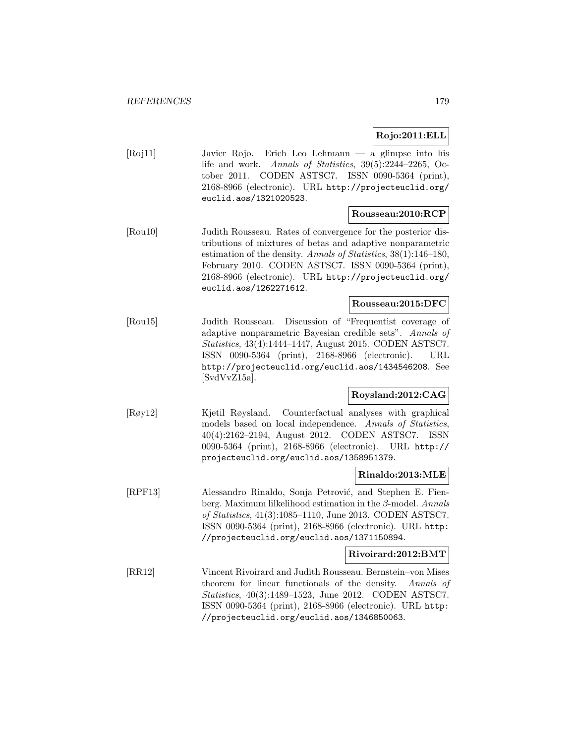**Rojo:2011:ELL**

[Roj11] Javier Rojo. Erich Leo Lehmann — a glimpse into his life and work. Annals of Statistics, 39(5):2244–2265, October 2011. CODEN ASTSC7. ISSN 0090-5364 (print), 2168-8966 (electronic). URL http://projecteuclid.org/ euclid.aos/1321020523.

### **Rousseau:2010:RCP**

[Rou10] Judith Rousseau. Rates of convergence for the posterior distributions of mixtures of betas and adaptive nonparametric estimation of the density. Annals of Statistics, 38(1):146–180, February 2010. CODEN ASTSC7. ISSN 0090-5364 (print), 2168-8966 (electronic). URL http://projecteuclid.org/ euclid.aos/1262271612.

### **Rousseau:2015:DFC**

[Rou15] Judith Rousseau. Discussion of "Frequentist coverage of adaptive nonparametric Bayesian credible sets". Annals of Statistics, 43(4):1444–1447, August 2015. CODEN ASTSC7. ISSN 0090-5364 (print), 2168-8966 (electronic). URL http://projecteuclid.org/euclid.aos/1434546208. See [SvdVvZ15a].

## **Roysland:2012:CAG**

[Røy12] Kjetil Røysland. Counterfactual analyses with graphical models based on local independence. Annals of Statistics, 40(4):2162–2194, August 2012. CODEN ASTSC7. ISSN 0090-5364 (print), 2168-8966 (electronic). URL http:// projecteuclid.org/euclid.aos/1358951379.

### **Rinaldo:2013:MLE**

[RPF13] Alessandro Rinaldo, Sonja Petrović, and Stephen E. Fienberg. Maximum lilkelihood estimation in the  $\beta$ -model. Annals of Statistics, 41(3):1085–1110, June 2013. CODEN ASTSC7. ISSN 0090-5364 (print), 2168-8966 (electronic). URL http: //projecteuclid.org/euclid.aos/1371150894.

#### **Rivoirard:2012:BMT**

[RR12] Vincent Rivoirard and Judith Rousseau. Bernstein–von Mises theorem for linear functionals of the density. Annals of Statistics, 40(3):1489–1523, June 2012. CODEN ASTSC7. ISSN 0090-5364 (print), 2168-8966 (electronic). URL http: //projecteuclid.org/euclid.aos/1346850063.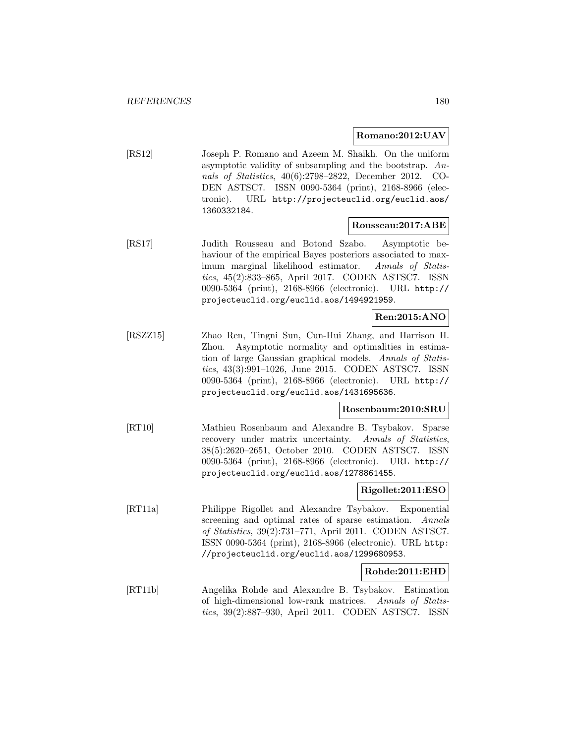### **Romano:2012:UAV**

[RS12] Joseph P. Romano and Azeem M. Shaikh. On the uniform asymptotic validity of subsampling and the bootstrap. Annals of Statistics, 40(6):2798–2822, December 2012. CO-DEN ASTSC7. ISSN 0090-5364 (print), 2168-8966 (electronic). URL http://projecteuclid.org/euclid.aos/ 1360332184.

### **Rousseau:2017:ABE**

[RS17] Judith Rousseau and Botond Szabo. Asymptotic behaviour of the empirical Bayes posteriors associated to maximum marginal likelihood estimator. Annals of Statistics, 45(2):833–865, April 2017. CODEN ASTSC7. ISSN 0090-5364 (print), 2168-8966 (electronic). URL http:// projecteuclid.org/euclid.aos/1494921959.

## **Ren:2015:ANO**

[RSZZ15] Zhao Ren, Tingni Sun, Cun-Hui Zhang, and Harrison H. Zhou. Asymptotic normality and optimalities in estimation of large Gaussian graphical models. Annals of Statistics, 43(3):991–1026, June 2015. CODEN ASTSC7. ISSN 0090-5364 (print), 2168-8966 (electronic). URL http:// projecteuclid.org/euclid.aos/1431695636.

### **Rosenbaum:2010:SRU**

[RT10] Mathieu Rosenbaum and Alexandre B. Tsybakov. Sparse recovery under matrix uncertainty. Annals of Statistics, 38(5):2620–2651, October 2010. CODEN ASTSC7. ISSN 0090-5364 (print), 2168-8966 (electronic). URL http:// projecteuclid.org/euclid.aos/1278861455.

#### **Rigollet:2011:ESO**

[RT11a] Philippe Rigollet and Alexandre Tsybakov. Exponential screening and optimal rates of sparse estimation. Annals of Statistics, 39(2):731–771, April 2011. CODEN ASTSC7. ISSN 0090-5364 (print), 2168-8966 (electronic). URL http: //projecteuclid.org/euclid.aos/1299680953.

### **Rohde:2011:EHD**

[RT11b] Angelika Rohde and Alexandre B. Tsybakov. Estimation of high-dimensional low-rank matrices. Annals of Statistics, 39(2):887–930, April 2011. CODEN ASTSC7. ISSN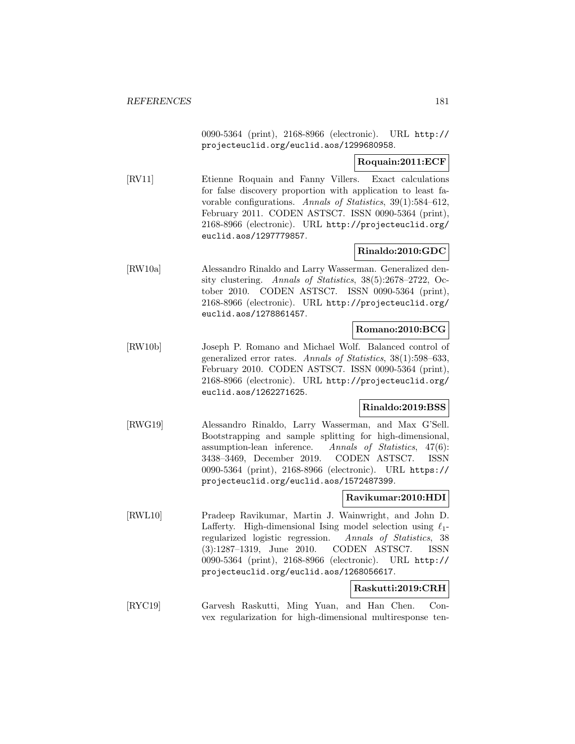0090-5364 (print), 2168-8966 (electronic). URL http:// projecteuclid.org/euclid.aos/1299680958.

### **Roquain:2011:ECF**

[RV11] Etienne Roquain and Fanny Villers. Exact calculations for false discovery proportion with application to least favorable configurations. Annals of Statistics, 39(1):584–612, February 2011. CODEN ASTSC7. ISSN 0090-5364 (print), 2168-8966 (electronic). URL http://projecteuclid.org/ euclid.aos/1297779857.

# **Rinaldo:2010:GDC**

[RW10a] Alessandro Rinaldo and Larry Wasserman. Generalized density clustering. Annals of Statistics, 38(5):2678–2722, October 2010. CODEN ASTSC7. ISSN 0090-5364 (print), 2168-8966 (electronic). URL http://projecteuclid.org/ euclid.aos/1278861457.

### **Romano:2010:BCG**

[RW10b] Joseph P. Romano and Michael Wolf. Balanced control of generalized error rates. Annals of Statistics, 38(1):598–633, February 2010. CODEN ASTSC7. ISSN 0090-5364 (print), 2168-8966 (electronic). URL http://projecteuclid.org/ euclid.aos/1262271625.

# **Rinaldo:2019:BSS**

[RWG19] Alessandro Rinaldo, Larry Wasserman, and Max G'Sell. Bootstrapping and sample splitting for high-dimensional, assumption-lean inference. Annals of Statistics, 47(6): 3438–3469, December 2019. CODEN ASTSC7. ISSN 0090-5364 (print), 2168-8966 (electronic). URL https:// projecteuclid.org/euclid.aos/1572487399.

## **Ravikumar:2010:HDI**

[RWL10] Pradeep Ravikumar, Martin J. Wainwright, and John D. Lafferty. High-dimensional Ising model selection using  $\ell_1$ regularized logistic regression. Annals of Statistics, 38 (3):1287–1319, June 2010. CODEN ASTSC7. ISSN 0090-5364 (print), 2168-8966 (electronic). URL http:// projecteuclid.org/euclid.aos/1268056617.

### **Raskutti:2019:CRH**

[RYC19] Garvesh Raskutti, Ming Yuan, and Han Chen. Convex regularization for high-dimensional multiresponse ten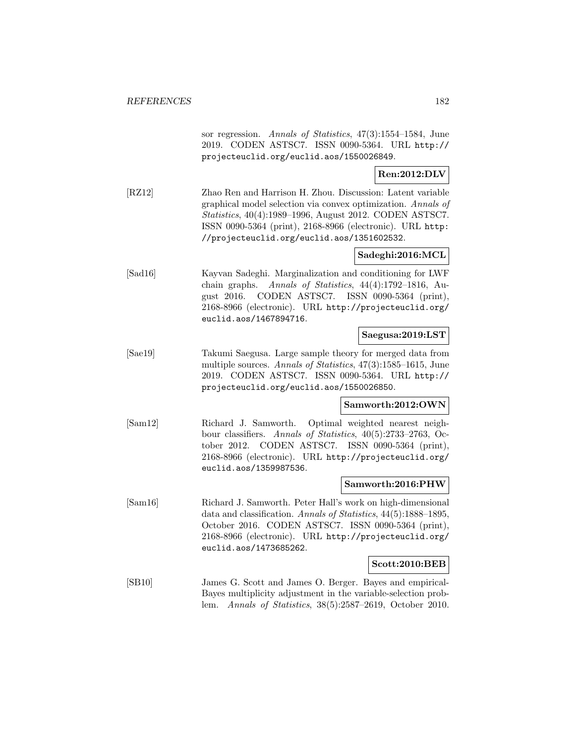sor regression. Annals of Statistics, 47(3):1554–1584, June 2019. CODEN ASTSC7. ISSN 0090-5364. URL http:// projecteuclid.org/euclid.aos/1550026849.

### **Ren:2012:DLV**

[RZ12] Zhao Ren and Harrison H. Zhou. Discussion: Latent variable graphical model selection via convex optimization. Annals of Statistics, 40(4):1989–1996, August 2012. CODEN ASTSC7. ISSN 0090-5364 (print), 2168-8966 (electronic). URL http: //projecteuclid.org/euclid.aos/1351602532.

# **Sadeghi:2016:MCL**

[Sad16] Kayvan Sadeghi. Marginalization and conditioning for LWF chain graphs. Annals of Statistics, 44(4):1792–1816, August 2016. CODEN ASTSC7. ISSN 0090-5364 (print), 2168-8966 (electronic). URL http://projecteuclid.org/ euclid.aos/1467894716.

### **Saegusa:2019:LST**

[Sae19] Takumi Saegusa. Large sample theory for merged data from multiple sources. Annals of Statistics, 47(3):1585–1615, June 2019. CODEN ASTSC7. ISSN 0090-5364. URL http:// projecteuclid.org/euclid.aos/1550026850.

### **Samworth:2012:OWN**

[Sam12] Richard J. Samworth. Optimal weighted nearest neighbour classifiers. Annals of Statistics, 40(5):2733–2763, October 2012. CODEN ASTSC7. ISSN 0090-5364 (print), 2168-8966 (electronic). URL http://projecteuclid.org/ euclid.aos/1359987536.

#### **Samworth:2016:PHW**

[Sam16] Richard J. Samworth. Peter Hall's work on high-dimensional data and classification. Annals of Statistics, 44(5):1888–1895, October 2016. CODEN ASTSC7. ISSN 0090-5364 (print), 2168-8966 (electronic). URL http://projecteuclid.org/ euclid.aos/1473685262.

#### **Scott:2010:BEB**

[SB10] James G. Scott and James O. Berger. Bayes and empirical-Bayes multiplicity adjustment in the variable-selection problem. Annals of Statistics, 38(5):2587–2619, October 2010.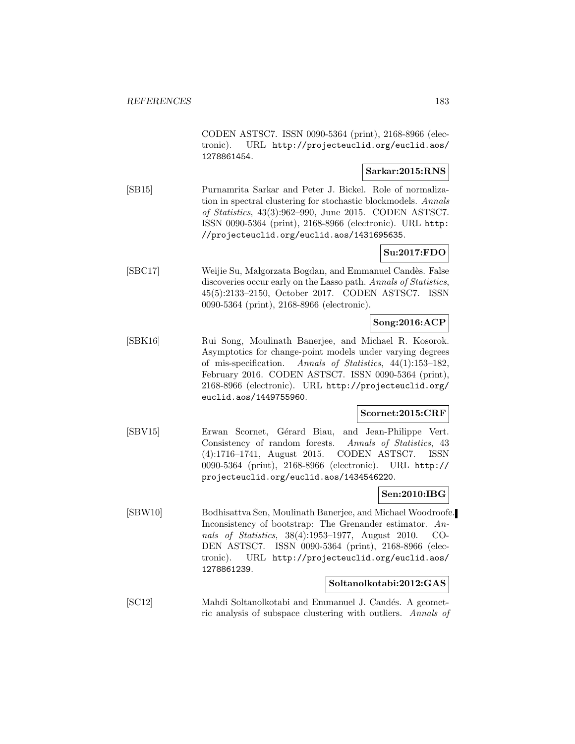CODEN ASTSC7. ISSN 0090-5364 (print), 2168-8966 (electronic). URL http://projecteuclid.org/euclid.aos/ 1278861454.

### **Sarkar:2015:RNS**

[SB15] Purnamrita Sarkar and Peter J. Bickel. Role of normalization in spectral clustering for stochastic blockmodels. Annals of Statistics, 43(3):962–990, June 2015. CODEN ASTSC7. ISSN 0090-5364 (print), 2168-8966 (electronic). URL http: //projecteuclid.org/euclid.aos/1431695635.

### **Su:2017:FDO**

[SBC17] Weijie Su, Małgorzata Bogdan, and Emmanuel Candès. False discoveries occur early on the Lasso path. Annals of Statistics, 45(5):2133–2150, October 2017. CODEN ASTSC7. ISSN 0090-5364 (print), 2168-8966 (electronic).

## **Song:2016:ACP**

[SBK16] Rui Song, Moulinath Banerjee, and Michael R. Kosorok. Asymptotics for change-point models under varying degrees of mis-specification. Annals of Statistics, 44(1):153–182, February 2016. CODEN ASTSC7. ISSN 0090-5364 (print), 2168-8966 (electronic). URL http://projecteuclid.org/ euclid.aos/1449755960.

#### **Scornet:2015:CRF**

[SBV15] Erwan Scornet, Gérard Biau, and Jean-Philippe Vert. Consistency of random forests. Annals of Statistics, 43 (4):1716–1741, August 2015. CODEN ASTSC7. ISSN 0090-5364 (print), 2168-8966 (electronic). URL http:// projecteuclid.org/euclid.aos/1434546220.

# **Sen:2010:IBG**

[SBW10] Bodhisattva Sen, Moulinath Banerjee, and Michael Woodroofe. Inconsistency of bootstrap: The Grenander estimator. Annals of Statistics, 38(4):1953–1977, August 2010. CO-DEN ASTSC7. ISSN 0090-5364 (print), 2168-8966 (electronic). URL http://projecteuclid.org/euclid.aos/ 1278861239.

## **Soltanolkotabi:2012:GAS**

[SC12] Mahdi Soltanolkotabi and Emmanuel J. Candés. A geometric analysis of subspace clustering with outliers. Annals of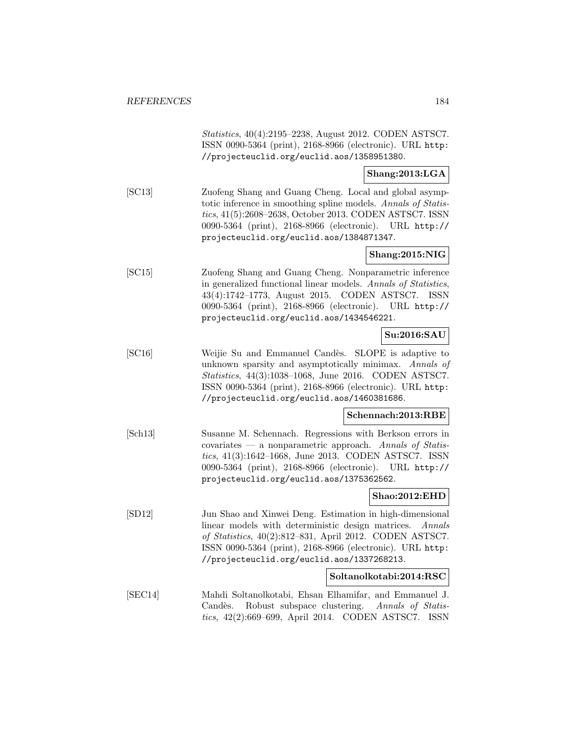Statistics, 40(4):2195–2238, August 2012. CODEN ASTSC7. ISSN 0090-5364 (print), 2168-8966 (electronic). URL http: //projecteuclid.org/euclid.aos/1358951380.

### **Shang:2013:LGA**

[SC13] Zuofeng Shang and Guang Cheng. Local and global asymptotic inference in smoothing spline models. Annals of Statistics, 41(5):2608–2638, October 2013. CODEN ASTSC7. ISSN 0090-5364 (print), 2168-8966 (electronic). URL http:// projecteuclid.org/euclid.aos/1384871347.

## **Shang:2015:NIG**

[SC15] Zuofeng Shang and Guang Cheng. Nonparametric inference in generalized functional linear models. Annals of Statistics, 43(4):1742–1773, August 2015. CODEN ASTSC7. ISSN 0090-5364 (print), 2168-8966 (electronic). URL http:// projecteuclid.org/euclid.aos/1434546221.

## **Su:2016:SAU**

[SC16] Weijie Su and Emmanuel Candès. SLOPE is adaptive to unknown sparsity and asymptotically minimax. Annals of Statistics, 44(3):1038–1068, June 2016. CODEN ASTSC7. ISSN 0090-5364 (print), 2168-8966 (electronic). URL http: //projecteuclid.org/euclid.aos/1460381686.

#### **Schennach:2013:RBE**

[Sch13] Susanne M. Schennach. Regressions with Berkson errors in  $covariates$  — a nonparametric approach. Annals of Statistics, 41(3):1642–1668, June 2013. CODEN ASTSC7. ISSN 0090-5364 (print), 2168-8966 (electronic). URL http:// projecteuclid.org/euclid.aos/1375362562.

#### **Shao:2012:EHD**

[SD12] Jun Shao and Xinwei Deng. Estimation in high-dimensional linear models with deterministic design matrices. Annals of Statistics, 40(2):812–831, April 2012. CODEN ASTSC7. ISSN 0090-5364 (print), 2168-8966 (electronic). URL http: //projecteuclid.org/euclid.aos/1337268213.

#### **Soltanolkotabi:2014:RSC**

[SEC14] Mahdi Soltanolkotabi, Ehsan Elhamifar, and Emmanuel J. Candès. Robust subspace clustering. Annals of Statistics, 42(2):669–699, April 2014. CODEN ASTSC7. ISSN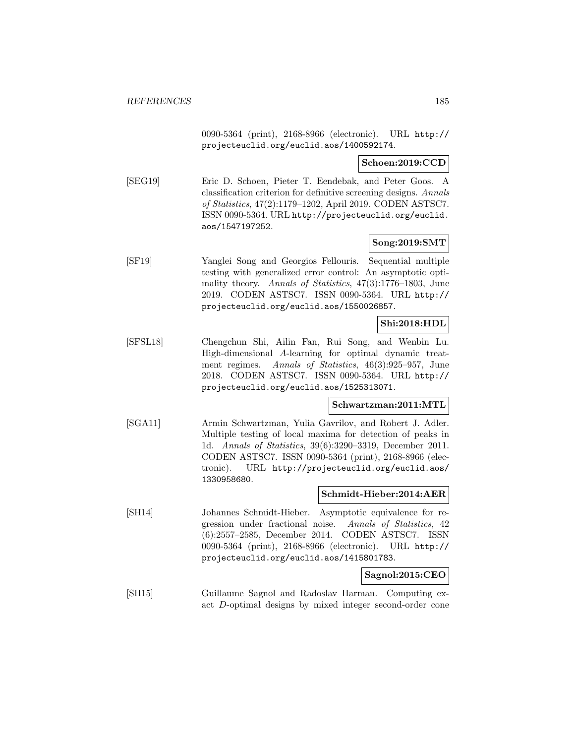0090-5364 (print), 2168-8966 (electronic). URL http:// projecteuclid.org/euclid.aos/1400592174.

**Schoen:2019:CCD**

[SEG19] Eric D. Schoen, Pieter T. Eendebak, and Peter Goos. A classification criterion for definitive screening designs. Annals of Statistics, 47(2):1179–1202, April 2019. CODEN ASTSC7. ISSN 0090-5364. URL http://projecteuclid.org/euclid. aos/1547197252.

#### **Song:2019:SMT**

[SF19] Yanglei Song and Georgios Fellouris. Sequential multiple testing with generalized error control: An asymptotic optimality theory. Annals of Statistics, 47(3):1776–1803, June 2019. CODEN ASTSC7. ISSN 0090-5364. URL http:// projecteuclid.org/euclid.aos/1550026857.

## **Shi:2018:HDL**

[SFSL18] Chengchun Shi, Ailin Fan, Rui Song, and Wenbin Lu. High-dimensional A-learning for optimal dynamic treatment regimes. Annals of Statistics, 46(3):925–957, June 2018. CODEN ASTSC7. ISSN 0090-5364. URL http:// projecteuclid.org/euclid.aos/1525313071.

### **Schwartzman:2011:MTL**

[SGA11] Armin Schwartzman, Yulia Gavrilov, and Robert J. Adler. Multiple testing of local maxima for detection of peaks in 1d. Annals of Statistics, 39(6):3290–3319, December 2011. CODEN ASTSC7. ISSN 0090-5364 (print), 2168-8966 (electronic). URL http://projecteuclid.org/euclid.aos/ 1330958680.

#### **Schmidt-Hieber:2014:AER**

[SH14] Johannes Schmidt-Hieber. Asymptotic equivalence for regression under fractional noise. Annals of Statistics, 42 (6):2557–2585, December 2014. CODEN ASTSC7. ISSN 0090-5364 (print), 2168-8966 (electronic). URL http:// projecteuclid.org/euclid.aos/1415801783.

#### **Sagnol:2015:CEO**

[SH15] Guillaume Sagnol and Radoslav Harman. Computing exact D-optimal designs by mixed integer second-order cone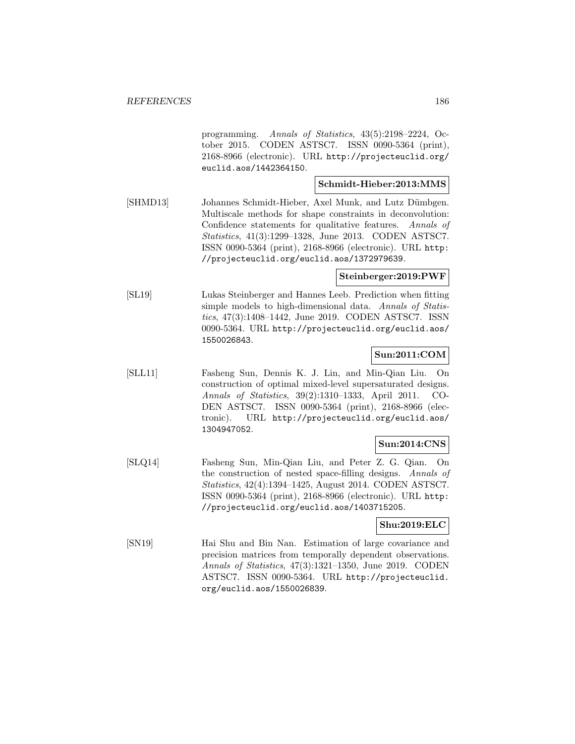programming. Annals of Statistics, 43(5):2198–2224, October 2015. CODEN ASTSC7. ISSN 0090-5364 (print), 2168-8966 (electronic). URL http://projecteuclid.org/ euclid.aos/1442364150.

#### **Schmidt-Hieber:2013:MMS**

[SHMD13] Johannes Schmidt-Hieber, Axel Munk, and Lutz Dümbgen. Multiscale methods for shape constraints in deconvolution: Confidence statements for qualitative features. Annals of Statistics, 41(3):1299–1328, June 2013. CODEN ASTSC7. ISSN 0090-5364 (print), 2168-8966 (electronic). URL http: //projecteuclid.org/euclid.aos/1372979639.

#### **Steinberger:2019:PWF**

[SL19] Lukas Steinberger and Hannes Leeb. Prediction when fitting simple models to high-dimensional data. Annals of Statistics, 47(3):1408–1442, June 2019. CODEN ASTSC7. ISSN 0090-5364. URL http://projecteuclid.org/euclid.aos/ 1550026843.

### **Sun:2011:COM**

[SLL11] Fasheng Sun, Dennis K. J. Lin, and Min-Qian Liu. On construction of optimal mixed-level supersaturated designs. Annals of Statistics, 39(2):1310–1333, April 2011. CO-DEN ASTSC7. ISSN 0090-5364 (print), 2168-8966 (electronic). URL http://projecteuclid.org/euclid.aos/ 1304947052.

## **Sun:2014:CNS**

[SLQ14] Fasheng Sun, Min-Qian Liu, and Peter Z. G. Qian. On the construction of nested space-filling designs. Annals of Statistics, 42(4):1394–1425, August 2014. CODEN ASTSC7. ISSN 0090-5364 (print), 2168-8966 (electronic). URL http: //projecteuclid.org/euclid.aos/1403715205.

#### **Shu:2019:ELC**

[SN19] Hai Shu and Bin Nan. Estimation of large covariance and precision matrices from temporally dependent observations. Annals of Statistics, 47(3):1321–1350, June 2019. CODEN ASTSC7. ISSN 0090-5364. URL http://projecteuclid. org/euclid.aos/1550026839.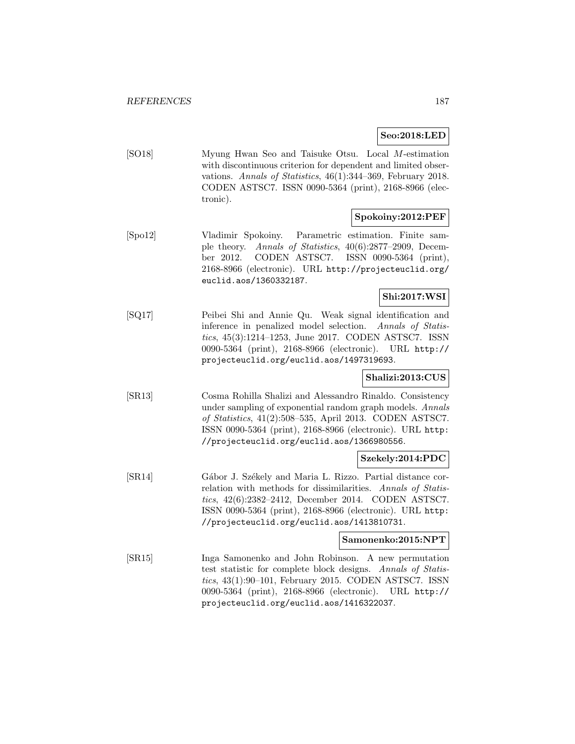**Seo:2018:LED**

[SO18] Myung Hwan Seo and Taisuke Otsu. Local M-estimation with discontinuous criterion for dependent and limited observations. Annals of Statistics, 46(1):344–369, February 2018. CODEN ASTSC7. ISSN 0090-5364 (print), 2168-8966 (electronic).

## **Spokoiny:2012:PEF**

[Spo12] Vladimir Spokoiny. Parametric estimation. Finite sample theory. Annals of Statistics, 40(6):2877–2909, December 2012. CODEN ASTSC7. ISSN 0090-5364 (print), 2168-8966 (electronic). URL http://projecteuclid.org/ euclid.aos/1360332187.

### **Shi:2017:WSI**

[SQ17] Peibei Shi and Annie Qu. Weak signal identification and inference in penalized model selection. Annals of Statistics, 45(3):1214–1253, June 2017. CODEN ASTSC7. ISSN 0090-5364 (print), 2168-8966 (electronic). URL http:// projecteuclid.org/euclid.aos/1497319693.

## **Shalizi:2013:CUS**

[SR13] Cosma Rohilla Shalizi and Alessandro Rinaldo. Consistency under sampling of exponential random graph models. Annals of Statistics, 41(2):508–535, April 2013. CODEN ASTSC7. ISSN 0090-5364 (print), 2168-8966 (electronic). URL http: //projecteuclid.org/euclid.aos/1366980556.

#### **Szekely:2014:PDC**

[SR14] Gábor J. Székely and Maria L. Rizzo. Partial distance correlation with methods for dissimilarities. Annals of Statistics, 42(6):2382–2412, December 2014. CODEN ASTSC7. ISSN 0090-5364 (print), 2168-8966 (electronic). URL http: //projecteuclid.org/euclid.aos/1413810731.

#### **Samonenko:2015:NPT**

[SR15] Inga Samonenko and John Robinson. A new permutation test statistic for complete block designs. Annals of Statistics, 43(1):90–101, February 2015. CODEN ASTSC7. ISSN 0090-5364 (print), 2168-8966 (electronic). URL http:// projecteuclid.org/euclid.aos/1416322037.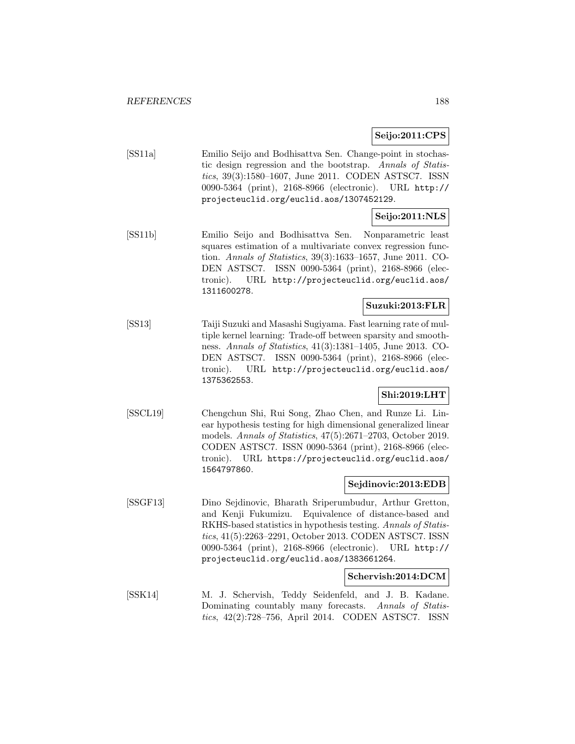## **Seijo:2011:CPS**

[SS11a] Emilio Seijo and Bodhisattva Sen. Change-point in stochastic design regression and the bootstrap. Annals of Statistics, 39(3):1580–1607, June 2011. CODEN ASTSC7. ISSN 0090-5364 (print), 2168-8966 (electronic). URL http:// projecteuclid.org/euclid.aos/1307452129.

# **Seijo:2011:NLS**

[SS11b] Emilio Seijo and Bodhisattva Sen. Nonparametric least squares estimation of a multivariate convex regression function. Annals of Statistics, 39(3):1633–1657, June 2011. CO-DEN ASTSC7. ISSN 0090-5364 (print), 2168-8966 (electronic). URL http://projecteuclid.org/euclid.aos/ 1311600278.

## **Suzuki:2013:FLR**

[SS13] Taiji Suzuki and Masashi Sugiyama. Fast learning rate of multiple kernel learning: Trade-off between sparsity and smoothness. Annals of Statistics, 41(3):1381–1405, June 2013. CO-DEN ASTSC7. ISSN 0090-5364 (print), 2168-8966 (electronic). URL http://projecteuclid.org/euclid.aos/ 1375362553.

## **Shi:2019:LHT**

[SSCL19] Chengchun Shi, Rui Song, Zhao Chen, and Runze Li. Linear hypothesis testing for high dimensional generalized linear models. Annals of Statistics, 47(5):2671–2703, October 2019. CODEN ASTSC7. ISSN 0090-5364 (print), 2168-8966 (electronic). URL https://projecteuclid.org/euclid.aos/ 1564797860.

### **Sejdinovic:2013:EDB**

[SSGF13] Dino Sejdinovic, Bharath Sriperumbudur, Arthur Gretton, and Kenji Fukumizu. Equivalence of distance-based and RKHS-based statistics in hypothesis testing. Annals of Statistics, 41(5):2263–2291, October 2013. CODEN ASTSC7. ISSN 0090-5364 (print), 2168-8966 (electronic). URL http:// projecteuclid.org/euclid.aos/1383661264.

#### **Schervish:2014:DCM**

[SSK14] M. J. Schervish, Teddy Seidenfeld, and J. B. Kadane. Dominating countably many forecasts. Annals of Statistics, 42(2):728–756, April 2014. CODEN ASTSC7. ISSN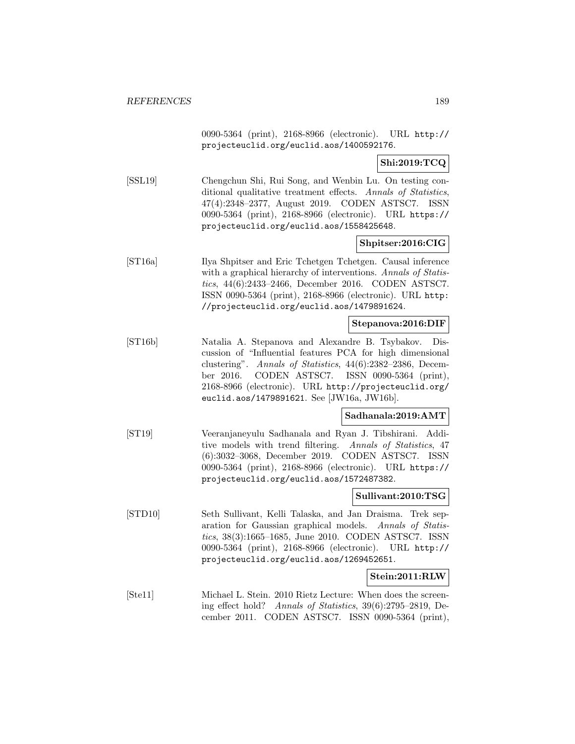0090-5364 (print), 2168-8966 (electronic). URL http:// projecteuclid.org/euclid.aos/1400592176.

# **Shi:2019:TCQ**

[SSL19] Chengchun Shi, Rui Song, and Wenbin Lu. On testing conditional qualitative treatment effects. Annals of Statistics, 47(4):2348–2377, August 2019. CODEN ASTSC7. ISSN 0090-5364 (print), 2168-8966 (electronic). URL https:// projecteuclid.org/euclid.aos/1558425648.

## **Shpitser:2016:CIG**

[ST16a] Ilya Shpitser and Eric Tchetgen Tchetgen. Causal inference with a graphical hierarchy of interventions. Annals of Statistics, 44(6):2433–2466, December 2016. CODEN ASTSC7. ISSN 0090-5364 (print), 2168-8966 (electronic). URL http: //projecteuclid.org/euclid.aos/1479891624.

#### **Stepanova:2016:DIF**

[ST16b] Natalia A. Stepanova and Alexandre B. Tsybakov. Discussion of "Influential features PCA for high dimensional clustering". Annals of Statistics, 44(6):2382–2386, December 2016. CODEN ASTSC7. ISSN 0090-5364 (print), 2168-8966 (electronic). URL http://projecteuclid.org/ euclid.aos/1479891621. See [JW16a, JW16b].

#### **Sadhanala:2019:AMT**

[ST19] Veeranjaneyulu Sadhanala and Ryan J. Tibshirani. Additive models with trend filtering. Annals of Statistics, 47 (6):3032–3068, December 2019. CODEN ASTSC7. ISSN 0090-5364 (print), 2168-8966 (electronic). URL https:// projecteuclid.org/euclid.aos/1572487382.

#### **Sullivant:2010:TSG**

[STD10] Seth Sullivant, Kelli Talaska, and Jan Draisma. Trek separation for Gaussian graphical models. Annals of Statistics, 38(3):1665–1685, June 2010. CODEN ASTSC7. ISSN 0090-5364 (print), 2168-8966 (electronic). URL http:// projecteuclid.org/euclid.aos/1269452651.

#### **Stein:2011:RLW**

[Ste11] Michael L. Stein. 2010 Rietz Lecture: When does the screening effect hold? Annals of Statistics, 39(6):2795–2819, December 2011. CODEN ASTSC7. ISSN 0090-5364 (print),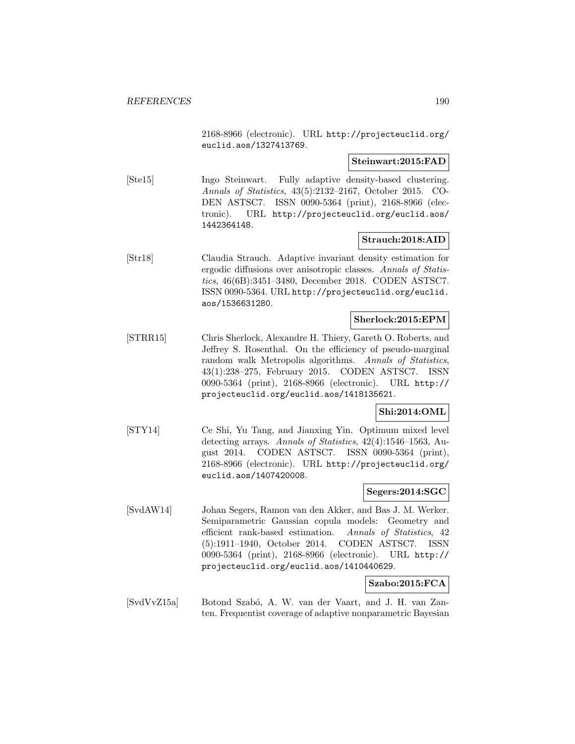2168-8966 (electronic). URL http://projecteuclid.org/ euclid.aos/1327413769.

#### **Steinwart:2015:FAD**

[Ste15] Ingo Steinwart. Fully adaptive density-based clustering. Annals of Statistics, 43(5):2132–2167, October 2015. CO-DEN ASTSC7. ISSN 0090-5364 (print), 2168-8966 (electronic). URL http://projecteuclid.org/euclid.aos/ 1442364148.

#### **Strauch:2018:AID**

[Str18] Claudia Strauch. Adaptive invariant density estimation for ergodic diffusions over anisotropic classes. Annals of Statistics, 46(6B):3451–3480, December 2018. CODEN ASTSC7. ISSN 0090-5364. URL http://projecteuclid.org/euclid. aos/1536631280.

#### **Sherlock:2015:EPM**

[STRR15] Chris Sherlock, Alexandre H. Thiery, Gareth O. Roberts, and Jeffrey S. Rosenthal. On the efficiency of pseudo-marginal random walk Metropolis algorithms. Annals of Statistics, 43(1):238–275, February 2015. CODEN ASTSC7. ISSN 0090-5364 (print), 2168-8966 (electronic). URL http:// projecteuclid.org/euclid.aos/1418135621.

## **Shi:2014:OML**

[STY14] Ce Shi, Yu Tang, and Jianxing Yin. Optimum mixed level detecting arrays. Annals of Statistics, 42(4):1546–1563, August 2014. CODEN ASTSC7. ISSN 0090-5364 (print), 2168-8966 (electronic). URL http://projecteuclid.org/ euclid.aos/1407420008.

#### **Segers:2014:SGC**

[SvdAW14] Johan Segers, Ramon van den Akker, and Bas J. M. Werker. Semiparametric Gaussian copula models: Geometry and efficient rank-based estimation. Annals of Statistics, 42 (5):1911–1940, October 2014. CODEN ASTSC7. ISSN 0090-5364 (print), 2168-8966 (electronic). URL http:// projecteuclid.org/euclid.aos/1410440629.

#### **Szabo:2015:FCA**

[SvdVvZ15a] Botond Szab´o, A. W. van der Vaart, and J. H. van Zanten. Frequentist coverage of adaptive nonparametric Bayesian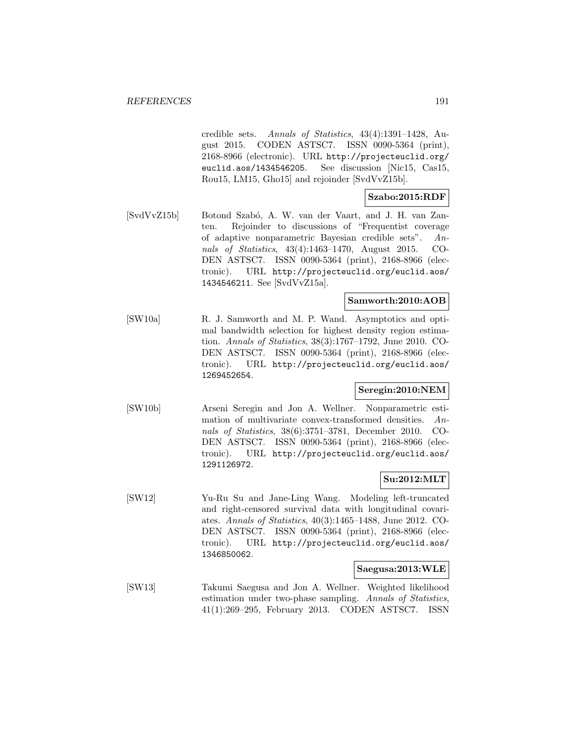credible sets. Annals of Statistics, 43(4):1391–1428, August 2015. CODEN ASTSC7. ISSN 0090-5364 (print), 2168-8966 (electronic). URL http://projecteuclid.org/ euclid.aos/1434546205. See discussion [Nic15, Cas15, Rou15, LM15, Gho15] and rejoinder [SvdVvZ15b].

# **Szabo:2015:RDF**

[SvdVvZ15b] Botond Szabó, A. W. van der Vaart, and J. H. van Zanten. Rejoinder to discussions of "Frequentist coverage of adaptive nonparametric Bayesian credible sets". Annals of Statistics, 43(4):1463–1470, August 2015. CO-DEN ASTSC7. ISSN 0090-5364 (print), 2168-8966 (electronic). URL http://projecteuclid.org/euclid.aos/ 1434546211. See [SvdVvZ15a].

#### **Samworth:2010:AOB**

[SW10a] R. J. Samworth and M. P. Wand. Asymptotics and optimal bandwidth selection for highest density region estimation. Annals of Statistics, 38(3):1767–1792, June 2010. CO-DEN ASTSC7. ISSN 0090-5364 (print), 2168-8966 (electronic). URL http://projecteuclid.org/euclid.aos/ 1269452654.

## **Seregin:2010:NEM**

[SW10b] Arseni Seregin and Jon A. Wellner. Nonparametric estimation of multivariate convex-transformed densities. Annals of Statistics, 38(6):3751–3781, December 2010. CO-DEN ASTSC7. ISSN 0090-5364 (print), 2168-8966 (electronic). URL http://projecteuclid.org/euclid.aos/ 1291126972.

# **Su:2012:MLT**

[SW12] Yu-Ru Su and Jane-Ling Wang. Modeling left-truncated and right-censored survival data with longitudinal covariates. Annals of Statistics, 40(3):1465–1488, June 2012. CO-DEN ASTSC7. ISSN 0090-5364 (print), 2168-8966 (electronic). URL http://projecteuclid.org/euclid.aos/ 1346850062.

### **Saegusa:2013:WLE**

[SW13] Takumi Saegusa and Jon A. Wellner. Weighted likelihood estimation under two-phase sampling. Annals of Statistics, 41(1):269–295, February 2013. CODEN ASTSC7. ISSN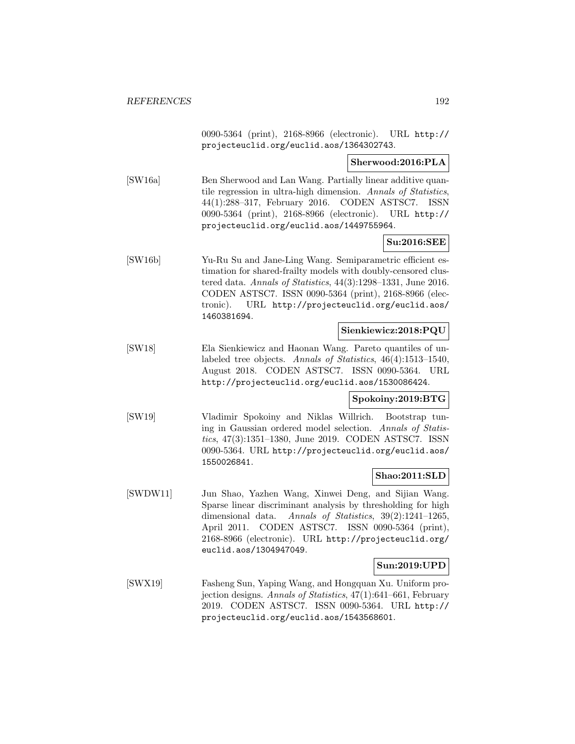0090-5364 (print), 2168-8966 (electronic). URL http:// projecteuclid.org/euclid.aos/1364302743.

#### **Sherwood:2016:PLA**

[SW16a] Ben Sherwood and Lan Wang. Partially linear additive quantile regression in ultra-high dimension. Annals of Statistics, 44(1):288–317, February 2016. CODEN ASTSC7. ISSN 0090-5364 (print), 2168-8966 (electronic). URL http:// projecteuclid.org/euclid.aos/1449755964.

## **Su:2016:SEE**

[SW16b] Yu-Ru Su and Jane-Ling Wang. Semiparametric efficient estimation for shared-frailty models with doubly-censored clustered data. Annals of Statistics, 44(3):1298–1331, June 2016. CODEN ASTSC7. ISSN 0090-5364 (print), 2168-8966 (electronic). URL http://projecteuclid.org/euclid.aos/ 1460381694.

### **Sienkiewicz:2018:PQU**

[SW18] Ela Sienkiewicz and Haonan Wang. Pareto quantiles of unlabeled tree objects. Annals of Statistics, 46(4):1513–1540, August 2018. CODEN ASTSC7. ISSN 0090-5364. URL http://projecteuclid.org/euclid.aos/1530086424.

#### **Spokoiny:2019:BTG**

[SW19] Vladimir Spokoiny and Niklas Willrich. Bootstrap tuning in Gaussian ordered model selection. Annals of Statistics, 47(3):1351–1380, June 2019. CODEN ASTSC7. ISSN 0090-5364. URL http://projecteuclid.org/euclid.aos/ 1550026841.

#### **Shao:2011:SLD**

[SWDW11] Jun Shao, Yazhen Wang, Xinwei Deng, and Sijian Wang. Sparse linear discriminant analysis by thresholding for high dimensional data. Annals of Statistics, 39(2):1241–1265, April 2011. CODEN ASTSC7. ISSN 0090-5364 (print), 2168-8966 (electronic). URL http://projecteuclid.org/ euclid.aos/1304947049.

#### **Sun:2019:UPD**

[SWX19] Fasheng Sun, Yaping Wang, and Hongquan Xu. Uniform projection designs. Annals of Statistics, 47(1):641–661, February 2019. CODEN ASTSC7. ISSN 0090-5364. URL http:// projecteuclid.org/euclid.aos/1543568601.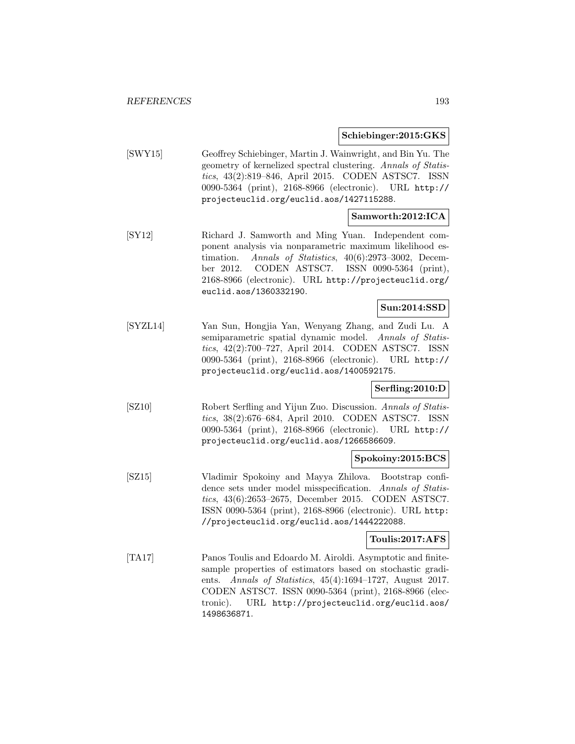#### **Schiebinger:2015:GKS**

[SWY15] Geoffrey Schiebinger, Martin J. Wainwright, and Bin Yu. The geometry of kernelized spectral clustering. Annals of Statistics, 43(2):819–846, April 2015. CODEN ASTSC7. ISSN 0090-5364 (print), 2168-8966 (electronic). URL http:// projecteuclid.org/euclid.aos/1427115288.

## **Samworth:2012:ICA**

[SY12] Richard J. Samworth and Ming Yuan. Independent component analysis via nonparametric maximum likelihood estimation. Annals of Statistics, 40(6):2973–3002, December 2012. CODEN ASTSC7. ISSN 0090-5364 (print), 2168-8966 (electronic). URL http://projecteuclid.org/ euclid.aos/1360332190.

# **Sun:2014:SSD**

[SYZL14] Yan Sun, Hongjia Yan, Wenyang Zhang, and Zudi Lu. A semiparametric spatial dynamic model. Annals of Statistics, 42(2):700–727, April 2014. CODEN ASTSC7. ISSN 0090-5364 (print), 2168-8966 (electronic). URL http:// projecteuclid.org/euclid.aos/1400592175.

#### **Serfling:2010:D**

[SZ10] Robert Serfling and Yijun Zuo. Discussion. Annals of Statistics, 38(2):676–684, April 2010. CODEN ASTSC7. ISSN 0090-5364 (print), 2168-8966 (electronic). URL http:// projecteuclid.org/euclid.aos/1266586609.

#### **Spokoiny:2015:BCS**

[SZ15] Vladimir Spokoiny and Mayya Zhilova. Bootstrap confidence sets under model misspecification. Annals of Statistics, 43(6):2653–2675, December 2015. CODEN ASTSC7. ISSN 0090-5364 (print), 2168-8966 (electronic). URL http: //projecteuclid.org/euclid.aos/1444222088.

## **Toulis:2017:AFS**

[TA17] Panos Toulis and Edoardo M. Airoldi. Asymptotic and finitesample properties of estimators based on stochastic gradients. Annals of Statistics, 45(4):1694–1727, August 2017. CODEN ASTSC7. ISSN 0090-5364 (print), 2168-8966 (electronic). URL http://projecteuclid.org/euclid.aos/ 1498636871.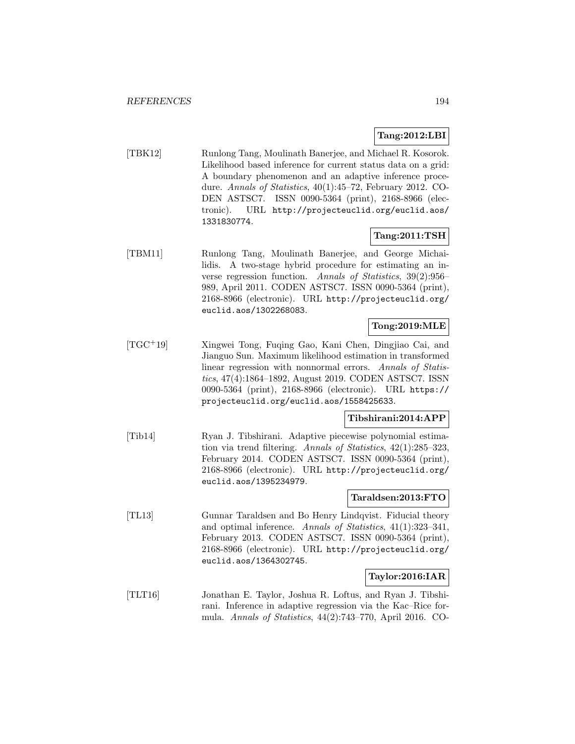# **Tang:2012:LBI**

[TBK12] Runlong Tang, Moulinath Banerjee, and Michael R. Kosorok. Likelihood based inference for current status data on a grid: A boundary phenomenon and an adaptive inference procedure. Annals of Statistics, 40(1):45–72, February 2012. CO-DEN ASTSC7. ISSN 0090-5364 (print), 2168-8966 (electronic). URL http://projecteuclid.org/euclid.aos/ 1331830774.

## **Tang:2011:TSH**

[TBM11] Runlong Tang, Moulinath Banerjee, and George Michailidis. A two-stage hybrid procedure for estimating an inverse regression function. Annals of Statistics, 39(2):956– 989, April 2011. CODEN ASTSC7. ISSN 0090-5364 (print), 2168-8966 (electronic). URL http://projecteuclid.org/ euclid.aos/1302268083.

# **Tong:2019:MLE**

[TGC<sup>+</sup>19] Xingwei Tong, Fuqing Gao, Kani Chen, Dingjiao Cai, and Jianguo Sun. Maximum likelihood estimation in transformed linear regression with nonnormal errors. Annals of Statistics, 47(4):1864–1892, August 2019. CODEN ASTSC7. ISSN 0090-5364 (print), 2168-8966 (electronic). URL https:// projecteuclid.org/euclid.aos/1558425633.

# **Tibshirani:2014:APP**

[Tib14] Ryan J. Tibshirani. Adaptive piecewise polynomial estimation via trend filtering. Annals of Statistics, 42(1):285–323, February 2014. CODEN ASTSC7. ISSN 0090-5364 (print), 2168-8966 (electronic). URL http://projecteuclid.org/ euclid.aos/1395234979.

## **Taraldsen:2013:FTO**

[TL13] Gunnar Taraldsen and Bo Henry Lindqvist. Fiducial theory and optimal inference. Annals of Statistics, 41(1):323–341, February 2013. CODEN ASTSC7. ISSN 0090-5364 (print), 2168-8966 (electronic). URL http://projecteuclid.org/ euclid.aos/1364302745.

#### **Taylor:2016:IAR**

[TLT16] Jonathan E. Taylor, Joshua R. Loftus, and Ryan J. Tibshirani. Inference in adaptive regression via the Kac–Rice formula. Annals of Statistics, 44(2):743–770, April 2016. CO-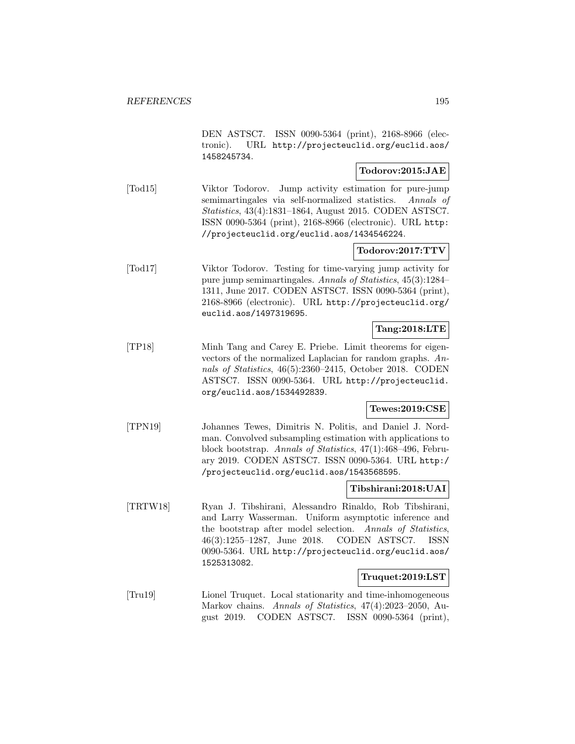DEN ASTSC7. ISSN 0090-5364 (print), 2168-8966 (electronic). URL http://projecteuclid.org/euclid.aos/ 1458245734.

### **Todorov:2015:JAE**

[Tod15] Viktor Todorov. Jump activity estimation for pure-jump semimartingales via self-normalized statistics. Annals of Statistics, 43(4):1831–1864, August 2015. CODEN ASTSC7. ISSN 0090-5364 (print), 2168-8966 (electronic). URL http: //projecteuclid.org/euclid.aos/1434546224.

## **Todorov:2017:TTV**

[Tod17] Viktor Todorov. Testing for time-varying jump activity for pure jump semimartingales. Annals of Statistics, 45(3):1284– 1311, June 2017. CODEN ASTSC7. ISSN 0090-5364 (print), 2168-8966 (electronic). URL http://projecteuclid.org/ euclid.aos/1497319695.

### **Tang:2018:LTE**

[TP18] Minh Tang and Carey E. Priebe. Limit theorems for eigenvectors of the normalized Laplacian for random graphs. Annals of Statistics, 46(5):2360–2415, October 2018. CODEN ASTSC7. ISSN 0090-5364. URL http://projecteuclid. org/euclid.aos/1534492839.

#### **Tewes:2019:CSE**

[TPN19] Johannes Tewes, Dimitris N. Politis, and Daniel J. Nordman. Convolved subsampling estimation with applications to block bootstrap. Annals of Statistics, 47(1):468–496, February 2019. CODEN ASTSC7. ISSN 0090-5364. URL http:/ /projecteuclid.org/euclid.aos/1543568595.

#### **Tibshirani:2018:UAI**

[TRTW18] Ryan J. Tibshirani, Alessandro Rinaldo, Rob Tibshirani, and Larry Wasserman. Uniform asymptotic inference and the bootstrap after model selection. Annals of Statistics, 46(3):1255–1287, June 2018. CODEN ASTSC7. ISSN 0090-5364. URL http://projecteuclid.org/euclid.aos/ 1525313082.

#### **Truquet:2019:LST**

[Tru19] Lionel Truquet. Local stationarity and time-inhomogeneous Markov chains. Annals of Statistics, 47(4):2023–2050, August 2019. CODEN ASTSC7. ISSN 0090-5364 (print),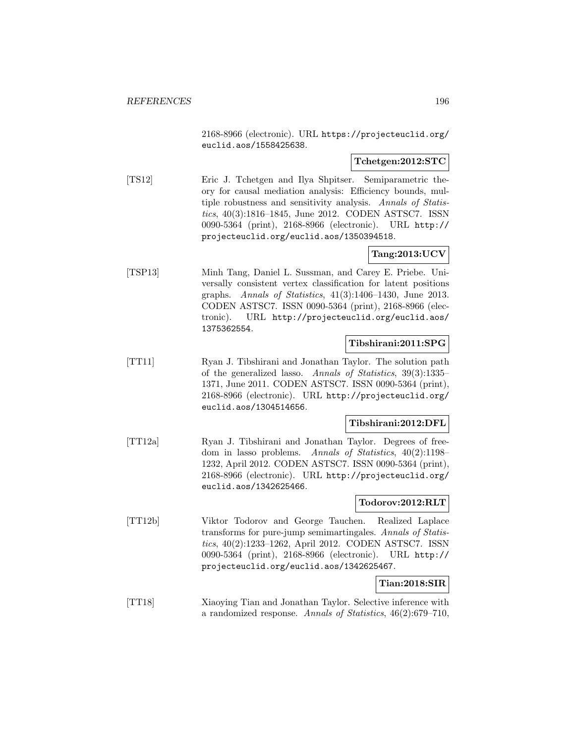2168-8966 (electronic). URL https://projecteuclid.org/ euclid.aos/1558425638.

### **Tchetgen:2012:STC**

[TS12] Eric J. Tchetgen and Ilya Shpitser. Semiparametric theory for causal mediation analysis: Efficiency bounds, multiple robustness and sensitivity analysis. Annals of Statistics, 40(3):1816–1845, June 2012. CODEN ASTSC7. ISSN 0090-5364 (print), 2168-8966 (electronic). URL http:// projecteuclid.org/euclid.aos/1350394518.

## **Tang:2013:UCV**

[TSP13] Minh Tang, Daniel L. Sussman, and Carey E. Priebe. Universally consistent vertex classification for latent positions graphs. Annals of Statistics, 41(3):1406–1430, June 2013. CODEN ASTSC7. ISSN 0090-5364 (print), 2168-8966 (electronic). URL http://projecteuclid.org/euclid.aos/ 1375362554.

## **Tibshirani:2011:SPG**

[TT11] Ryan J. Tibshirani and Jonathan Taylor. The solution path of the generalized lasso. Annals of Statistics, 39(3):1335– 1371, June 2011. CODEN ASTSC7. ISSN 0090-5364 (print), 2168-8966 (electronic). URL http://projecteuclid.org/ euclid.aos/1304514656.

### **Tibshirani:2012:DFL**

[TT12a] Ryan J. Tibshirani and Jonathan Taylor. Degrees of freedom in lasso problems. Annals of Statistics, 40(2):1198– 1232, April 2012. CODEN ASTSC7. ISSN 0090-5364 (print), 2168-8966 (electronic). URL http://projecteuclid.org/ euclid.aos/1342625466.

#### **Todorov:2012:RLT**

[TT12b] Viktor Todorov and George Tauchen. Realized Laplace transforms for pure-jump semimartingales. Annals of Statistics, 40(2):1233–1262, April 2012. CODEN ASTSC7. ISSN 0090-5364 (print), 2168-8966 (electronic). URL http:// projecteuclid.org/euclid.aos/1342625467.

#### **Tian:2018:SIR**

[TT18] Xiaoying Tian and Jonathan Taylor. Selective inference with a randomized response. Annals of Statistics, 46(2):679–710,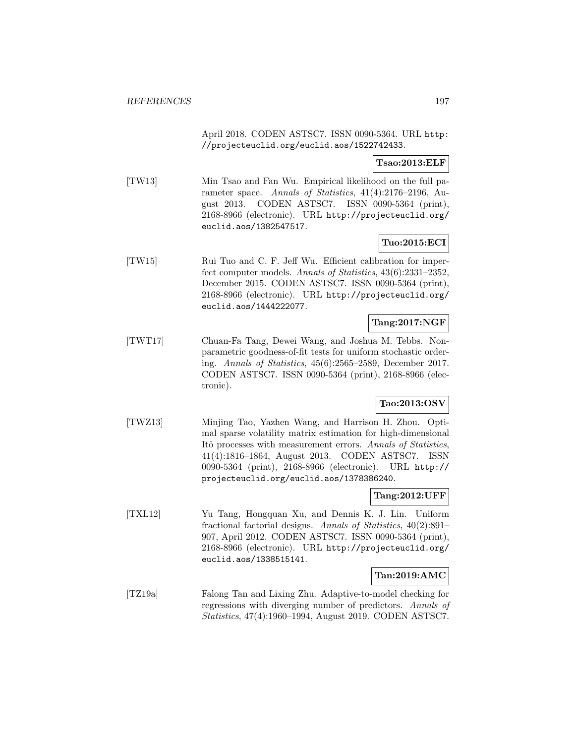April 2018. CODEN ASTSC7. ISSN 0090-5364. URL http: //projecteuclid.org/euclid.aos/1522742433.

### **Tsao:2013:ELF**

[TW13] Min Tsao and Fan Wu. Empirical likelihood on the full parameter space. Annals of Statistics, 41(4):2176–2196, August 2013. CODEN ASTSC7. ISSN 0090-5364 (print), 2168-8966 (electronic). URL http://projecteuclid.org/ euclid.aos/1382547517.

### **Tuo:2015:ECI**

[TW15] Rui Tuo and C. F. Jeff Wu. Efficient calibration for imperfect computer models. Annals of Statistics, 43(6):2331–2352, December 2015. CODEN ASTSC7. ISSN 0090-5364 (print), 2168-8966 (electronic). URL http://projecteuclid.org/ euclid.aos/1444222077.

### **Tang:2017:NGF**

[TWT17] Chuan-Fa Tang, Dewei Wang, and Joshua M. Tebbs. Nonparametric goodness-of-fit tests for uniform stochastic ordering. Annals of Statistics, 45(6):2565–2589, December 2017. CODEN ASTSC7. ISSN 0090-5364 (print), 2168-8966 (electronic).

# **Tao:2013:OSV**

[TWZ13] Minjing Tao, Yazhen Wang, and Harrison H. Zhou. Optimal sparse volatility matrix estimation for high-dimensional Itô processes with measurement errors. Annals of Statistics, 41(4):1816–1864, August 2013. CODEN ASTSC7. ISSN 0090-5364 (print), 2168-8966 (electronic). URL http:// projecteuclid.org/euclid.aos/1378386240.

### **Tang:2012:UFF**

[TXL12] Yu Tang, Hongquan Xu, and Dennis K. J. Lin. Uniform fractional factorial designs. Annals of Statistics, 40(2):891– 907, April 2012. CODEN ASTSC7. ISSN 0090-5364 (print), 2168-8966 (electronic). URL http://projecteuclid.org/ euclid.aos/1338515141.

#### **Tan:2019:AMC**

[TZ19a] Falong Tan and Lixing Zhu. Adaptive-to-model checking for regressions with diverging number of predictors. Annals of Statistics, 47(4):1960–1994, August 2019. CODEN ASTSC7.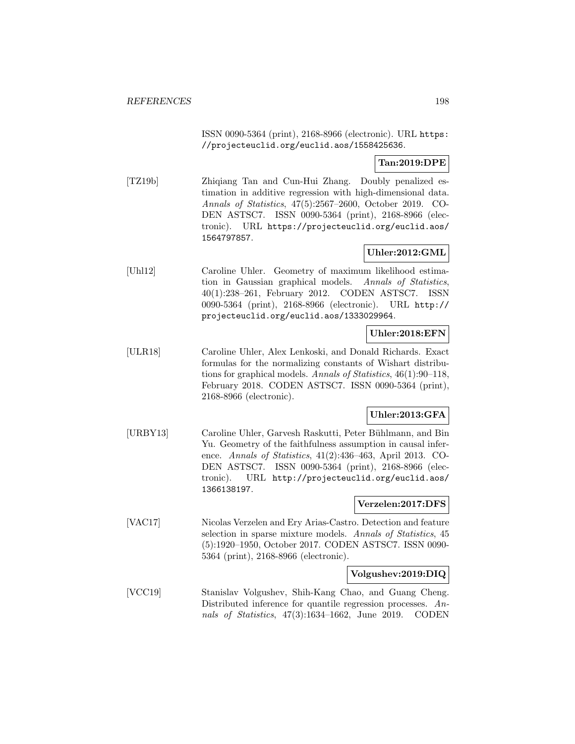ISSN 0090-5364 (print), 2168-8966 (electronic). URL https: //projecteuclid.org/euclid.aos/1558425636.

# **Tan:2019:DPE**

[TZ19b] Zhiqiang Tan and Cun-Hui Zhang. Doubly penalized estimation in additive regression with high-dimensional data. Annals of Statistics, 47(5):2567–2600, October 2019. CO-DEN ASTSC7. ISSN 0090-5364 (print), 2168-8966 (electronic). URL https://projecteuclid.org/euclid.aos/ 1564797857.

# **Uhler:2012:GML**

[Uhl12] Caroline Uhler. Geometry of maximum likelihood estimation in Gaussian graphical models. Annals of Statistics, 40(1):238–261, February 2012. CODEN ASTSC7. ISSN 0090-5364 (print), 2168-8966 (electronic). URL http:// projecteuclid.org/euclid.aos/1333029964.

# **Uhler:2018:EFN**

[ULR18] Caroline Uhler, Alex Lenkoski, and Donald Richards. Exact formulas for the normalizing constants of Wishart distributions for graphical models. Annals of Statistics, 46(1):90–118, February 2018. CODEN ASTSC7. ISSN 0090-5364 (print), 2168-8966 (electronic).

# **Uhler:2013:GFA**

[URBY13] Caroline Uhler, Garvesh Raskutti, Peter Bühlmann, and Bin Yu. Geometry of the faithfulness assumption in causal inference. Annals of Statistics, 41(2):436–463, April 2013. CO-DEN ASTSC7. ISSN 0090-5364 (print), 2168-8966 (electronic). URL http://projecteuclid.org/euclid.aos/ 1366138197.

## **Verzelen:2017:DFS**

[VAC17] Nicolas Verzelen and Ery Arias-Castro. Detection and feature selection in sparse mixture models. Annals of Statistics, 45 (5):1920–1950, October 2017. CODEN ASTSC7. ISSN 0090- 5364 (print), 2168-8966 (electronic).

#### **Volgushev:2019:DIQ**

[VCC19] Stanislav Volgushev, Shih-Kang Chao, and Guang Cheng. Distributed inference for quantile regression processes. Annals of Statistics, 47(3):1634–1662, June 2019. CODEN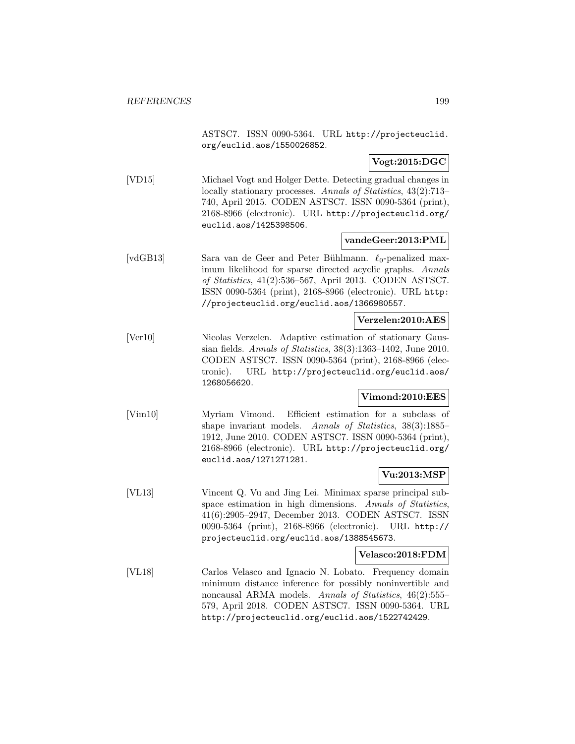ASTSC7. ISSN 0090-5364. URL http://projecteuclid. org/euclid.aos/1550026852.

### **Vogt:2015:DGC**

[VD15] Michael Vogt and Holger Dette. Detecting gradual changes in locally stationary processes. Annals of Statistics, 43(2):713– 740, April 2015. CODEN ASTSC7. ISSN 0090-5364 (print), 2168-8966 (electronic). URL http://projecteuclid.org/ euclid.aos/1425398506.

#### **vandeGeer:2013:PML**

[vdGB13] Sara van de Geer and Peter Bühlmann.  $\ell_0$ -penalized maximum likelihood for sparse directed acyclic graphs. Annals of Statistics, 41(2):536–567, April 2013. CODEN ASTSC7. ISSN 0090-5364 (print), 2168-8966 (electronic). URL http: //projecteuclid.org/euclid.aos/1366980557.

### **Verzelen:2010:AES**

[Ver10] Nicolas Verzelen. Adaptive estimation of stationary Gaussian fields. Annals of Statistics, 38(3):1363–1402, June 2010. CODEN ASTSC7. ISSN 0090-5364 (print), 2168-8966 (electronic). URL http://projecteuclid.org/euclid.aos/ 1268056620.

#### **Vimond:2010:EES**

[Vim10] Myriam Vimond. Efficient estimation for a subclass of shape invariant models. Annals of Statistics, 38(3):1885– 1912, June 2010. CODEN ASTSC7. ISSN 0090-5364 (print), 2168-8966 (electronic). URL http://projecteuclid.org/ euclid.aos/1271271281.

## **Vu:2013:MSP**

[VL13] Vincent Q. Vu and Jing Lei. Minimax sparse principal subspace estimation in high dimensions. Annals of Statistics, 41(6):2905–2947, December 2013. CODEN ASTSC7. ISSN 0090-5364 (print), 2168-8966 (electronic). URL http:// projecteuclid.org/euclid.aos/1388545673.

#### **Velasco:2018:FDM**

[VL18] Carlos Velasco and Ignacio N. Lobato. Frequency domain minimum distance inference for possibly noninvertible and noncausal ARMA models. Annals of Statistics, 46(2):555– 579, April 2018. CODEN ASTSC7. ISSN 0090-5364. URL http://projecteuclid.org/euclid.aos/1522742429.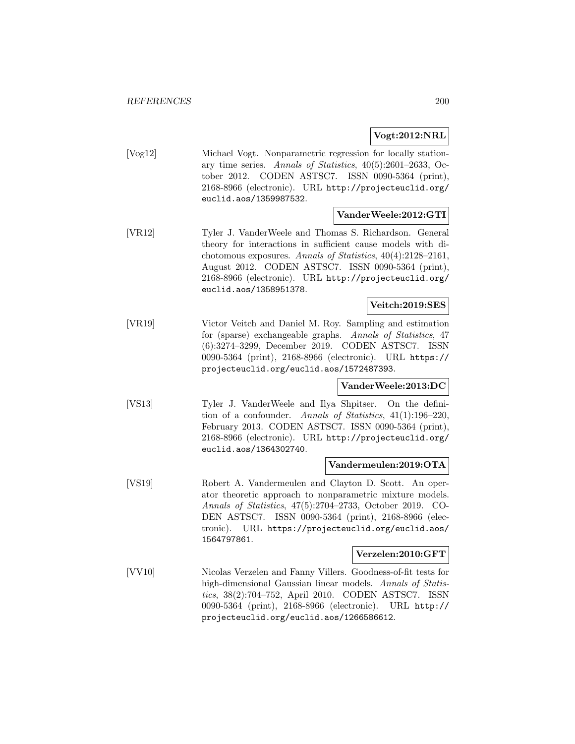**Vogt:2012:NRL**

[Vog12] Michael Vogt. Nonparametric regression for locally stationary time series. Annals of Statistics, 40(5):2601–2633, October 2012. CODEN ASTSC7. ISSN 0090-5364 (print), 2168-8966 (electronic). URL http://projecteuclid.org/ euclid.aos/1359987532.

#### **VanderWeele:2012:GTI**

[VR12] Tyler J. VanderWeele and Thomas S. Richardson. General theory for interactions in sufficient cause models with dichotomous exposures. Annals of Statistics, 40(4):2128–2161, August 2012. CODEN ASTSC7. ISSN 0090-5364 (print), 2168-8966 (electronic). URL http://projecteuclid.org/ euclid.aos/1358951378.

### **Veitch:2019:SES**

[VR19] Victor Veitch and Daniel M. Roy. Sampling and estimation for (sparse) exchangeable graphs. Annals of Statistics, 47 (6):3274–3299, December 2019. CODEN ASTSC7. ISSN 0090-5364 (print), 2168-8966 (electronic). URL https:// projecteuclid.org/euclid.aos/1572487393.

## **VanderWeele:2013:DC**

[VS13] Tyler J. VanderWeele and Ilya Shpitser. On the definition of a confounder. Annals of Statistics, 41(1):196–220, February 2013. CODEN ASTSC7. ISSN 0090-5364 (print), 2168-8966 (electronic). URL http://projecteuclid.org/ euclid.aos/1364302740.

#### **Vandermeulen:2019:OTA**

[VS19] Robert A. Vandermeulen and Clayton D. Scott. An operator theoretic approach to nonparametric mixture models. Annals of Statistics, 47(5):2704–2733, October 2019. CO-DEN ASTSC7. ISSN 0090-5364 (print), 2168-8966 (electronic). URL https://projecteuclid.org/euclid.aos/ 1564797861.

#### **Verzelen:2010:GFT**

[VV10] Nicolas Verzelen and Fanny Villers. Goodness-of-fit tests for high-dimensional Gaussian linear models. Annals of Statistics, 38(2):704–752, April 2010. CODEN ASTSC7. ISSN 0090-5364 (print), 2168-8966 (electronic). URL http:// projecteuclid.org/euclid.aos/1266586612.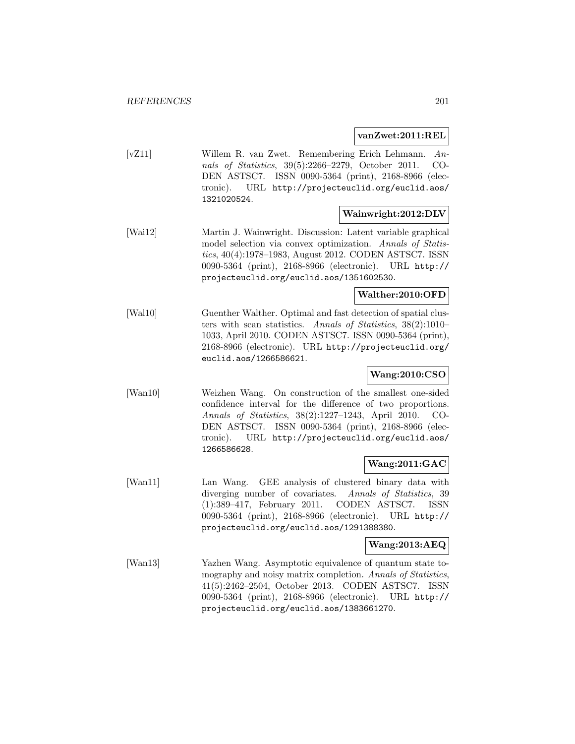#### **vanZwet:2011:REL**

[vZ11] Willem R. van Zwet. Remembering Erich Lehmann. Annals of Statistics, 39(5):2266–2279, October 2011. CO-DEN ASTSC7. ISSN 0090-5364 (print), 2168-8966 (electronic). URL http://projecteuclid.org/euclid.aos/ 1321020524.

### **Wainwright:2012:DLV**

[Wai12] Martin J. Wainwright. Discussion: Latent variable graphical model selection via convex optimization. Annals of Statistics, 40(4):1978–1983, August 2012. CODEN ASTSC7. ISSN 0090-5364 (print), 2168-8966 (electronic). URL http:// projecteuclid.org/euclid.aos/1351602530.

# **Walther:2010:OFD**

[Wal10] Guenther Walther. Optimal and fast detection of spatial clusters with scan statistics. Annals of Statistics, 38(2):1010– 1033, April 2010. CODEN ASTSC7. ISSN 0090-5364 (print), 2168-8966 (electronic). URL http://projecteuclid.org/ euclid.aos/1266586621.

# **Wang:2010:CSO**

[Wan10] Weizhen Wang. On construction of the smallest one-sided confidence interval for the difference of two proportions. Annals of Statistics, 38(2):1227–1243, April 2010. CO-DEN ASTSC7. ISSN 0090-5364 (print), 2168-8966 (electronic). URL http://projecteuclid.org/euclid.aos/ 1266586628.

# **Wang:2011:GAC**

[Wan11] Lan Wang. GEE analysis of clustered binary data with diverging number of covariates. Annals of Statistics, 39 (1):389–417, February 2011. CODEN ASTSC7. ISSN 0090-5364 (print), 2168-8966 (electronic). URL http:// projecteuclid.org/euclid.aos/1291388380.

## **Wang:2013:AEQ**

[Wan13] Yazhen Wang. Asymptotic equivalence of quantum state tomography and noisy matrix completion. Annals of Statistics, 41(5):2462–2504, October 2013. CODEN ASTSC7. ISSN 0090-5364 (print), 2168-8966 (electronic). URL http:// projecteuclid.org/euclid.aos/1383661270.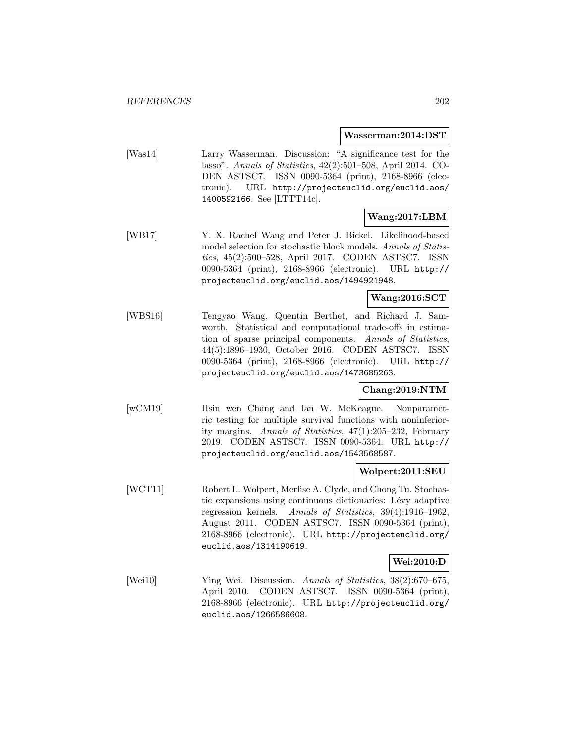#### **Wasserman:2014:DST**

[Was14] Larry Wasserman. Discussion: "A significance test for the lasso". Annals of Statistics, 42(2):501–508, April 2014. CO-DEN ASTSC7. ISSN 0090-5364 (print), 2168-8966 (electronic). URL http://projecteuclid.org/euclid.aos/ 1400592166. See [LTTT14c].

# **Wang:2017:LBM**

[WB17] Y. X. Rachel Wang and Peter J. Bickel. Likelihood-based model selection for stochastic block models. Annals of Statistics, 45(2):500–528, April 2017. CODEN ASTSC7. ISSN 0090-5364 (print), 2168-8966 (electronic). URL http:// projecteuclid.org/euclid.aos/1494921948.

## **Wang:2016:SCT**

[WBS16] Tengyao Wang, Quentin Berthet, and Richard J. Samworth. Statistical and computational trade-offs in estimation of sparse principal components. Annals of Statistics, 44(5):1896–1930, October 2016. CODEN ASTSC7. ISSN 0090-5364 (print), 2168-8966 (electronic). URL http:// projecteuclid.org/euclid.aos/1473685263.

#### **Chang:2019:NTM**

[wCM19] Hsin wen Chang and Ian W. McKeague. Nonparametric testing for multiple survival functions with noninferiority margins. Annals of Statistics, 47(1):205–232, February 2019. CODEN ASTSC7. ISSN 0090-5364. URL http:// projecteuclid.org/euclid.aos/1543568587.

#### **Wolpert:2011:SEU**

[WCT11] Robert L. Wolpert, Merlise A. Clyde, and Chong Tu. Stochastic expansions using continuous dictionaries: Lévy adaptive regression kernels. Annals of Statistics, 39(4):1916–1962, August 2011. CODEN ASTSC7. ISSN 0090-5364 (print), 2168-8966 (electronic). URL http://projecteuclid.org/ euclid.aos/1314190619.

## **Wei:2010:D**

[Wei10] Ying Wei. Discussion. Annals of Statistics, 38(2):670–675, April 2010. CODEN ASTSC7. ISSN 0090-5364 (print), 2168-8966 (electronic). URL http://projecteuclid.org/ euclid.aos/1266586608.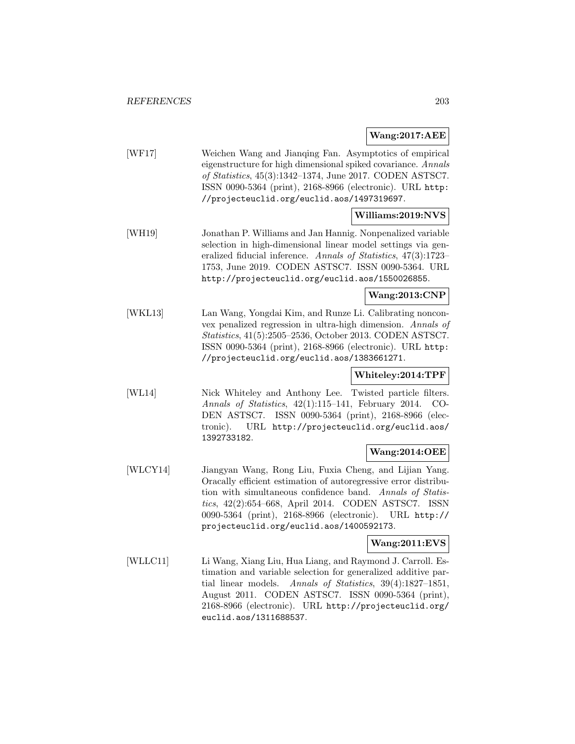**Wang:2017:AEE**

| [WF17] | Weichen Wang and Jianging Fan. Asymptotics of empirical<br>eigenstructure for high dimensional spiked covariance. Annals<br>of Statistics, $45(3):1342-1374$ , June 2017. CODEN ASTSC7.<br>ISSN 0090-5364 (print), 2168-8966 (electronic). URL http:<br>//projecteuclid.org/euclid.aos/1497319697. |
|--------|----------------------------------------------------------------------------------------------------------------------------------------------------------------------------------------------------------------------------------------------------------------------------------------------------|
|        | Williams:2019:NVS                                                                                                                                                                                                                                                                                  |
| [WH19] | Jonathan P. Williams and Jan Hannig. Nonpenalized variable<br>selection in high-dimensional linear model settings via gen-                                                                                                                                                                         |

eralized fiducial inference. Annals of Statistics, 47(3):1723– 1753, June 2019. CODEN ASTSC7. ISSN 0090-5364. URL http://projecteuclid.org/euclid.aos/1550026855.

# **Wang:2013:CNP**

[WKL13] Lan Wang, Yongdai Kim, and Runze Li. Calibrating nonconvex penalized regression in ultra-high dimension. Annals of Statistics, 41(5):2505–2536, October 2013. CODEN ASTSC7. ISSN 0090-5364 (print), 2168-8966 (electronic). URL http: //projecteuclid.org/euclid.aos/1383661271.

### **Whiteley:2014:TPF**

[WL14] Nick Whiteley and Anthony Lee. Twisted particle filters. Annals of Statistics, 42(1):115–141, February 2014. CO-DEN ASTSC7. ISSN 0090-5364 (print), 2168-8966 (electronic). URL http://projecteuclid.org/euclid.aos/ 1392733182.

## **Wang:2014:OEE**

[WLCY14] Jiangyan Wang, Rong Liu, Fuxia Cheng, and Lijian Yang. Oracally efficient estimation of autoregressive error distribution with simultaneous confidence band. Annals of Statistics, 42(2):654–668, April 2014. CODEN ASTSC7. ISSN 0090-5364 (print), 2168-8966 (electronic). URL http:// projecteuclid.org/euclid.aos/1400592173.

# **Wang:2011:EVS**

[WLLC11] Li Wang, Xiang Liu, Hua Liang, and Raymond J. Carroll. Estimation and variable selection for generalized additive partial linear models. Annals of Statistics, 39(4):1827–1851, August 2011. CODEN ASTSC7. ISSN 0090-5364 (print), 2168-8966 (electronic). URL http://projecteuclid.org/ euclid.aos/1311688537.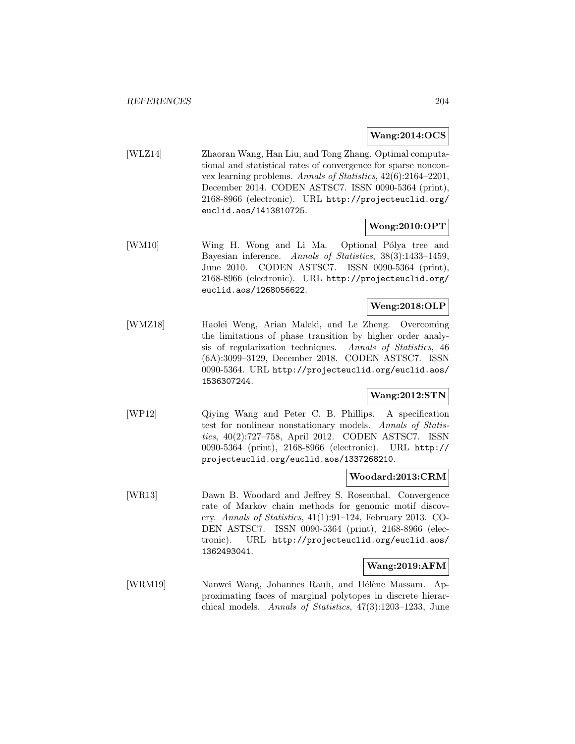### **Wang:2014:OCS**

[WLZ14] Zhaoran Wang, Han Liu, and Tong Zhang. Optimal computational and statistical rates of convergence for sparse nonconvex learning problems. Annals of Statistics, 42(6):2164–2201, December 2014. CODEN ASTSC7. ISSN 0090-5364 (print), 2168-8966 (electronic). URL http://projecteuclid.org/ euclid.aos/1413810725.

### **Wong:2010:OPT**

[WM10] Wing H. Wong and Li Ma. Optional Pólya tree and Bayesian inference. Annals of Statistics, 38(3):1433–1459, June 2010. CODEN ASTSC7. ISSN 0090-5364 (print), 2168-8966 (electronic). URL http://projecteuclid.org/ euclid.aos/1268056622.

# **Weng:2018:OLP**

[WMZ18] Haolei Weng, Arian Maleki, and Le Zheng. Overcoming the limitations of phase transition by higher order analysis of regularization techniques. Annals of Statistics, 46 (6A):3099–3129, December 2018. CODEN ASTSC7. ISSN 0090-5364. URL http://projecteuclid.org/euclid.aos/ 1536307244.

## **Wang:2012:STN**

[WP12] Qiying Wang and Peter C. B. Phillips. A specification test for nonlinear nonstationary models. Annals of Statistics, 40(2):727–758, April 2012. CODEN ASTSC7. ISSN 0090-5364 (print), 2168-8966 (electronic). URL http:// projecteuclid.org/euclid.aos/1337268210.

#### **Woodard:2013:CRM**

[WR13] Dawn B. Woodard and Jeffrey S. Rosenthal. Convergence rate of Markov chain methods for genomic motif discovery. Annals of Statistics, 41(1):91–124, February 2013. CO-DEN ASTSC7. ISSN 0090-5364 (print), 2168-8966 (electronic). URL http://projecteuclid.org/euclid.aos/ 1362493041.

## **Wang:2019:AFM**

[WRM19] Nanwei Wang, Johannes Rauh, and Hélène Massam. Approximating faces of marginal polytopes in discrete hierarchical models. Annals of Statistics, 47(3):1203–1233, June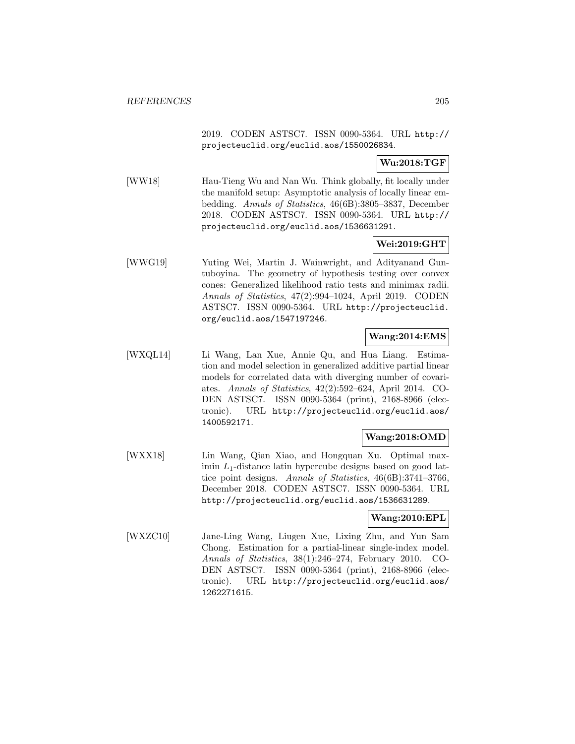2019. CODEN ASTSC7. ISSN 0090-5364. URL http:// projecteuclid.org/euclid.aos/1550026834.

# **Wu:2018:TGF**

[WW18] Hau-Tieng Wu and Nan Wu. Think globally, fit locally under the manifold setup: Asymptotic analysis of locally linear embedding. Annals of Statistics, 46(6B):3805–3837, December 2018. CODEN ASTSC7. ISSN 0090-5364. URL http:// projecteuclid.org/euclid.aos/1536631291.

# **Wei:2019:GHT**

[WWG19] Yuting Wei, Martin J. Wainwright, and Adityanand Guntuboyina. The geometry of hypothesis testing over convex cones: Generalized likelihood ratio tests and minimax radii. Annals of Statistics, 47(2):994–1024, April 2019. CODEN ASTSC7. ISSN 0090-5364. URL http://projecteuclid. org/euclid.aos/1547197246.

### **Wang:2014:EMS**

[WXQL14] Li Wang, Lan Xue, Annie Qu, and Hua Liang. Estimation and model selection in generalized additive partial linear models for correlated data with diverging number of covariates. Annals of Statistics, 42(2):592–624, April 2014. CO-DEN ASTSC7. ISSN 0090-5364 (print), 2168-8966 (electronic). URL http://projecteuclid.org/euclid.aos/ 1400592171.

## **Wang:2018:OMD**

[WXX18] Lin Wang, Qian Xiao, and Hongquan Xu. Optimal maximin  $L_1$ -distance latin hypercube designs based on good lattice point designs. Annals of Statistics, 46(6B):3741–3766, December 2018. CODEN ASTSC7. ISSN 0090-5364. URL http://projecteuclid.org/euclid.aos/1536631289.

#### **Wang:2010:EPL**

[WXZC10] Jane-Ling Wang, Liugen Xue, Lixing Zhu, and Yun Sam Chong. Estimation for a partial-linear single-index model. Annals of Statistics, 38(1):246–274, February 2010. CO-DEN ASTSC7. ISSN 0090-5364 (print), 2168-8966 (electronic). URL http://projecteuclid.org/euclid.aos/ 1262271615.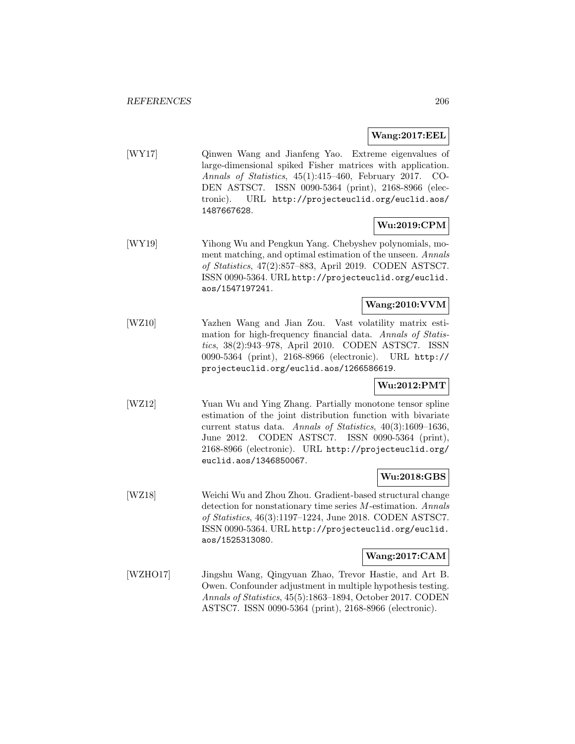## **Wang:2017:EEL**

[WY17] Qinwen Wang and Jianfeng Yao. Extreme eigenvalues of large-dimensional spiked Fisher matrices with application. Annals of Statistics, 45(1):415–460, February 2017. CO-DEN ASTSC7. ISSN 0090-5364 (print), 2168-8966 (electronic). URL http://projecteuclid.org/euclid.aos/ 1487667628.

# **Wu:2019:CPM**

[WY19] Yihong Wu and Pengkun Yang. Chebyshev polynomials, moment matching, and optimal estimation of the unseen. Annals of Statistics, 47(2):857–883, April 2019. CODEN ASTSC7. ISSN 0090-5364. URL http://projecteuclid.org/euclid. aos/1547197241.

# **Wang:2010:VVM**

[WZ10] Yazhen Wang and Jian Zou. Vast volatility matrix estimation for high-frequency financial data. Annals of Statistics, 38(2):943–978, April 2010. CODEN ASTSC7. ISSN 0090-5364 (print), 2168-8966 (electronic). URL http:// projecteuclid.org/euclid.aos/1266586619.

# **Wu:2012:PMT**

[WZ12] Yuan Wu and Ying Zhang. Partially monotone tensor spline estimation of the joint distribution function with bivariate current status data. Annals of Statistics, 40(3):1609–1636, June 2012. CODEN ASTSC7. ISSN 0090-5364 (print), 2168-8966 (electronic). URL http://projecteuclid.org/ euclid.aos/1346850067.

# **Wu:2018:GBS**

[WZ18] Weichi Wu and Zhou Zhou. Gradient-based structural change detection for nonstationary time series M-estimation. Annals of Statistics, 46(3):1197–1224, June 2018. CODEN ASTSC7. ISSN 0090-5364. URL http://projecteuclid.org/euclid. aos/1525313080.

## **Wang:2017:CAM**

[WZHO17] Jingshu Wang, Qingyuan Zhao, Trevor Hastie, and Art B. Owen. Confounder adjustment in multiple hypothesis testing. Annals of Statistics, 45(5):1863–1894, October 2017. CODEN ASTSC7. ISSN 0090-5364 (print), 2168-8966 (electronic).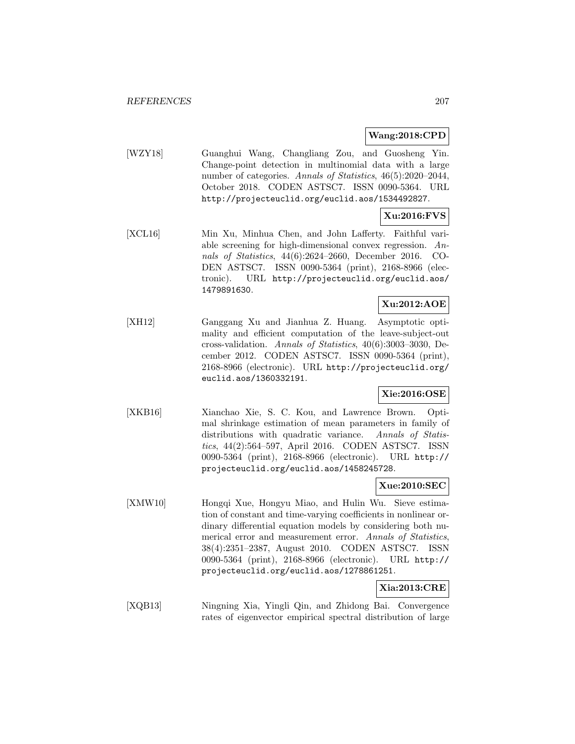### **Wang:2018:CPD**

[WZY18] Guanghui Wang, Changliang Zou, and Guosheng Yin. Change-point detection in multinomial data with a large number of categories. Annals of Statistics, 46(5):2020–2044, October 2018. CODEN ASTSC7. ISSN 0090-5364. URL http://projecteuclid.org/euclid.aos/1534492827.

# **Xu:2016:FVS**

[XCL16] Min Xu, Minhua Chen, and John Lafferty. Faithful variable screening for high-dimensional convex regression. Annals of Statistics, 44(6):2624–2660, December 2016. CO-DEN ASTSC7. ISSN 0090-5364 (print), 2168-8966 (electronic). URL http://projecteuclid.org/euclid.aos/ 1479891630.

# **Xu:2012:AOE**

[XH12] Ganggang Xu and Jianhua Z. Huang. Asymptotic optimality and efficient computation of the leave-subject-out cross-validation. Annals of Statistics, 40(6):3003–3030, December 2012. CODEN ASTSC7. ISSN 0090-5364 (print), 2168-8966 (electronic). URL http://projecteuclid.org/ euclid.aos/1360332191.

## **Xie:2016:OSE**

[XKB16] Xianchao Xie, S. C. Kou, and Lawrence Brown. Optimal shrinkage estimation of mean parameters in family of distributions with quadratic variance. Annals of Statistics, 44(2):564–597, April 2016. CODEN ASTSC7. ISSN 0090-5364 (print), 2168-8966 (electronic). URL http:// projecteuclid.org/euclid.aos/1458245728.

### **Xue:2010:SEC**

[XMW10] Hongqi Xue, Hongyu Miao, and Hulin Wu. Sieve estimation of constant and time-varying coefficients in nonlinear ordinary differential equation models by considering both numerical error and measurement error. Annals of Statistics, 38(4):2351–2387, August 2010. CODEN ASTSC7. ISSN 0090-5364 (print), 2168-8966 (electronic). URL http:// projecteuclid.org/euclid.aos/1278861251.

## **Xia:2013:CRE**

[XQB13] Ningning Xia, Yingli Qin, and Zhidong Bai. Convergence rates of eigenvector empirical spectral distribution of large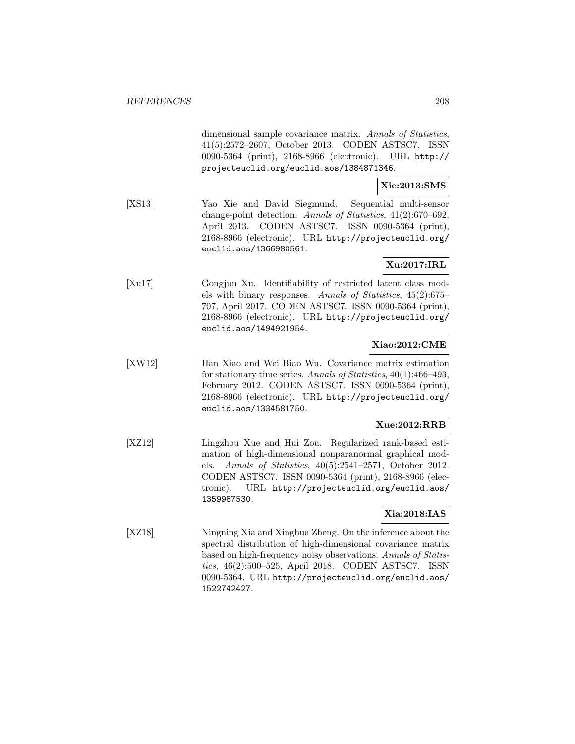dimensional sample covariance matrix. Annals of Statistics, 41(5):2572–2607, October 2013. CODEN ASTSC7. ISSN 0090-5364 (print), 2168-8966 (electronic). URL http:// projecteuclid.org/euclid.aos/1384871346.

# **Xie:2013:SMS**

[XS13] Yao Xie and David Siegmund. Sequential multi-sensor change-point detection. Annals of Statistics, 41(2):670–692, April 2013. CODEN ASTSC7. ISSN 0090-5364 (print), 2168-8966 (electronic). URL http://projecteuclid.org/ euclid.aos/1366980561.

### **Xu:2017:IRL**

[Xu17] Gongjun Xu. Identifiability of restricted latent class models with binary responses. Annals of Statistics, 45(2):675– 707, April 2017. CODEN ASTSC7. ISSN 0090-5364 (print), 2168-8966 (electronic). URL http://projecteuclid.org/ euclid.aos/1494921954.

### **Xiao:2012:CME**

[XW12] Han Xiao and Wei Biao Wu. Covariance matrix estimation for stationary time series. Annals of Statistics, 40(1):466–493, February 2012. CODEN ASTSC7. ISSN 0090-5364 (print), 2168-8966 (electronic). URL http://projecteuclid.org/ euclid.aos/1334581750.

#### **Xue:2012:RRB**

[XZ12] Lingzhou Xue and Hui Zou. Regularized rank-based estimation of high-dimensional nonparanormal graphical models. Annals of Statistics, 40(5):2541–2571, October 2012. CODEN ASTSC7. ISSN 0090-5364 (print), 2168-8966 (electronic). URL http://projecteuclid.org/euclid.aos/ 1359987530.

# **Xia:2018:IAS**

[XZ18] Ningning Xia and Xinghua Zheng. On the inference about the spectral distribution of high-dimensional covariance matrix based on high-frequency noisy observations. Annals of Statistics, 46(2):500–525, April 2018. CODEN ASTSC7. ISSN 0090-5364. URL http://projecteuclid.org/euclid.aos/ 1522742427.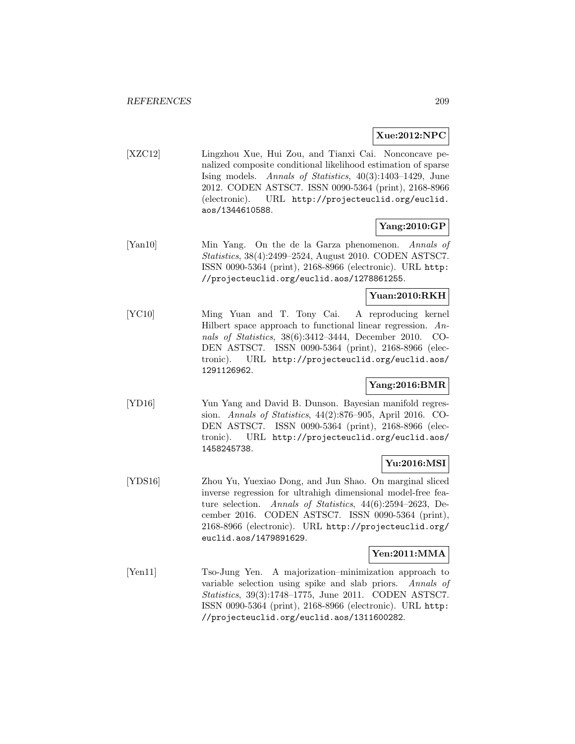## **Xue:2012:NPC**

[XZC12] Lingzhou Xue, Hui Zou, and Tianxi Cai. Nonconcave penalized composite conditional likelihood estimation of sparse Ising models. Annals of Statistics, 40(3):1403–1429, June 2012. CODEN ASTSC7. ISSN 0090-5364 (print), 2168-8966 (electronic). URL http://projecteuclid.org/euclid. aos/1344610588.

# **Yang:2010:GP**

[Yan10] Min Yang. On the de la Garza phenomenon. Annals of Statistics, 38(4):2499–2524, August 2010. CODEN ASTSC7. ISSN 0090-5364 (print), 2168-8966 (electronic). URL http: //projecteuclid.org/euclid.aos/1278861255.

## **Yuan:2010:RKH**

[YC10] Ming Yuan and T. Tony Cai. A reproducing kernel Hilbert space approach to functional linear regression. Annals of Statistics, 38(6):3412–3444, December 2010. CO-DEN ASTSC7. ISSN 0090-5364 (print), 2168-8966 (electronic). URL http://projecteuclid.org/euclid.aos/ 1291126962.

## **Yang:2016:BMR**

[YD16] Yun Yang and David B. Dunson. Bayesian manifold regression. Annals of Statistics, 44(2):876–905, April 2016. CO-DEN ASTSC7. ISSN 0090-5364 (print), 2168-8966 (electronic). URL http://projecteuclid.org/euclid.aos/ 1458245738.

#### **Yu:2016:MSI**

[YDS16] Zhou Yu, Yuexiao Dong, and Jun Shao. On marginal sliced inverse regression for ultrahigh dimensional model-free feature selection. Annals of Statistics, 44(6):2594–2623, December 2016. CODEN ASTSC7. ISSN 0090-5364 (print), 2168-8966 (electronic). URL http://projecteuclid.org/ euclid.aos/1479891629.

#### **Yen:2011:MMA**

[Yen11] Tso-Jung Yen. A majorization–minimization approach to variable selection using spike and slab priors. Annals of Statistics, 39(3):1748–1775, June 2011. CODEN ASTSC7. ISSN 0090-5364 (print), 2168-8966 (electronic). URL http: //projecteuclid.org/euclid.aos/1311600282.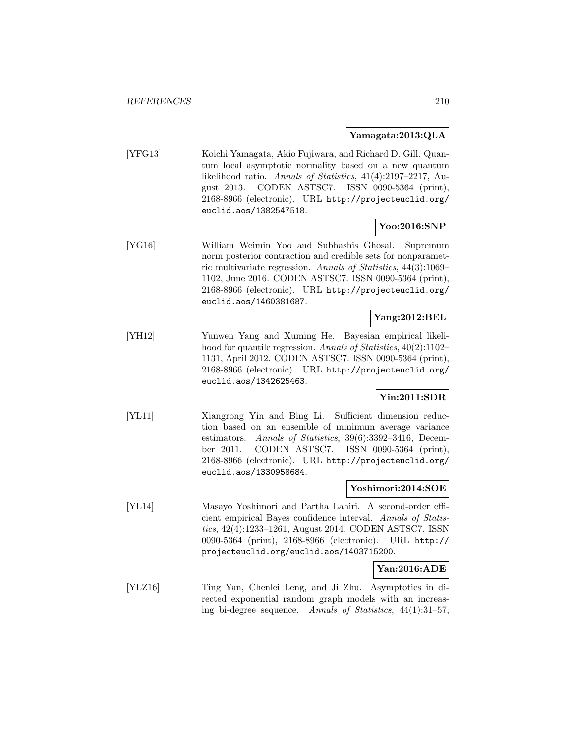#### **Yamagata:2013:QLA**

[YFG13] Koichi Yamagata, Akio Fujiwara, and Richard D. Gill. Quantum local asymptotic normality based on a new quantum likelihood ratio. Annals of Statistics, 41(4):2197–2217, August 2013. CODEN ASTSC7. ISSN 0090-5364 (print), 2168-8966 (electronic). URL http://projecteuclid.org/ euclid.aos/1382547518.

## **Yoo:2016:SNP**

[YG16] William Weimin Yoo and Subhashis Ghosal. Supremum norm posterior contraction and credible sets for nonparametric multivariate regression. Annals of Statistics, 44(3):1069– 1102, June 2016. CODEN ASTSC7. ISSN 0090-5364 (print), 2168-8966 (electronic). URL http://projecteuclid.org/ euclid.aos/1460381687.

### **Yang:2012:BEL**

[YH12] Yunwen Yang and Xuming He. Bayesian empirical likelihood for quantile regression. Annals of Statistics, 40(2):1102– 1131, April 2012. CODEN ASTSC7. ISSN 0090-5364 (print), 2168-8966 (electronic). URL http://projecteuclid.org/ euclid.aos/1342625463.

# **Yin:2011:SDR**

[YL11] Xiangrong Yin and Bing Li. Sufficient dimension reduction based on an ensemble of minimum average variance estimators. Annals of Statistics, 39(6):3392–3416, December 2011. CODEN ASTSC7. ISSN 0090-5364 (print), 2168-8966 (electronic). URL http://projecteuclid.org/ euclid.aos/1330958684.

#### **Yoshimori:2014:SOE**

[YL14] Masayo Yoshimori and Partha Lahiri. A second-order efficient empirical Bayes confidence interval. Annals of Statistics, 42(4):1233–1261, August 2014. CODEN ASTSC7. ISSN 0090-5364 (print), 2168-8966 (electronic). URL http:// projecteuclid.org/euclid.aos/1403715200.

### **Yan:2016:ADE**

[YLZ16] Ting Yan, Chenlei Leng, and Ji Zhu. Asymptotics in directed exponential random graph models with an increasing bi-degree sequence. Annals of Statistics, 44(1):31–57,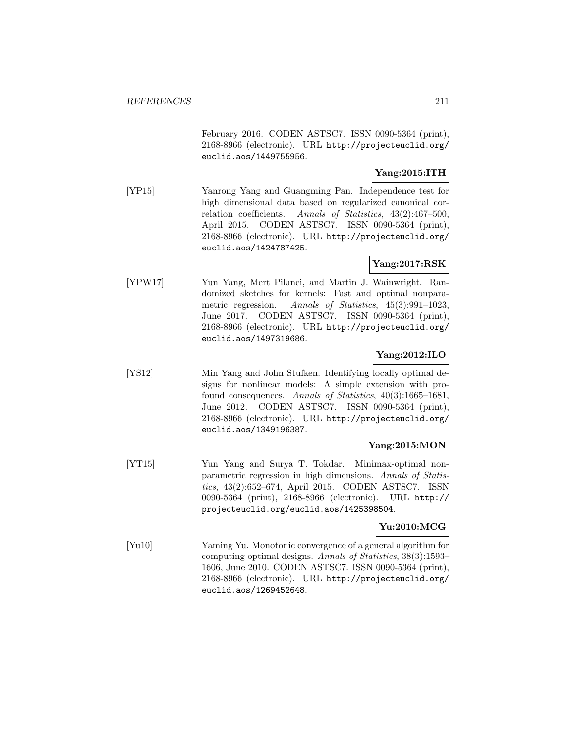February 2016. CODEN ASTSC7. ISSN 0090-5364 (print), 2168-8966 (electronic). URL http://projecteuclid.org/ euclid.aos/1449755956.

## **Yang:2015:ITH**

[YP15] Yanrong Yang and Guangming Pan. Independence test for high dimensional data based on regularized canonical correlation coefficients. Annals of Statistics, 43(2):467–500, April 2015. CODEN ASTSC7. ISSN 0090-5364 (print), 2168-8966 (electronic). URL http://projecteuclid.org/ euclid.aos/1424787425.

# **Yang:2017:RSK**

[YPW17] Yun Yang, Mert Pilanci, and Martin J. Wainwright. Randomized sketches for kernels: Fast and optimal nonparametric regression. Annals of Statistics, 45(3):991–1023, June 2017. CODEN ASTSC7. ISSN 0090-5364 (print), 2168-8966 (electronic). URL http://projecteuclid.org/ euclid.aos/1497319686.

## **Yang:2012:ILO**

[YS12] Min Yang and John Stufken. Identifying locally optimal designs for nonlinear models: A simple extension with profound consequences. Annals of Statistics, 40(3):1665–1681, June 2012. CODEN ASTSC7. ISSN 0090-5364 (print), 2168-8966 (electronic). URL http://projecteuclid.org/ euclid.aos/1349196387.

## **Yang:2015:MON**

[YT15] Yun Yang and Surya T. Tokdar. Minimax-optimal nonparametric regression in high dimensions. Annals of Statistics, 43(2):652–674, April 2015. CODEN ASTSC7. ISSN 0090-5364 (print), 2168-8966 (electronic). URL http:// projecteuclid.org/euclid.aos/1425398504.

## **Yu:2010:MCG**

[Yu10] Yaming Yu. Monotonic convergence of a general algorithm for computing optimal designs. Annals of Statistics, 38(3):1593– 1606, June 2010. CODEN ASTSC7. ISSN 0090-5364 (print), 2168-8966 (electronic). URL http://projecteuclid.org/ euclid.aos/1269452648.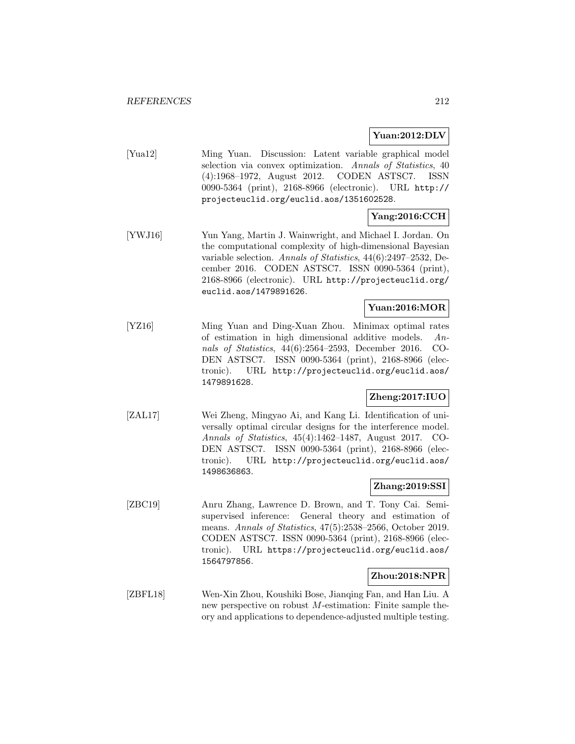### **Yuan:2012:DLV**

[Yua12] Ming Yuan. Discussion: Latent variable graphical model selection via convex optimization. Annals of Statistics, 40 (4):1968–1972, August 2012. CODEN ASTSC7. ISSN 0090-5364 (print), 2168-8966 (electronic). URL http:// projecteuclid.org/euclid.aos/1351602528.

# **Yang:2016:CCH**

[YWJ16] Yun Yang, Martin J. Wainwright, and Michael I. Jordan. On the computational complexity of high-dimensional Bayesian variable selection. Annals of Statistics, 44(6):2497–2532, December 2016. CODEN ASTSC7. ISSN 0090-5364 (print), 2168-8966 (electronic). URL http://projecteuclid.org/ euclid.aos/1479891626.

# **Yuan:2016:MOR**

[YZ16] Ming Yuan and Ding-Xuan Zhou. Minimax optimal rates of estimation in high dimensional additive models. Annals of Statistics, 44(6):2564–2593, December 2016. CO-DEN ASTSC7. ISSN 0090-5364 (print), 2168-8966 (electronic). URL http://projecteuclid.org/euclid.aos/ 1479891628.

# **Zheng:2017:IUO**

[ZAL17] Wei Zheng, Mingyao Ai, and Kang Li. Identification of universally optimal circular designs for the interference model. Annals of Statistics, 45(4):1462–1487, August 2017. CO-DEN ASTSC7. ISSN 0090-5364 (print), 2168-8966 (electronic). URL http://projecteuclid.org/euclid.aos/ 1498636863.

### **Zhang:2019:SSI**

[ZBC19] Anru Zhang, Lawrence D. Brown, and T. Tony Cai. Semisupervised inference: General theory and estimation of means. Annals of Statistics, 47(5):2538–2566, October 2019. CODEN ASTSC7. ISSN 0090-5364 (print), 2168-8966 (electronic). URL https://projecteuclid.org/euclid.aos/ 1564797856.

#### **Zhou:2018:NPR**

[ZBFL18] Wen-Xin Zhou, Koushiki Bose, Jianqing Fan, and Han Liu. A new perspective on robust M-estimation: Finite sample theory and applications to dependence-adjusted multiple testing.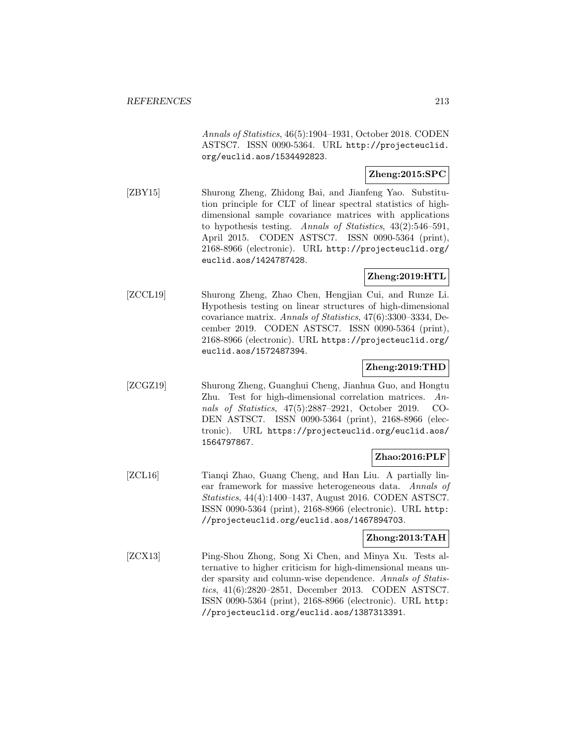Annals of Statistics, 46(5):1904–1931, October 2018. CODEN ASTSC7. ISSN 0090-5364. URL http://projecteuclid. org/euclid.aos/1534492823.

## **Zheng:2015:SPC**

[ZBY15] Shurong Zheng, Zhidong Bai, and Jianfeng Yao. Substitution principle for CLT of linear spectral statistics of highdimensional sample covariance matrices with applications to hypothesis testing. Annals of Statistics, 43(2):546–591, April 2015. CODEN ASTSC7. ISSN 0090-5364 (print), 2168-8966 (electronic). URL http://projecteuclid.org/ euclid.aos/1424787428.

# **Zheng:2019:HTL**

[ZCCL19] Shurong Zheng, Zhao Chen, Hengjian Cui, and Runze Li. Hypothesis testing on linear structures of high-dimensional covariance matrix. Annals of Statistics, 47(6):3300–3334, December 2019. CODEN ASTSC7. ISSN 0090-5364 (print), 2168-8966 (electronic). URL https://projecteuclid.org/ euclid.aos/1572487394.

#### **Zheng:2019:THD**

[ZCGZ19] Shurong Zheng, Guanghui Cheng, Jianhua Guo, and Hongtu Zhu. Test for high-dimensional correlation matrices. Annals of Statistics, 47(5):2887–2921, October 2019. CO-DEN ASTSC7. ISSN 0090-5364 (print), 2168-8966 (electronic). URL https://projecteuclid.org/euclid.aos/ 1564797867.

## **Zhao:2016:PLF**

[ZCL16] Tianqi Zhao, Guang Cheng, and Han Liu. A partially linear framework for massive heterogeneous data. Annals of Statistics, 44(4):1400–1437, August 2016. CODEN ASTSC7. ISSN 0090-5364 (print), 2168-8966 (electronic). URL http: //projecteuclid.org/euclid.aos/1467894703.

### **Zhong:2013:TAH**

[ZCX13] Ping-Shou Zhong, Song Xi Chen, and Minya Xu. Tests alternative to higher criticism for high-dimensional means under sparsity and column-wise dependence. Annals of Statistics, 41(6):2820–2851, December 2013. CODEN ASTSC7. ISSN 0090-5364 (print), 2168-8966 (electronic). URL http: //projecteuclid.org/euclid.aos/1387313391.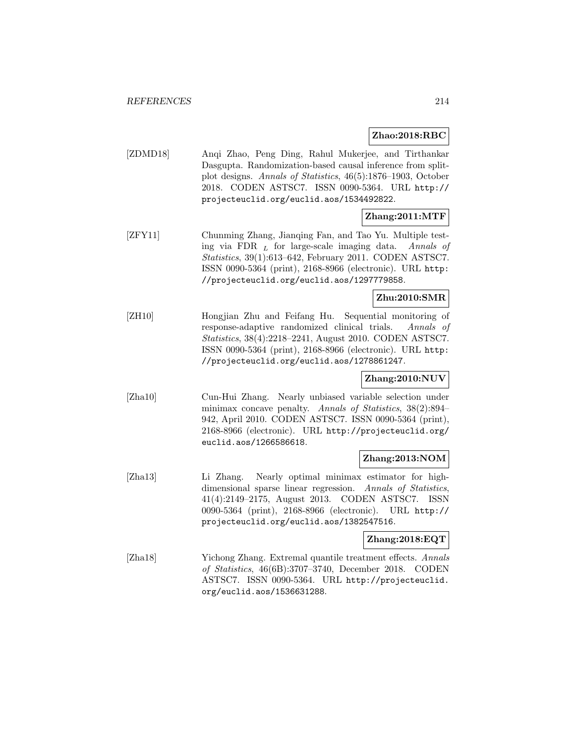#### **Zhao:2018:RBC**

[ZDMD18] Anqi Zhao, Peng Ding, Rahul Mukerjee, and Tirthankar Dasgupta. Randomization-based causal inference from splitplot designs. Annals of Statistics, 46(5):1876–1903, October 2018. CODEN ASTSC7. ISSN 0090-5364. URL http:// projecteuclid.org/euclid.aos/1534492822.

# **Zhang:2011:MTF**

[ZFY11] Chunming Zhang, Jianqing Fan, and Tao Yu. Multiple testing via FDR  $<sub>L</sub>$  for large-scale imaging data. Annals of</sub> Statistics, 39(1):613–642, February 2011. CODEN ASTSC7. ISSN 0090-5364 (print), 2168-8966 (electronic). URL http: //projecteuclid.org/euclid.aos/1297779858.

### **Zhu:2010:SMR**

[ZH10] Hongjian Zhu and Feifang Hu. Sequential monitoring of response-adaptive randomized clinical trials. Annals of Statistics, 38(4):2218–2241, August 2010. CODEN ASTSC7. ISSN 0090-5364 (print), 2168-8966 (electronic). URL http: //projecteuclid.org/euclid.aos/1278861247.

## **Zhang:2010:NUV**

[Zha10] Cun-Hui Zhang. Nearly unbiased variable selection under minimax concave penalty. Annals of Statistics, 38(2):894– 942, April 2010. CODEN ASTSC7. ISSN 0090-5364 (print), 2168-8966 (electronic). URL http://projecteuclid.org/ euclid.aos/1266586618.

## **Zhang:2013:NOM**

[Zha13] Li Zhang. Nearly optimal minimax estimator for highdimensional sparse linear regression. Annals of Statistics, 41(4):2149–2175, August 2013. CODEN ASTSC7. ISSN 0090-5364 (print), 2168-8966 (electronic). URL http:// projecteuclid.org/euclid.aos/1382547516.

## **Zhang:2018:EQT**

[Zha18] Yichong Zhang. Extremal quantile treatment effects. Annals of Statistics, 46(6B):3707–3740, December 2018. CODEN ASTSC7. ISSN 0090-5364. URL http://projecteuclid. org/euclid.aos/1536631288.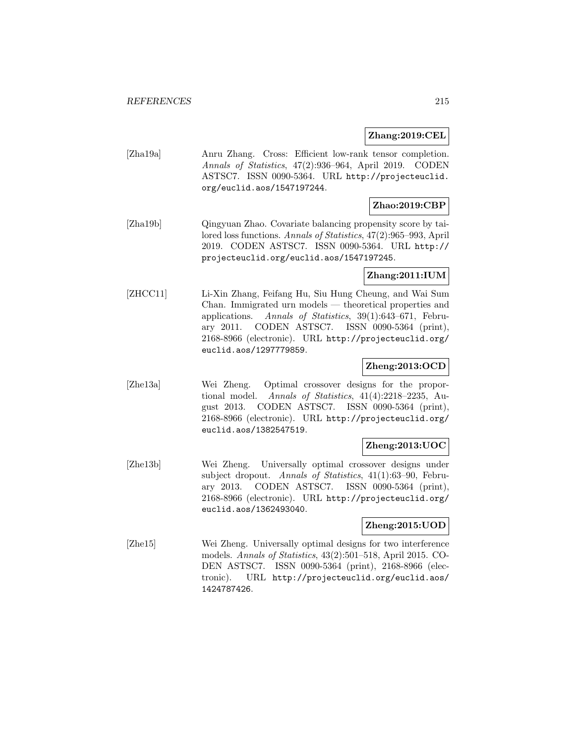#### **Zhang:2019:CEL**

[Zha19a] Anru Zhang. Cross: Efficient low-rank tensor completion. Annals of Statistics, 47(2):936–964, April 2019. CODEN ASTSC7. ISSN 0090-5364. URL http://projecteuclid. org/euclid.aos/1547197244.

### **Zhao:2019:CBP**

[Zha19b] Qingyuan Zhao. Covariate balancing propensity score by tailored loss functions. Annals of Statistics, 47(2):965–993, April 2019. CODEN ASTSC7. ISSN 0090-5364. URL http:// projecteuclid.org/euclid.aos/1547197245.

### **Zhang:2011:IUM**

[ZHCC11] Li-Xin Zhang, Feifang Hu, Siu Hung Cheung, and Wai Sum Chan. Immigrated urn models — theoretical properties and applications. Annals of Statistics, 39(1):643–671, February 2011. CODEN ASTSC7. ISSN 0090-5364 (print), 2168-8966 (electronic). URL http://projecteuclid.org/ euclid.aos/1297779859.

#### **Zheng:2013:OCD**

[Zhe13a] Wei Zheng. Optimal crossover designs for the proportional model. Annals of Statistics, 41(4):2218–2235, August 2013. CODEN ASTSC7. ISSN 0090-5364 (print), 2168-8966 (electronic). URL http://projecteuclid.org/ euclid.aos/1382547519.

#### **Zheng:2013:UOC**

[Zhe13b] Wei Zheng. Universally optimal crossover designs under subject dropout. Annals of Statistics, 41(1):63–90, February 2013. CODEN ASTSC7. ISSN 0090-5364 (print), 2168-8966 (electronic). URL http://projecteuclid.org/ euclid.aos/1362493040.

### **Zheng:2015:UOD**

[Zhe15] Wei Zheng. Universally optimal designs for two interference models. Annals of Statistics, 43(2):501–518, April 2015. CO-DEN ASTSC7. ISSN 0090-5364 (print), 2168-8966 (electronic). URL http://projecteuclid.org/euclid.aos/ 1424787426.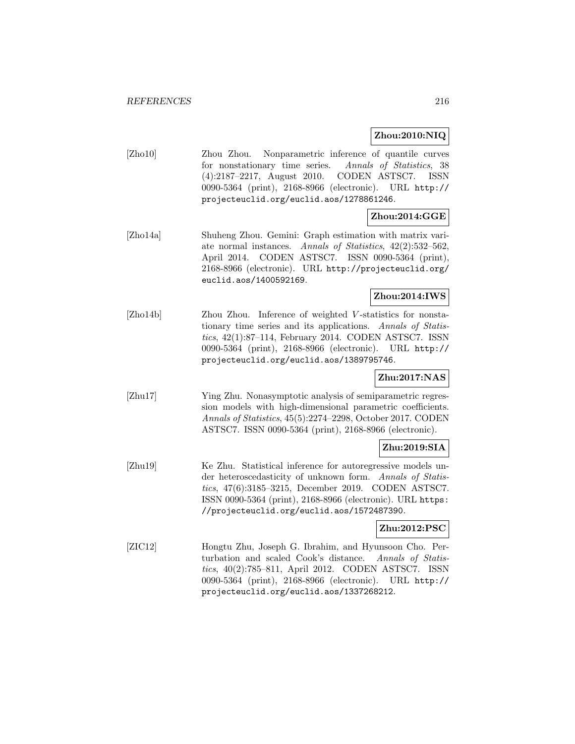#### **Zhou:2010:NIQ**

[Zho10] Zhou Zhou. Nonparametric inference of quantile curves for nonstationary time series. Annals of Statistics, 38 (4):2187–2217, August 2010. CODEN ASTSC7. ISSN 0090-5364 (print), 2168-8966 (electronic). URL http:// projecteuclid.org/euclid.aos/1278861246.

## **Zhou:2014:GGE**

[Zho14a] Shuheng Zhou. Gemini: Graph estimation with matrix variate normal instances. Annals of Statistics, 42(2):532–562, April 2014. CODEN ASTSC7. ISSN 0090-5364 (print), 2168-8966 (electronic). URL http://projecteuclid.org/ euclid.aos/1400592169.

### **Zhou:2014:IWS**

[Zho14b] Zhou Zhou. Inference of weighted V-statistics for nonstationary time series and its applications. Annals of Statistics, 42(1):87–114, February 2014. CODEN ASTSC7. ISSN 0090-5364 (print), 2168-8966 (electronic). URL http:// projecteuclid.org/euclid.aos/1389795746.

# **Zhu:2017:NAS**

[Zhu17] Ying Zhu. Nonasymptotic analysis of semiparametric regression models with high-dimensional parametric coefficients. Annals of Statistics, 45(5):2274–2298, October 2017. CODEN ASTSC7. ISSN 0090-5364 (print), 2168-8966 (electronic).

## **Zhu:2019:SIA**

[Zhu19] Ke Zhu. Statistical inference for autoregressive models under heteroscedasticity of unknown form. Annals of Statistics, 47(6):3185–3215, December 2019. CODEN ASTSC7. ISSN 0090-5364 (print), 2168-8966 (electronic). URL https: //projecteuclid.org/euclid.aos/1572487390.

#### **Zhu:2012:PSC**

[ZIC12] Hongtu Zhu, Joseph G. Ibrahim, and Hyunsoon Cho. Perturbation and scaled Cook's distance. Annals of Statistics, 40(2):785–811, April 2012. CODEN ASTSC7. ISSN 0090-5364 (print), 2168-8966 (electronic). URL http:// projecteuclid.org/euclid.aos/1337268212.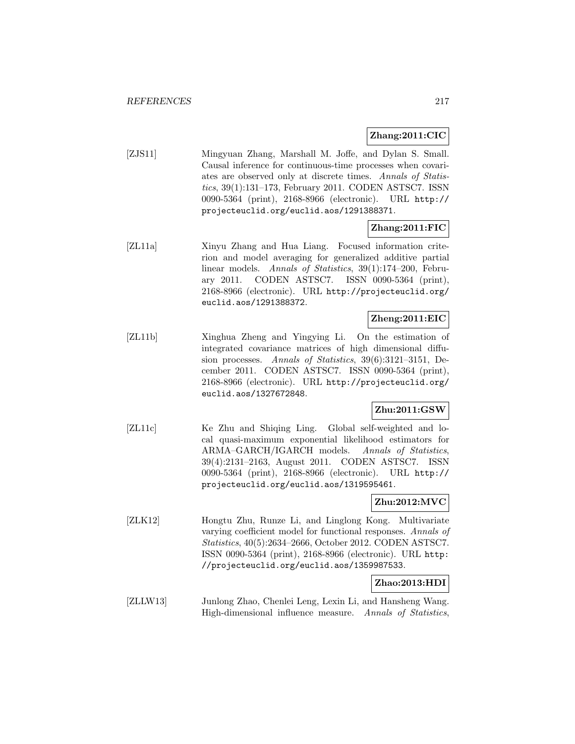### **Zhang:2011:CIC**

[ZJS11] Mingyuan Zhang, Marshall M. Joffe, and Dylan S. Small. Causal inference for continuous-time processes when covariates are observed only at discrete times. Annals of Statistics, 39(1):131–173, February 2011. CODEN ASTSC7. ISSN 0090-5364 (print), 2168-8966 (electronic). URL http:// projecteuclid.org/euclid.aos/1291388371.

### **Zhang:2011:FIC**

[ZL11a] Xinyu Zhang and Hua Liang. Focused information criterion and model averaging for generalized additive partial linear models. Annals of Statistics, 39(1):174–200, February 2011. CODEN ASTSC7. ISSN 0090-5364 (print), 2168-8966 (electronic). URL http://projecteuclid.org/ euclid.aos/1291388372.

### **Zheng:2011:EIC**

[ZL11b] Xinghua Zheng and Yingying Li. On the estimation of integrated covariance matrices of high dimensional diffusion processes. Annals of Statistics, 39(6):3121–3151, December 2011. CODEN ASTSC7. ISSN 0090-5364 (print), 2168-8966 (electronic). URL http://projecteuclid.org/ euclid.aos/1327672848.

#### **Zhu:2011:GSW**

[ZL11c] Ke Zhu and Shiqing Ling. Global self-weighted and local quasi-maximum exponential likelihood estimators for ARMA–GARCH/IGARCH models. Annals of Statistics, 39(4):2131–2163, August 2011. CODEN ASTSC7. ISSN 0090-5364 (print), 2168-8966 (electronic). URL http:// projecteuclid.org/euclid.aos/1319595461.

### **Zhu:2012:MVC**

[ZLK12] Hongtu Zhu, Runze Li, and Linglong Kong. Multivariate varying coefficient model for functional responses. Annals of Statistics, 40(5):2634–2666, October 2012. CODEN ASTSC7. ISSN 0090-5364 (print), 2168-8966 (electronic). URL http: //projecteuclid.org/euclid.aos/1359987533.

### **Zhao:2013:HDI**

[ZLLW13] Junlong Zhao, Chenlei Leng, Lexin Li, and Hansheng Wang. High-dimensional influence measure. Annals of Statistics,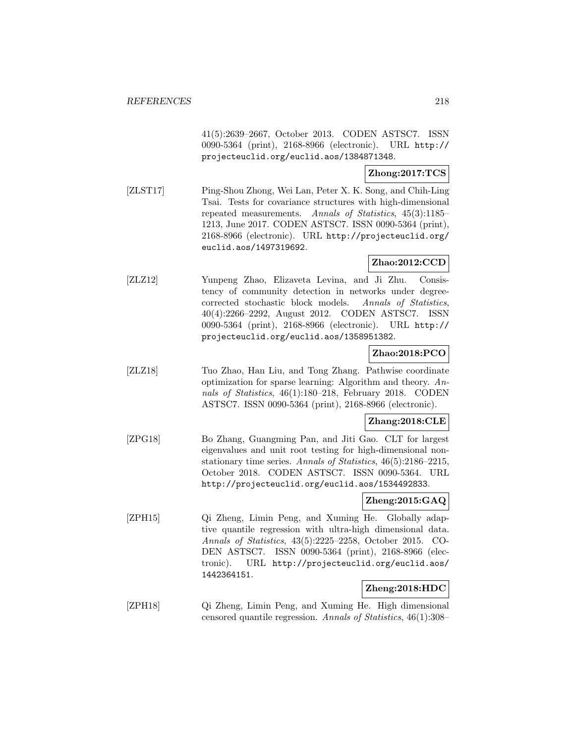41(5):2639–2667, October 2013. CODEN ASTSC7. ISSN 0090-5364 (print), 2168-8966 (electronic). URL http:// projecteuclid.org/euclid.aos/1384871348.

## **Zhong:2017:TCS**

[ZLST17] Ping-Shou Zhong, Wei Lan, Peter X. K. Song, and Chih-Ling Tsai. Tests for covariance structures with high-dimensional repeated measurements. Annals of Statistics, 45(3):1185– 1213, June 2017. CODEN ASTSC7. ISSN 0090-5364 (print), 2168-8966 (electronic). URL http://projecteuclid.org/ euclid.aos/1497319692.

# **Zhao:2012:CCD**

[ZLZ12] Yunpeng Zhao, Elizaveta Levina, and Ji Zhu. Consistency of community detection in networks under degreecorrected stochastic block models. Annals of Statistics, 40(4):2266–2292, August 2012. CODEN ASTSC7. ISSN 0090-5364 (print), 2168-8966 (electronic). URL http:// projecteuclid.org/euclid.aos/1358951382.

## **Zhao:2018:PCO**

[ZLZ18] Tuo Zhao, Han Liu, and Tong Zhang. Pathwise coordinate optimization for sparse learning: Algorithm and theory. Annals of Statistics, 46(1):180–218, February 2018. CODEN ASTSC7. ISSN 0090-5364 (print), 2168-8966 (electronic).

### **Zhang:2018:CLE**

[ZPG18] Bo Zhang, Guangming Pan, and Jiti Gao. CLT for largest eigenvalues and unit root testing for high-dimensional nonstationary time series. Annals of Statistics, 46(5):2186–2215, October 2018. CODEN ASTSC7. ISSN 0090-5364. URL http://projecteuclid.org/euclid.aos/1534492833.

### **Zheng:2015:GAQ**

[ZPH15] Qi Zheng, Limin Peng, and Xuming He. Globally adaptive quantile regression with ultra-high dimensional data. Annals of Statistics, 43(5):2225–2258, October 2015. CO-DEN ASTSC7. ISSN 0090-5364 (print), 2168-8966 (electronic). URL http://projecteuclid.org/euclid.aos/ 1442364151.

### **Zheng:2018:HDC**

[ZPH18] Qi Zheng, Limin Peng, and Xuming He. High dimensional censored quantile regression. Annals of Statistics, 46(1):308–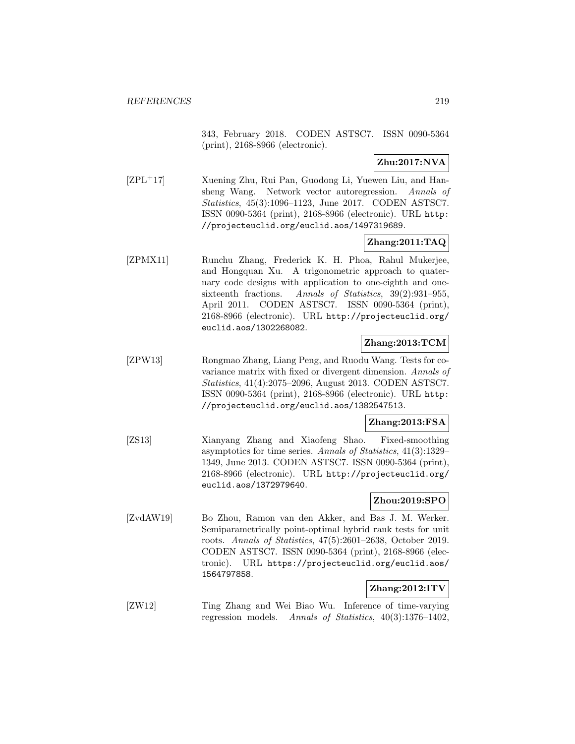343, February 2018. CODEN ASTSC7. ISSN 0090-5364 (print), 2168-8966 (electronic).

**Zhu:2017:NVA**

[ZPL<sup>+</sup>17] Xuening Zhu, Rui Pan, Guodong Li, Yuewen Liu, and Hansheng Wang. Network vector autoregression. Annals of Statistics, 45(3):1096–1123, June 2017. CODEN ASTSC7. ISSN 0090-5364 (print), 2168-8966 (electronic). URL http: //projecteuclid.org/euclid.aos/1497319689.

### **Zhang:2011:TAQ**

[ZPMX11] Runchu Zhang, Frederick K. H. Phoa, Rahul Mukerjee, and Hongquan Xu. A trigonometric approach to quaternary code designs with application to one-eighth and onesixteenth fractions. Annals of Statistics, 39(2):931–955, April 2011. CODEN ASTSC7. ISSN 0090-5364 (print), 2168-8966 (electronic). URL http://projecteuclid.org/ euclid.aos/1302268082.

## **Zhang:2013:TCM**

[ZPW13] Rongmao Zhang, Liang Peng, and Ruodu Wang. Tests for covariance matrix with fixed or divergent dimension. Annals of Statistics, 41(4):2075–2096, August 2013. CODEN ASTSC7. ISSN 0090-5364 (print), 2168-8966 (electronic). URL http: //projecteuclid.org/euclid.aos/1382547513.

#### **Zhang:2013:FSA**

[ZS13] Xianyang Zhang and Xiaofeng Shao. Fixed-smoothing asymptotics for time series. Annals of Statistics, 41(3):1329– 1349, June 2013. CODEN ASTSC7. ISSN 0090-5364 (print), 2168-8966 (electronic). URL http://projecteuclid.org/ euclid.aos/1372979640.

## **Zhou:2019:SPO**

[ZvdAW19] Bo Zhou, Ramon van den Akker, and Bas J. M. Werker. Semiparametrically point-optimal hybrid rank tests for unit roots. Annals of Statistics, 47(5):2601–2638, October 2019. CODEN ASTSC7. ISSN 0090-5364 (print), 2168-8966 (electronic). URL https://projecteuclid.org/euclid.aos/ 1564797858.

# **Zhang:2012:ITV**

[ZW12] Ting Zhang and Wei Biao Wu. Inference of time-varying regression models. Annals of Statistics, 40(3):1376–1402,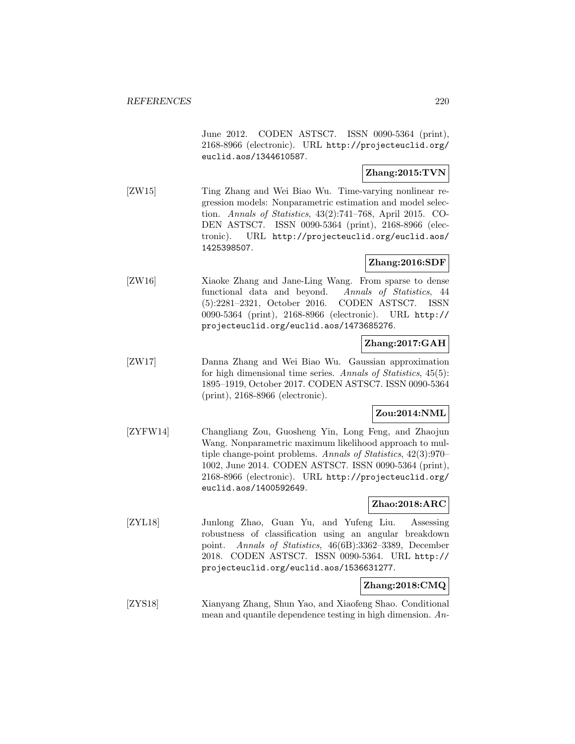June 2012. CODEN ASTSC7. ISSN 0090-5364 (print), 2168-8966 (electronic). URL http://projecteuclid.org/ euclid.aos/1344610587.

### **Zhang:2015:TVN**

[ZW15] Ting Zhang and Wei Biao Wu. Time-varying nonlinear regression models: Nonparametric estimation and model selection. Annals of Statistics, 43(2):741–768, April 2015. CO-DEN ASTSC7. ISSN 0090-5364 (print), 2168-8966 (electronic). URL http://projecteuclid.org/euclid.aos/ 1425398507.

### **Zhang:2016:SDF**

[ZW16] Xiaoke Zhang and Jane-Ling Wang. From sparse to dense functional data and beyond. Annals of Statistics, 44 (5):2281–2321, October 2016. CODEN ASTSC7. ISSN 0090-5364 (print), 2168-8966 (electronic). URL http:// projecteuclid.org/euclid.aos/1473685276.

### **Zhang:2017:GAH**

[ZW17] Danna Zhang and Wei Biao Wu. Gaussian approximation for high dimensional time series. Annals of Statistics, 45(5): 1895–1919, October 2017. CODEN ASTSC7. ISSN 0090-5364 (print), 2168-8966 (electronic).

### **Zou:2014:NML**

[ZYFW14] Changliang Zou, Guosheng Yin, Long Feng, and Zhaojun Wang. Nonparametric maximum likelihood approach to multiple change-point problems. Annals of Statistics, 42(3):970– 1002, June 2014. CODEN ASTSC7. ISSN 0090-5364 (print), 2168-8966 (electronic). URL http://projecteuclid.org/ euclid.aos/1400592649.

### **Zhao:2018:ARC**

[ZYL18] Junlong Zhao, Guan Yu, and Yufeng Liu. Assessing robustness of classification using an angular breakdown point. Annals of Statistics, 46(6B):3362–3389, December 2018. CODEN ASTSC7. ISSN 0090-5364. URL http:// projecteuclid.org/euclid.aos/1536631277.

#### **Zhang:2018:CMQ**

[ZYS18] Xianyang Zhang, Shun Yao, and Xiaofeng Shao. Conditional mean and quantile dependence testing in high dimension. An